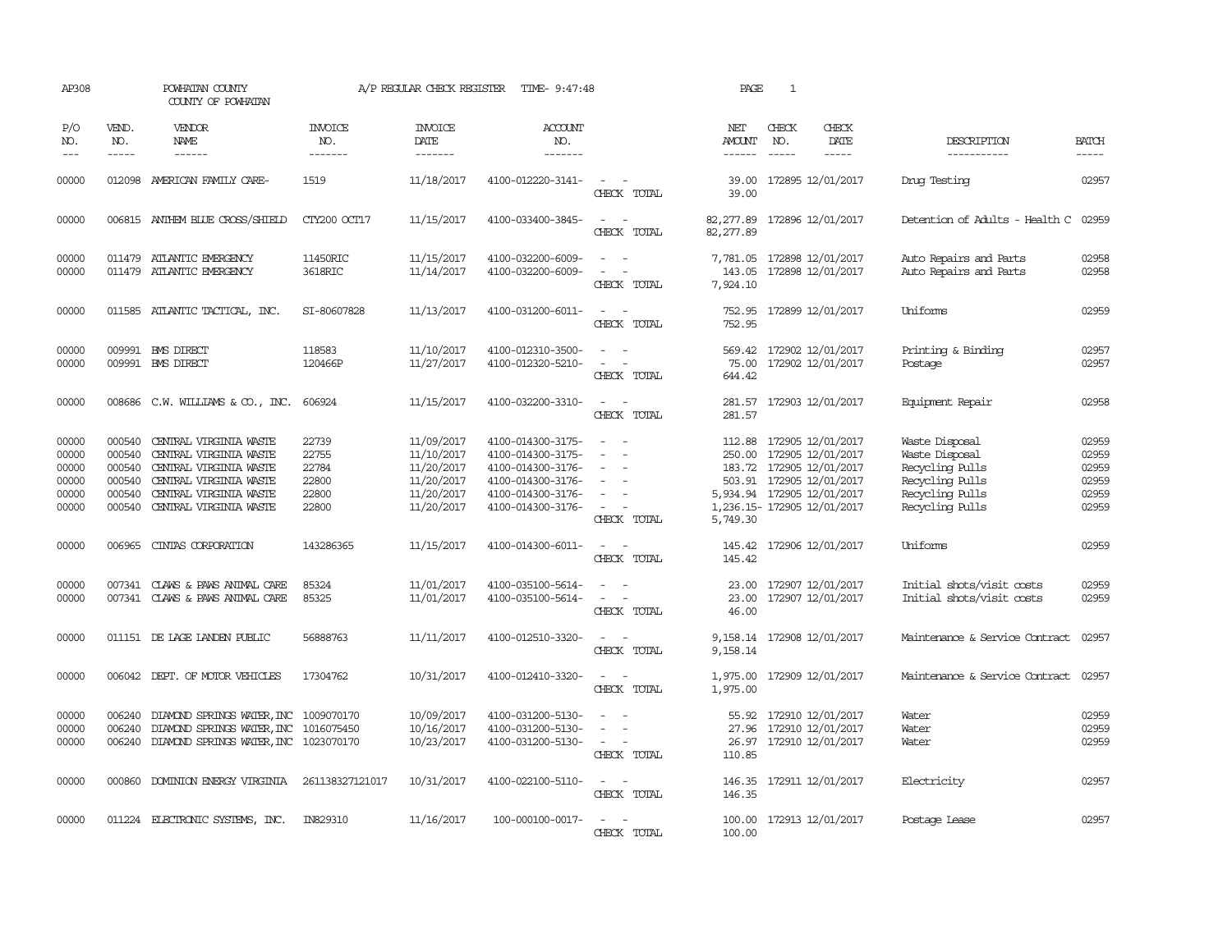| AP308                                              |                                                          | POWHATAN COUNTY<br>COUNTY OF POWHATAN                                                                                                                    |                                                    | A/P REGULAR CHECK REGISTER                                                       | TIME- 9:47:48                                                                                                              |                                                               | PAGE                              | 1                           |                                                                                                                                                            |                                                                                                              |                                                    |
|----------------------------------------------------|----------------------------------------------------------|----------------------------------------------------------------------------------------------------------------------------------------------------------|----------------------------------------------------|----------------------------------------------------------------------------------|----------------------------------------------------------------------------------------------------------------------------|---------------------------------------------------------------|-----------------------------------|-----------------------------|------------------------------------------------------------------------------------------------------------------------------------------------------------|--------------------------------------------------------------------------------------------------------------|----------------------------------------------------|
| P/O<br>NO.<br>$\frac{1}{2}$                        | VEND.<br>NO.<br>$- - - - -$                              | VENDOR<br>NAME<br>$- - - - - -$                                                                                                                          | <b>INVOICE</b><br>NO.<br>-------                   | <b>INVOICE</b><br><b>DATE</b><br>-------                                         | <b>ACCOUNT</b><br>NO.<br>-------                                                                                           |                                                               | NET<br>AMOUNT<br>$- - - - - -$    | CHECK<br>NO.<br>$- - - - -$ | CHECK<br>DATE<br>-----                                                                                                                                     | DESCRIPTION<br>-----------                                                                                   | <b>BATCH</b><br>-----                              |
| 00000                                              |                                                          | 012098 AMERICAN FAMILY CARE-                                                                                                                             | 1519                                               | 11/18/2017                                                                       | 4100-012220-3141-                                                                                                          | $\overline{\phantom{a}}$<br>CHECK TOTAL                       | 39.00<br>39.00                    |                             | 172895 12/01/2017                                                                                                                                          | Drug Testing                                                                                                 | 02957                                              |
| 00000                                              |                                                          | 006815 ANTHEM BLUE CROSS/SHIELD                                                                                                                          | CTY200 OCT17                                       | 11/15/2017                                                                       | 4100-033400-3845-                                                                                                          | $\omega_{\rm{max}}$ , $\omega_{\rm{max}}$<br>CHECK TOTAL      | 82,277.89<br>82,277.89            |                             | 172896 12/01/2017                                                                                                                                          | Detention of Adults - Health C                                                                               | 02959                                              |
| 00000<br>00000                                     |                                                          | 011479 ATLANTIC EMERGENCY<br>011479 ATLANTIC EMERGENCY                                                                                                   | 11450RIC<br>3618RIC                                | 11/15/2017<br>11/14/2017                                                         | 4100-032200-6009-<br>4100-032200-6009-                                                                                     | $\sim$<br>CHECK TOTAL                                         | 7,781.05<br>143.05<br>7,924.10    |                             | 172898 12/01/2017<br>172898 12/01/2017                                                                                                                     | Auto Repairs and Parts<br>Auto Repairs and Parts                                                             | 02958<br>02958                                     |
| 00000                                              |                                                          | 011585 ATLANTIC TACTICAL, INC.                                                                                                                           | SI-80607828                                        | 11/13/2017                                                                       | 4100-031200-6011-                                                                                                          | $\sim$<br>CHECK TOTAL                                         | 752.95<br>752.95                  |                             | 172899 12/01/2017                                                                                                                                          | Uniforms                                                                                                     | 02959                                              |
| 00000<br>00000                                     |                                                          | 009991 BMS DIRECT<br>009991 BMS DIRECT                                                                                                                   | 118583<br>120466P                                  | 11/10/2017<br>11/27/2017                                                         | 4100-012310-3500-<br>4100-012320-5210-                                                                                     | $\overline{\phantom{a}}$<br>CHECK TOTAL                       | 569.42<br>75.00<br>644.42         |                             | 172902 12/01/2017<br>172902 12/01/2017                                                                                                                     | Printing & Binding<br>Postage                                                                                | 02957<br>02957                                     |
| 00000                                              |                                                          | 008686 C.W. WILLIAMS & CO., INC.                                                                                                                         | 606924                                             | 11/15/2017                                                                       | 4100-032200-3310-                                                                                                          | $\equiv$<br>CHECK TOTAL                                       | 281.57                            |                             | 281.57 172903 12/01/2017                                                                                                                                   | Equipment Repair                                                                                             | 02958                                              |
| 00000<br>00000<br>00000<br>00000<br>00000<br>00000 | 000540<br>000540<br>000540<br>000540<br>000540<br>000540 | CENTRAL VIRGINIA WASTE<br>CENTRAL VIRGINIA WASTE<br>CENTRAL VIRGINIA WASTE<br>CENTRAL VIRGINIA WASTE<br>CENTRAL VIRGINIA WASTE<br>CENTRAL VIRGINIA WASTE | 22739<br>22755<br>22784<br>22800<br>22800<br>22800 | 11/09/2017<br>11/10/2017<br>11/20/2017<br>11/20/2017<br>11/20/2017<br>11/20/2017 | 4100-014300-3175-<br>4100-014300-3175-<br>4100-014300-3176-<br>4100-014300-3176-<br>4100-014300-3176-<br>4100-014300-3176- | $\equiv$<br>$\sim$<br>$\overline{\phantom{a}}$<br>CHECK TOTAL | 112.88<br>183.72<br>5,749.30      |                             | 172905 12/01/2017<br>250.00 172905 12/01/2017<br>172905 12/01/2017<br>503.91 172905 12/01/2017<br>5,934.94 172905 12/01/2017<br>1,236.15-172905 12/01/2017 | Waste Disposal<br>Waste Disposal<br>Recycling Pulls<br>Recycling Pulls<br>Recycling Pulls<br>Recycling Pulls | 02959<br>02959<br>02959<br>02959<br>02959<br>02959 |
| 00000                                              |                                                          | 006965 CINTAS CORPORATION                                                                                                                                | 143286365                                          | 11/15/2017                                                                       | 4100-014300-6011-                                                                                                          | $\sim$<br>$\sim$<br>CHECK TOTAL                               | 145.42                            |                             | 145.42 172906 12/01/2017                                                                                                                                   | Uniforms                                                                                                     | 02959                                              |
| 00000<br>00000                                     |                                                          | 007341 CLAWS & PAWS ANIMAL CARE<br>007341 CLAWS & PAWS ANIMAL CARE                                                                                       | 85324<br>85325                                     | 11/01/2017<br>11/01/2017                                                         | 4100-035100-5614-<br>4100-035100-5614-                                                                                     | $\sim$<br>CHECK TOTAL                                         | 23.00<br>23.00<br>46.00           |                             | 172907 12/01/2017<br>172907 12/01/2017                                                                                                                     | Initial shots/visit costs<br>Initial shots/visit costs                                                       | 02959<br>02959                                     |
| 00000                                              |                                                          | 011151 DE LAGE LANDEN PUBLIC                                                                                                                             | 56888763                                           | 11/11/2017                                                                       | 4100-012510-3320-                                                                                                          | CHECK TOTAL                                                   | 9,158.14                          |                             | 9, 158. 14 172908 12/01/2017                                                                                                                               | Maintenance & Service Contract                                                                               | 02957                                              |
| 00000                                              |                                                          | 006042 DEPT. OF MOTOR VEHICLES                                                                                                                           | 17304762                                           | 10/31/2017                                                                       | 4100-012410-3320-                                                                                                          | CHECK TOTAL                                                   | 1,975.00<br>1,975.00              |                             | 172909 12/01/2017                                                                                                                                          | Maintenance & Service Contract                                                                               | 02957                                              |
| 00000<br>00000<br>00000                            | 006240<br>006240<br>006240                               | DIAMOND SPRINGS WATER, INC<br>DIAMOND SPRINGS WATER, INC<br>DIAMOND SPRINGS WATER, INC 1023070170                                                        | 1009070170<br>1016075450                           | 10/09/2017<br>10/16/2017<br>10/23/2017                                           | 4100-031200-5130-<br>4100-031200-5130-<br>4100-031200-5130-                                                                | $\equiv$<br>$\overline{\phantom{a}}$<br>CHECK TOTAL           | 55.92<br>27.96<br>26.97<br>110.85 |                             | 172910 12/01/2017<br>172910 12/01/2017<br>172910 12/01/2017                                                                                                | Water<br>Water<br>Water                                                                                      | 02959<br>02959<br>02959                            |
| 00000                                              |                                                          | 000860 DOMINION ENERGY VIRGINIA                                                                                                                          | 261138327121017                                    | 10/31/2017                                                                       | 4100-022100-5110-                                                                                                          | $\sim$ 10 $\sim$ 10 $\sim$<br>CHECK TOTAL                     | 146.35                            |                             | 146.35 172911 12/01/2017                                                                                                                                   | Electricity                                                                                                  | 02957                                              |
| 00000                                              |                                                          | 011224 ELECTRONIC SYSTEMS, INC.                                                                                                                          | IN829310                                           | 11/16/2017                                                                       | 100-000100-0017-                                                                                                           | $\overline{\phantom{a}}$<br>$\sim$<br>CHECK TOTAL             | 100.00<br>100.00                  |                             | 172913 12/01/2017                                                                                                                                          | Postage Lease                                                                                                | 02957                                              |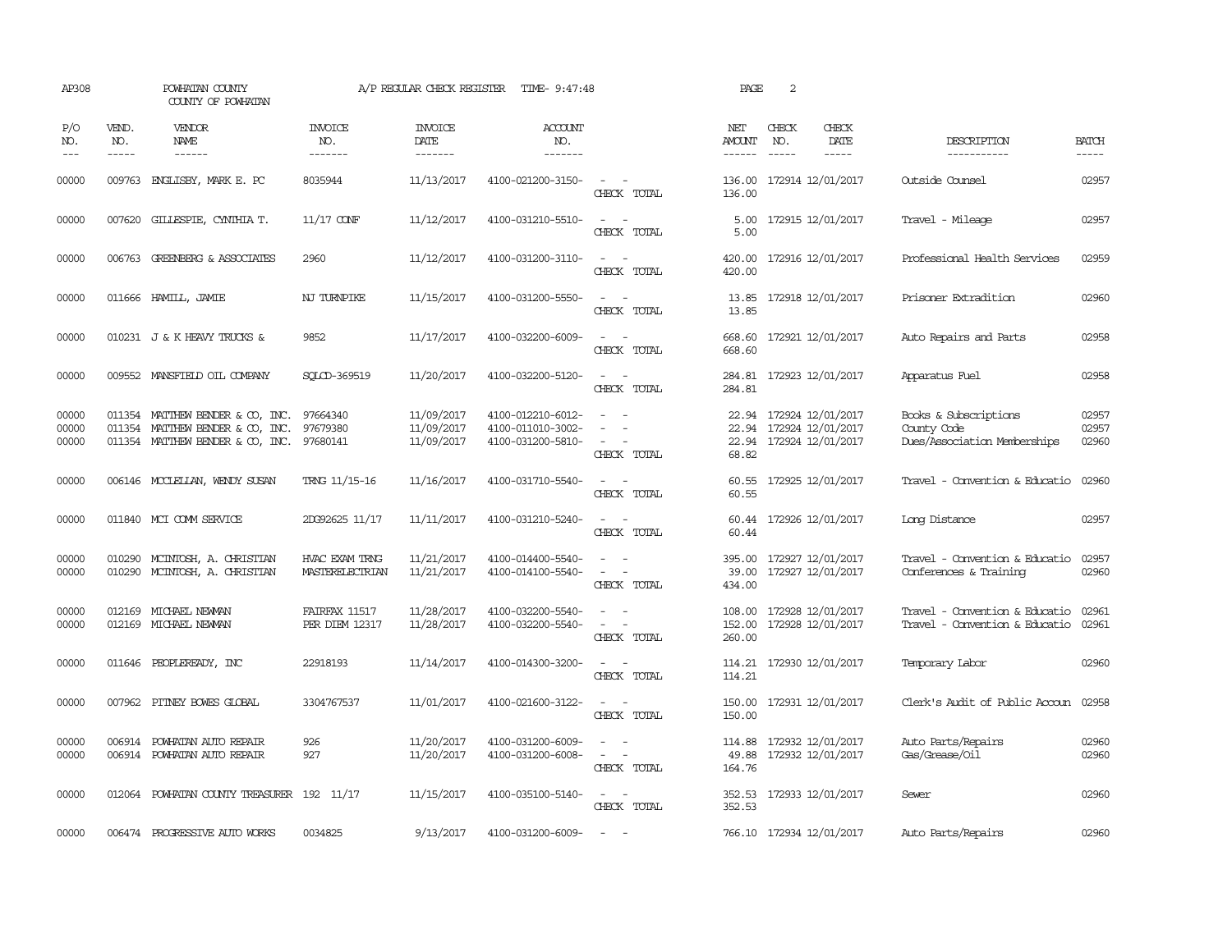| AP308                   |                             | POWHATAN COUNTY<br>COUNTY OF POWHATAN                                                                             |                                          | A/P REGULAR CHECK REGISTER               | TIME- 9:47:48                                               |                                                     | PAGE                           | 2                           |                                                                         |                                                                      |                         |
|-------------------------|-----------------------------|-------------------------------------------------------------------------------------------------------------------|------------------------------------------|------------------------------------------|-------------------------------------------------------------|-----------------------------------------------------|--------------------------------|-----------------------------|-------------------------------------------------------------------------|----------------------------------------------------------------------|-------------------------|
| P/O<br>NO.<br>$---$     | VEND.<br>NO.<br>$- - - - -$ | VENDOR<br>NAME<br>$- - - - - -$                                                                                   | <b>INVOICE</b><br>NO.<br>-------         | <b>INVOICE</b><br><b>DATE</b><br>------- | <b>ACCOUNT</b><br>NO.<br>-------                            |                                                     | NET<br>AMOUNT<br>$- - - - - -$ | CHECK<br>NO.<br>$- - - - -$ | CHECK<br>DATE<br>$- - - - -$                                            | DESCRIPTION<br>-----------                                           | <b>BATCH</b><br>-----   |
| 00000                   | 009763                      | ENGLISBY, MARK E. PC                                                                                              | 8035944                                  | 11/13/2017                               | 4100-021200-3150-                                           | $\sim$<br>$\sim$<br>CHECK TOTAL                     | 136.00<br>136.00               |                             | 172914 12/01/2017                                                       | Outside Counsel                                                      | 02957                   |
| 00000                   |                             | 007620 GILLESPIE, CYNTHIA T.                                                                                      | $11/17$ CONF                             | 11/12/2017                               | 4100-031210-5510-                                           | $\sim$<br>$\sim$<br>CHECK TOTAL                     | 5.00<br>5.00                   |                             | 172915 12/01/2017                                                       | Travel - Mileage                                                     | 02957                   |
| 00000                   |                             | 006763 GREENBERG & ASSOCIATES                                                                                     | 2960                                     | 11/12/2017                               | 4100-031200-3110-                                           | $\equiv$<br>$\sim$<br>CHECK TOTAL                   | 420.00<br>420.00               |                             | 172916 12/01/2017                                                       | Professional Health Services                                         | 02959                   |
| 00000                   |                             | 011666 HAMILL, JAMIE                                                                                              | NJ TURNPIKE                              | 11/15/2017                               | 4100-031200-5550-                                           | $ -$<br>CHECK TOTAL                                 | 13.85<br>13.85                 |                             | 172918 12/01/2017                                                       | Prisoner Extradition                                                 | 02960                   |
| 00000                   |                             | 010231 J & K HEAVY TRUCKS &                                                                                       | 9852                                     | 11/17/2017                               | 4100-032200-6009-                                           | $\sim$<br>CHECK TOTAL                               | 668.60<br>668.60               |                             | 172921 12/01/2017                                                       | Auto Repairs and Parts                                               | 02958                   |
| 00000                   |                             | 009552 MANSFIELD OIL COMPANY                                                                                      | SOLCD-369519                             | 11/20/2017                               | 4100-032200-5120-                                           | $\sim$<br>$\sim$<br>CHECK TOTAL                     | 284.81                         |                             | 284.81 172923 12/01/2017                                                | Apparatus Fuel                                                       | 02958                   |
| 00000<br>00000<br>00000 |                             | 011354 MATTHEW BENDER & CO, INC.<br>011354 MATTHEW BENDER & CO, INC.<br>011354 MATTHEW BENDER & CO, INC. 97680141 | 97664340<br>97679380                     | 11/09/2017<br>11/09/2017<br>11/09/2017   | 4100-012210-6012-<br>4100-011010-3002-<br>4100-031200-5810- | $\equiv$<br>CHECK TOTAL                             | 22.94<br>68.82                 |                             | 172924 12/01/2017<br>22.94 172924 12/01/2017<br>22.94 172924 12/01/2017 | Books & Subscriptions<br>County Code<br>Dues/Association Memberships | 02957<br>02957<br>02960 |
| 00000                   |                             | 006146 MCCLELLAN, WENDY SUSAN                                                                                     | TRNG 11/15-16                            | 11/16/2017                               | 4100-031710-5540-                                           | $\sim$<br>$\sim$<br>CHECK TOTAL                     | 60.55                          |                             | 60.55 172925 12/01/2017                                                 | Travel - Convention & Educatio                                       | 02960                   |
| 00000                   |                             | 011840 MCI COMM SERVICE                                                                                           | 2DG92625 11/17                           | 11/11/2017                               | 4100-031210-5240-                                           | $\sim$<br>CHECK TOTAL                               | 60.44                          |                             | 60.44 172926 12/01/2017                                                 | Long Distance                                                        | 02957                   |
| 00000<br>00000          |                             | 010290 MCINTOSH, A. CHRISTIAN<br>010290 MCINTOSH, A. CHRISTIAN                                                    | HVAC EXAM TRNG<br><b>MASTERELECTRIAN</b> | 11/21/2017<br>11/21/2017                 | 4100-014400-5540-<br>4100-014100-5540-                      | $\equiv$<br>CHECK TOTAL                             | 395.00<br>39.00<br>434.00      |                             | 172927 12/01/2017<br>172927 12/01/2017                                  | Travel - Convention & Educatio<br>Conferences & Training             | 02957<br>02960          |
| 00000<br>00000          | 012169                      | MICHAEL NEWAN<br>012169 MICHAEL NEWPAN                                                                            | FAIRFAX 11517<br><b>PER DIEM 12317</b>   | 11/28/2017<br>11/28/2017                 | 4100-032200-5540-<br>4100-032200-5540-                      | $\sim$<br>$\sim$<br>CHECK TOTAL                     | 108.00<br>152.00<br>260.00     |                             | 172928 12/01/2017<br>172928 12/01/2017                                  | Travel - Convention & Educatio<br>Travel - Convention & Educatio     | 02961<br>02961          |
| 00000                   |                             | 011646 PEOPLEREADY, INC                                                                                           | 22918193                                 | 11/14/2017                               | 4100-014300-3200-                                           | $\equiv$<br>$\sim$<br>CHECK TOTAL                   | 114.21                         |                             | 114.21 172930 12/01/2017                                                | Temporary Labor                                                      | 02960                   |
| 00000                   |                             | 007962 PITNEY BOWES GLOBAL                                                                                        | 3304767537                               | 11/01/2017                               | 4100-021600-3122-                                           | $ -$<br>CHECK TOTAL                                 | 150.00<br>150.00               |                             | 172931 12/01/2017                                                       | Clerk's Audit of Public Accoun 02958                                 |                         |
| 00000<br>00000          |                             | 006914 POWHATAN AUTO REPAIR<br>006914 POWHATAN AUTO REPAIR                                                        | 926<br>927                               | 11/20/2017<br>11/20/2017                 | 4100-031200-6009-<br>4100-031200-6008-                      | $\equiv$<br>$\overline{\phantom{a}}$<br>CHECK TOTAL | 114.88<br>49.88<br>164.76      |                             | 172932 12/01/2017<br>172932 12/01/2017                                  | Auto Parts/Repairs<br>Gas/Grease/Oil                                 | 02960<br>02960          |
| 00000                   | 012064                      | POWHATAN COUNTY TREASURER                                                                                         | 192 11/17                                | 11/15/2017                               | 4100-035100-5140-                                           | $\sim$ $\sim$<br>CHECK TOTAL                        | 352.53<br>352.53               |                             | 172933 12/01/2017                                                       | Sewer                                                                | 02960                   |
| 00000                   |                             | 006474 PROGRESSIVE AUTO WORKS                                                                                     | 0034825                                  | 9/13/2017                                | 4100-031200-6009-                                           | $\hspace{0.1mm}-\hspace{0.1mm}$                     |                                |                             | 766.10 172934 12/01/2017                                                | Auto Parts/Repairs                                                   | 02960                   |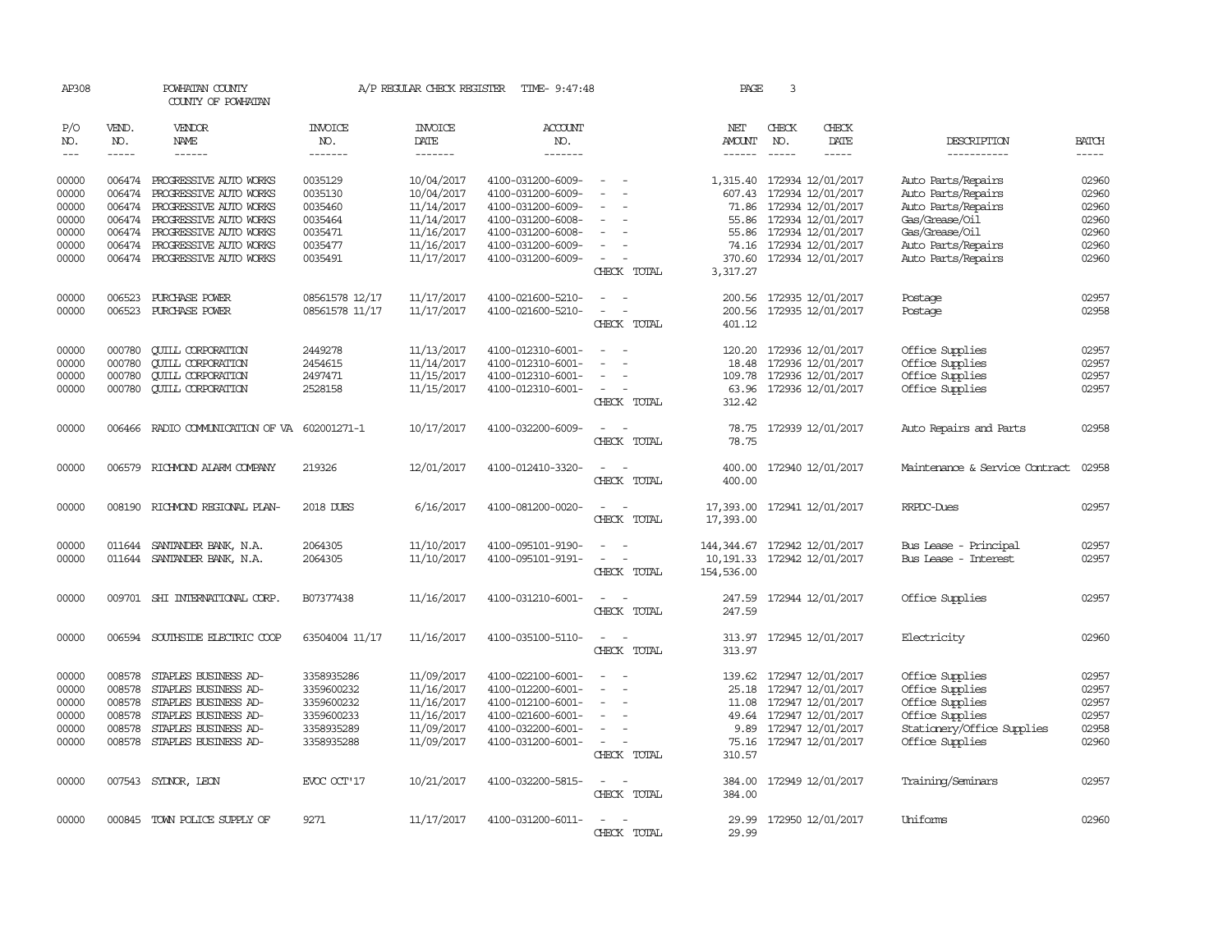| AP308          |                  | POWHATAN COUNTY<br>COUNTY OF POWHATAN            |                       | A/P REGULAR CHECK REGISTER | TIME- 9:47:48                          |                                                                                                                             | PAGE                                     | 3             |                                                 |                                          |                |
|----------------|------------------|--------------------------------------------------|-----------------------|----------------------------|----------------------------------------|-----------------------------------------------------------------------------------------------------------------------------|------------------------------------------|---------------|-------------------------------------------------|------------------------------------------|----------------|
| P/O<br>NO.     | VEND.<br>NO.     | VENDOR<br>NAME                                   | <b>INVOICE</b><br>NO. | <b>INVOICE</b><br>DATE     | <b>ACCOUNT</b><br>NO.                  |                                                                                                                             | NET<br><b>AMOUNT</b>                     | CHECK<br>NO.  | CHECK<br>DATE                                   | DESCRIPTION                              | <b>BATCH</b>   |
| $\frac{1}{2}$  | -----            | ------                                           | -------               | -------                    | -------                                |                                                                                                                             | $- - - - - -$                            | $\frac{1}{2}$ | -----                                           | -----------                              |                |
| 00000<br>00000 | 006474<br>006474 | PROGRESSIVE AUTO WORKS<br>PROGRESSIVE AUTO WORKS | 0035129<br>0035130    | 10/04/2017<br>10/04/2017   | 4100-031200-6009-<br>4100-031200-6009- | $\overline{\phantom{a}}$                                                                                                    | 607.43                                   |               | 1,315.40 172934 12/01/2017<br>172934 12/01/2017 | Auto Parts/Repairs<br>Auto Parts/Repairs | 02960<br>02960 |
| 00000          | 006474           | PROGRESSIVE AUTO WORKS                           | 0035460               | 11/14/2017                 | 4100-031200-6009-                      |                                                                                                                             | 71.86                                    |               | 172934 12/01/2017                               | Auto Parts/Repairs                       | 02960          |
| 00000          |                  | 006474 PROGRESSIVE AUTO WORKS                    | 0035464               | 11/14/2017                 | 4100-031200-6008-                      | $\equiv$                                                                                                                    |                                          |               | 55.86 172934 12/01/2017                         | Gas/Grease/Oil                           | 02960          |
| 00000          |                  | 006474 PROGRESSIVE AUTO WORKS                    | 0035471               | 11/16/2017                 | 4100-031200-6008-                      |                                                                                                                             |                                          |               | 55.86 172934 12/01/2017                         | Gas/Grease/Oil                           | 02960          |
| 00000          | 006474           | PROGRESSIVE AUTO WORKS                           | 0035477               | 11/16/2017                 | 4100-031200-6009-                      |                                                                                                                             |                                          |               | 74.16 172934 12/01/2017                         | Auto Parts/Repairs                       | 02960          |
| 00000          |                  | 006474 PROGRESSIVE AUTO WORKS                    | 0035491               | 11/17/2017                 | 4100-031200-6009-                      | $\overline{\phantom{a}}$                                                                                                    |                                          |               | 370.60 172934 12/01/2017                        | Auto Parts/Repairs                       | 02960          |
|                |                  |                                                  |                       |                            |                                        | CHECK TOTAL                                                                                                                 | 3,317.27                                 |               |                                                 |                                          |                |
| 00000          | 006523           | PURCHASE POWER                                   | 08561578 12/17        | 11/17/2017                 | 4100-021600-5210-                      | $\overline{\phantom{a}}$<br>$\sim$                                                                                          |                                          |               | 200.56 172935 12/01/2017                        | Postage                                  | 02957          |
| 00000          |                  | 006523 PURCHASE POWER                            | 08561578 11/17        | 11/17/2017                 | 4100-021600-5210-                      | $\overline{\phantom{a}}$<br>$\sim$                                                                                          | 200.56                                   |               | 172935 12/01/2017                               | Postage                                  | 02958          |
|                |                  |                                                  |                       |                            |                                        | CHECK TOTAL                                                                                                                 | 401.12                                   |               |                                                 |                                          |                |
| 00000          | 000780           | <b>CUILL CORPORATION</b>                         | 2449278               | 11/13/2017                 | 4100-012310-6001-                      |                                                                                                                             | 120.20                                   |               | 172936 12/01/2017                               | Office Supplies                          | 02957          |
| 00000          | 000780           | <b>QUILL CORPORATION</b>                         | 2454615               | 11/14/2017                 | 4100-012310-6001-                      |                                                                                                                             | 18.48                                    |               | 172936 12/01/2017                               | Office Supplies                          | 02957          |
| 00000          | 000780           | <b>CUILL CORPORATION</b>                         | 2497471               | 11/15/2017                 | 4100-012310-6001-                      |                                                                                                                             |                                          |               | 109.78 172936 12/01/2017                        | Office Supplies                          | 02957          |
| 00000          | 000780           | <b>QUILL CORPORATION</b>                         | 2528158               | 11/15/2017                 | 4100-012310-6001-                      | $\sim$<br>CHECK TOTAL                                                                                                       | 312.42                                   |               | 63.96 172936 12/01/2017                         | Office Supplies                          | 02957          |
| 00000          | 006466           | RADIO COMMUNICATION OF VA 602001271-1            |                       | 10/17/2017                 | 4100-032200-6009-                      |                                                                                                                             | 78.75                                    |               | 172939 12/01/2017                               | Auto Repairs and Parts                   | 02958          |
|                |                  |                                                  |                       |                            |                                        | CHECK TOTAL                                                                                                                 | 78.75                                    |               |                                                 |                                          |                |
| 00000          |                  | 006579 RICHMOND ALARM COMPANY                    | 219326                | 12/01/2017                 | 4100-012410-3320-                      | CHECK TOTAL                                                                                                                 | 400.00<br>400.00                         |               | 172940 12/01/2017                               | Maintenance & Service Contract           | 02958          |
| 00000          |                  | 008190 RICHMOND REGIONAL PLAN-                   | 2018 DUES             | 6/16/2017                  | 4100-081200-0020-                      | CHECK TOTAL                                                                                                                 | 17,393.00 172941 12/01/2017<br>17,393.00 |               |                                                 | RRPDC-Dues                               | 02957          |
| 00000          |                  | 011644 SANTANDER BANK, N.A.                      | 2064305               | 11/10/2017                 | 4100-095101-9190-                      |                                                                                                                             | 144,344.67                               |               | 172942 12/01/2017                               | Bus Lease - Principal                    | 02957          |
| 00000          |                  | 011644 SANTANDER BANK, N.A.                      | 2064305               | 11/10/2017                 | 4100-095101-9191-                      | $\frac{1}{2} \left( \frac{1}{2} \right) \left( \frac{1}{2} \right) = \frac{1}{2} \left( \frac{1}{2} \right)$                | 10, 191.33 172942 12/01/2017             |               |                                                 | Bus Lease - Interest                     | 02957          |
|                |                  |                                                  |                       |                            |                                        | CHECK TOTAL                                                                                                                 | 154,536.00                               |               |                                                 |                                          |                |
| 00000          |                  | 009701 SHI INTERNATIONAL CORP.                   | B07377438             | 11/16/2017                 | 4100-031210-6001-                      | $\frac{1}{2} \left( \frac{1}{2} \right) \left( \frac{1}{2} \right) = \frac{1}{2} \left( \frac{1}{2} \right)$<br>CHECK TOTAL | 247.59                                   |               | 247.59 172944 12/01/2017                        | Office Supplies                          | 02957          |
| 00000          |                  | 006594 SOUTHSIDE ELECTRIC COOP                   | 63504004 11/17        | 11/16/2017                 | 4100-035100-5110-                      | $\frac{1}{2} \left( \frac{1}{2} \right) \left( \frac{1}{2} \right) = \frac{1}{2} \left( \frac{1}{2} \right)$<br>CHECK TOTAL | 313.97                                   |               | 313.97 172945 12/01/2017                        | Electricity                              | 02960          |
|                |                  |                                                  |                       |                            |                                        |                                                                                                                             |                                          |               |                                                 |                                          |                |
| 00000          | 008578           | STAPLES BUSINESS AD-                             | 3358935286            | 11/09/2017                 | 4100-022100-6001-                      |                                                                                                                             | 139.62                                   |               | 172947 12/01/2017                               | Office Supplies                          | 02957          |
| 00000          | 008578           | STAPLES BUSINESS AD-                             | 3359600232            | 11/16/2017                 | 4100-012200-6001-                      |                                                                                                                             |                                          |               | 25.18 172947 12/01/2017                         | Office Supplies                          | 02957          |
| 00000          | 008578           | STAPLES BUSINESS AD-                             | 3359600232            | 11/16/2017                 | 4100-012100-6001-                      | $\equiv$                                                                                                                    |                                          |               | 11.08 172947 12/01/2017                         | Office Supplies                          | 02957          |
| 00000          | 008578           | STAPLES BUSINESS AD-                             | 3359600233            | 11/16/2017                 | 4100-021600-6001-                      |                                                                                                                             |                                          |               | 49.64 172947 12/01/2017                         | Office Supplies                          | 02957          |
| 00000          | 008578           | STAPLES BUSINESS AD-                             | 3358935289            | 11/09/2017                 | 4100-032200-6001-                      |                                                                                                                             |                                          |               | 9.89 172947 12/01/2017                          | Stationery/Office Supplies               | 02958          |
| 00000          |                  | 008578 STAPLES BUSINESS AD-                      | 3358935288            | 11/09/2017                 | 4100-031200-6001-                      | $\sim$<br>CHECK TOTAL                                                                                                       | 310.57                                   |               | 75.16 172947 12/01/2017                         | Office Supplies                          | 02960          |
| 00000          |                  | 007543 SYDNOR, LEON                              | EVOC OCT'17           | 10/21/2017                 | 4100-032200-5815-                      | $\omega_{\rm{max}}$ and $\omega_{\rm{max}}$                                                                                 |                                          |               | 384.00 172949 12/01/2017                        | Training/Seminars                        | 02957          |
|                |                  |                                                  |                       |                            |                                        | CHECK TOTAL                                                                                                                 | 384.00                                   |               |                                                 |                                          |                |
| 00000          |                  | 000845 TOWN POLICE SUPPLY OF                     | 9271                  | 11/17/2017                 | 4100-031200-6011-                      | $\overline{\phantom{a}}$<br>$\overline{\phantom{a}}$                                                                        |                                          |               | 29.99 172950 12/01/2017                         | Uniforms                                 | 02960          |
|                |                  |                                                  |                       |                            |                                        | CHECK TOTAL                                                                                                                 | 29.99                                    |               |                                                 |                                          |                |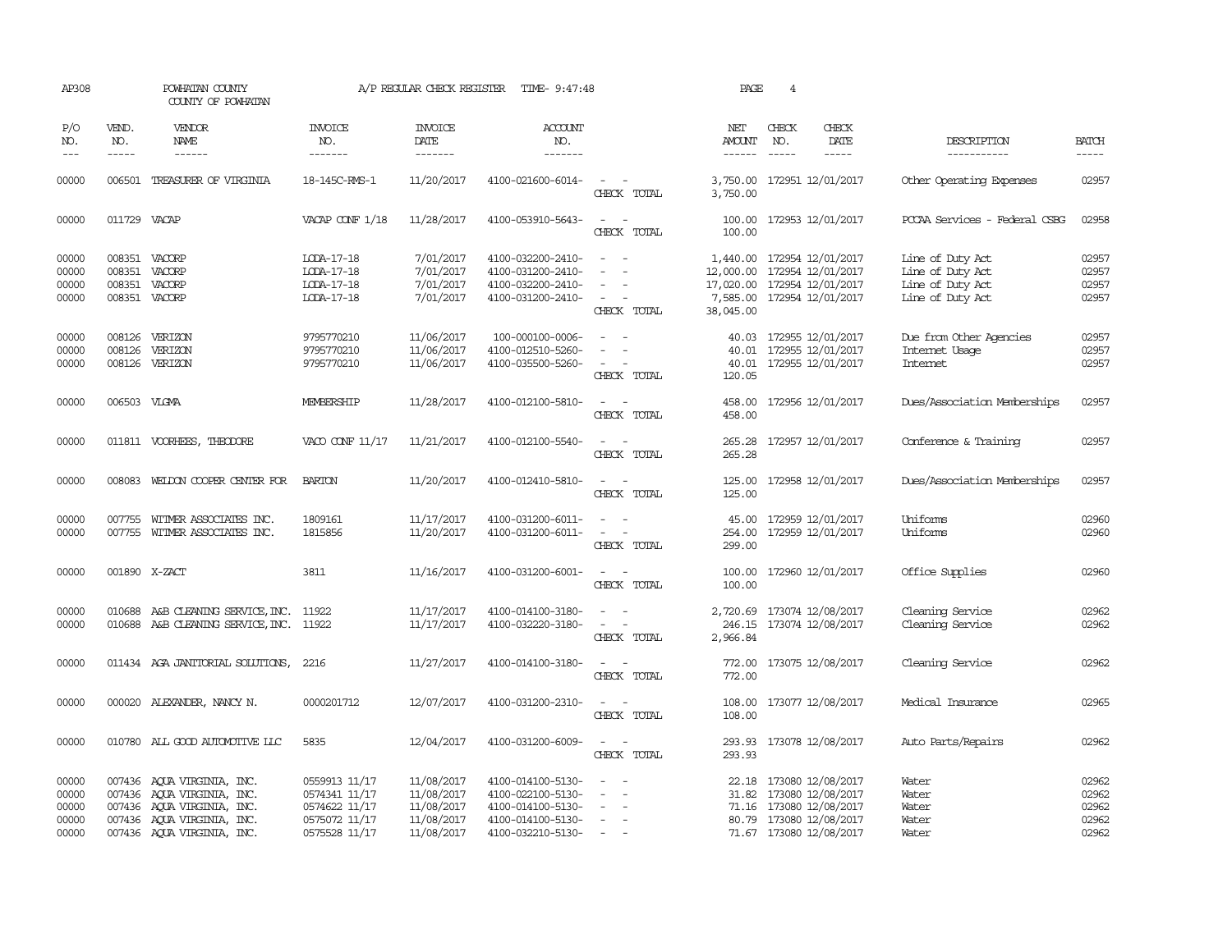| AP308                                     |                             | POWHATAN COUNTY<br>COUNTY OF POWHATAN                                                                                                              |                                                                                   | A/P REGULAR CHECK REGISTER                                         | TIME- 9:47:48                                                                                         |                                                                                                                             | PAGE                                                  | 4                             |                                                                                                                               |                                                                              |                                           |
|-------------------------------------------|-----------------------------|----------------------------------------------------------------------------------------------------------------------------------------------------|-----------------------------------------------------------------------------------|--------------------------------------------------------------------|-------------------------------------------------------------------------------------------------------|-----------------------------------------------------------------------------------------------------------------------------|-------------------------------------------------------|-------------------------------|-------------------------------------------------------------------------------------------------------------------------------|------------------------------------------------------------------------------|-------------------------------------------|
| P/O<br>NO.<br>$---$                       | VEND.<br>NO.<br>$- - - - -$ | VENDOR<br>NAME                                                                                                                                     | <b>INVOICE</b><br>NO.<br>-------                                                  | <b>INVOICE</b><br><b>DATE</b><br>-------                           | <b>ACCOUNT</b><br>NO.<br>-------                                                                      |                                                                                                                             | NET<br><b>AMOUNT</b><br>------                        | CHECK<br>NO.<br>$\frac{1}{2}$ | CHECK<br>DATE<br>$- - - - -$                                                                                                  | DESCRIPTION<br>-----------                                                   | <b>BATCH</b><br>-----                     |
| 00000                                     | 006501                      | TREASURER OF VIRGINIA                                                                                                                              | 18-145C-RMS-1                                                                     | 11/20/2017                                                         | 4100-021600-6014-                                                                                     | $\frac{1}{2} \left( \frac{1}{2} \right) \left( \frac{1}{2} \right) = \frac{1}{2} \left( \frac{1}{2} \right)$<br>CHECK TOTAL | 3,750.00<br>3,750.00                                  |                               | 172951 12/01/2017                                                                                                             | Other Operating Expenses                                                     | 02957                                     |
| 00000                                     | 011729 VACAP                |                                                                                                                                                    | VACAP CONF 1/18                                                                   | 11/28/2017                                                         | 4100-053910-5643-                                                                                     | $\frac{1}{2} \left( \frac{1}{2} \right) \left( \frac{1}{2} \right) = \frac{1}{2} \left( \frac{1}{2} \right)$<br>CHECK TOTAL | 100.00                                                |                               | 100.00 172953 12/01/2017                                                                                                      | PCCAA Services - Federal CSBG                                                | 02958                                     |
| 00000<br>00000<br>00000<br>00000          |                             | 008351 VACORP<br>008351 VACORP<br>008351 VACORP<br>008351 VACORP                                                                                   | LODA-17-18<br>LODA-17-18<br>LODA-17-18<br>LODA-17-18                              | 7/01/2017<br>7/01/2017<br>7/01/2017<br>7/01/2017                   | 4100-032200-2410-<br>4100-031200-2410-<br>4100-032200-2410-<br>4100-031200-2410-                      | $\sim$<br>$\sim$<br>$\sim$<br>$\sim$<br>$\sim$<br>CHECK TOTAL                                                               | 12,000.00<br>17,020.00 172954 12/01/2017<br>38,045.00 |                               | 1,440.00 172954 12/01/2017<br>172954 12/01/2017<br>7,585.00 172954 12/01/2017                                                 | Line of Duty Act<br>Line of Duty Act<br>Line of Duty Act<br>Line of Duty Act | 02957<br>02957<br>02957<br>02957          |
| 00000<br>00000<br>00000                   |                             | 008126 VERIZON<br>008126 VERIZON<br>008126 VERIZON                                                                                                 | 9795770210<br>9795770210<br>9795770210                                            | 11/06/2017<br>11/06/2017<br>11/06/2017                             | 100-000100-0006-<br>4100-012510-5260-<br>4100-035500-5260-                                            | $\equiv$<br>$\overline{\phantom{a}}$<br>$\sim$<br>CHECK TOTAL                                                               | 40.01<br>120.05                                       |                               | 40.03 172955 12/01/2017<br>40.01 172955 12/01/2017<br>172955 12/01/2017                                                       | Due from Other Agencies<br>Internet Usage<br>Internet                        | 02957<br>02957<br>02957                   |
| 00000                                     | 006503 VLGMA                |                                                                                                                                                    | MEMBERSHIP                                                                        | 11/28/2017                                                         | 4100-012100-5810-                                                                                     | $\sim$<br>CHECK TOTAL                                                                                                       | 458.00<br>458.00                                      |                               | 172956 12/01/2017                                                                                                             | Dues/Association Memberships                                                 | 02957                                     |
| 00000                                     |                             | 011811 VOORHEES, THEODORE                                                                                                                          | VACO CONF 11/17                                                                   | 11/21/2017                                                         | 4100-012100-5540-                                                                                     | $\sim$ $\sim$<br>CHECK TOTAL                                                                                                | 265.28                                                |                               | 265.28 172957 12/01/2017                                                                                                      | Conference & Training                                                        | 02957                                     |
| 00000                                     |                             | 008083 WELDON COOPER CENTER FOR                                                                                                                    | <b>BARTON</b>                                                                     | 11/20/2017                                                         | 4100-012410-5810-                                                                                     | $\sim$ $ \sim$<br>CHECK TOTAL                                                                                               | 125.00                                                |                               | 125.00 172958 12/01/2017                                                                                                      | Dues/Association Memberships                                                 | 02957                                     |
| 00000<br>00000                            |                             | 007755 WITMER ASSOCIATES INC.<br>007755 WITMER ASSOCIATES INC.                                                                                     | 1809161<br>1815856                                                                | 11/17/2017<br>11/20/2017                                           | 4100-031200-6011-<br>4100-031200-6011-                                                                | $\sim$<br>CHECK TOTAL                                                                                                       | 45.00<br>299.00                                       |                               | 172959 12/01/2017<br>254.00 172959 12/01/2017                                                                                 | Uniforms<br>Uniforms                                                         | 02960<br>02960                            |
| 00000                                     |                             | 001890 X-ZACT                                                                                                                                      | 3811                                                                              | 11/16/2017                                                         | 4100-031200-6001-                                                                                     | $\sim$<br>CHECK TOTAL                                                                                                       | 100.00<br>100.00                                      |                               | 172960 12/01/2017                                                                                                             | Office Supplies                                                              | 02960                                     |
| 00000<br>00000                            | 010688                      | A&B CLEANING SERVICE, INC.<br>010688 A&B CLEANING SERVICE, INC. 11922                                                                              | 11922                                                                             | 11/17/2017<br>11/17/2017                                           | 4100-014100-3180-<br>4100-032220-3180-                                                                | $\sim$<br>$\overline{\phantom{a}}$<br>CHECK TOTAL                                                                           | 2,966.84                                              |                               | 2,720.69 173074 12/08/2017<br>246.15 173074 12/08/2017                                                                        | Cleaning Service<br>Cleaning Service                                         | 02962<br>02962                            |
| 00000                                     |                             | 011434 AGA JANITORIAL SOLUTIONS,                                                                                                                   | 2216                                                                              | 11/27/2017                                                         | 4100-014100-3180-                                                                                     | CHECK TOTAL                                                                                                                 | 772.00                                                |                               | 772.00 173075 12/08/2017                                                                                                      | Cleaning Service                                                             | 02962                                     |
| 00000                                     |                             | 000020 ALEXANDER, NANCY N.                                                                                                                         | 0000201712                                                                        | 12/07/2017                                                         | 4100-031200-2310-                                                                                     | $\sim$ $\sim$<br>CHECK TOTAL                                                                                                | 108.00                                                |                               | 108.00 173077 12/08/2017                                                                                                      | Medical Insurance                                                            | 02965                                     |
| 00000                                     |                             | 010780 ALL GOOD AUTOMOTIVE LLC                                                                                                                     | 5835                                                                              | 12/04/2017                                                         | 4100-031200-6009-                                                                                     | $\sim$ $\sim$<br>CHECK TOTAL                                                                                                | 293.93                                                |                               | 293.93 173078 12/08/2017                                                                                                      | Auto Parts/Repairs                                                           | 02962                                     |
| 00000<br>00000<br>00000<br>00000<br>00000 |                             | 007436 AQUA VIRGINIA, INC.<br>007436 AQUA VIRGINIA, INC.<br>007436 AQUA VIRGINIA, INC.<br>007436 AQUA VIRGINIA, INC.<br>007436 AQUA VIRGINIA, INC. | 0559913 11/17<br>0574341 11/17<br>0574622 11/17<br>0575072 11/17<br>0575528 11/17 | 11/08/2017<br>11/08/2017<br>11/08/2017<br>11/08/2017<br>11/08/2017 | 4100-014100-5130-<br>4100-022100-5130-<br>4100-014100-5130-<br>4100-014100-5130-<br>4100-032210-5130- | $\overline{\phantom{a}}$<br>$\overline{\phantom{a}}$<br>$\sim$                                                              | 31.82                                                 |                               | 22.18 173080 12/08/2017<br>173080 12/08/2017<br>71.16 173080 12/08/2017<br>80.79 173080 12/08/2017<br>71.67 173080 12/08/2017 | Water<br>Water<br>Water<br>Water<br>Water                                    | 02962<br>02962<br>02962<br>02962<br>02962 |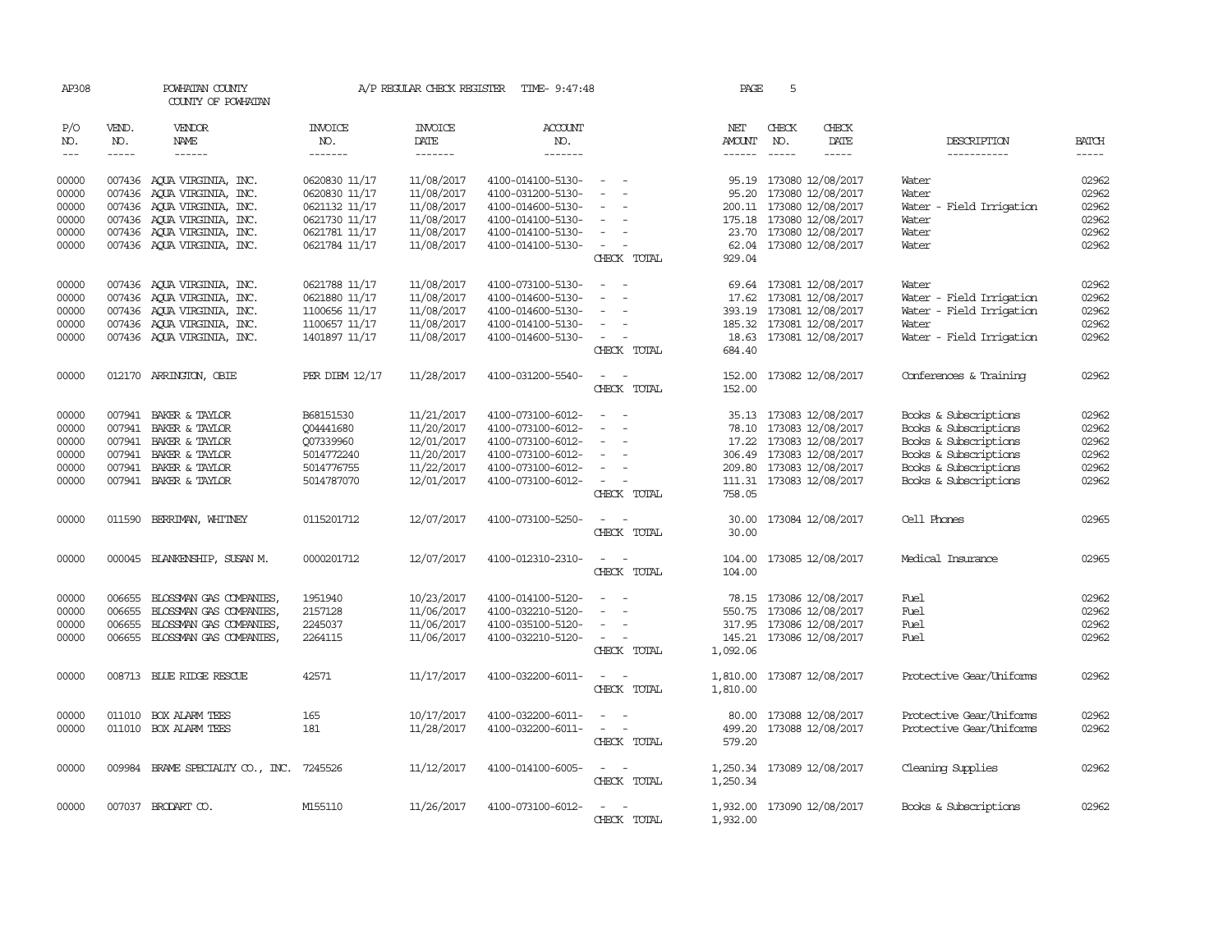| AP308                       |                             | POWHATAN COUNTY<br>COUNTY OF POWHATAN |                                  | A/P REGULAR CHECK REGISTER                | TIME- 9:47:48                    |                                                                                                              | PAGE                           | 5            |                            |                            |                             |
|-----------------------------|-----------------------------|---------------------------------------|----------------------------------|-------------------------------------------|----------------------------------|--------------------------------------------------------------------------------------------------------------|--------------------------------|--------------|----------------------------|----------------------------|-----------------------------|
| P/O<br>NO.<br>$\frac{1}{2}$ | VEND.<br>NO.<br>$- - - - -$ | <b>VENDOR</b><br>NAME<br>------       | <b>INVOICE</b><br>NO.<br>------- | <b>INVOICE</b><br>DATE<br>$- - - - - - -$ | <b>ACCOUNT</b><br>NO.<br>------- |                                                                                                              | NET<br>AMOUNT<br>$- - - - - -$ | CHECK<br>NO. | CHECK<br>DATE<br>-----     | DESCRIPTION<br>----------- | <b>BATCH</b><br>$- - - - -$ |
|                             |                             |                                       |                                  |                                           |                                  |                                                                                                              |                                |              |                            |                            |                             |
| 00000                       |                             | 007436 AOUA VIRGINIA, INC.            | 0620830 11/17                    | 11/08/2017                                | 4100-014100-5130-                | $\overline{\phantom{a}}$                                                                                     | 95.19                          |              | 173080 12/08/2017          | Water                      | 02962                       |
| 00000                       | 007436                      | AQUA VIRGINIA, INC.                   | 0620830 11/17                    | 11/08/2017                                | 4100-031200-5130-                | $\sim$                                                                                                       | 95.20                          |              | 173080 12/08/2017          | Water                      | 02962                       |
| 00000                       |                             | 007436 AOUA VIRGINIA, INC.            | 0621132 11/17                    | 11/08/2017                                | 4100-014600-5130-                |                                                                                                              |                                |              | 200.11 173080 12/08/2017   | Water - Field Irrigation   | 02962                       |
| 00000                       |                             | 007436 AQUA VIRGINIA, INC.            | 0621730 11/17                    | 11/08/2017                                | 4100-014100-5130-                | $\sim$                                                                                                       |                                |              | 175.18 173080 12/08/2017   | Water                      | 02962                       |
| 00000                       |                             | 007436 AQUA VIRGINIA, INC.            | 0621781 11/17                    | 11/08/2017                                | 4100-014100-5130-                | $\equiv$                                                                                                     | 23.70                          |              | 173080 12/08/2017          | Water                      | 02962                       |
| 00000                       |                             | 007436 AQUA VIRGINIA, INC.            | 0621784 11/17                    | 11/08/2017                                | 4100-014100-5130-                |                                                                                                              |                                |              | 62.04 173080 12/08/2017    | Water                      | 02962                       |
|                             |                             |                                       |                                  |                                           |                                  | CHECK TOTAL                                                                                                  | 929.04                         |              |                            |                            |                             |
| 00000                       |                             | 007436 AQUA VIRGINIA, INC.            | 0621788 11/17                    | 11/08/2017                                | 4100-073100-5130-                |                                                                                                              |                                |              | 69.64 173081 12/08/2017    | Water                      | 02962                       |
| 00000                       | 007436                      | AOUA VIRGINIA, INC.                   | 0621880 11/17                    | 11/08/2017                                | 4100-014600-5130-                | $\equiv$                                                                                                     | 17.62                          |              | 173081 12/08/2017          | Water - Field Irrigation   | 02962                       |
| 00000                       |                             | 007436 AQUA VIRGINIA, INC.            | 1100656 11/17                    | 11/08/2017                                | 4100-014600-5130-                | $\equiv$                                                                                                     | 393.19                         |              | 173081 12/08/2017          | Water - Field Irrigation   | 02962                       |
| 00000                       |                             | 007436 AQUA VIRGINIA, INC.            | 1100657 11/17                    | 11/08/2017                                | 4100-014100-5130-                | $\sim$                                                                                                       |                                |              | 185.32 173081 12/08/2017   | Water                      | 02962                       |
| 00000                       |                             | 007436 AQUA VIRGINIA, INC.            | 1401897 11/17                    | 11/08/2017                                | 4100-014600-5130-                | $\overline{\phantom{a}}$                                                                                     |                                |              | 18.63 173081 12/08/2017    | Water - Field Irrigation   | 02962                       |
|                             |                             |                                       |                                  |                                           |                                  | CHECK TOTAL                                                                                                  | 684.40                         |              |                            |                            |                             |
| 00000                       |                             | 012170 ARRINGTON, OBIE                | PER DIEM 12/17                   | 11/28/2017                                | 4100-031200-5540-                | $\sim$ $ \sim$                                                                                               |                                |              | 152.00 173082 12/08/2017   | Conferences & Training     | 02962                       |
|                             |                             |                                       |                                  |                                           |                                  | CHECK TOTAL                                                                                                  | 152.00                         |              |                            |                            |                             |
| 00000                       | 007941                      | BAKER & TAYLOR                        | B68151530                        | 11/21/2017                                | 4100-073100-6012-                |                                                                                                              |                                |              | 35.13 173083 12/08/2017    | Books & Subscriptions      | 02962                       |
| 00000                       | 007941                      | BAKER & TAYLOR                        | Q04441680                        | 11/20/2017                                | 4100-073100-6012-                | $\equiv$<br>$\overline{\phantom{a}}$                                                                         | 78.10                          |              | 173083 12/08/2017          | Books & Subscriptions      | 02962                       |
| 00000                       |                             | 007941 BAKER & TAYLOR                 | Q07339960                        | 12/01/2017                                | 4100-073100-6012-                | $\sim$                                                                                                       | 17.22                          |              | 173083 12/08/2017          | Books & Subscriptions      | 02962                       |
| 00000                       | 007941                      | BAKER & TAYLOR                        | 5014772240                       | 11/20/2017                                | 4100-073100-6012-                |                                                                                                              |                                |              | 306.49 173083 12/08/2017   | Books & Subscriptions      | 02962                       |
| 00000                       | 007941                      | BAKER & TAYLOR                        | 5014776755                       | 11/22/2017                                | 4100-073100-6012-                |                                                                                                              | 209.80                         |              | 173083 12/08/2017          | Books & Subscriptions      | 02962                       |
| 00000                       |                             | 007941 BAKER & TAYLOR                 | 5014787070                       | 12/01/2017                                | 4100-073100-6012-                |                                                                                                              | 111.31                         |              | 173083 12/08/2017          | Books & Subscriptions      | 02962                       |
|                             |                             |                                       |                                  |                                           |                                  | CHECK TOTAL                                                                                                  | 758.05                         |              |                            |                            |                             |
| 00000                       | 011590                      | BERRIMAN, WHITNEY                     | 0115201712                       | 12/07/2017                                | 4100-073100-5250-                | $\equiv$                                                                                                     | 30.00                          |              | 173084 12/08/2017          | Cell Phones                | 02965                       |
|                             |                             |                                       |                                  |                                           |                                  | CHECK TOTAL                                                                                                  | 30.00                          |              |                            |                            |                             |
| 00000                       |                             | 000045 BLANKENSHIP, SUSAN M.          | 0000201712                       | 12/07/2017                                | 4100-012310-2310-                | $\sim$                                                                                                       | 104.00                         |              | 173085 12/08/2017          | Medical Insurance          | 02965                       |
|                             |                             |                                       |                                  |                                           |                                  | CHECK TOTAL                                                                                                  | 104.00                         |              |                            |                            |                             |
| 00000                       | 006655                      | BLOSSMAN GAS COMPANIES,               | 1951940                          | 10/23/2017                                | 4100-014100-5120-                | $\sim$                                                                                                       |                                |              | 78.15 173086 12/08/2017    | Fuel                       | 02962                       |
| 00000                       | 006655                      | BLOSSMAN GAS COMPANIES,               | 2157128                          | 11/06/2017                                | 4100-032210-5120-                |                                                                                                              | 550.75                         |              | 173086 12/08/2017          | Fuel                       | 02962                       |
| 00000                       | 006655                      | BLOSSMAN GAS COMPANIES,               | 2245037                          | 11/06/2017                                | 4100-035100-5120-                |                                                                                                              |                                |              | 317.95 173086 12/08/2017   | Fuel                       | 02962                       |
| 00000                       |                             | 006655 BLOSSMAN GAS COMPANIES,        | 2264115                          | 11/06/2017                                | 4100-032210-5120-                | $\overline{\phantom{a}}$                                                                                     | 145.21                         |              | 173086 12/08/2017          | Fuel                       | 02962                       |
|                             |                             |                                       |                                  |                                           |                                  | CHECK TOTAL                                                                                                  | 1,092.06                       |              |                            |                            |                             |
| 00000                       |                             | 008713 BLUE RIDGE RESCUE              | 42571                            | 11/17/2017                                | 4100-032200-6011-                | $\frac{1}{2} \left( \frac{1}{2} \right) \left( \frac{1}{2} \right) = \frac{1}{2} \left( \frac{1}{2} \right)$ | 1,810.00                       |              | 173087 12/08/2017          | Protective Gear/Uniforms   | 02962                       |
|                             |                             |                                       |                                  |                                           |                                  | CHECK TOTAL                                                                                                  | 1,810.00                       |              |                            |                            |                             |
| 00000                       | 011010                      | BOX ALARM TEES                        | 165                              | 10/17/2017                                | 4100-032200-6011-                |                                                                                                              | 80.00                          |              | 173088 12/08/2017          | Protective Gear/Uniforms   | 02962                       |
| 00000                       |                             | 011010 BOX ALARM TEES                 | 181                              | 11/28/2017                                | 4100-032200-6011-                | $\equiv$<br>$\overline{\phantom{a}}$                                                                         | 499.20                         |              | 173088 12/08/2017          | Protective Gear/Uniforms   | 02962                       |
|                             |                             |                                       |                                  |                                           |                                  | CHECK TOTAL                                                                                                  | 579.20                         |              |                            |                            |                             |
| 00000                       |                             | 009984 BRAME SPECIALITY CO., INC.     | 7245526                          | 11/12/2017                                | 4100-014100-6005-                | $\frac{1}{2} \left( \frac{1}{2} \right) \left( \frac{1}{2} \right) = \frac{1}{2} \left( \frac{1}{2} \right)$ |                                |              | 1,250.34 173089 12/08/2017 | Cleaning Supplies          | 02962                       |
|                             |                             |                                       |                                  |                                           |                                  | CHECK TOTAL                                                                                                  | 1,250.34                       |              |                            |                            |                             |
| 00000                       |                             | 007037 BRODART CO.                    | M155110                          | 11/26/2017                                | 4100-073100-6012-                |                                                                                                              | 1,932.00                       |              | 173090 12/08/2017          | Books & Subscriptions      | 02962                       |
|                             |                             |                                       |                                  |                                           |                                  | CHECK TOTAL                                                                                                  | 1,932.00                       |              |                            |                            |                             |
|                             |                             |                                       |                                  |                                           |                                  |                                                                                                              |                                |              |                            |                            |                             |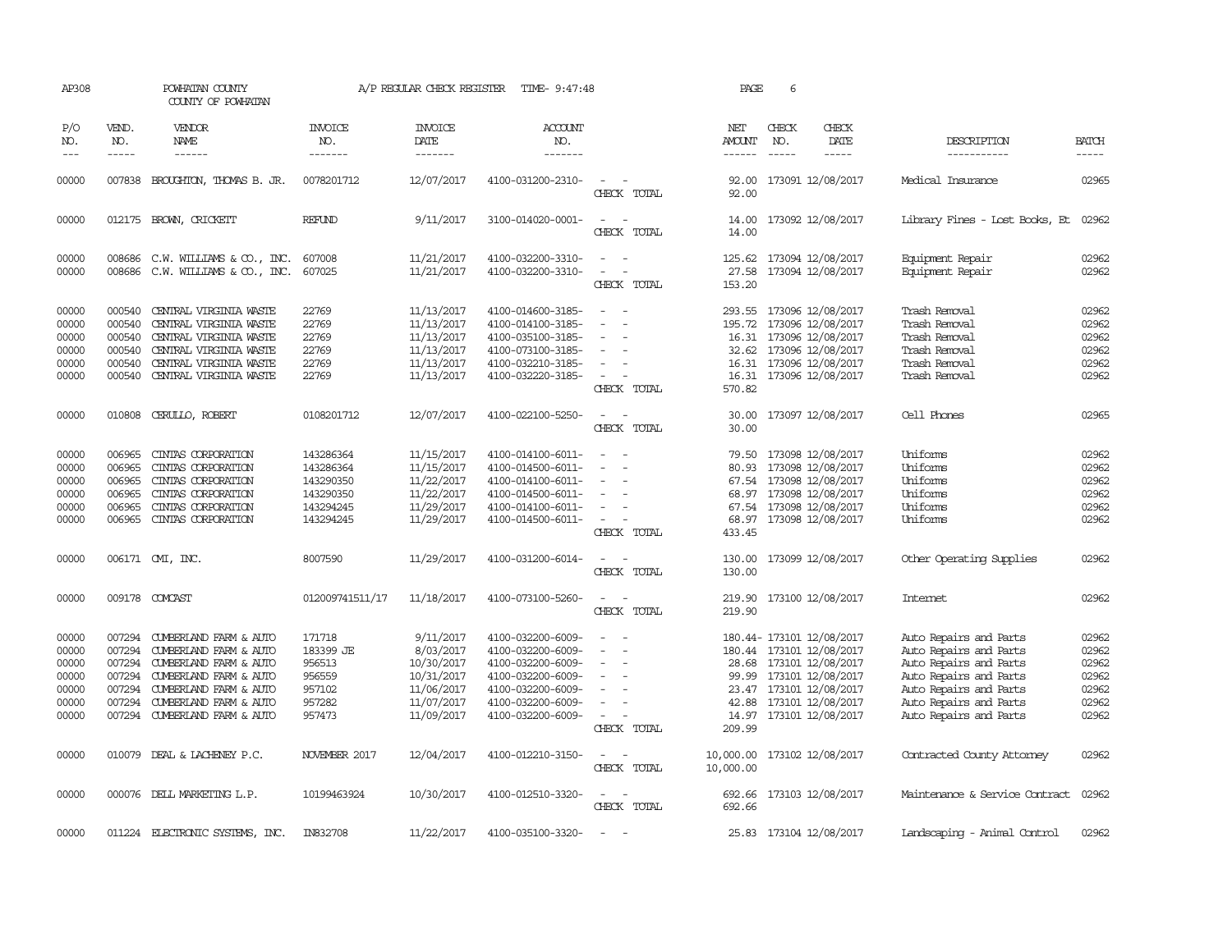| AP308                                                       |                                                          | POWHATAN COUNTY<br>COUNTY OF POWHATAN                                                                                                                                                     |                                                                            | A/P REGULAR CHECK REGISTER                                                                   | TIME- 9:47:48                                                                                                                                   |                                                   | PAGE                                  | 6                                                                                                                                                                                      |                                                                                                                                                                                    |                                                             |
|-------------------------------------------------------------|----------------------------------------------------------|-------------------------------------------------------------------------------------------------------------------------------------------------------------------------------------------|----------------------------------------------------------------------------|----------------------------------------------------------------------------------------------|-------------------------------------------------------------------------------------------------------------------------------------------------|---------------------------------------------------|---------------------------------------|----------------------------------------------------------------------------------------------------------------------------------------------------------------------------------------|------------------------------------------------------------------------------------------------------------------------------------------------------------------------------------|-------------------------------------------------------------|
| P/O<br>NO.<br>$---$                                         | VEND.<br>NO.<br>$- - - - -$                              | VENDOR<br>NAME                                                                                                                                                                            | <b>INVOICE</b><br>NO.<br>-------                                           | <b>INVOICE</b><br>DATE<br>-------                                                            | <b>ACCOUNT</b><br>NO.<br>-------                                                                                                                |                                                   | NET<br><b>AMOUNT</b><br>$- - - - - -$ | CHECK<br>CHECK<br>DATE<br>NO.<br>$- - - - -$<br>$- - - - -$                                                                                                                            | DESCRIPTION<br>-----------                                                                                                                                                         | <b>BATCH</b><br>-----                                       |
| 00000                                                       | 007838                                                   | BROUGHTON, THOMAS B. JR.                                                                                                                                                                  | 0078201712                                                                 | 12/07/2017                                                                                   | 4100-031200-2310-                                                                                                                               | $\overline{\phantom{a}}$<br>CHECK TOTAL           | 92.00<br>92.00                        | 173091 12/08/2017                                                                                                                                                                      | Medical Insurance                                                                                                                                                                  | 02965                                                       |
| 00000                                                       |                                                          | 012175 BROWN, CRICKETT                                                                                                                                                                    | <b>REFUND</b>                                                              | 9/11/2017                                                                                    | 3100-014020-0001-                                                                                                                               | $\sim$<br>CHECK TOTAL                             | 14.00<br>14.00                        | 173092 12/08/2017                                                                                                                                                                      | Library Fines - Lost Books, Et                                                                                                                                                     | 02962                                                       |
| 00000<br>00000                                              | 008686<br>008686                                         | C.W. WILLIAMS & CO., INC.<br>C.W. WILLIAMS & CO., INC.                                                                                                                                    | 607008<br>607025                                                           | 11/21/2017<br>11/21/2017                                                                     | 4100-032200-3310-<br>4100-032200-3310-                                                                                                          | $\sim$<br>$\sim$<br>CHECK TOTAL                   | 27.58<br>153.20                       | 125.62 173094 12/08/2017<br>173094 12/08/2017                                                                                                                                          | Equipment Repair<br>Equipment Repair                                                                                                                                               | 02962<br>02962                                              |
| 00000<br>00000<br>00000<br>00000<br>00000<br>00000          | 000540<br>000540<br>000540<br>000540<br>000540           | CENTRAL VIRGINIA WASTE<br>CENTRAL VIRGINIA WASTE<br>CENTRAL VIRGINIA WASTE<br>CENTRAL VIRGINIA WASTE<br>CENTRAL VIRGINIA WASTE<br>000540 CENTRAL VIRGINIA WASTE                           | 22769<br>22769<br>22769<br>22769<br>22769<br>22769                         | 11/13/2017<br>11/13/2017<br>11/13/2017<br>11/13/2017<br>11/13/2017<br>11/13/2017             | 4100-014600-3185-<br>4100-014100-3185-<br>4100-035100-3185-<br>4100-073100-3185-<br>4100-032210-3185-<br>4100-032220-3185-                      | $\overline{\phantom{a}}$<br>$\sim$<br>CHECK TOTAL | 293.55<br>195.72<br>570.82            | 173096 12/08/2017<br>173096 12/08/2017<br>16.31 173096 12/08/2017<br>32.62 173096 12/08/2017<br>16.31 173096 12/08/2017<br>16.31 173096 12/08/2017                                     | Trash Removal<br>Trash Removal<br>Trash Removal<br>Trash Removal<br>Trash Removal<br>Trash Removal                                                                                 | 02962<br>02962<br>02962<br>02962<br>02962<br>02962          |
| 00000                                                       | 010808                                                   | CERULLO, ROBERT                                                                                                                                                                           | 0108201712                                                                 | 12/07/2017                                                                                   | 4100-022100-5250-                                                                                                                               | CHECK TOTAL                                       | 30.00<br>30.00                        | 173097 12/08/2017                                                                                                                                                                      | Cell Phones                                                                                                                                                                        | 02965                                                       |
| 00000<br>00000<br>00000<br>00000<br>00000<br>00000          | 006965<br>006965<br>006965<br>006965<br>006965<br>006965 | CINIAS CORPORATION<br>CINIAS CORPORATION<br>CINIAS CORPORATION<br>CINTAS CORPORATION<br>CINIAS CORPORATION<br>CINIAS CORPORATION                                                          | 143286364<br>143286364<br>143290350<br>143290350<br>143294245<br>143294245 | 11/15/2017<br>11/15/2017<br>11/22/2017<br>11/22/2017<br>11/29/2017<br>11/29/2017             | 4100-014100-6011-<br>4100-014500-6011-<br>4100-014100-6011-<br>4100-014500-6011-<br>4100-014100-6011-<br>4100-014500-6011-                      | CHECK TOTAL                                       | 79.50<br>80.93<br>67.54<br>433.45     | 173098 12/08/2017<br>173098 12/08/2017<br>67.54 173098 12/08/2017<br>68.97 173098 12/08/2017<br>173098 12/08/2017<br>68.97 173098 12/08/2017                                           | Uniforms<br>Uniforms<br>Uniforms<br>Uniforms<br>Uniforms<br>Uniforms                                                                                                               | 02962<br>02962<br>02962<br>02962<br>02962<br>02962          |
| 00000                                                       |                                                          | 006171 CMI, INC.                                                                                                                                                                          | 8007590                                                                    | 11/29/2017                                                                                   | 4100-031200-6014-                                                                                                                               | $ -$<br>CHECK TOTAL                               | 130.00<br>130.00                      | 173099 12/08/2017                                                                                                                                                                      | Other Operating Supplies                                                                                                                                                           | 02962                                                       |
| 00000                                                       |                                                          | 009178 COMCAST                                                                                                                                                                            | 012009741511/17                                                            | 11/18/2017                                                                                   | 4100-073100-5260-                                                                                                                               | CHECK TOTAL                                       | 219.90<br>219.90                      | 173100 12/08/2017                                                                                                                                                                      | Internet.                                                                                                                                                                          | 02962                                                       |
| 00000<br>00000<br>00000<br>00000<br>00000<br>00000<br>00000 | 007294<br>007294<br>007294<br>007294<br>007294<br>007294 | CUMBERLAND FARM & AUTO<br>CUMBERLAND FARM & AUTO<br>CUMBERLAND FARM & AUTO<br>CUMBERLAND FARM & AUTO<br>CUMBERLAND FARM & AUTO<br>CUMBERLAND FARM & AUTO<br>007294 CUMBERLAND FARM & AUTO | 171718<br>183399 JE<br>956513<br>956559<br>957102<br>957282<br>957473      | 9/11/2017<br>8/03/2017<br>10/30/2017<br>10/31/2017<br>11/06/2017<br>11/07/2017<br>11/09/2017 | 4100-032200-6009-<br>4100-032200-6009-<br>4100-032200-6009-<br>4100-032200-6009-<br>4100-032200-6009-<br>4100-032200-6009-<br>4100-032200-6009- | $\sim$<br>CHECK TOTAL                             | 42.88<br>209.99                       | 180.44- 173101 12/08/2017<br>180.44 173101 12/08/2017<br>28.68 173101 12/08/2017<br>99.99 173101 12/08/2017<br>23.47 173101 12/08/2017<br>173101 12/08/2017<br>14.97 173101 12/08/2017 | Auto Repairs and Parts<br>Auto Repairs and Parts<br>Auto Repairs and Parts<br>Auto Repairs and Parts<br>Auto Repairs and Parts<br>Auto Repairs and Parts<br>Auto Repairs and Parts | 02962<br>02962<br>02962<br>02962<br>02962<br>02962<br>02962 |
| 00000                                                       |                                                          | 010079 DEAL & LACHENEY P.C.                                                                                                                                                               | NOVEMBER 2017                                                              | 12/04/2017                                                                                   | 4100-012210-3150-                                                                                                                               | $\sim$<br>CHECK TOTAL                             | 10,000.00<br>10,000.00                | 173102 12/08/2017                                                                                                                                                                      | Contracted County Attomey                                                                                                                                                          | 02962                                                       |
| 00000                                                       |                                                          | 000076 DELL MARKETING L.P.                                                                                                                                                                | 10199463924                                                                | 10/30/2017                                                                                   | 4100-012510-3320-                                                                                                                               | $\sim$ $\sim$<br>CHECK TOTAL                      | 692.66<br>692.66                      | 173103 12/08/2017                                                                                                                                                                      | Maintenance & Service Contract                                                                                                                                                     | 02962                                                       |
| 00000                                                       |                                                          | 011224 ELECTRONIC SYSTEMS, INC.                                                                                                                                                           | IN832708                                                                   | 11/22/2017                                                                                   | 4100-035100-3320-                                                                                                                               | $\sim$                                            |                                       | 25.83 173104 12/08/2017                                                                                                                                                                | Landscaping - Animal Control                                                                                                                                                       | 02962                                                       |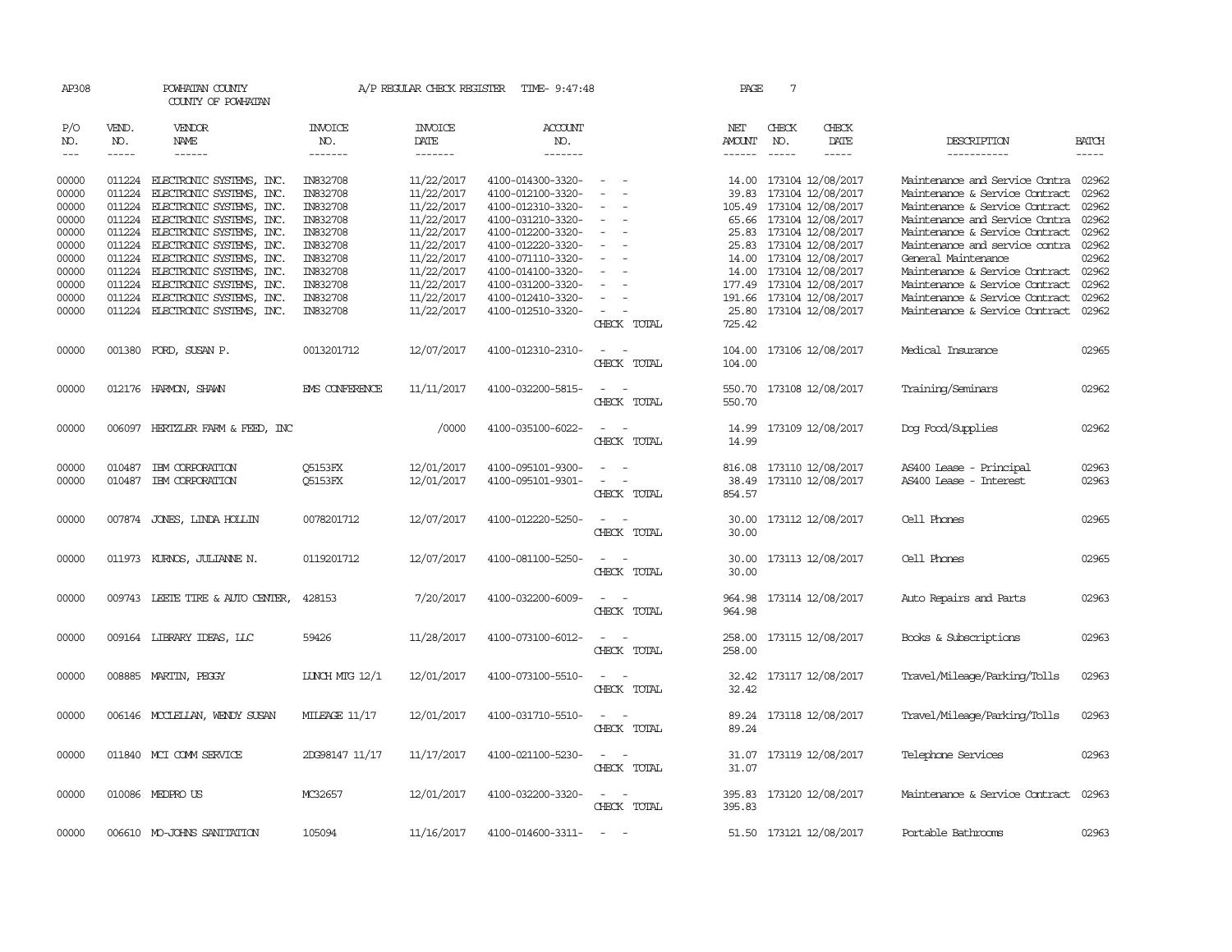| AP308 |             | POWHATAN COUNTY<br>COUNTY OF POWHATAN |                      | A/P REGULAR CHECK REGISTER | TIME- 9:47:48     |                                                                                                              | PAGE          | 7           |                          |                                      |              |
|-------|-------------|---------------------------------------|----------------------|----------------------------|-------------------|--------------------------------------------------------------------------------------------------------------|---------------|-------------|--------------------------|--------------------------------------|--------------|
| P/O   | VEND.       | <b>VENDOR</b>                         | <b>INVOICE</b>       | <b>INVOICE</b>             | ACCOUNT           |                                                                                                              | NET           | CHECK       | CHECK                    |                                      |              |
| NO.   | NO.         | NAME                                  | NO.                  | DATE                       | NO.               |                                                                                                              | AMOUNT        | NO.         | DATE                     | DESCRIPTION                          | <b>BATCH</b> |
| $ -$  | $- - - - -$ | ------                                | -------              | -------                    | -------           |                                                                                                              | $- - - - - -$ | $- - - - -$ | -----                    | -----------                          | $- - - - -$  |
| 00000 |             | 011224 ELECTRONIC SYSTEMS, INC.       | IN832708             | 11/22/2017                 | 4100-014300-3320- | $\overline{\phantom{a}}$                                                                                     |               |             | 14.00 173104 12/08/2017  | Maintenance and Service Contra 02962 |              |
| 00000 | 011224      | ELECTRONIC SYSTEMS,<br>INC.           | IN832708             | 11/22/2017                 | 4100-012100-3320- |                                                                                                              | 39.83         |             | 173104 12/08/2017        | Maintenance & Service Contract       | 02962        |
| 00000 | 011224      | ELECTRONIC SYSTEMS, INC.              | IN832708             | 11/22/2017                 | 4100-012310-3320- |                                                                                                              |               |             | 105.49 173104 12/08/2017 | Maintenance & Service Contract       | 02962        |
| 00000 |             | 011224 ELECTRONIC SYSTEMS, INC.       | IN832708             | 11/22/2017                 | 4100-031210-3320- | $\overline{\phantom{a}}$                                                                                     |               |             | 65.66 173104 12/08/2017  | Maintenance and Service Contra       | 02962        |
| 00000 |             | 011224 ELECTRONIC SYSTEMS, INC.       | IN832708             | 11/22/2017                 | 4100-012200-3320- |                                                                                                              |               |             | 25.83 173104 12/08/2017  | Maintenance & Service Contract       | 02962        |
| 00000 | 011224      | ELECTRONIC SYSTEMS, INC.              | IN832708             | 11/22/2017                 | 4100-012220-3320- |                                                                                                              |               |             | 25.83 173104 12/08/2017  | Maintenance and service contra       | 02962        |
| 00000 | 011224      | ELECTRONIC SYSTEMS, INC.              | IN832708             | 11/22/2017                 | 4100-071110-3320- |                                                                                                              |               |             | 14.00 173104 12/08/2017  | General Maintenance                  | 02962        |
|       |             |                                       |                      |                            |                   |                                                                                                              | 14.00         |             |                          | Maintenance & Service Contract 02962 |              |
| 00000 | 011224      | ELECTRONIC SYSTEMS, INC.              | IN832708             | 11/22/2017                 | 4100-014100-3320- |                                                                                                              |               |             | 173104 12/08/2017        |                                      | 02962        |
| 00000 | 011224      | ELECTRONIC SYSTEMS, INC.              | IN832708             | 11/22/2017                 | 4100-031200-3320- |                                                                                                              |               |             | 177.49 173104 12/08/2017 | Maintenance & Service Contract       |              |
| 00000 | 011224      | ELECTRONIC SYSTEMS, INC.              | IN832708             | 11/22/2017                 | 4100-012410-3320- |                                                                                                              |               |             | 191.66 173104 12/08/2017 | Maintenance & Service Contract       | 02962        |
| 00000 |             | 011224 ELECTRONIC SYSTEMS, INC.       | IN832708             | 11/22/2017                 | 4100-012510-3320- | $\sim$                                                                                                       |               |             | 25.80 173104 12/08/2017  | Maintenance & Service Contract       | 02962        |
|       |             |                                       |                      |                            |                   | CHECK TOTAL                                                                                                  | 725.42        |             |                          |                                      |              |
| 00000 |             | 001380 FORD, SUSAN P.                 | 0013201712           | 12/07/2017                 | 4100-012310-2310- | $\sim$<br>$\sim$                                                                                             |               |             | 104.00 173106 12/08/2017 | Medical Insurance                    | 02965        |
|       |             |                                       |                      |                            |                   | CHECK TOTAL                                                                                                  | 104.00        |             |                          |                                      |              |
|       |             |                                       |                      |                            |                   |                                                                                                              |               |             |                          |                                      |              |
| 00000 |             | 012176 HARMON, SHAWN                  | EMS CONFERENCE       | 11/11/2017                 | 4100-032200-5815- |                                                                                                              |               |             | 550.70 173108 12/08/2017 | Training/Seminars                    | 02962        |
|       |             |                                       |                      |                            |                   | CHECK TOTAL                                                                                                  | 550.70        |             |                          |                                      |              |
| 00000 |             | 006097 HERTZLER FARM & FEED, INC      |                      | /0000                      | 4100-035100-6022- | $\sim$                                                                                                       |               |             | 14.99 173109 12/08/2017  | Dog Food/Supplies                    | 02962        |
|       |             |                                       |                      |                            |                   | CHECK TOTAL                                                                                                  | 14.99         |             |                          |                                      |              |
|       |             |                                       |                      |                            |                   |                                                                                                              |               |             |                          |                                      |              |
| 00000 |             | 010487 IBM CORPORATION                | <b>O5153FX</b>       | 12/01/2017                 | 4100-095101-9300- |                                                                                                              |               |             | 816.08 173110 12/08/2017 | AS400 Lease - Principal              | 02963        |
| 00000 | 010487      | IBM CORPORATION                       | Q5153FX              | 12/01/2017                 | 4100-095101-9301- | $\sim$ $ \sim$                                                                                               |               |             | 38.49 173110 12/08/2017  | AS400 Lease - Interest               | 02963        |
|       |             |                                       |                      |                            |                   | CHECK TOTAL                                                                                                  | 854.57        |             |                          |                                      |              |
|       |             |                                       |                      |                            |                   |                                                                                                              |               |             |                          |                                      |              |
| 00000 |             | 007874 JONES, LINDA HOLLIN            | 0078201712           | 12/07/2017                 | 4100-012220-5250- | $\sim$<br>$\sim$                                                                                             |               |             | 30.00 173112 12/08/2017  | Cell Phones                          | 02965        |
|       |             |                                       |                      |                            |                   | CHECK TOTAL                                                                                                  | 30.00         |             |                          |                                      |              |
| 00000 |             | 011973 KURNOS, JULIANNE N.            | 0119201712           | 12/07/2017                 | 4100-081100-5250- | $\overline{\phantom{a}}$                                                                                     |               |             | 30.00 173113 12/08/2017  | Cell Phones                          | 02965        |
|       |             |                                       |                      |                            |                   | CHECK TOTAL                                                                                                  | 30.00         |             |                          |                                      |              |
|       |             |                                       |                      |                            |                   |                                                                                                              |               |             |                          |                                      |              |
| 00000 |             | 009743 LEETE TIRE & AUTO CENTER,      | 428153               | 7/20/2017                  | 4100-032200-6009- |                                                                                                              | 964.98        |             | 173114 12/08/2017        | Auto Repairs and Parts               | 02963        |
|       |             |                                       |                      |                            |                   | CHECK TOTAL                                                                                                  | 964.98        |             |                          |                                      |              |
|       |             |                                       |                      |                            |                   |                                                                                                              |               |             |                          |                                      |              |
| 00000 |             | 009164 LIBRARY IDEAS, LLC             | 59426                | 11/28/2017                 | 4100-073100-6012- | $\sim$                                                                                                       | 258.00        |             | 173115 12/08/2017        | Books & Subscriptions                | 02963        |
|       |             |                                       |                      |                            |                   | CHECK TOTAL                                                                                                  | 258.00        |             |                          |                                      |              |
|       |             |                                       |                      |                            |                   |                                                                                                              |               |             |                          |                                      |              |
| 00000 |             | 008885 MARTIN, PEGGY                  | LUNCH MIG 12/1       | 12/01/2017                 | 4100-073100-5510- | $\overline{\phantom{a}}$                                                                                     | 32.42         |             | 173117 12/08/2017        | Travel/Mileage/Parking/Tolls         | 02963        |
|       |             |                                       |                      |                            |                   | CHECK TOTAL                                                                                                  | 32.42         |             |                          |                                      |              |
|       |             |                                       |                      |                            |                   |                                                                                                              |               |             |                          |                                      |              |
| 00000 |             | 006146 MCCLELLAN, WENDY SUSAN         | <b>MILEAGE 11/17</b> | 12/01/2017                 | 4100-031710-5510- | $\frac{1}{2} \left( \frac{1}{2} \right) \left( \frac{1}{2} \right) = \frac{1}{2} \left( \frac{1}{2} \right)$ |               |             | 89.24 173118 12/08/2017  | Travel/Mileage/Parking/Tolls         | 02963        |
|       |             |                                       |                      |                            |                   | CHECK TOTAL                                                                                                  | 89.24         |             |                          |                                      |              |
|       |             |                                       |                      |                            |                   |                                                                                                              |               |             |                          |                                      |              |
| 00000 |             | 011840 MCI COMM SERVICE               | 2DG98147 11/17       | 11/17/2017                 | 4100-021100-5230- | $\overline{\phantom{a}}$<br>$\sim$                                                                           |               |             | 31.07 173119 12/08/2017  | Telephone Services                   | 02963        |
|       |             |                                       |                      |                            |                   | CHECK TOTAL                                                                                                  | 31.07         |             |                          |                                      |              |
|       |             |                                       |                      |                            |                   |                                                                                                              |               |             |                          |                                      |              |
| 00000 |             | 010086 MEDPROUS                       | MC32657              | 12/01/2017                 | 4100-032200-3320- | $\frac{1}{2} \left( \frac{1}{2} \right) \left( \frac{1}{2} \right) = \frac{1}{2} \left( \frac{1}{2} \right)$ |               |             | 395.83 173120 12/08/2017 | Maintenance & Service Contract       | 02963        |
|       |             |                                       |                      |                            |                   | CHECK TOTAL                                                                                                  | 395.83        |             |                          |                                      |              |
| 00000 |             | 006610 MO-JOHNS SANITATION            | 105094               | 11/16/2017                 | 4100-014600-3311- | $\sim$                                                                                                       |               |             | 51.50 173121 12/08/2017  | Portable Bathrooms                   | 02963        |
|       |             |                                       |                      |                            |                   |                                                                                                              |               |             |                          |                                      |              |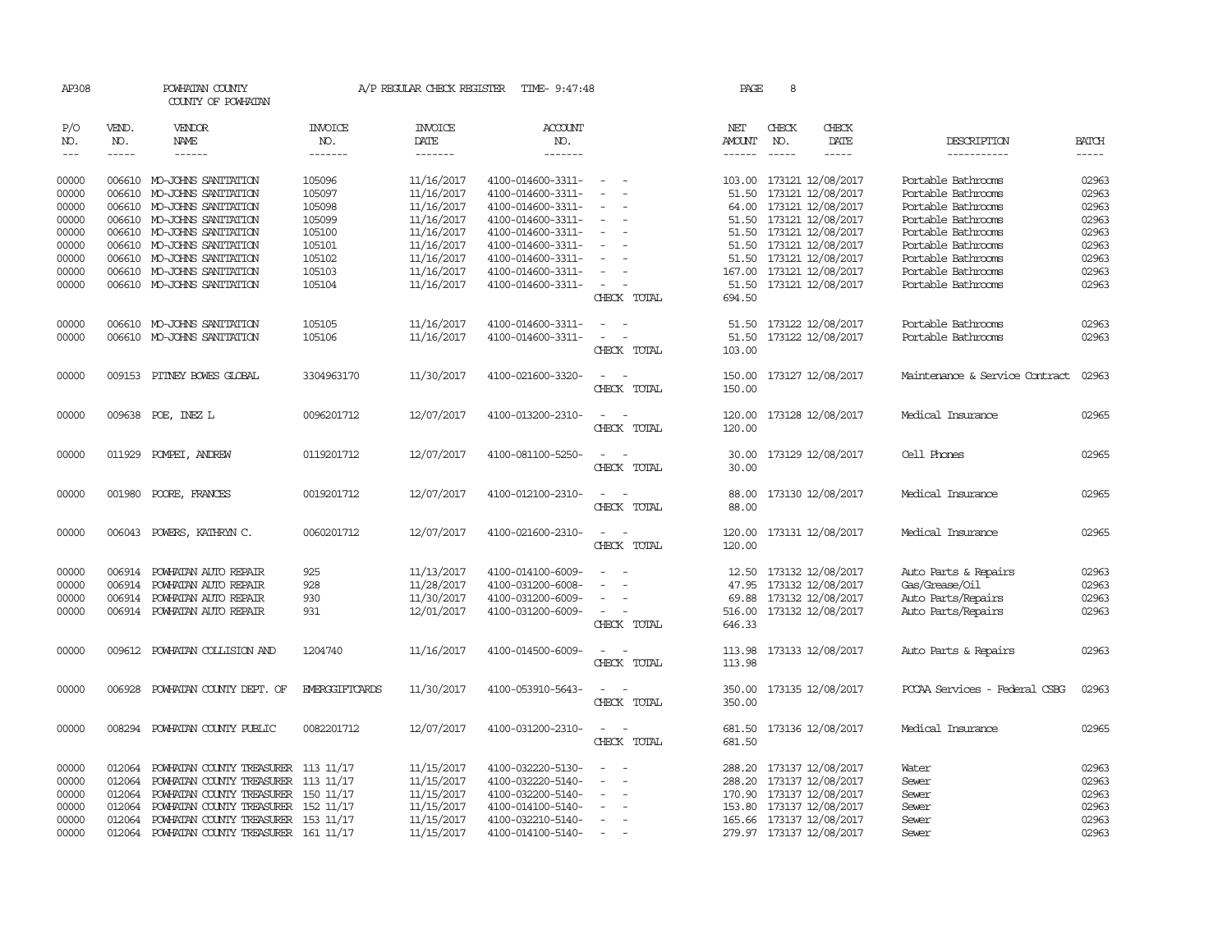| AP308                       |                             | POWHATAN COUNTY<br>COUNTY OF POWHATAN |                           | A/P REGULAR CHECK REGISTER        | TIME- 9:47:48                    |                                             | PAGE                                  | 8                           |                              |                                |                       |
|-----------------------------|-----------------------------|---------------------------------------|---------------------------|-----------------------------------|----------------------------------|---------------------------------------------|---------------------------------------|-----------------------------|------------------------------|--------------------------------|-----------------------|
| P/O<br>NO.<br>$\frac{1}{2}$ | VEND.<br>NO.<br>$- - - - -$ | VENDOR<br><b>NAME</b><br>------       | INVOICE<br>NO.<br>------- | <b>INVOICE</b><br>DATE<br>------- | <b>ACCOUNT</b><br>NO.<br>------- |                                             | NET<br><b>AMOUNT</b><br>$- - - - - -$ | CHECK<br>NO.<br>$- - - - -$ | CHECK<br>DATE<br>$- - - - -$ | DESCRIPTION<br>-----------     | <b>BATCH</b><br>----- |
| 00000                       |                             | 006610 MO-JOHNS SANITATION            | 105096                    | 11/16/2017                        | 4100-014600-3311-                | $\sim$                                      |                                       |                             | 103.00 173121 12/08/2017     | Portable Bathrooms             | 02963                 |
| 00000                       |                             | 006610 MO-JOHNS SANITATION            | 105097                    | 11/16/2017                        | 4100-014600-3311-                |                                             |                                       |                             | 51.50 173121 12/08/2017      | Portable Bathrooms             | 02963                 |
| 00000                       |                             | 006610 MO-JOHNS SANITATION            | 105098                    | 11/16/2017                        | 4100-014600-3311-                | $\equiv$                                    |                                       |                             | 64.00 173121 12/08/2017      | Portable Bathrooms             | 02963                 |
| 00000                       |                             | 006610 MO-JOHNS SANITATION            | 105099                    | 11/16/2017                        | 4100-014600-3311-                | $\overline{\phantom{a}}$                    |                                       |                             | 51.50 173121 12/08/2017      | Portable Bathrooms             | 02963                 |
| 00000                       |                             | 006610 MO-JOHNS SANITATION            | 105100                    | 11/16/2017                        | 4100-014600-3311-                | $\overline{\phantom{a}}$                    |                                       |                             | 51.50 173121 12/08/2017      | Portable Bathrooms             | 02963                 |
| 00000                       |                             | 006610 MO-JOHNS SANITATION            | 105101                    | 11/16/2017                        | 4100-014600-3311-                | $\overline{\phantom{a}}$                    |                                       |                             | 51.50 173121 12/08/2017      | Portable Bathrooms             | 02963                 |
| 00000                       |                             | 006610 MO-JOHNS SANITATION            | 105102                    | 11/16/2017                        | 4100-014600-3311-                | $\sim$<br>$\overline{\phantom{a}}$          |                                       |                             | 51.50 173121 12/08/2017      | Portable Bathrooms             | 02963                 |
| 00000                       |                             | 006610 MO-JOHNS SANITATION            | 105103                    | 11/16/2017                        | 4100-014600-3311-                |                                             |                                       |                             | 167.00 173121 12/08/2017     | Portable Bathrooms             | 02963                 |
| 00000                       |                             | 006610 MO-JOHNS SANITATION            | 105104                    | 11/16/2017                        | 4100-014600-3311-                | $\sim$                                      |                                       |                             | 51.50 173121 12/08/2017      | Portable Bathrooms             | 02963                 |
|                             |                             |                                       |                           |                                   |                                  | CHECK TOTAL                                 | 694.50                                |                             |                              |                                |                       |
| 00000                       |                             | 006610 MO-JOHNS SANITATION            | 105105                    | 11/16/2017                        | 4100-014600-3311-                | $\overline{\phantom{a}}$<br>$\sim$          |                                       |                             | 51.50 173122 12/08/2017      | Portable Bathrooms             | 02963                 |
| 00000                       |                             | 006610 MO-JOHNS SANITATION            | 105106                    | 11/16/2017                        | 4100-014600-3311-                | $\omega_{\rm{max}}$ and $\omega_{\rm{max}}$ |                                       |                             | 51.50 173122 12/08/2017      | Portable Bathrooms             | 02963                 |
|                             |                             |                                       |                           |                                   |                                  | CHECK TOTAL                                 | 103.00                                |                             |                              |                                |                       |
| 00000                       |                             | 009153 PITNEY BOWES GLOBAL            | 3304963170                | 11/30/2017                        | 4100-021600-3320-                | $\overline{a}$<br>$\sim$                    |                                       |                             | 150.00 173127 12/08/2017     | Maintenance & Service Contract | 02963                 |
|                             |                             |                                       |                           |                                   |                                  | CHECK TOTAL                                 | 150.00                                |                             |                              |                                |                       |
| 00000                       |                             | 009638 POE, INEZ L                    | 0096201712                | 12/07/2017                        | 4100-013200-2310-                | $\sim$                                      | 120.00                                |                             | 173128 12/08/2017            | Medical Insurance              | 02965                 |
|                             |                             |                                       |                           |                                   |                                  | CHECK TOTAL                                 | 120.00                                |                             |                              |                                |                       |
| 00000                       | 011929                      | POMPEI, ANDREW                        | 0119201712                | 12/07/2017                        | 4100-081100-5250-                | $\overline{\phantom{a}}$<br>$\sim$          | 30.00                                 |                             | 173129 12/08/2017            | Cell Phones                    | 02965                 |
|                             |                             |                                       |                           |                                   |                                  | CHECK TOTAL                                 | 30.00                                 |                             |                              |                                |                       |
| 00000                       | 001980                      | POORE, FRANCES                        | 0019201712                | 12/07/2017                        | 4100-012100-2310-                | $\overline{\phantom{a}}$<br>$\sim$          | 88.00                                 |                             | 173130 12/08/2017            | Medical Insurance              | 02965                 |
|                             |                             |                                       |                           |                                   |                                  | CHECK TOTAL                                 | 88.00                                 |                             |                              |                                |                       |
| 00000                       | 006043                      | POWERS, KATHRYN C.                    | 0060201712                | 12/07/2017                        | 4100-021600-2310-                | $\sim$<br>$\sim$                            | 120.00                                |                             | 173131 12/08/2017            | Medical Insurance              | 02965                 |
|                             |                             |                                       |                           |                                   |                                  | CHECK TOTAL                                 | 120.00                                |                             |                              |                                |                       |
| 00000                       | 006914                      | POWHATAN AUTO REPAIR                  | 925                       | 11/13/2017                        | 4100-014100-6009-                |                                             |                                       |                             | 12.50 173132 12/08/2017      | Auto Parts & Repairs           | 02963                 |
| 00000                       | 006914                      | POWHATAN AUTO REPAIR                  | 928                       | 11/28/2017                        | 4100-031200-6008-                | $\sim$                                      |                                       |                             | 47.95 173132 12/08/2017      | Gas/Grease/Oil                 | 02963                 |
| 00000                       | 006914                      | POWHATAN AUTO REPAIR                  | 930                       | 11/30/2017                        | 4100-031200-6009-                |                                             |                                       |                             | 69.88 173132 12/08/2017      | Auto Parts/Repairs             | 02963                 |
| 00000                       |                             | 006914 POWHATAN AUTO REPAIR           | 931                       | 12/01/2017                        | 4100-031200-6009-                | $\sim$                                      |                                       |                             | 516.00 173132 12/08/2017     | Auto Parts/Repairs             | 02963                 |
|                             |                             |                                       |                           |                                   |                                  | CHECK TOTAL                                 | 646.33                                |                             |                              |                                |                       |
| 00000                       | 009612                      | POWHATAN COLLISION AND                | 1204740                   | 11/16/2017                        | 4100-014500-6009-                |                                             | 113.98                                |                             | 173133 12/08/2017            | Auto Parts & Repairs           | 02963                 |
|                             |                             |                                       |                           |                                   |                                  | CHECK TOTAL                                 | 113.98                                |                             |                              |                                |                       |
| 00000                       | 006928                      | POWHATAN COUNTY DEPT. OF              | EMERGGIFTCARDS            | 11/30/2017                        | 4100-053910-5643-                | $\overline{\phantom{a}}$                    |                                       |                             | 350.00 173135 12/08/2017     | PCCAA Services - Federal CSBG  | 02963                 |
|                             |                             |                                       |                           |                                   |                                  | CHECK TOTAL                                 | 350.00                                |                             |                              |                                |                       |
| 00000                       | 008294                      | POWHATAN COUNTY PUBLIC                | 0082201712                | 12/07/2017                        | 4100-031200-2310-                |                                             | 681.50                                |                             | 173136 12/08/2017            | Medical Insurance              | 02965                 |
|                             |                             |                                       |                           |                                   |                                  | CHECK TOTAL                                 | 681.50                                |                             |                              |                                |                       |
| 00000                       | 012064                      | POWHATAN COUNTY TREASURER 113 11/17   |                           | 11/15/2017                        | 4100-032220-5130-                | $\overline{\phantom{a}}$                    |                                       |                             | 288.20 173137 12/08/2017     | Water                          | 02963                 |
| 00000                       | 012064                      | POWHATAN COUNTY TREASURER 113 11/17   |                           | 11/15/2017                        | 4100-032220-5140-                |                                             |                                       |                             | 288.20 173137 12/08/2017     | Sewer                          | 02963                 |
| 00000                       | 012064                      | POWHATAN COUNTY TREASURER 150 11/17   |                           | 11/15/2017                        | 4100-032200-5140-                | $\sim$                                      |                                       |                             | 170.90 173137 12/08/2017     | Sewer                          | 02963                 |
| 00000                       | 012064                      | POWHATAN COUNTY TREASURER 152 11/17   |                           | 11/15/2017                        | 4100-014100-5140-                | $\sim$                                      |                                       |                             | 153.80 173137 12/08/2017     | Sewer                          | 02963                 |
| 00000                       | 012064                      | POWHATAN COUNTY TREASURER 153 11/17   |                           | 11/15/2017                        | 4100-032210-5140-                | $\overline{\phantom{a}}$                    |                                       |                             | 165.66 173137 12/08/2017     | Sewer                          | 02963                 |
| 00000                       | 012064                      | POWHATAN COUNTY TREASURER 161 11/17   |                           | 11/15/2017                        | 4100-014100-5140-                |                                             |                                       |                             | 279.97 173137 12/08/2017     | Sewer                          | 02963                 |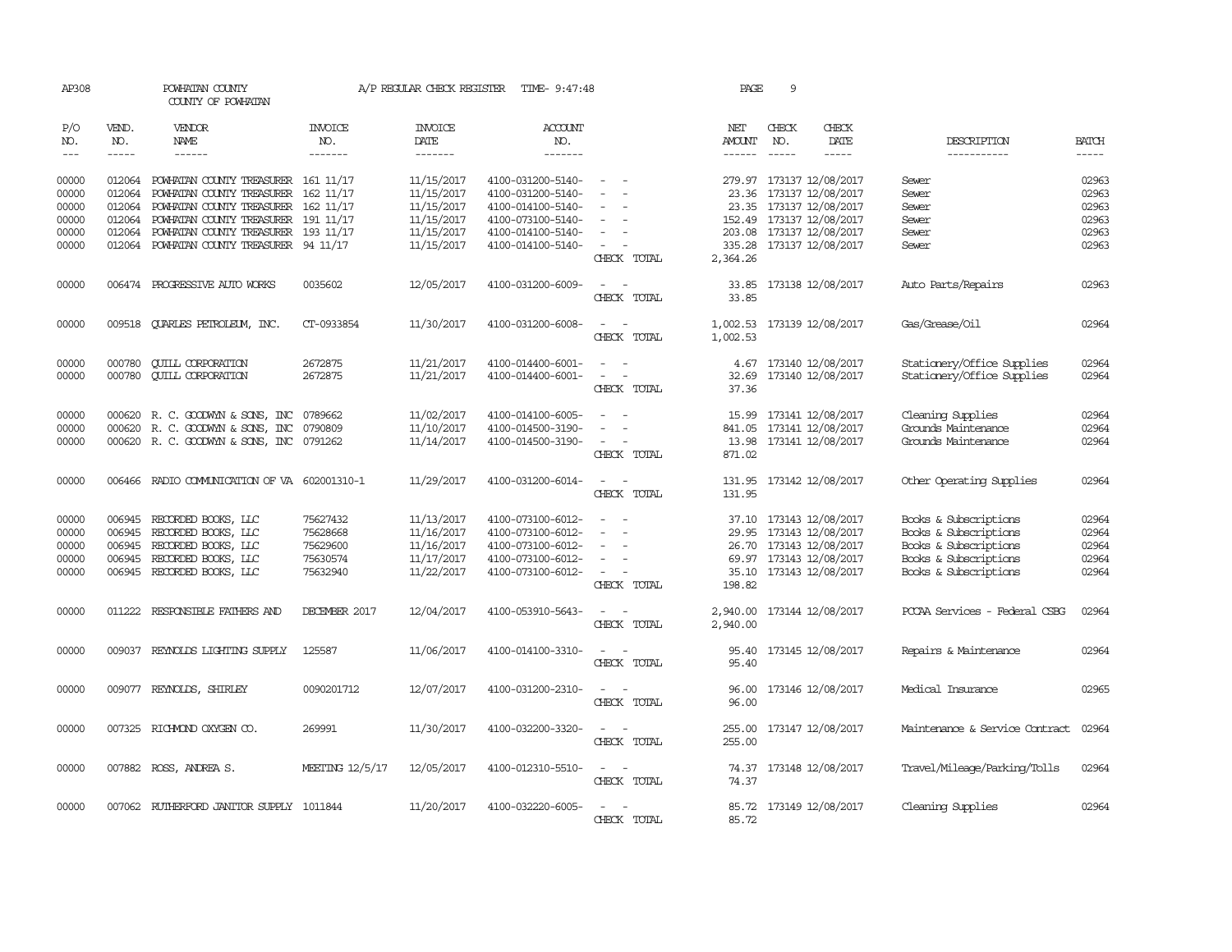| AP308               |                             | POWHATAN COUNTY<br>COUNTY OF POWHATAN      |                                  | A/P REGULAR CHECK REGISTER        | TIME- 9:47:48                    |                                                                                                              | PAGE                           | 9                           |                            |                                |                       |
|---------------------|-----------------------------|--------------------------------------------|----------------------------------|-----------------------------------|----------------------------------|--------------------------------------------------------------------------------------------------------------|--------------------------------|-----------------------------|----------------------------|--------------------------------|-----------------------|
| P/O<br>NO.<br>$---$ | VEND.<br>NO.<br>$- - - - -$ | <b>VENDOR</b><br>NAME<br>$- - - - - -$     | <b>INVOICE</b><br>NO.<br>------- | <b>INVOICE</b><br>DATE<br>------- | <b>ACCOUNT</b><br>NO.<br>------- |                                                                                                              | NET<br>AMOUNT<br>$- - - - - -$ | CHECK<br>NO.<br>$- - - - -$ | CHECK<br>DATE<br>-----     | DESCRIPTION<br>-----------     | <b>BATCH</b><br>----- |
|                     |                             |                                            |                                  |                                   |                                  |                                                                                                              |                                |                             |                            |                                |                       |
| 00000               |                             | 012064 POWHATAN COUNTY TREASURER 161 11/17 |                                  | 11/15/2017                        | 4100-031200-5140-                |                                                                                                              | 279.97                         |                             | 173137 12/08/2017          | Sewer                          | 02963                 |
| 00000               | 012064                      | POWHATAN COUNTY TREASURER 162 11/17        |                                  | 11/15/2017                        | 4100-031200-5140-                |                                                                                                              |                                |                             | 23.36 173137 12/08/2017    | Sewer                          | 02963                 |
| 00000               |                             | 012064 POWHATAN COUNTY TREASURER 162 11/17 |                                  | 11/15/2017                        | 4100-014100-5140-                |                                                                                                              |                                |                             | 23.35 173137 12/08/2017    | Sewer                          | 02963                 |
| 00000               |                             | 012064 POWHATAN COUNTY TREASURER 191 11/17 |                                  | 11/15/2017                        | 4100-073100-5140-                |                                                                                                              |                                |                             | 152.49 173137 12/08/2017   | Sewer                          | 02963                 |
| 00000               |                             | 012064 POWHATAN COUNTY TREASURER 193 11/17 |                                  | 11/15/2017                        | 4100-014100-5140-                |                                                                                                              |                                |                             | 203.08 173137 12/08/2017   | Sewer                          | 02963                 |
| 00000               |                             | 012064 POWHATAN COUNTY TREASURER 94 11/17  |                                  | 11/15/2017                        | 4100-014100-5140-                | $\overline{\phantom{a}}$<br>CHECK TOTAL                                                                      | 2,364.26                       |                             | 335.28 173137 12/08/2017   | Sewer                          | 02963                 |
| 00000               |                             | 006474 PROGRESSIVE AUTO WORKS              | 0035602                          | 12/05/2017                        | 4100-031200-6009-                | $\sim$ $\sim$                                                                                                | 33.85                          |                             | 173138 12/08/2017          | Auto Parts/Repairs             | 02963                 |
|                     |                             |                                            |                                  |                                   |                                  | CHECK TOTAL                                                                                                  | 33.85                          |                             |                            |                                |                       |
| 00000               |                             | 009518 QUARLES PETROLEUM, INC.             | CT-0933854                       | 11/30/2017                        | 4100-031200-6008-                | CHECK TOTAL                                                                                                  | 1,002.53                       |                             | 1,002.53 173139 12/08/2017 | Gas/Grease/Oil                 | 02964                 |
| 00000               | 000780                      | <b>CUILL CORPORATION</b>                   | 2672875                          | 11/21/2017                        | 4100-014400-6001-                | $\overline{a}$<br>$\overline{\phantom{a}}$                                                                   |                                |                             | 4.67 173140 12/08/2017     | Stationery/Office Supplies     | 02964                 |
| 00000               |                             | 000780 CUILL CORPORATION                   | 2672875                          | 11/21/2017                        | 4100-014400-6001-                | $\sim$<br>$\sim$                                                                                             | 32.69                          |                             | 173140 12/08/2017          | Stationery/Office Supplies     | 02964                 |
|                     |                             |                                            |                                  |                                   |                                  | CHECK TOTAL                                                                                                  | 37.36                          |                             |                            |                                |                       |
| 00000               |                             | 000620 R.C. GOODWYN & SONS, INC            | 0789662                          | 11/02/2017                        | 4100-014100-6005-                | $\sim$<br>$\overline{\phantom{a}}$                                                                           | 15.99                          |                             | 173141 12/08/2017          | Cleaning Supplies              | 02964                 |
| 00000               | 000620                      | R. C. GOODWYN & SONS, INC                  | 0790809                          | 11/10/2017                        | 4100-014500-3190-                |                                                                                                              |                                |                             | 841.05 173141 12/08/2017   | Grounds Maintenance            | 02964                 |
| 00000               |                             | 000620 R. C. GOODWYN & SONS, INC 0791262   |                                  | 11/14/2017                        | 4100-014500-3190-                | CHECK TOTAL                                                                                                  | 871.02                         |                             | 13.98 173141 12/08/2017    | Grounds Maintenance            | 02964                 |
| 00000               | 006466                      | RADIO COMMUNICATION OF VA 602001310-1      |                                  | 11/29/2017                        | 4100-031200-6014-                |                                                                                                              | 131.95                         |                             | 173142 12/08/2017          | Other Operating Supplies       | 02964                 |
|                     |                             |                                            |                                  |                                   |                                  | CHECK TOTAL                                                                                                  | 131.95                         |                             |                            |                                |                       |
| 00000               | 006945                      | RECORDED BOOKS, LLC                        | 75627432                         | 11/13/2017                        | 4100-073100-6012-                | $\sim$                                                                                                       | 37.10                          |                             | 173143 12/08/2017          | Books & Subscriptions          | 02964                 |
| 00000               | 006945                      | RECORDED BOOKS, LLC                        | 75628668                         | 11/16/2017                        | 4100-073100-6012-                |                                                                                                              |                                |                             | 29.95 173143 12/08/2017    | Books & Subscriptions          | 02964                 |
| 00000               | 006945                      | RECORDED BOOKS, LLC                        | 75629600                         | 11/16/2017                        | 4100-073100-6012-                | $\overline{\phantom{a}}$                                                                                     |                                |                             | 26.70 173143 12/08/2017    | Books & Subscriptions          | 02964                 |
| 00000               | 006945                      | RECORDED BOOKS, LLC                        | 75630574                         | 11/17/2017                        | 4100-073100-6012-                |                                                                                                              | 69.97                          |                             | 173143 12/08/2017          | Books & Subscriptions          | 02964                 |
| 00000               |                             | 006945 RECORDED BOOKS, LLC                 | 75632940                         | 11/22/2017                        | 4100-073100-6012-                | $\sim$<br>$\overline{\phantom{a}}$                                                                           |                                |                             | 35.10 173143 12/08/2017    | Books & Subscriptions          | 02964                 |
|                     |                             |                                            |                                  |                                   |                                  | CHECK TOTAL                                                                                                  | 198.82                         |                             |                            |                                |                       |
| 00000               |                             | 011222 RESPONSIBLE FATHERS AND             | DECEMBER 2017                    | 12/04/2017                        | 4100-053910-5643-                | $\frac{1}{2} \left( \frac{1}{2} \right) \left( \frac{1}{2} \right) = \frac{1}{2} \left( \frac{1}{2} \right)$ | 2,940.00                       |                             | 173144 12/08/2017          | PCCAA Services - Federal CSBG  | 02964                 |
|                     |                             |                                            |                                  |                                   |                                  | CHECK TOTAL                                                                                                  | 2,940.00                       |                             |                            |                                |                       |
| 00000               | 009037                      | REYNOLDS LIGHTING SUPPLY                   | 125587                           | 11/06/2017                        | 4100-014100-3310-                | CHECK TOTAL                                                                                                  | 95.40<br>95.40                 |                             | 173145 12/08/2017          | Repairs & Maintenance          | 02964                 |
| 00000               |                             | 009077 REYNOLDS, SHIRLEY                   | 0090201712                       | 12/07/2017                        | 4100-031200-2310-                | $\sim$<br>$\sim$                                                                                             |                                |                             | 173146 12/08/2017          | Medical Insurance              | 02965                 |
|                     |                             |                                            |                                  |                                   |                                  | CHECK TOTAL                                                                                                  | 96.00<br>96.00                 |                             |                            |                                |                       |
| 00000               |                             | 007325 RICHMOND OXYGEN CO.                 | 269991                           | 11/30/2017                        | 4100-032200-3320-                | $\overline{a}$<br>$\sim$                                                                                     | 255.00                         |                             | 173147 12/08/2017          | Maintenance & Service Contract | 02964                 |
|                     |                             |                                            |                                  |                                   |                                  | CHECK TOTAL                                                                                                  | 255.00                         |                             |                            |                                |                       |
| 00000               |                             | 007882 ROSS, ANDREA S.                     | MEETING 12/5/17                  | 12/05/2017                        | 4100-012310-5510-                | $\sim$<br>$\sim$<br>CHECK TOTAL                                                                              | 74.37<br>74.37                 |                             | 173148 12/08/2017          | Travel/Mileage/Parking/Tolls   | 02964                 |
| 00000               |                             | 007062 RUIHERFORD JANITOR SUPPLY 1011844   |                                  | 11/20/2017                        | 4100-032220-6005-                | $\overline{\phantom{a}}$<br>$\sim$                                                                           |                                |                             | 85.72 173149 12/08/2017    | Cleaning Supplies              | 02964                 |
|                     |                             |                                            |                                  |                                   |                                  | CHECK TOTAL                                                                                                  | 85.72                          |                             |                            |                                |                       |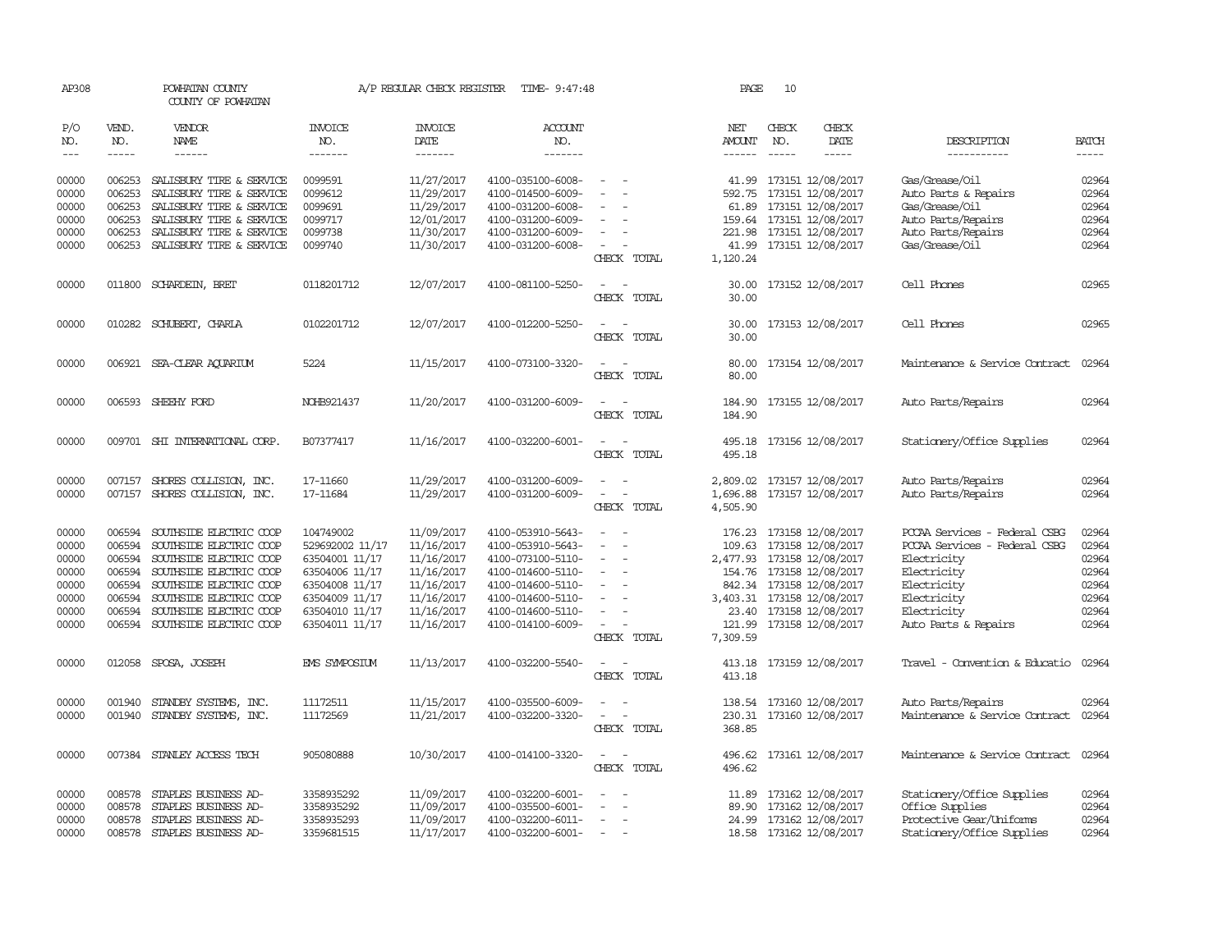| AP308          |                  | POWHATAN COUNTY<br>COUNTY OF POWHATAN                     |                                  | A/P REGULAR CHECK REGISTER | TIME- 9:47:48                          |                                                                     | PAGE                 | 10           |                                                        |                                        |                |
|----------------|------------------|-----------------------------------------------------------|----------------------------------|----------------------------|----------------------------------------|---------------------------------------------------------------------|----------------------|--------------|--------------------------------------------------------|----------------------------------------|----------------|
| P/O<br>NO.     | VEND.<br>NO.     | <b>VENDOR</b><br>NAME                                     | <b>INVOICE</b><br>NO.            | <b>INVOICE</b><br>DATE     | <b>ACCOUNT</b><br>NO.                  |                                                                     | NET<br><b>AMOUNT</b> | CHECK<br>NO. | CHECK<br>DATE                                          | DESCRIPTION                            | <b>BATCH</b>   |
| $---$          | $\frac{1}{2}$    |                                                           | -------                          | --------                   | -------                                |                                                                     | $- - - - - -$        | $- - - - -$  | $- - - - -$                                            | -----------                            | $- - - - -$    |
| 00000<br>00000 | 006253<br>006253 | SALISBURY TIRE & SERVICE<br>SALISBURY TIRE & SERVICE      | 0099591<br>0099612               | 11/27/2017<br>11/29/2017   | 4100-035100-6008-<br>4100-014500-6009- | $\overline{\phantom{a}}$                                            | 592.75               |              | 41.99 173151 12/08/2017<br>173151 12/08/2017           | Gas/Grease/Oil<br>Auto Parts & Repairs | 02964<br>02964 |
| 00000          | 006253           | SALISBURY TIRE & SERVICE                                  | 0099691                          | 11/29/2017                 | 4100-031200-6008-                      |                                                                     | 61.89                |              | 173151 12/08/2017                                      | Gas/Grease/Oil                         | 02964          |
| 00000          | 006253           | SALISBURY TIRE & SERVICE                                  | 0099717                          | 12/01/2017                 | 4100-031200-6009-                      | $\sim$                                                              |                      |              | 159.64 173151 12/08/2017                               | Auto Parts/Repairs                     | 02964          |
| 00000          | 006253           | SALISBURY TIRE & SERVICE                                  | 0099738                          | 11/30/2017                 | 4100-031200-6009-                      | $\overline{\phantom{a}}$                                            |                      |              | 221.98 173151 12/08/2017                               | Auto Parts/Repairs                     | 02964          |
| 00000          | 006253           | SALISBURY TIRE & SERVICE                                  | 0099740                          | 11/30/2017                 | 4100-031200-6008-                      | $\overline{\phantom{a}}$<br>CHECK TOTAL                             | 1,120.24             |              | 41.99 173151 12/08/2017                                | Gas/Grease/Oil                         | 02964          |
| 00000          |                  | 011800 SCHARDEIN, BRET                                    | 0118201712                       | 12/07/2017                 | 4100-081100-5250-                      | CHECK TOTAL                                                         | 30.00<br>30.00       |              | 173152 12/08/2017                                      | Cell Phones                            | 02965          |
| 00000          |                  | 010282 SCHUBERT, CHARLA                                   | 0102201712                       | 12/07/2017                 | 4100-012200-5250-                      | CHECK TOTAL                                                         | 30.00<br>30.00       |              | 173153 12/08/2017                                      | Cell Phones                            | 02965          |
| 00000          |                  | 006921 SEA-CLEAR AQUARIUM                                 | 5224                             | 11/15/2017                 | 4100-073100-3320-                      | CHECK TOTAL                                                         | 80.00<br>80.00       |              | 173154 12/08/2017                                      | Maintenance & Service Contract         | 02964          |
| 00000          |                  | 006593 SHEEHY FORD                                        | NOHB921437                       | 11/20/2017                 | 4100-031200-6009-                      | $\sim$<br>$\overline{\phantom{a}}$<br>CHECK TOTAL                   | 184.90<br>184.90     |              | 173155 12/08/2017                                      | Auto Parts/Repairs                     | 02964          |
| 00000          |                  | 009701 SHI INTERNATIONAL CORP.                            | B07377417                        | 11/16/2017                 | 4100-032200-6001-                      | $\sim$<br>$\sim$<br>CHECK TOTAL                                     | 495.18               |              | 495.18 173156 12/08/2017                               | Stationery/Office Supplies             | 02964          |
| 00000          | 007157           | SHORES COLLISION, INC.                                    | 17-11660                         | 11/29/2017                 | 4100-031200-6009-                      | $\sim$<br>$\sim$                                                    | 2,809.02             |              | 173157 12/08/2017                                      | Auto Parts/Repairs                     | 02964          |
| 00000          |                  | 007157 SHORES COLLISION, INC.                             | 17-11684                         | 11/29/2017                 | 4100-031200-6009-                      | $\overline{\phantom{a}}$<br>$\overline{\phantom{a}}$<br>CHECK TOTAL | 1,696.88<br>4,505.90 |              | 173157 12/08/2017                                      | Auto Parts/Repairs                     | 02964          |
| 00000          | 006594           | SOUTHSIDE ELECTRIC COOP                                   | 104749002                        | 11/09/2017                 | 4100-053910-5643-                      | $\sim$                                                              |                      |              | 176.23 173158 12/08/2017                               | PCCAA Services - Federal CSBG          | 02964          |
| 00000          | 006594           | SOUTHSIDE ELECTRIC COOP                                   | 529692002 11/17                  | 11/16/2017                 | 4100-053910-5643-                      | $\sim$                                                              | 109.63               |              | 173158 12/08/2017                                      | PCCAA Services - Federal CSBG          | 02964          |
| 00000<br>00000 | 006594           | 006594 SOUTHSIDE ELECTRIC COOP<br>SOUTHSIDE ELECTRIC COOP | 63504001 11/17                   | 11/16/2017<br>11/16/2017   | 4100-073100-5110-                      | $\equiv$                                                            |                      |              | 2,477.93 173158 12/08/2017<br>154.76 173158 12/08/2017 | Electricity                            | 02964<br>02964 |
| 00000          |                  | 006594 SOUTHSIDE ELECTRIC COOP                            | 63504006 11/17<br>63504008 11/17 | 11/16/2017                 | 4100-014600-5110-<br>4100-014600-5110- | $\overline{\phantom{a}}$                                            |                      |              | 842.34 173158 12/08/2017                               | Electricity<br>Electricity             | 02964          |
| 00000          |                  | 006594 SOUTHSIDE ELECTRIC COOP                            | 63504009 11/17                   | 11/16/2017                 | 4100-014600-5110-                      |                                                                     |                      |              | 3,403.31 173158 12/08/2017                             | Electricity                            | 02964          |
| 00000          | 006594           | SOUTHSIDE ELECTRIC COOP                                   | 63504010 11/17                   | 11/16/2017                 | 4100-014600-5110-                      | $\equiv$                                                            |                      |              | 23.40 173158 12/08/2017                                | Electricity                            | 02964          |
| 00000          |                  | 006594 SOUTHSIDE ELECTRIC COOP                            | 63504011 11/17                   | 11/16/2017                 | 4100-014100-6009-                      | $\sim$                                                              |                      |              | 121.99 173158 12/08/2017                               | Auto Parts & Repairs                   | 02964          |
|                |                  |                                                           |                                  |                            |                                        | CHECK TOTAL                                                         | 7,309.59             |              |                                                        |                                        |                |
| 00000          |                  | 012058 SPOSA, JOSEPH                                      | EMS SYMPOSIUM                    | 11/13/2017                 | 4100-032200-5540-                      | $\overline{\phantom{a}}$<br>CHECK TOTAL                             | 413.18               |              | 413.18 173159 12/08/2017                               | Travel - Convention & Educatio         | 02964          |
| 00000          | 001940           | STANDBY SYSTEMS, INC.                                     | 11172511                         | 11/15/2017                 | 4100-035500-6009-                      | $\sim$<br>$\overline{a}$                                            |                      |              | 138.54 173160 12/08/2017                               | Auto Parts/Repairs                     | 02964          |
| 00000          |                  | 001940 STANDBY SYSTEMS, INC.                              | 11172569                         | 11/21/2017                 | 4100-032200-3320-                      | $\sim$<br>$\overline{\phantom{a}}$<br>CHECK TOTAL                   | 368.85               |              | 230.31 173160 12/08/2017                               | Maintenance & Service Contract         | 02964          |
| 00000          |                  | 007384 STANLEY ACCESS TECH                                | 905080888                        | 10/30/2017                 | 4100-014100-3320-                      | $\sim$<br>CHECK TOTAL                                               | 496.62               |              | 496.62 173161 12/08/2017                               | Maintenance & Service Contract 02964   |                |
| 00000          | 008578           | STAPLES BUSINESS AD-                                      | 3358935292                       | 11/09/2017                 | 4100-032200-6001-                      |                                                                     | 11.89                |              | 173162 12/08/2017                                      | Stationery/Office Supplies             | 02964          |
| 00000          | 008578           | STAPLES BUSINESS AD-                                      | 3358935292                       | 11/09/2017                 | 4100-035500-6001-                      | $\overline{\phantom{a}}$                                            | 89.90                |              | 173162 12/08/2017                                      | Office Supplies                        | 02964          |
| 00000          | 008578           | STAPLES BUSINESS AD-                                      | 3358935293                       | 11/09/2017                 | 4100-032200-6011-                      | $\overline{\phantom{a}}$                                            |                      |              | 24.99 173162 12/08/2017                                | Protective Gear/Uniforms               | 02964          |
| 00000          | 008578           | STAPLES BUSINESS AD-                                      | 3359681515                       | 11/17/2017                 | 4100-032200-6001-                      |                                                                     |                      |              | 18.58 173162 12/08/2017                                | Stationery/Office Supplies             | 02964          |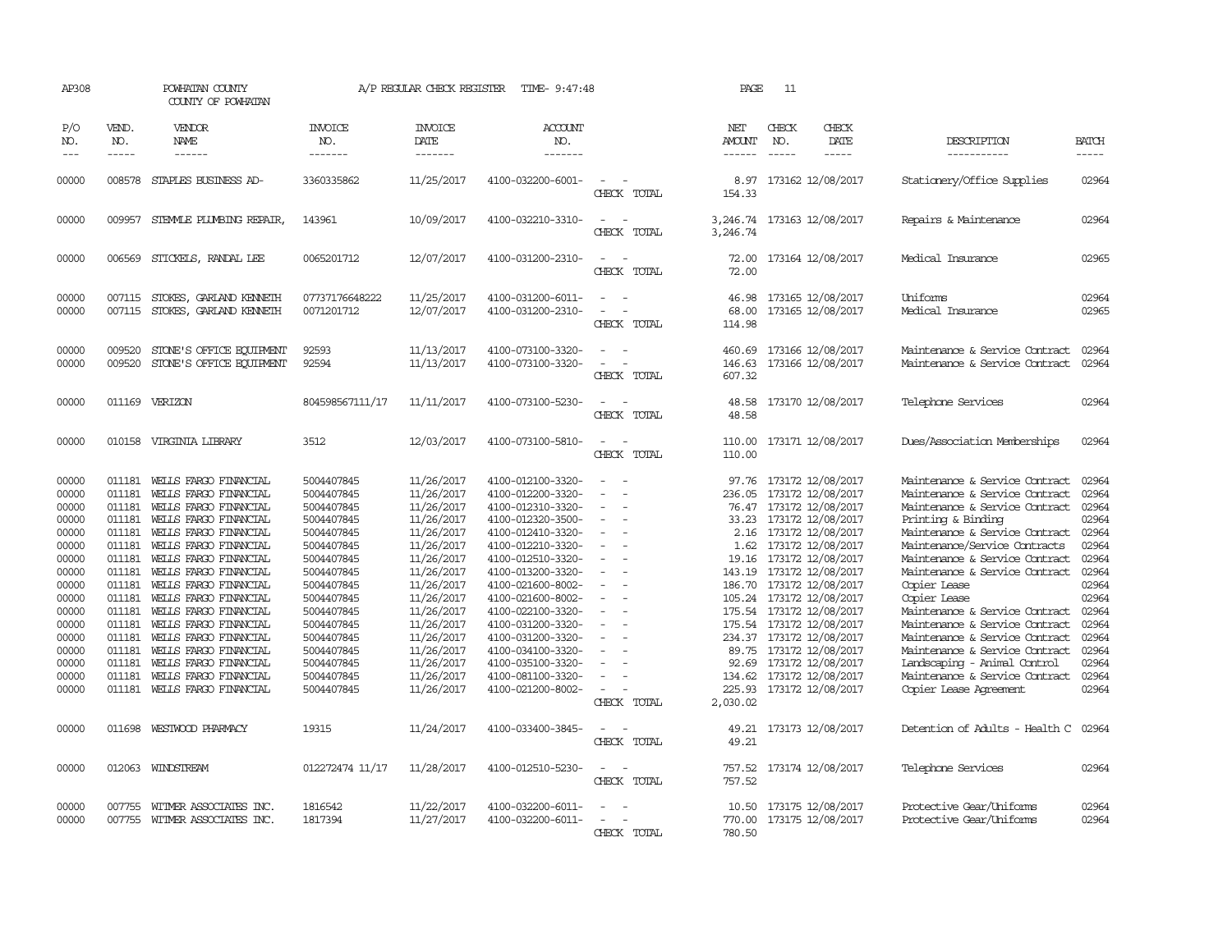| AP308                                                                                                                                                          |                                                                                                                                                              | POWHATAN COUNTY<br>COUNTY OF POWHATAN                                                                                                                                                                                                                                                                                                                                                                                                                                    |                                                                                                                                                                                                                                                     | A/P REGULAR CHECK REGISTER                                                                                                                                                                                                                               | TIME- 9:47:48                                                                                                                                                                                                                                                                                                                                                                          |                                                                                                                                                                                                              | PAGE                                                    | 11                          |                                                                                                                                                                                                                                                                                                                                                                                                                                                                                 |                                                                                                                                                                                                                                                                                                                                                                                                                                                                                                                                                                       |                                                                                                                                                                |
|----------------------------------------------------------------------------------------------------------------------------------------------------------------|--------------------------------------------------------------------------------------------------------------------------------------------------------------|--------------------------------------------------------------------------------------------------------------------------------------------------------------------------------------------------------------------------------------------------------------------------------------------------------------------------------------------------------------------------------------------------------------------------------------------------------------------------|-----------------------------------------------------------------------------------------------------------------------------------------------------------------------------------------------------------------------------------------------------|----------------------------------------------------------------------------------------------------------------------------------------------------------------------------------------------------------------------------------------------------------|----------------------------------------------------------------------------------------------------------------------------------------------------------------------------------------------------------------------------------------------------------------------------------------------------------------------------------------------------------------------------------------|--------------------------------------------------------------------------------------------------------------------------------------------------------------------------------------------------------------|---------------------------------------------------------|-----------------------------|---------------------------------------------------------------------------------------------------------------------------------------------------------------------------------------------------------------------------------------------------------------------------------------------------------------------------------------------------------------------------------------------------------------------------------------------------------------------------------|-----------------------------------------------------------------------------------------------------------------------------------------------------------------------------------------------------------------------------------------------------------------------------------------------------------------------------------------------------------------------------------------------------------------------------------------------------------------------------------------------------------------------------------------------------------------------|----------------------------------------------------------------------------------------------------------------------------------------------------------------|
| P/O<br>NO.<br>$---$                                                                                                                                            | VEND.<br>NO.<br>$- - - - -$                                                                                                                                  | VENDOR<br><b>NAME</b><br>------                                                                                                                                                                                                                                                                                                                                                                                                                                          | <b>INVOICE</b><br>NO.<br>--------                                                                                                                                                                                                                   | <b>INVOICE</b><br>DATE<br>-------                                                                                                                                                                                                                        | <b>ACCOUNT</b><br>NO.<br>-------                                                                                                                                                                                                                                                                                                                                                       |                                                                                                                                                                                                              | NET<br><b>AMOUNT</b><br>$- - - - - -$                   | CHECK<br>NO.<br>$- - - - -$ | CHECK<br>DATE<br>-----                                                                                                                                                                                                                                                                                                                                                                                                                                                          | DESCRIPTION<br>-----------                                                                                                                                                                                                                                                                                                                                                                                                                                                                                                                                            | <b>BATCH</b><br>-----                                                                                                                                          |
| 00000                                                                                                                                                          |                                                                                                                                                              | 008578 STAPLES BUSINESS AD-                                                                                                                                                                                                                                                                                                                                                                                                                                              | 3360335862                                                                                                                                                                                                                                          | 11/25/2017                                                                                                                                                                                                                                               | 4100-032200-6001-                                                                                                                                                                                                                                                                                                                                                                      | $\equiv$<br>CHECK TOTAL                                                                                                                                                                                      | 8.97<br>154.33                                          |                             | 173162 12/08/2017                                                                                                                                                                                                                                                                                                                                                                                                                                                               | Stationery/Office Supplies                                                                                                                                                                                                                                                                                                                                                                                                                                                                                                                                            | 02964                                                                                                                                                          |
| 00000                                                                                                                                                          |                                                                                                                                                              | 009957 STEMMLE PLUMBING REPAIR,                                                                                                                                                                                                                                                                                                                                                                                                                                          | 143961                                                                                                                                                                                                                                              | 10/09/2017                                                                                                                                                                                                                                               | 4100-032210-3310-                                                                                                                                                                                                                                                                                                                                                                      | $\sim$<br>CHECK TOTAL                                                                                                                                                                                        | 3,246.74                                                |                             | 3,246.74 173163 12/08/2017                                                                                                                                                                                                                                                                                                                                                                                                                                                      | Repairs & Maintenance                                                                                                                                                                                                                                                                                                                                                                                                                                                                                                                                                 | 02964                                                                                                                                                          |
| 00000                                                                                                                                                          | 006569                                                                                                                                                       | STICKELS, RANDAL LEE                                                                                                                                                                                                                                                                                                                                                                                                                                                     | 0065201712                                                                                                                                                                                                                                          | 12/07/2017                                                                                                                                                                                                                                               | 4100-031200-2310-                                                                                                                                                                                                                                                                                                                                                                      | $\equiv$<br>CHECK TOTAL                                                                                                                                                                                      | 72.00<br>72.00                                          |                             | 173164 12/08/2017                                                                                                                                                                                                                                                                                                                                                                                                                                                               | Medical Insurance                                                                                                                                                                                                                                                                                                                                                                                                                                                                                                                                                     | 02965                                                                                                                                                          |
| 00000<br>00000                                                                                                                                                 | 007115<br>007115                                                                                                                                             | STOKES, GARLAND KENNETH<br>STOKES, GARLAND KENNETH                                                                                                                                                                                                                                                                                                                                                                                                                       | 07737176648222<br>0071201712                                                                                                                                                                                                                        | 11/25/2017<br>12/07/2017                                                                                                                                                                                                                                 | 4100-031200-6011-<br>4100-031200-2310-                                                                                                                                                                                                                                                                                                                                                 | $\equiv$<br>CHECK TOTAL                                                                                                                                                                                      | 46.98<br>68.00<br>114.98                                |                             | 173165 12/08/2017<br>173165 12/08/2017                                                                                                                                                                                                                                                                                                                                                                                                                                          | Uniforms<br>Medical Insurance                                                                                                                                                                                                                                                                                                                                                                                                                                                                                                                                         | 02964<br>02965                                                                                                                                                 |
| 00000<br>00000                                                                                                                                                 | 009520<br>009520                                                                                                                                             | STONE'S OFFICE EQUIPMENT<br>STONE'S OFFICE EQUIPMENT                                                                                                                                                                                                                                                                                                                                                                                                                     | 92593<br>92594                                                                                                                                                                                                                                      | 11/13/2017<br>11/13/2017                                                                                                                                                                                                                                 | 4100-073100-3320-<br>4100-073100-3320-                                                                                                                                                                                                                                                                                                                                                 | $\sim$<br>$\sim$<br>CHECK TOTAL                                                                                                                                                                              | 460.69<br>146.63<br>607.32                              |                             | 173166 12/08/2017<br>173166 12/08/2017                                                                                                                                                                                                                                                                                                                                                                                                                                          | Maintenance & Service Contract<br>Maintenance & Service Contract                                                                                                                                                                                                                                                                                                                                                                                                                                                                                                      | 02964<br>02964                                                                                                                                                 |
| 00000                                                                                                                                                          |                                                                                                                                                              | 011169 VERIZON                                                                                                                                                                                                                                                                                                                                                                                                                                                           | 804598567111/17                                                                                                                                                                                                                                     | 11/11/2017                                                                                                                                                                                                                                               | 4100-073100-5230-                                                                                                                                                                                                                                                                                                                                                                      | CHECK TOTAL                                                                                                                                                                                                  | 48.58<br>48.58                                          |                             | 173170 12/08/2017                                                                                                                                                                                                                                                                                                                                                                                                                                                               | Telephone Services                                                                                                                                                                                                                                                                                                                                                                                                                                                                                                                                                    | 02964                                                                                                                                                          |
| 00000                                                                                                                                                          |                                                                                                                                                              | 010158 VIRGINIA LIBRARY                                                                                                                                                                                                                                                                                                                                                                                                                                                  | 3512                                                                                                                                                                                                                                                | 12/03/2017                                                                                                                                                                                                                                               | 4100-073100-5810-                                                                                                                                                                                                                                                                                                                                                                      | $ -$<br>CHECK TOTAL                                                                                                                                                                                          | 110.00<br>110.00                                        |                             | 173171 12/08/2017                                                                                                                                                                                                                                                                                                                                                                                                                                                               | Dues/Association Memberships                                                                                                                                                                                                                                                                                                                                                                                                                                                                                                                                          | 02964                                                                                                                                                          |
| 00000<br>00000<br>00000<br>00000<br>00000<br>00000<br>00000<br>00000<br>00000<br>00000<br>00000<br>00000<br>00000<br>00000<br>00000<br>00000<br>00000<br>00000 | 011181<br>011181<br>011181<br>011181<br>011181<br>011181<br>011181<br>011181<br>011181<br>011181<br>011181<br>011181<br>011181<br>011181<br>011181<br>011181 | WEILS FARGO FINANCIAL<br>WELLS FARGO FINANCIAL<br>WELLS FARGO FINANCIAL<br>WELLS FARGO FINANCIAL<br>WEILS FARGO FINANCIAL<br>WELLS FARGO FINANCIAL<br>WELLS FARGO FINANCIAL<br>WEILS FARGO FINANCIAL<br>WELLS FARGO FINANCIAL<br>WELLS FARGO FINANCIAL<br>WEILS FARGO FINANCIAL<br>WELLS FARGO FINANCIAL<br>WEILS FARGO FINANCIAL<br>WEILS FARGO FINANCIAL<br>WEILS FARGO FINANCIAL<br>WEILS FARGO FINANCIAL<br>011181 WELLS FARGO FINANCIAL<br>011698 WESTWOOD PHARMACY | 5004407845<br>5004407845<br>5004407845<br>5004407845<br>5004407845<br>5004407845<br>5004407845<br>5004407845<br>5004407845<br>5004407845<br>5004407845<br>5004407845<br>5004407845<br>5004407845<br>5004407845<br>5004407845<br>5004407845<br>19315 | 11/26/2017<br>11/26/2017<br>11/26/2017<br>11/26/2017<br>11/26/2017<br>11/26/2017<br>11/26/2017<br>11/26/2017<br>11/26/2017<br>11/26/2017<br>11/26/2017<br>11/26/2017<br>11/26/2017<br>11/26/2017<br>11/26/2017<br>11/26/2017<br>11/26/2017<br>11/24/2017 | 4100-012100-3320-<br>4100-012200-3320-<br>4100-012310-3320-<br>4100-012320-3500-<br>4100-012410-3320-<br>4100-012210-3320-<br>4100-012510-3320-<br>4100-013200-3320-<br>4100-021600-8002-<br>4100-021600-8002-<br>4100-022100-3320-<br>4100-031200-3320-<br>4100-031200-3320-<br>4100-034100-3320-<br>4100-035100-3320-<br>4100-081100-3320-<br>4100-021200-8002-<br>4100-033400-3845- | $\equiv$<br>$\equiv$<br>$\equiv$<br>$\overline{\phantom{a}}$<br>$\equiv$<br>$\sim$<br>$\equiv$<br>$\overline{\phantom{a}}$<br>$\overline{\phantom{a}}$<br>$\equiv$<br>$\equiv$<br>CHECK TOTAL<br>CHECK TOTAL | 236.05<br>186.70<br>89.75<br>2,030.02<br>49.21<br>49.21 |                             | 97.76 173172 12/08/2017<br>173172 12/08/2017<br>76.47 173172 12/08/2017<br>33.23 173172 12/08/2017<br>2.16 173172 12/08/2017<br>1.62 173172 12/08/2017<br>19.16 173172 12/08/2017<br>143.19 173172 12/08/2017<br>173172 12/08/2017<br>105.24 173172 12/08/2017<br>175.54 173172 12/08/2017<br>175.54 173172 12/08/2017<br>234.37 173172 12/08/2017<br>173172 12/08/2017<br>92.69 173172 12/08/2017<br>134.62 173172 12/08/2017<br>225.93 173172 12/08/2017<br>173173 12/08/2017 | Maintenance & Service Contract<br>Maintenance & Service Contract<br>Maintenance & Service Contract<br>Printing & Binding<br>Maintenance & Service Contract<br>Maintenance/Service Contracts<br>Maintenance & Service Contract<br>Maintenance & Service Contract<br>Copier Lease<br>Copier Lease<br>Maintenance & Service Contract<br>Maintenance & Service Contract<br>Maintenance & Service Contract<br>Maintenance & Service Contract<br>Landscaping - Animal Control<br>Maintenance & Service Contract<br>Copier Lease Agreement<br>Detention of Adults - Health C | 02964<br>02964<br>02964<br>02964<br>02964<br>02964<br>02964<br>02964<br>02964<br>02964<br>02964<br>02964<br>02964<br>02964<br>02964<br>02964<br>02964<br>02964 |
| 00000                                                                                                                                                          |                                                                                                                                                              | 012063 WINDSTREAM                                                                                                                                                                                                                                                                                                                                                                                                                                                        | 012272474 11/17                                                                                                                                                                                                                                     | 11/28/2017                                                                                                                                                                                                                                               | 4100-012510-5230-                                                                                                                                                                                                                                                                                                                                                                      | $ -$<br>CHECK TOTAL                                                                                                                                                                                          | 757.52<br>757.52                                        |                             | 173174 12/08/2017                                                                                                                                                                                                                                                                                                                                                                                                                                                               | Telephone Services                                                                                                                                                                                                                                                                                                                                                                                                                                                                                                                                                    | 02964                                                                                                                                                          |
| 00000<br>00000                                                                                                                                                 | 007755<br>007755                                                                                                                                             | WITMER ASSOCIATES INC.<br>WITMER ASSOCIATES INC.                                                                                                                                                                                                                                                                                                                                                                                                                         | 1816542<br>1817394                                                                                                                                                                                                                                  | 11/22/2017<br>11/27/2017                                                                                                                                                                                                                                 | 4100-032200-6011-<br>4100-032200-6011-                                                                                                                                                                                                                                                                                                                                                 | CHECK TOTAL                                                                                                                                                                                                  | 770.00<br>780.50                                        |                             | 10.50 173175 12/08/2017<br>173175 12/08/2017                                                                                                                                                                                                                                                                                                                                                                                                                                    | Protective Gear/Uniforms<br>Protective Gear/Uniforms                                                                                                                                                                                                                                                                                                                                                                                                                                                                                                                  | 02964<br>02964                                                                                                                                                 |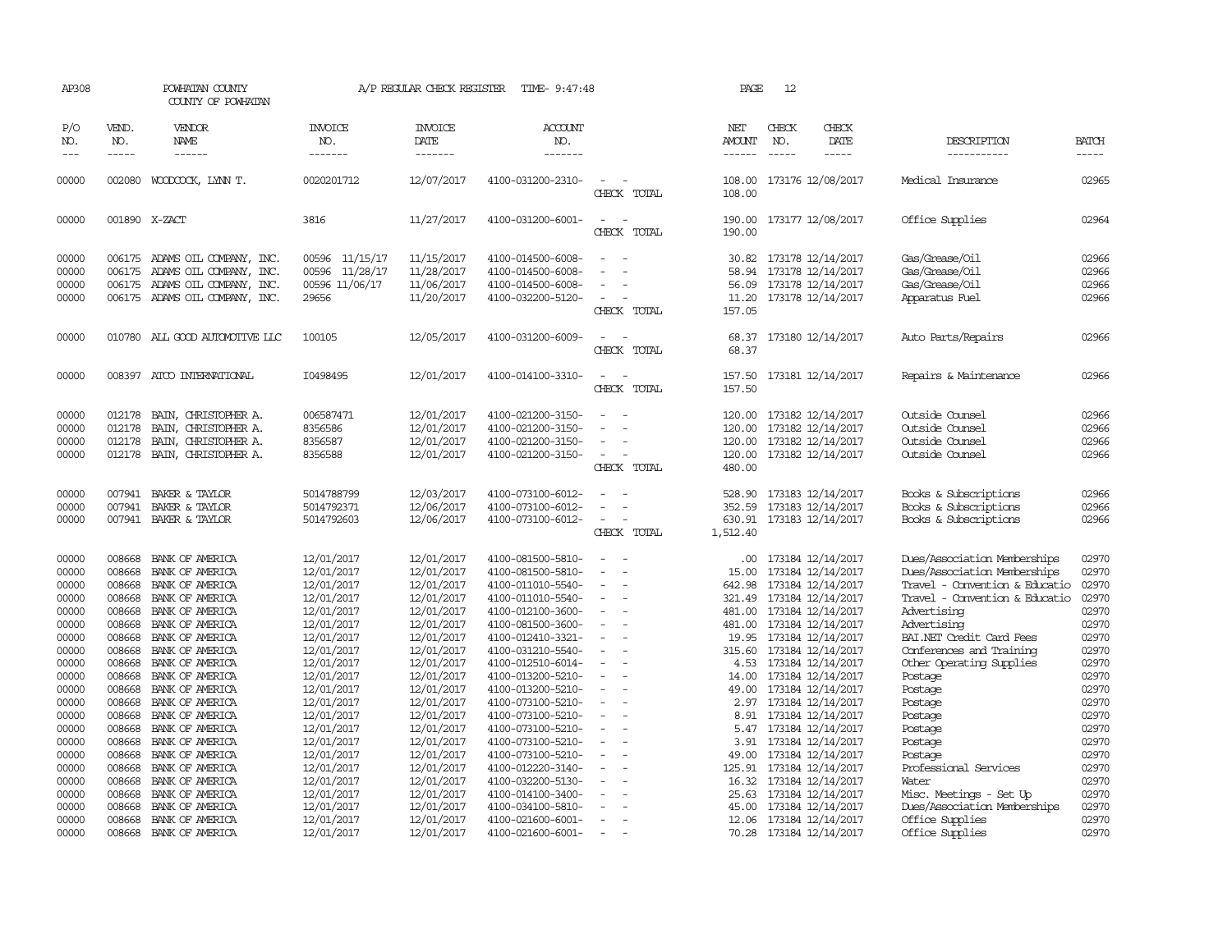| AP308               | POWHATAN COUNTY<br>COUNTY OF POWHATAN |                                           | A/P REGULAR CHECK REGISTER<br>TIME- 9:47:48 |                                           |                                        |                                                      | PAGE                                  | 12                            |                                        |                                                      |                             |
|---------------------|---------------------------------------|-------------------------------------------|---------------------------------------------|-------------------------------------------|----------------------------------------|------------------------------------------------------|---------------------------------------|-------------------------------|----------------------------------------|------------------------------------------------------|-----------------------------|
| P/O<br>NO.<br>$---$ | VEND.<br>NO.<br>$- - - - -$           | VENDOR<br>NAME<br>$- - - - - -$           | <b>INVOICE</b><br>NO.<br>-------            | <b>INVOICE</b><br><b>DATE</b><br>-------- | <b>ACCOUNT</b><br>NO.<br>-------       |                                                      | NET<br><b>AMOUNT</b><br>$- - - - - -$ | CHECK<br>NO.<br>$\frac{1}{2}$ | CHECK<br>DATE<br>-----                 | DESCRIPTION<br>-----------                           | <b>BATCH</b><br>$- - - - -$ |
|                     |                                       |                                           |                                             |                                           |                                        |                                                      |                                       |                               |                                        |                                                      |                             |
| 00000               | 002080                                | WOODCOCK, LYNN T.                         | 0020201712                                  | 12/07/2017                                | 4100-031200-2310-                      | $\sim$<br>CHECK TOTAL                                | 108.00<br>108.00                      |                               | 173176 12/08/2017                      | Medical Insurance                                    | 02965                       |
| 00000               |                                       | 001890 X-ZACT                             | 3816                                        | 11/27/2017                                | 4100-031200-6001-                      | CHECK TOTAL                                          | 190.00                                |                               | 190.00 173177 12/08/2017               | Office Supplies                                      | 02964                       |
| 00000               |                                       | 006175 ADAMS OIL COMPANY, INC.            | 00596 11/15/17                              | 11/15/2017                                | 4100-014500-6008-                      |                                                      | 30.82                                 |                               | 173178 12/14/2017                      | Gas/Grease/Oil                                       | 02966                       |
| 00000               | 006175                                | ADAMS OIL COMPANY, INC.                   | 00596 11/28/17                              | 11/28/2017                                | 4100-014500-6008-                      |                                                      | 58.94                                 |                               | 173178 12/14/2017                      | Gas/Grease/Oil                                       | 02966                       |
| 00000               | 006175                                | ADAMS OIL COMPANY, INC.                   | 00596 11/06/17                              | 11/06/2017                                | 4100-014500-6008-                      |                                                      | 56.09                                 |                               | 173178 12/14/2017                      | Gas/Grease/Oil                                       | 02966                       |
| 00000               |                                       | 006175 ADAMS OIL COMPANY, INC.            | 29656                                       | 11/20/2017                                | 4100-032200-5120-                      | CHECK TOTAL                                          | 157.05                                |                               | 11.20 173178 12/14/2017                | Apparatus Fuel                                       | 02966                       |
|                     |                                       |                                           |                                             |                                           |                                        |                                                      |                                       |                               |                                        |                                                      |                             |
| 00000               |                                       | 010780 ALL GOOD AUTOMOTIVE LLC            | 100105                                      | 12/05/2017                                | 4100-031200-6009-                      |                                                      | 68.37                                 |                               | 173180 12/14/2017                      | Auto Parts/Repairs                                   | 02966                       |
|                     |                                       |                                           |                                             |                                           |                                        | CHECK TOTAL                                          | 68.37                                 |                               |                                        |                                                      |                             |
| 00000               |                                       | 008397 ATCO INTERNATIONAL                 | I0498495                                    | 12/01/2017                                | 4100-014100-3310-                      |                                                      | 157.50                                |                               | 173181 12/14/2017                      | Repairs & Maintenance                                | 02966                       |
|                     |                                       |                                           |                                             |                                           |                                        | CHECK TOTAL                                          | 157.50                                |                               |                                        |                                                      |                             |
| 00000               | 012178                                | BAIN, CHRISTOPHER A.                      | 006587471                                   | 12/01/2017                                | 4100-021200-3150-                      | $\equiv$                                             | 120.00                                |                               | 173182 12/14/2017                      | Outside Counsel                                      | 02966                       |
| 00000               | 012178                                | BAIN, CHRISTOPHER A.                      | 8356586                                     | 12/01/2017                                | 4100-021200-3150-                      |                                                      | 120.00                                |                               | 173182 12/14/2017                      | Outside Counsel                                      | 02966                       |
| 00000               | 012178                                | BAIN,<br>CHRISTOPHER A.                   | 8356587                                     | 12/01/2017                                | 4100-021200-3150-                      |                                                      | 120.00                                |                               | 173182 12/14/2017                      | Outside Counsel                                      | 02966                       |
| 00000               |                                       | 012178 BAIN, CHRISTOPHER A.               | 8356588                                     | 12/01/2017                                | 4100-021200-3150-                      |                                                      | 120.00                                |                               | 173182 12/14/2017                      | Outside Counsel                                      | 02966                       |
|                     |                                       |                                           |                                             |                                           |                                        | CHECK TOTAL                                          | 480.00                                |                               |                                        |                                                      |                             |
| 00000               | 007941                                | BAKER & TAYLOR                            | 5014788799                                  | 12/03/2017                                | 4100-073100-6012-                      |                                                      | 528.90                                |                               | 173183 12/14/2017                      | Books & Subscriptions                                | 02966                       |
| 00000               | 007941                                | BAKER & TAYLOR                            | 5014792371                                  | 12/06/2017                                | 4100-073100-6012-                      | $\equiv$                                             | 352.59                                |                               | 173183 12/14/2017                      | Books & Subscriptions                                | 02966                       |
| 00000               |                                       | 007941 BAKER & TAYLOR                     | 5014792603                                  | 12/06/2017                                | 4100-073100-6012-                      |                                                      | 630.91                                |                               | 173183 12/14/2017                      | Books & Subscriptions                                | 02966                       |
|                     |                                       |                                           |                                             |                                           |                                        | CHECK TOTAL                                          | 1,512.40                              |                               |                                        |                                                      |                             |
| 00000               | 008668                                | BANK OF AMERICA                           | 12/01/2017                                  | 12/01/2017                                | 4100-081500-5810-                      | $\equiv$                                             | .00.                                  |                               | 173184 12/14/2017                      | Dues/Association Memberships                         | 02970                       |
| 00000               | 008668                                | BANK OF AMERICA                           | 12/01/2017                                  | 12/01/2017                                | 4100-081500-5810-                      | $\sim$                                               | 15.00                                 |                               | 173184 12/14/2017                      | Dues/Association Memberships                         | 02970                       |
| 00000               | 008668                                | BANK OF AMERICA                           | 12/01/2017                                  | 12/01/2017                                | 4100-011010-5540-                      |                                                      | 642.98                                |                               | 173184 12/14/2017                      | Travel - Convention & Educatio                       | 02970                       |
| 00000               |                                       | 008668 BANK OF AMERICA                    | 12/01/2017                                  | 12/01/2017                                | 4100-011010-5540-                      | $\equiv$                                             |                                       |                               | 321.49 173184 12/14/2017               | Travel - Convention & Educatio                       | 02970                       |
| 00000               | 008668                                | BANK OF AMERICA                           | 12/01/2017                                  | 12/01/2017                                | 4100-012100-3600-                      | $\equiv$                                             | 481.00                                |                               | 173184 12/14/2017                      | Advertising                                          | 02970                       |
| 00000               |                                       | 008668 BANK OF AMERICA                    | 12/01/2017                                  | 12/01/2017                                | 4100-081500-3600-                      |                                                      | 481.00                                |                               | 173184 12/14/2017                      | Advertising                                          | 02970                       |
| 00000<br>00000      | 008668                                | BANK OF AMERICA<br>008668 BANK OF AMERICA | 12/01/2017<br>12/01/2017                    | 12/01/2017<br>12/01/2017                  | 4100-012410-3321-<br>4100-031210-5540- | $\equiv$                                             | 19.95<br>315.60                       |                               | 173184 12/14/2017<br>173184 12/14/2017 | BAI.NET Credit Card Fees<br>Conferences and Training | 02970<br>02970              |
| 00000               | 008668                                | BANK OF AMERICA                           | 12/01/2017                                  | 12/01/2017                                | 4100-012510-6014-                      | $\equiv$                                             | 4.53                                  |                               | 173184 12/14/2017                      | Other Operating Supplies                             | 02970                       |
| 00000               | 008668                                | BANK OF AMERICA                           | 12/01/2017                                  | 12/01/2017                                | 4100-013200-5210-                      |                                                      | 14.00                                 |                               | 173184 12/14/2017                      | Postage                                              | 02970                       |
| 00000               | 008668                                | BANK OF AMERICA                           | 12/01/2017                                  | 12/01/2017                                | 4100-013200-5210-                      | $\equiv$                                             | 49.00                                 |                               | 173184 12/14/2017                      | Postage                                              | 02970                       |
| 00000               | 008668                                | BANK OF AMERICA                           | 12/01/2017                                  | 12/01/2017                                | 4100-073100-5210-                      | $\equiv$                                             |                                       |                               | 2.97 173184 12/14/2017                 | Postage                                              | 02970                       |
| 00000               | 008668                                | BANK OF AMERICA                           | 12/01/2017                                  | 12/01/2017                                | 4100-073100-5210-                      |                                                      | 8.91                                  |                               | 173184 12/14/2017                      | Postage                                              | 02970                       |
| 00000               | 008668                                | BANK OF AMERICA                           | 12/01/2017                                  | 12/01/2017                                | 4100-073100-5210-                      |                                                      | 5.47                                  |                               | 173184 12/14/2017                      | Postage                                              | 02970                       |
| 00000               |                                       | 008668 BANK OF AMERICA                    | 12/01/2017                                  | 12/01/2017                                | 4100-073100-5210-                      | $\overline{\phantom{a}}$<br>$\overline{\phantom{a}}$ | 3.91                                  |                               | 173184 12/14/2017                      | Postage                                              | 02970                       |
| 00000               |                                       | 008668 BANK OF AMERICA                    | 12/01/2017                                  | 12/01/2017                                | 4100-073100-5210-                      |                                                      | 49.00                                 |                               | 173184 12/14/2017                      | Postage                                              | 02970                       |
| 00000               |                                       | 008668 BANK OF AMERICA                    | 12/01/2017                                  | 12/01/2017                                | 4100-012220-3140-                      |                                                      |                                       |                               | 125.91 173184 12/14/2017               | Professional Services                                | 02970                       |
| 00000               | 008668                                | BANK OF AMERICA                           | 12/01/2017                                  | 12/01/2017                                | 4100-032200-5130-                      |                                                      | 16.32                                 |                               | 173184 12/14/2017                      | Water                                                | 02970                       |
| 00000               | 008668                                | BANK OF AMERICA                           | 12/01/2017                                  | 12/01/2017                                | 4100-014100-3400-                      |                                                      | 25.63                                 |                               | 173184 12/14/2017                      | Misc. Meetings - Set Up                              | 02970                       |
| 00000               | 008668                                | BANK OF AMERICA                           | 12/01/2017                                  | 12/01/2017                                | 4100-034100-5810-                      |                                                      | 45.00                                 |                               | 173184 12/14/2017                      | Dues/Association Memberships                         | 02970                       |
| 00000               | 008668                                | BANK OF AMERICA                           | 12/01/2017                                  | 12/01/2017                                | 4100-021600-6001-                      |                                                      | 12.06                                 |                               | 173184 12/14/2017                      | Office Supplies                                      | 02970                       |
| 00000               |                                       | 008668 BANK OF AMERICA                    | 12/01/2017                                  | 12/01/2017                                | 4100-021600-6001-                      | $\overline{\phantom{a}}$                             |                                       |                               | 70.28 173184 12/14/2017                | Office Supplies                                      | 02970                       |
|                     |                                       |                                           |                                             |                                           |                                        |                                                      |                                       |                               |                                        |                                                      |                             |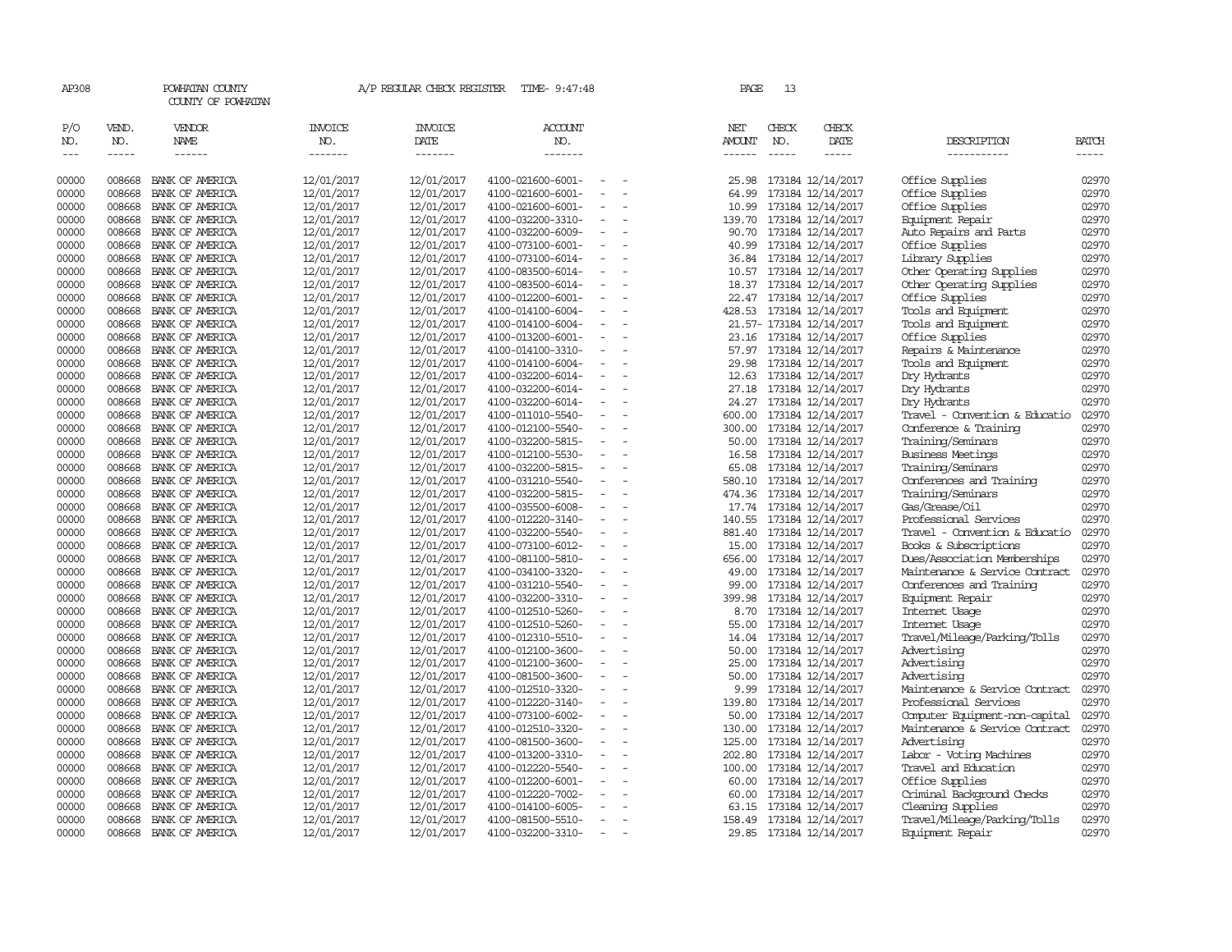| AP308                 |                             | POWHATAN COUNTY<br>COUNTY OF POWHATAN |                                  | A/P REGULAR CHECK REGISTER         | TIME- 9:47:48                          |                          | PAGE                                  | 13                            |                                              |                                |                             |
|-----------------------|-----------------------------|---------------------------------------|----------------------------------|------------------------------------|----------------------------------------|--------------------------|---------------------------------------|-------------------------------|----------------------------------------------|--------------------------------|-----------------------------|
| P/O<br>NO.<br>$- - -$ | VEND.<br>NO.<br>$- - - - -$ | VENDOR<br><b>NAME</b>                 | <b>INVOICE</b><br>NO.<br>------- | <b>INVOICE</b><br>DATE<br>-------- | <b>ACCOUNT</b><br>NO.<br>-------       |                          | NET<br><b>AMOUNT</b><br>$- - - - - -$ | CHECK<br>NO.<br>$\frac{1}{2}$ | CHECK<br>DATE<br>$- - - - -$                 | DESCRIPTION<br>-----------     | <b>BATCH</b><br>$- - - - -$ |
| 00000                 | 008668                      | BANK OF AMERICA                       | 12/01/2017                       | 12/01/2017                         | 4100-021600-6001-                      |                          | 25.98                                 |                               | 173184 12/14/2017                            | Office Supplies                | 02970                       |
| 00000                 | 008668                      | BANK OF AMERICA                       | 12/01/2017                       | 12/01/2017                         | 4100-021600-6001-                      |                          | 64.99                                 |                               | 173184 12/14/2017                            | Office Supplies                | 02970                       |
| 00000                 | 008668                      | BANK OF AMERICA                       | 12/01/2017                       | 12/01/2017                         | 4100-021600-6001-                      | $\overline{\phantom{a}}$ | 10.99                                 |                               | 173184 12/14/2017                            | Office Supplies                | 02970                       |
| 00000                 | 008668                      | BANK OF AMERICA                       | 12/01/2017                       | 12/01/2017                         | 4100-032200-3310-                      | $\equiv$                 | 139.70                                |                               | 173184 12/14/2017                            | Equipment Repair               | 02970                       |
| 00000                 | 008668                      | BANK OF AMERICA                       | 12/01/2017                       | 12/01/2017                         | 4100-032200-6009-                      | $\equiv$                 |                                       |                               | 90.70 173184 12/14/2017                      | Auto Repairs and Parts         | 02970                       |
| 00000                 | 008668                      | BANK OF AMERICA                       | 12/01/2017                       | 12/01/2017                         | 4100-073100-6001-                      | $\overline{\phantom{a}}$ | 40.99                                 |                               | 173184 12/14/2017                            | Office Supplies                | 02970                       |
| 00000                 | 008668                      | BANK OF AMERICA                       | 12/01/2017                       | 12/01/2017                         | 4100-073100-6014-                      | $\overline{\phantom{a}}$ |                                       |                               | 36.84 173184 12/14/2017                      | Library Supplies               | 02970                       |
| 00000                 | 008668                      | BANK OF AMERICA                       | 12/01/2017                       | 12/01/2017                         | 4100-083500-6014-                      |                          | 10.57                                 |                               | 173184 12/14/2017                            | Other Operating Supplies       | 02970                       |
| 00000                 | 008668                      | BANK OF AMERICA                       | 12/01/2017                       | 12/01/2017                         | 4100-083500-6014-                      | $\overline{\phantom{a}}$ |                                       |                               | 18.37 173184 12/14/2017                      | Other Operating Supplies       | 02970                       |
| 00000                 | 008668                      | BANK OF AMERICA                       | 12/01/2017                       | 12/01/2017                         | 4100-012200-6001-                      | $\overline{\phantom{a}}$ |                                       |                               | 22.47 173184 12/14/2017                      | Office Supplies                | 02970                       |
| 00000                 | 008668                      | BANK OF AMERICA                       | 12/01/2017                       | 12/01/2017                         | 4100-014100-6004-                      | $\sim$                   | 428.53                                |                               | 173184 12/14/2017                            | Tools and Equipment            | 02970                       |
| 00000                 | 008668                      | BANK OF AMERICA                       | 12/01/2017                       | 12/01/2017                         | 4100-014100-6004-                      | $\equiv$                 |                                       |                               | 21.57- 173184 12/14/2017                     | Tools and Equipment            | 02970                       |
| 00000                 | 008668                      | BANK OF AMERICA                       | 12/01/2017                       | 12/01/2017                         | 4100-013200-6001-                      | $\overline{\phantom{a}}$ |                                       |                               | 23.16 173184 12/14/2017                      | Office Supplies                | 02970                       |
| 00000                 | 008668                      | BANK OF AMERICA                       | 12/01/2017                       | 12/01/2017                         | 4100-014100-3310-                      | $\overline{\phantom{a}}$ | 57.97                                 |                               | 173184 12/14/2017                            | Repairs & Maintenance          | 02970                       |
| 00000                 | 008668                      | BANK OF AMERICA                       | 12/01/2017                       | 12/01/2017                         | 4100-014100-6004-                      | $\overline{\phantom{a}}$ | 29.98                                 |                               | 173184 12/14/2017                            | Tools and Equipment            | 02970                       |
| 00000<br>00000        | 008668<br>008668            | BANK OF AMERICA<br>BANK OF AMERICA    | 12/01/2017                       | 12/01/2017<br>12/01/2017           | 4100-032200-6014-<br>4100-032200-6014- | $\overline{\phantom{a}}$ | 12.63                                 |                               | 173184 12/14/2017                            | Dry Hydrants<br>Dry Hydrants   | 02970<br>02970              |
| 00000                 | 008668                      | BANK OF AMERICA                       | 12/01/2017<br>12/01/2017         | 12/01/2017                         | 4100-032200-6014-                      | $\equiv$                 | 24.27                                 |                               | 27.18 173184 12/14/2017<br>173184 12/14/2017 | Dry Hydrants                   | 02970                       |
| 00000                 | 008668                      | BANK OF AMERICA                       | 12/01/2017                       | 12/01/2017                         | 4100-011010-5540-                      | $\equiv$                 | 600.00                                |                               | 173184 12/14/2017                            | Travel - Convention & Educatio | 02970                       |
| 00000                 | 008668                      | BANK OF AMERICA                       | 12/01/2017                       | 12/01/2017                         | 4100-012100-5540-                      |                          | 300.00                                |                               | 173184 12/14/2017                            | Conference & Training          | 02970                       |
| 00000                 | 008668                      | BANK OF AMERICA                       | 12/01/2017                       | 12/01/2017                         | 4100-032200-5815-                      | $\overline{\phantom{a}}$ | 50.00                                 |                               | 173184 12/14/2017                            | Training/Seminars              | 02970                       |
| 00000                 | 008668                      | BANK OF AMERICA                       | 12/01/2017                       | 12/01/2017                         | 4100-012100-5530-                      | $\overline{\phantom{a}}$ | 16.58                                 |                               | 173184 12/14/2017                            | <b>Business Meetings</b>       | 02970                       |
| 00000                 | 008668                      | BANK OF AMERICA                       | 12/01/2017                       | 12/01/2017                         | 4100-032200-5815-                      |                          | 65.08                                 |                               | 173184 12/14/2017                            | Training/Seminars              | 02970                       |
| 00000                 | 008668                      | BANK OF AMERICA                       | 12/01/2017                       | 12/01/2017                         | 4100-031210-5540-                      | $\equiv$                 |                                       |                               | 580.10 173184 12/14/2017                     | Conferences and Training       | 02970                       |
| 00000                 | 008668                      | BANK OF AMERICA                       | 12/01/2017                       | 12/01/2017                         | 4100-032200-5815-                      | $\overline{\phantom{a}}$ | 474.36                                |                               | 173184 12/14/2017                            | Training/Seminars              | 02970                       |
| 00000                 | 008668                      | BANK OF AMERICA                       | 12/01/2017                       | 12/01/2017                         | 4100-035500-6008-                      | $\equiv$                 |                                       |                               | 17.74 173184 12/14/2017                      | Gas/Grease/Oil                 | 02970                       |
| 00000                 | 008668                      | BANK OF AMERICA                       | 12/01/2017                       | 12/01/2017                         | 4100-012220-3140-                      | $\equiv$                 | 140.55                                |                               | 173184 12/14/2017                            | Professional Services          | 02970                       |
| 00000                 | 008668                      | BANK OF AMERICA                       | 12/01/2017                       | 12/01/2017                         | 4100-032200-5540-                      | $\overline{\phantom{a}}$ | 881.40                                |                               | 173184 12/14/2017                            | Travel - Convention & Educatio | 02970                       |
| 00000                 | 008668                      | BANK OF AMERICA                       | 12/01/2017                       | 12/01/2017                         | 4100-073100-6012-                      | $\overline{\phantom{a}}$ | 15.00                                 |                               | 173184 12/14/2017                            | Books & Subscriptions          | 02970                       |
| 00000                 | 008668                      | BANK OF AMERICA                       | 12/01/2017                       | 12/01/2017                         | 4100-081100-5810-                      |                          | 656.00                                |                               | 173184 12/14/2017                            | Dues/Association Memberships   | 02970                       |
| 00000                 | 008668                      | BANK OF AMERICA                       | 12/01/2017                       | 12/01/2017                         | 4100-034100-3320-                      | $\overline{\phantom{a}}$ | 49.00                                 |                               | 173184 12/14/2017                            | Maintenance & Service Contract | 02970                       |
| 00000                 | 008668                      | BANK OF AMERICA                       | 12/01/2017                       | 12/01/2017                         | 4100-031210-5540-                      | $\overline{\phantom{a}}$ | 99.00                                 |                               | 173184 12/14/2017                            | Conferences and Training       | 02970                       |
| 00000                 | 008668                      | BANK OF AMERICA                       | 12/01/2017                       | 12/01/2017                         | 4100-032200-3310-                      | $\equiv$                 | 399.98                                |                               | 173184 12/14/2017                            | Equipment Repair               | 02970                       |
| 00000                 | 008668                      | BANK OF AMERICA                       | 12/01/2017                       | 12/01/2017                         | 4100-012510-5260-                      | $\overline{\phantom{a}}$ | 8.70                                  |                               | 173184 12/14/2017                            | Internet Usage                 | 02970                       |
| 00000                 | 008668                      | BANK OF AMERICA                       | 12/01/2017                       | 12/01/2017                         | 4100-012510-5260-                      | $\overline{\phantom{a}}$ | 55.00                                 |                               | 173184 12/14/2017                            | Internet Usage                 | 02970                       |
| 00000                 | 008668                      | BANK OF AMERICA                       | 12/01/2017                       | 12/01/2017                         | 4100-012310-5510-                      | $\overline{\phantom{a}}$ | 14.04                                 |                               | 173184 12/14/2017                            | Travel/Mileage/Parking/Tolls   | 02970                       |
| 00000                 | 008668                      | BANK OF AMERICA                       | 12/01/2017                       | 12/01/2017                         | 4100-012100-3600-                      |                          | 50.00                                 |                               | 173184 12/14/2017                            | Advertising                    | 02970                       |
| 00000                 | 008668                      | BANK OF AMERICA                       | 12/01/2017                       | 12/01/2017                         | 4100-012100-3600-                      | $\overline{\phantom{a}}$ | 25.00                                 |                               | 173184 12/14/2017                            | Advertising                    | 02970                       |
| 00000                 | 008668                      | BANK OF AMERICA                       | 12/01/2017                       | 12/01/2017                         | 4100-081500-3600-                      | $\equiv$                 | 50.00                                 |                               | 173184 12/14/2017                            | Advertising                    | 02970                       |
| 00000                 | 008668                      | BANK OF AMERICA                       | 12/01/2017                       | 12/01/2017                         | 4100-012510-3320-                      | $\equiv$                 | 9.99                                  |                               | 173184 12/14/2017                            | Maintenance & Service Contract | 02970                       |
| 00000                 | 008668                      | BANK OF AMERICA                       | 12/01/2017                       | 12/01/2017                         | 4100-012220-3140-                      | $\overline{\phantom{a}}$ | 139.80                                |                               | 173184 12/14/2017                            | Professional Services          | 02970                       |
| 00000                 | 008668                      | BANK OF AMERICA                       | 12/01/2017                       | 12/01/2017                         | 4100-073100-6002-                      | $\equiv$                 | 50.00                                 |                               | 173184 12/14/2017                            | Computer Equipment-non-capital | 02970                       |
| 00000                 | 008668                      | BANK OF AMERICA                       | 12/01/2017                       | 12/01/2017                         | 4100-012510-3320-                      | $\overline{\phantom{a}}$ | 130.00                                |                               | 173184 12/14/2017                            | Maintenance & Service Contract | 02970                       |
| 00000                 | 008668                      | BANK OF AMERICA                       | 12/01/2017                       | 12/01/2017                         | 4100-081500-3600-                      |                          | 125.00                                |                               | 173184 12/14/2017                            | Advertising                    | 02970                       |
| 00000                 | 008668                      | BANK OF AMERICA                       | 12/01/2017                       | 12/01/2017                         | 4100-013200-3310-                      | $\overline{\phantom{a}}$ | 202.80                                |                               | 173184 12/14/2017                            | Labor - Voting Machines        | 02970                       |
| 00000                 | 008668                      | BANK OF AMERICA                       | 12/01/2017                       | 12/01/2017                         | 4100-012220-5540-                      | $\equiv$                 | 100.00                                |                               | 173184 12/14/2017                            | Travel and Education           | 02970                       |
| 00000                 | 008668                      | BANK OF AMERICA                       | 12/01/2017                       | 12/01/2017                         | 4100-012200-6001-                      | $\overline{\phantom{a}}$ | 60.00                                 |                               | 173184 12/14/2017                            | Office Supplies                | 02970                       |
| 00000                 | 008668                      | BANK OF AMERICA                       | 12/01/2017                       | 12/01/2017                         | 4100-012220-7002-                      | $\overline{\phantom{a}}$ | 60.00                                 |                               | 173184 12/14/2017                            | Criminal Background Checks     | 02970                       |
| 00000                 | 008668                      | BANK OF AMERICA                       | 12/01/2017                       | 12/01/2017                         | 4100-014100-6005-                      | $\overline{\phantom{a}}$ | 63.15                                 |                               | 173184 12/14/2017                            | Cleaning Supplies              | 02970                       |
| 00000                 | 008668                      | BANK OF AMERICA                       | 12/01/2017                       | 12/01/2017                         | 4100-081500-5510-                      | $\overline{\phantom{a}}$ | 158.49                                |                               | 173184 12/14/2017                            | Travel/Mileage/Parking/Tolls   | 02970                       |
| 00000                 | 008668                      | BANK OF AMERICA                       | 12/01/2017                       | 12/01/2017                         | 4100-032200-3310-                      | $\sim$                   |                                       |                               | 29.85 173184 12/14/2017                      | Equipment Repair               | 02970                       |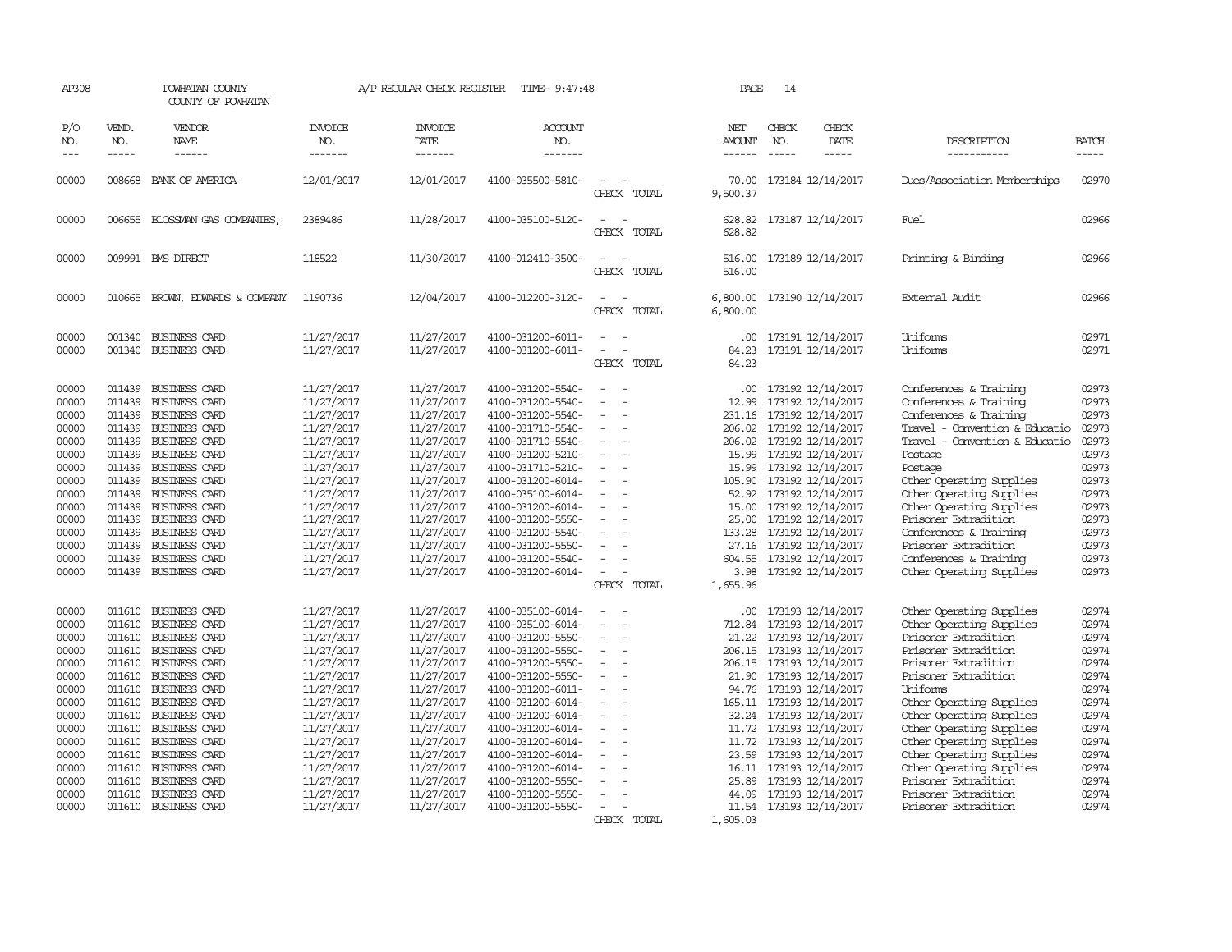| AP308                                                                                                                                        |                                                                              | POWHATAN COUNTY<br>COUNTY OF POWHATAN                                                                                                                                                                                                                                                                                                                                                 |                                                                                                                                                                                                                              | A/P REGULAR CHECK REGISTER                                                                                                                                                                                                   | TIME- 9:47:48                                                                                                                                                                                                                                                                                                                                |                                                                                                                                                                    | PAGE                                                                                              | 14                            |                                                                                                                                                                                                                                                                                                                                                                             |                                                                                                                                                                                                                                                                                                                                                                                                                  |                                                                                                                                              |
|----------------------------------------------------------------------------------------------------------------------------------------------|------------------------------------------------------------------------------|---------------------------------------------------------------------------------------------------------------------------------------------------------------------------------------------------------------------------------------------------------------------------------------------------------------------------------------------------------------------------------------|------------------------------------------------------------------------------------------------------------------------------------------------------------------------------------------------------------------------------|------------------------------------------------------------------------------------------------------------------------------------------------------------------------------------------------------------------------------|----------------------------------------------------------------------------------------------------------------------------------------------------------------------------------------------------------------------------------------------------------------------------------------------------------------------------------------------|--------------------------------------------------------------------------------------------------------------------------------------------------------------------|---------------------------------------------------------------------------------------------------|-------------------------------|-----------------------------------------------------------------------------------------------------------------------------------------------------------------------------------------------------------------------------------------------------------------------------------------------------------------------------------------------------------------------------|------------------------------------------------------------------------------------------------------------------------------------------------------------------------------------------------------------------------------------------------------------------------------------------------------------------------------------------------------------------------------------------------------------------|----------------------------------------------------------------------------------------------------------------------------------------------|
| P/O<br>NO.<br>$\frac{1}{2}$                                                                                                                  | VEND.<br>NO.<br>$- - - - -$                                                  | <b>VENDOR</b><br>NAME<br>------                                                                                                                                                                                                                                                                                                                                                       | <b>INVOICE</b><br>NO.<br>-------                                                                                                                                                                                             | <b>INVOICE</b><br>DATE<br>-------                                                                                                                                                                                            | ACCOUNT<br>NO.<br>-------                                                                                                                                                                                                                                                                                                                    |                                                                                                                                                                    | NET<br>AMOUNT<br>------                                                                           | CHECK<br>NO.<br>$\frac{1}{2}$ | CHECK<br>DATE<br>$- - - - -$                                                                                                                                                                                                                                                                                                                                                | DESCRIPTION<br>-----------                                                                                                                                                                                                                                                                                                                                                                                       | <b>BATCH</b><br>$- - - - -$                                                                                                                  |
| 00000                                                                                                                                        |                                                                              | 008668 BANK OF AMERICA                                                                                                                                                                                                                                                                                                                                                                | 12/01/2017                                                                                                                                                                                                                   | 12/01/2017                                                                                                                                                                                                                   | 4100-035500-5810-                                                                                                                                                                                                                                                                                                                            | CHECK TOTAL                                                                                                                                                        | 70.00<br>9,500.37                                                                                 |                               | 173184 12/14/2017                                                                                                                                                                                                                                                                                                                                                           | Dues/Association Memberships                                                                                                                                                                                                                                                                                                                                                                                     | 02970                                                                                                                                        |
| 00000                                                                                                                                        |                                                                              | 006655 BLOSSMAN GAS COMPANIES                                                                                                                                                                                                                                                                                                                                                         | 2389486                                                                                                                                                                                                                      | 11/28/2017                                                                                                                                                                                                                   | 4100-035100-5120-                                                                                                                                                                                                                                                                                                                            | CHECK TOTAL                                                                                                                                                        | 628.82                                                                                            |                               | 628.82 173187 12/14/2017                                                                                                                                                                                                                                                                                                                                                    | Fuel                                                                                                                                                                                                                                                                                                                                                                                                             | 02966                                                                                                                                        |
| 00000                                                                                                                                        |                                                                              | 009991 BMS DIRECT                                                                                                                                                                                                                                                                                                                                                                     | 118522                                                                                                                                                                                                                       | 11/30/2017                                                                                                                                                                                                                   | 4100-012410-3500-                                                                                                                                                                                                                                                                                                                            | $\equiv$<br>CHECK TOTAL                                                                                                                                            | 516.00<br>516.00                                                                                  |                               | 173189 12/14/2017                                                                                                                                                                                                                                                                                                                                                           | Printing & Binding                                                                                                                                                                                                                                                                                                                                                                                               | 02966                                                                                                                                        |
| 00000                                                                                                                                        | 010665                                                                       | BROWN, EDWARDS & COMPANY                                                                                                                                                                                                                                                                                                                                                              | 1190736                                                                                                                                                                                                                      | 12/04/2017                                                                                                                                                                                                                   | 4100-012200-3120-                                                                                                                                                                                                                                                                                                                            | $\equiv$<br>CHECK TOTAL                                                                                                                                            | 6,800.00                                                                                          |                               | 6,800.00 173190 12/14/2017                                                                                                                                                                                                                                                                                                                                                  | <b>External Audit</b>                                                                                                                                                                                                                                                                                                                                                                                            | 02966                                                                                                                                        |
| 00000<br>00000                                                                                                                               | 001340                                                                       | <b>BUSINESS CARD</b><br>001340 BUSINESS CARD                                                                                                                                                                                                                                                                                                                                          | 11/27/2017<br>11/27/2017                                                                                                                                                                                                     | 11/27/2017<br>11/27/2017                                                                                                                                                                                                     | 4100-031200-6011-<br>4100-031200-6011-                                                                                                                                                                                                                                                                                                       | $\sim$<br>CHECK TOTAL                                                                                                                                              | .00<br>84.23<br>84.23                                                                             |                               | 173191 12/14/2017<br>173191 12/14/2017                                                                                                                                                                                                                                                                                                                                      | Uniforms<br>Uniforms                                                                                                                                                                                                                                                                                                                                                                                             | 02971<br>02971                                                                                                                               |
| 00000<br>00000<br>00000<br>00000<br>00000<br>00000<br>00000<br>00000<br>00000<br>00000<br>00000<br>00000                                     | 011439<br>011439                                                             | 011439 BUSINESS CARD<br>BUSINESS CARD<br>011439 BUSINESS CARD<br>011439 BUSINESS CARD<br>011439 BUSINESS CARD<br>011439 BUSINESS CARD<br>011439 BUSINESS CARD<br>011439 BUSINESS CARD<br>011439 BUSINESS CARD<br><b>BUSINESS CARD</b><br>011439 BUSINESS CARD<br>011439 BUSINESS CARD                                                                                                 | 11/27/2017<br>11/27/2017<br>11/27/2017<br>11/27/2017<br>11/27/2017<br>11/27/2017<br>11/27/2017<br>11/27/2017<br>11/27/2017<br>11/27/2017<br>11/27/2017<br>11/27/2017                                                         | 11/27/2017<br>11/27/2017<br>11/27/2017<br>11/27/2017<br>11/27/2017<br>11/27/2017<br>11/27/2017<br>11/27/2017<br>11/27/2017<br>11/27/2017<br>11/27/2017<br>11/27/2017                                                         | 4100-031200-5540-<br>4100-031200-5540-<br>4100-031200-5540-<br>4100-031710-5540-<br>4100-031710-5540-<br>4100-031200-5210-<br>4100-031710-5210-<br>4100-031200-6014-<br>4100-035100-6014-<br>4100-031200-6014-<br>4100-031200-5550-<br>4100-031200-5540-                                                                                     | $\equiv$<br>$\sim$<br>$\sim$<br>$\sim$<br>$\overline{\phantom{a}}$<br>$\equiv$<br>$\equiv$<br>$\sim$<br>$\equiv$<br>$\overline{\phantom{a}}$<br>$\equiv$           | .00.<br>12.99<br>231.16<br>15.99<br>105.90<br>15.00<br>25.00                                      |                               | 173192 12/14/2017<br>173192 12/14/2017<br>173192 12/14/2017<br>206.02 173192 12/14/2017<br>206.02 173192 12/14/2017<br>15.99 173192 12/14/2017<br>173192 12/14/2017<br>173192 12/14/2017<br>52.92 173192 12/14/2017<br>173192 12/14/2017<br>173192 12/14/2017<br>133.28 173192 12/14/2017                                                                                   | Conferences & Training<br>Conferences & Training<br>Conferences & Training<br>Travel - Convention & Educatio<br>Travel - Convention & Educatio<br>Postage<br>Postage<br>Other Operating Supplies<br>Other Operating Supplies<br>Other Operating Supplies<br>Prisoner Extradition<br>Conferences & Training                                                                                                       | 02973<br>02973<br>02973<br>02973<br>02973<br>02973<br>02973<br>02973<br>02973<br>02973<br>02973<br>02973                                     |
| 00000<br>00000<br>00000                                                                                                                      |                                                                              | 011439 BUSINESS CARD<br>011439 BUSINESS CARD<br>011439 BUSINESS CARD                                                                                                                                                                                                                                                                                                                  | 11/27/2017<br>11/27/2017<br>11/27/2017                                                                                                                                                                                       | 11/27/2017<br>11/27/2017<br>11/27/2017                                                                                                                                                                                       | 4100-031200-5550-<br>4100-031200-5540-<br>4100-031200-6014-                                                                                                                                                                                                                                                                                  | $\overline{\phantom{a}}$<br>$\sim$<br>$\sim$<br>CHECK TOTAL                                                                                                        | 604.55<br>1,655.96                                                                                |                               | 27.16 173192 12/14/2017<br>173192 12/14/2017<br>3.98 173192 12/14/2017                                                                                                                                                                                                                                                                                                      | Prisoner Extradition<br>Conferences & Training<br>Other Operating Supplies                                                                                                                                                                                                                                                                                                                                       | 02973<br>02973<br>02973                                                                                                                      |
| 00000<br>00000<br>00000<br>00000<br>00000<br>00000<br>00000<br>00000<br>00000<br>00000<br>00000<br>00000<br>00000<br>00000<br>00000<br>00000 | 011610<br>011610<br>011610<br>011610<br>011610<br>011610<br>011610<br>011610 | <b>BUSINESS CARD</b><br>011610 BUSINESS CARD<br><b>BUSINESS CARD</b><br>011610 BUSINESS CARD<br>011610 BUSINESS CARD<br><b>BUSINESS CARD</b><br>011610 BUSINESS CARD<br>BUSINESS CARD<br><b>BUSINESS CARD</b><br>011610 BUSINESS CARD<br>011610 BUSINESS CARD<br><b>BUSINESS CARD</b><br><b>BUSINESS CARD</b><br>011610 BUSINESS CARD<br><b>BUSINESS CARD</b><br>011610 BUSINESS CARD | 11/27/2017<br>11/27/2017<br>11/27/2017<br>11/27/2017<br>11/27/2017<br>11/27/2017<br>11/27/2017<br>11/27/2017<br>11/27/2017<br>11/27/2017<br>11/27/2017<br>11/27/2017<br>11/27/2017<br>11/27/2017<br>11/27/2017<br>11/27/2017 | 11/27/2017<br>11/27/2017<br>11/27/2017<br>11/27/2017<br>11/27/2017<br>11/27/2017<br>11/27/2017<br>11/27/2017<br>11/27/2017<br>11/27/2017<br>11/27/2017<br>11/27/2017<br>11/27/2017<br>11/27/2017<br>11/27/2017<br>11/27/2017 | 4100-035100-6014-<br>4100-035100-6014-<br>4100-031200-5550-<br>4100-031200-5550-<br>4100-031200-5550-<br>4100-031200-5550-<br>4100-031200-6011-<br>4100-031200-6014-<br>4100-031200-6014-<br>4100-031200-6014-<br>4100-031200-6014-<br>4100-031200-6014-<br>4100-031200-6014-<br>4100-031200-5550-<br>4100-031200-5550-<br>4100-031200-5550- | $\overline{\phantom{a}}$<br>$\overline{\phantom{a}}$<br>$\sim$<br>$\sim$<br>$\overline{\phantom{a}}$<br>$\overline{\phantom{a}}$<br>$\sim$<br>$\equiv$<br>$\equiv$ | .00.<br>712.84<br>21.22<br>206.15<br>21.90<br>94.76<br>165.11<br>11.72<br>23.59<br>25.89<br>44.09 |                               | 173193 12/14/2017<br>173193 12/14/2017<br>173193 12/14/2017<br>173193 12/14/2017<br>206.15 173193 12/14/2017<br>173193 12/14/2017<br>173193 12/14/2017<br>173193 12/14/2017<br>32.24 173193 12/14/2017<br>11.72 173193 12/14/2017<br>173193 12/14/2017<br>173193 12/14/2017<br>16.11 173193 12/14/2017<br>173193 12/14/2017<br>173193 12/14/2017<br>11.54 173193 12/14/2017 | Other Operating Supplies<br>Other Operating Supplies<br>Prisoner Extradition<br>Prisoner Extradition<br>Prisoner Extradition<br>Prisoner Extradition<br>Uniforms<br>Other Operating Supplies<br>Other Operating Supplies<br>Other Operating Supplies<br>Other Operating Supplies<br>Other Operating Supplies<br>Other Operating Supplies<br>Prisoner Extradition<br>Prisoner Extradition<br>Prisoner Extradition | 02974<br>02974<br>02974<br>02974<br>02974<br>02974<br>02974<br>02974<br>02974<br>02974<br>02974<br>02974<br>02974<br>02974<br>02974<br>02974 |
|                                                                                                                                              |                                                                              |                                                                                                                                                                                                                                                                                                                                                                                       |                                                                                                                                                                                                                              |                                                                                                                                                                                                                              |                                                                                                                                                                                                                                                                                                                                              | CHECK TOTAL                                                                                                                                                        | 1,605.03                                                                                          |                               |                                                                                                                                                                                                                                                                                                                                                                             |                                                                                                                                                                                                                                                                                                                                                                                                                  |                                                                                                                                              |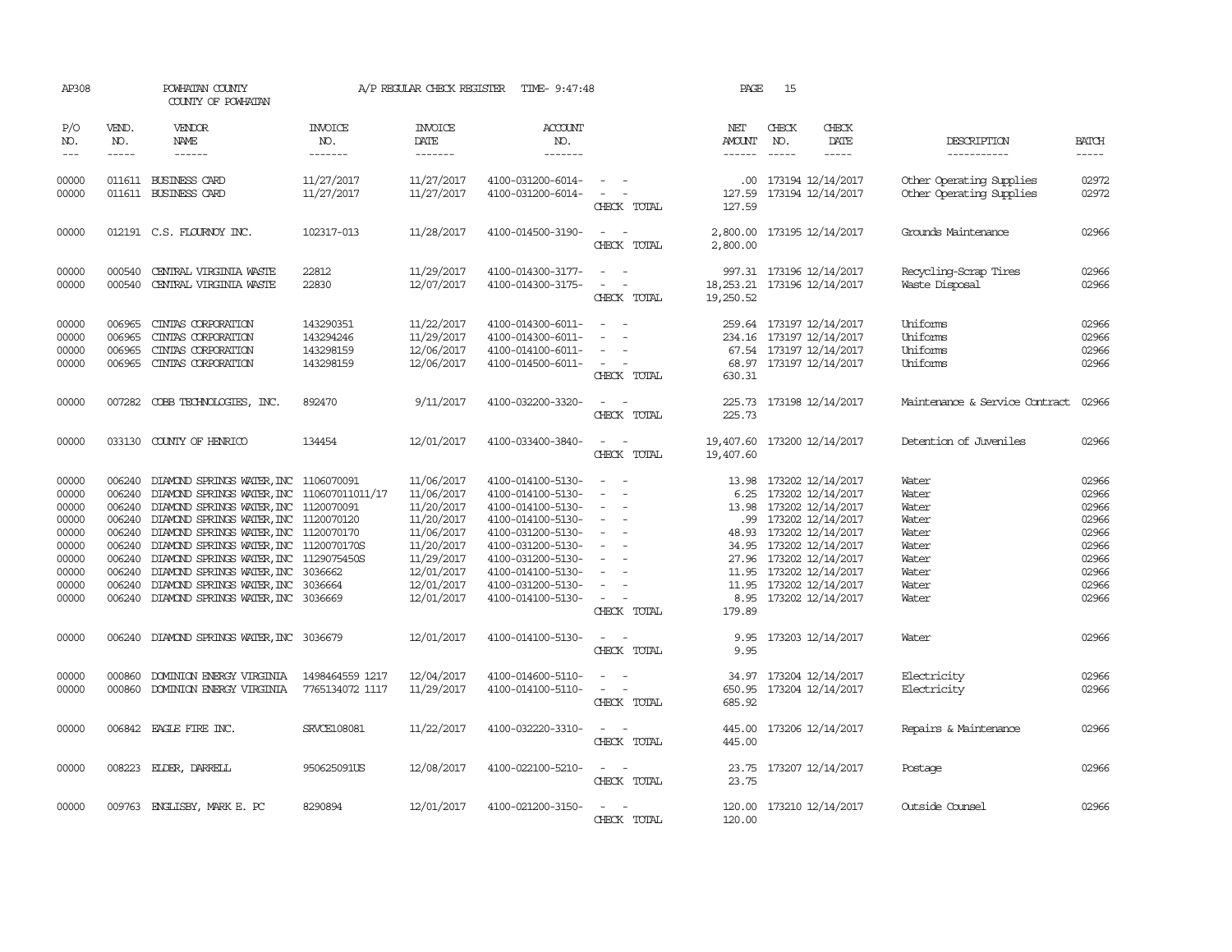| AP308                                                                                  |                                                                                                                                                                                                                                                                                                                                                                                                                                                                                                     | POWHATAN COUNTY<br>COUNTY OF POWHATAN                                                                                                                                                                                                                                                                                                                                                                                                                                              |                                                  | A/P REGULAR CHECK REGISTER                                                                                                               | TIME- 9:47:48                                                                                                                                                                                                  |                                                                                                                             | PAGE                                       | 15                            |                                                                                                                                                                                                                                                                  |                                                                                        |                                                                                        |
|----------------------------------------------------------------------------------------|-----------------------------------------------------------------------------------------------------------------------------------------------------------------------------------------------------------------------------------------------------------------------------------------------------------------------------------------------------------------------------------------------------------------------------------------------------------------------------------------------------|------------------------------------------------------------------------------------------------------------------------------------------------------------------------------------------------------------------------------------------------------------------------------------------------------------------------------------------------------------------------------------------------------------------------------------------------------------------------------------|--------------------------------------------------|------------------------------------------------------------------------------------------------------------------------------------------|----------------------------------------------------------------------------------------------------------------------------------------------------------------------------------------------------------------|-----------------------------------------------------------------------------------------------------------------------------|--------------------------------------------|-------------------------------|------------------------------------------------------------------------------------------------------------------------------------------------------------------------------------------------------------------------------------------------------------------|----------------------------------------------------------------------------------------|----------------------------------------------------------------------------------------|
| P/O<br>NO.<br>$---$                                                                    | VEND.<br>NO.<br>$\begin{tabular}{ccccc} \multicolumn{2}{c}{} & \multicolumn{2}{c}{} & \multicolumn{2}{c}{} & \multicolumn{2}{c}{} & \multicolumn{2}{c}{} & \multicolumn{2}{c}{} & \multicolumn{2}{c}{} & \multicolumn{2}{c}{} & \multicolumn{2}{c}{} & \multicolumn{2}{c}{} & \multicolumn{2}{c}{} & \multicolumn{2}{c}{} & \multicolumn{2}{c}{} & \multicolumn{2}{c}{} & \multicolumn{2}{c}{} & \multicolumn{2}{c}{} & \multicolumn{2}{c}{} & \multicolumn{2}{c}{} & \multicolumn{2}{c}{} & \mult$ | VENDOR<br>NAME<br>$\begin{tabular}{ccccc} \multicolumn{2}{c }{\multicolumn{2}{c }{\multicolumn{2}{c }{\multicolumn{2}{c}}{\hspace{-2.2cm}}}} \multicolumn{2}{c }{\end{tabular}} \end{tabular} \begin{tabular}{c c } \multicolumn{2}{c }{\multicolumn{2}{c }{\hspace{-2.2cm}}\hspace{-2.2cm}}}} \multicolumn{2}{c }{\end{tabular}} \end{tabular} \begin{tabular}{c c }{\multicolumn{2}{c }{\hspace{-2.2cm}}\hspace{-2.2cm}}}\hspace{-2.2cm}\multicolumn{2}{c }{\hspace{-2.2cm}}\hs$ | <b>INVOICE</b><br>NO.<br>-------                 | <b>INVOICE</b><br>DATE<br>-------                                                                                                        | <b>ACCOUNT</b><br>NO.<br>-------                                                                                                                                                                               |                                                                                                                             | NET<br>AMOUNT<br>------                    | CHECK<br>NO.<br>$\frac{1}{2}$ | CHECK<br>DATE<br>$\cdots \cdots \cdots$                                                                                                                                                                                                                          | DESCRIPTION<br>-----------                                                             | <b>BATCH</b><br>-----                                                                  |
| 00000<br>00000                                                                         |                                                                                                                                                                                                                                                                                                                                                                                                                                                                                                     | 011611 BUSINESS CARD<br>011611 BUSINESS CARD                                                                                                                                                                                                                                                                                                                                                                                                                                       | 11/27/2017<br>11/27/2017                         | 11/27/2017<br>11/27/2017                                                                                                                 | 4100-031200-6014-<br>4100-031200-6014-                                                                                                                                                                         | $\sim$<br>$\sim$<br>CHECK TOTAL                                                                                             | 127.59<br>127.59                           |                               | .00 173194 12/14/2017<br>173194 12/14/2017                                                                                                                                                                                                                       | Other Operating Supplies<br>Other Operating Supplies                                   | 02972<br>02972                                                                         |
| 00000                                                                                  |                                                                                                                                                                                                                                                                                                                                                                                                                                                                                                     | 012191 C.S. FLOURNOY INC.                                                                                                                                                                                                                                                                                                                                                                                                                                                          | 102317-013                                       | 11/28/2017                                                                                                                               | 4100-014500-3190-                                                                                                                                                                                              | $\sim$ 100 $\sim$<br>CHECK TOTAL                                                                                            | 2,800.00                                   |                               | 2,800.00 173195 12/14/2017                                                                                                                                                                                                                                       | Grounds Maintenance                                                                    | 02966                                                                                  |
| 00000<br>00000                                                                         | 000540                                                                                                                                                                                                                                                                                                                                                                                                                                                                                              | CENTRAL VIRGINIA WASTE<br>000540 CENTRAL VIRGINIA WASTE                                                                                                                                                                                                                                                                                                                                                                                                                            | 22812<br>22830                                   | 11/29/2017<br>12/07/2017                                                                                                                 | 4100-014300-3177-<br>4100-014300-3175-                                                                                                                                                                         | $\equiv$<br>CHECK TOTAL                                                                                                     | 18, 253. 21 173196 12/14/2017<br>19,250.52 |                               | 997.31 173196 12/14/2017                                                                                                                                                                                                                                         | Recycling-Scrap Tires<br>Waste Disposal                                                | 02966<br>02966                                                                         |
| 00000<br>00000<br>00000<br>00000                                                       | 006965<br>006965<br>006965<br>006965                                                                                                                                                                                                                                                                                                                                                                                                                                                                | CINTAS CORPORATION<br>CINIAS CORPORATION<br>CINIAS CORPORATION<br>CINIAS CORPORATION                                                                                                                                                                                                                                                                                                                                                                                               | 143290351<br>143294246<br>143298159<br>143298159 | 11/22/2017<br>11/29/2017<br>12/06/2017<br>12/06/2017                                                                                     | 4100-014300-6011-<br>4100-014300-6011-<br>4100-014100-6011-<br>4100-014500-6011-                                                                                                                               | $\sim$<br>$\sim$<br>$\overline{\phantom{a}}$<br>CHECK TOTAL                                                                 | 630.31                                     |                               | 259.64 173197 12/14/2017<br>234.16 173197 12/14/2017<br>67.54 173197 12/14/2017<br>68.97 173197 12/14/2017                                                                                                                                                       | <b>Iniforms</b><br>Uniforms<br>Uniforms<br>Uniforms                                    | 02966<br>02966<br>02966<br>02966                                                       |
| 00000                                                                                  |                                                                                                                                                                                                                                                                                                                                                                                                                                                                                                     | 007282 COBB TECHNOLOGIES, INC.                                                                                                                                                                                                                                                                                                                                                                                                                                                     | 892470                                           | 9/11/2017                                                                                                                                | 4100-032200-3320-                                                                                                                                                                                              | $\frac{1}{2} \left( \frac{1}{2} \right) \left( \frac{1}{2} \right) = \frac{1}{2} \left( \frac{1}{2} \right)$<br>CHECK TOTAL | 225.73                                     |                               | 225.73 173198 12/14/2017                                                                                                                                                                                                                                         | Maintenance & Service Contract                                                         | 02966                                                                                  |
| 00000                                                                                  |                                                                                                                                                                                                                                                                                                                                                                                                                                                                                                     | 033130 COUNTY OF HENRICO                                                                                                                                                                                                                                                                                                                                                                                                                                                           | 134454                                           | 12/01/2017                                                                                                                               | 4100-033400-3840-                                                                                                                                                                                              | $\frac{1}{2} \left( \frac{1}{2} \right) \left( \frac{1}{2} \right) = \frac{1}{2} \left( \frac{1}{2} \right)$<br>CHECK TOTAL | 19,407.60 173200 12/14/2017<br>19,407.60   |                               |                                                                                                                                                                                                                                                                  | Detention of Juveniles                                                                 | 02966                                                                                  |
| 00000<br>00000<br>00000<br>00000<br>00000<br>00000<br>00000<br>00000<br>00000<br>00000 | 006240<br>006240<br>006240<br>006240<br>006240                                                                                                                                                                                                                                                                                                                                                                                                                                                      | DIAMOND SPRINGS WATER, INC 1106070091<br>006240 DIAMOND SPRINGS WATER, INC 110607011011/17<br>006240 DIAMOND SPRINGS WATER, INC 1120070091<br>006240 DIAMOND SPRINGS WATER, INC 1120070120<br>006240 DIAMOND SPRINGS WATER, INC 1120070170<br>DIAMOND SPRINGS WATER, INC 1120070170S<br>DIAMOND SPRINGS WATER, INC<br>DIAMOND SPRINGS WATER, INC<br>DIAMOND SPRINGS WATER, INC<br>006240 DIAMOND SPRINGS WATER, INC 3036669                                                        | 1129075450S<br>3036662<br>3036664                | 11/06/2017<br>11/06/2017<br>11/20/2017<br>11/20/2017<br>11/06/2017<br>11/20/2017<br>11/29/2017<br>12/01/2017<br>12/01/2017<br>12/01/2017 | 4100-014100-5130-<br>4100-014100-5130-<br>4100-014100-5130-<br>4100-014100-5130-<br>4100-031200-5130-<br>4100-031200-5130-<br>4100-031200-5130-<br>4100-014100-5130-<br>4100-031200-5130-<br>4100-014100-5130- | $\sim$<br>$\overline{\phantom{a}}$<br>$\overline{\phantom{a}}$<br>$\sim$<br>$\sim$<br>$\sim$<br>CHECK TOTAL                 | 13.98<br>179.89                            |                               | 173202 12/14/2017<br>6.25 173202 12/14/2017<br>13.98 173202 12/14/2017<br>.99 173202 12/14/2017<br>48.93 173202 12/14/2017<br>34.95 173202 12/14/2017<br>27.96 173202 12/14/2017<br>11.95 173202 12/14/2017<br>11.95 173202 12/14/2017<br>8.95 173202 12/14/2017 | Water<br>Water<br>Water<br>Water<br>Water<br>Water<br>Water<br>Water<br>Water<br>Water | 02966<br>02966<br>02966<br>02966<br>02966<br>02966<br>02966<br>02966<br>02966<br>02966 |
| 00000                                                                                  |                                                                                                                                                                                                                                                                                                                                                                                                                                                                                                     | 006240 DIAMOND SPRINGS WATER, INC 3036679                                                                                                                                                                                                                                                                                                                                                                                                                                          |                                                  | 12/01/2017                                                                                                                               | 4100-014100-5130-                                                                                                                                                                                              | CHECK TOTAL                                                                                                                 | 9.95<br>9.95                               |                               | 173203 12/14/2017                                                                                                                                                                                                                                                | Water                                                                                  | 02966                                                                                  |
| 00000<br>00000                                                                         | 000860                                                                                                                                                                                                                                                                                                                                                                                                                                                                                              | DOMINION ENERGY VIRGINIA<br>000860 DOMINION ENERGY VIRGINIA                                                                                                                                                                                                                                                                                                                                                                                                                        | 1498464559 1217<br>7765134072 1117               | 12/04/2017<br>11/29/2017                                                                                                                 | 4100-014600-5110-<br>4100-014100-5110-                                                                                                                                                                         | $\sim$<br>$\sim$<br>CHECK TOTAL                                                                                             | 34.97<br>685.92                            |                               | 173204 12/14/2017<br>650.95 173204 12/14/2017                                                                                                                                                                                                                    | Electricity<br>Electricity                                                             | 02966<br>02966                                                                         |
| 00000                                                                                  |                                                                                                                                                                                                                                                                                                                                                                                                                                                                                                     | 006842 EAGLE FIRE INC.                                                                                                                                                                                                                                                                                                                                                                                                                                                             | <b>SRVCE108081</b>                               | 11/22/2017                                                                                                                               | 4100-032220-3310-                                                                                                                                                                                              | $\frac{1}{2} \left( \frac{1}{2} \right) \left( \frac{1}{2} \right) = \frac{1}{2} \left( \frac{1}{2} \right)$<br>CHECK TOTAL | 445.00                                     |                               | 445.00 173206 12/14/2017                                                                                                                                                                                                                                         | Repairs & Maintenance                                                                  | 02966                                                                                  |
| 00000                                                                                  |                                                                                                                                                                                                                                                                                                                                                                                                                                                                                                     | 008223 ELDER, DARRELL                                                                                                                                                                                                                                                                                                                                                                                                                                                              | 950625091US                                      | 12/08/2017                                                                                                                               | 4100-022100-5210-                                                                                                                                                                                              | $ -$<br>CHECK TOTAL                                                                                                         | 23.75                                      |                               | 23.75 173207 12/14/2017                                                                                                                                                                                                                                          | Postage                                                                                | 02966                                                                                  |
| 00000                                                                                  |                                                                                                                                                                                                                                                                                                                                                                                                                                                                                                     | 009763 ENGLISBY, MARK E. PC                                                                                                                                                                                                                                                                                                                                                                                                                                                        | 8290894                                          | 12/01/2017                                                                                                                               | 4100-021200-3150-                                                                                                                                                                                              | $\sim$<br>CHECK TOTAL                                                                                                       | 120.00                                     |                               | 120.00 173210 12/14/2017                                                                                                                                                                                                                                         | Outside Counsel                                                                        | 02966                                                                                  |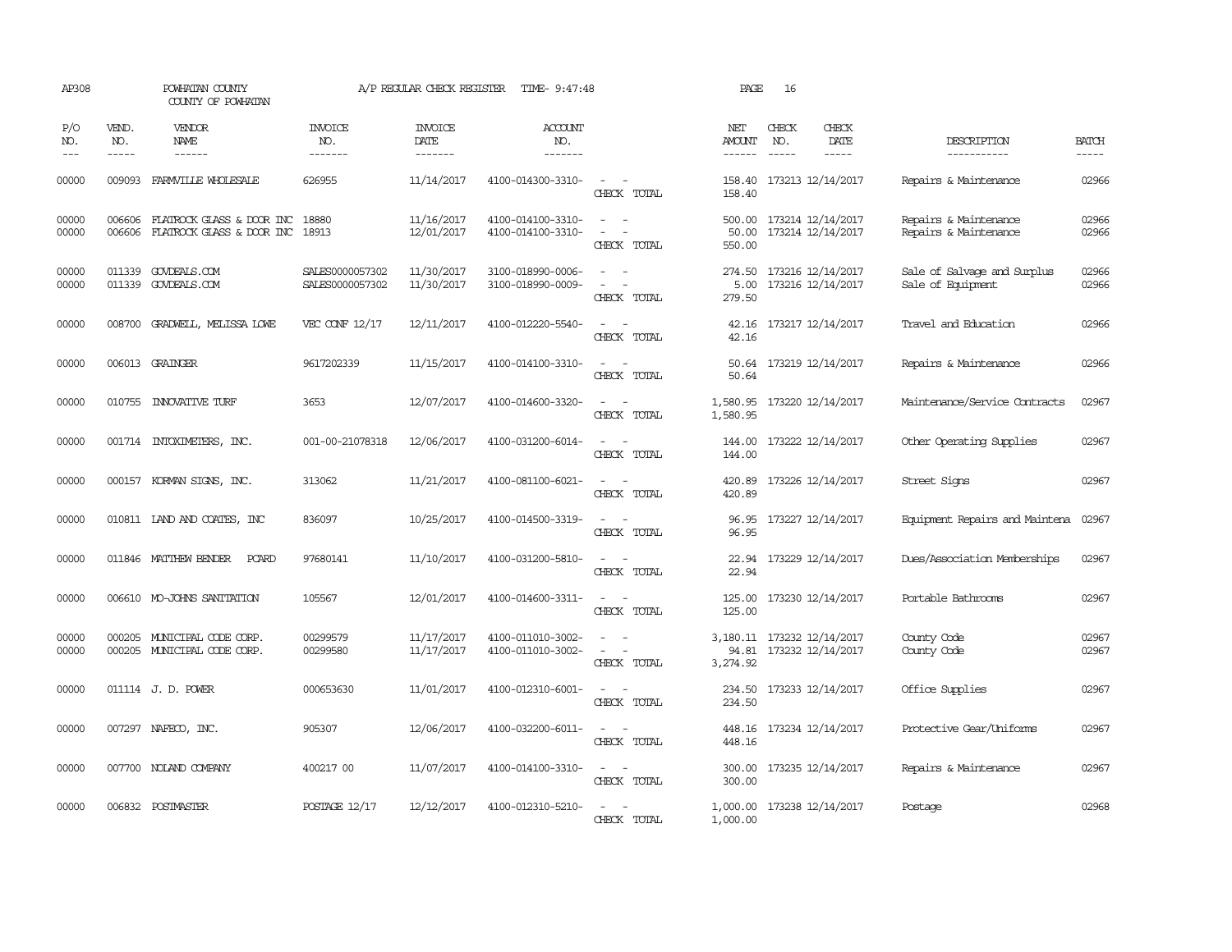| AP308                 |                               | POWHATAN COUNTY<br>COUNTY OF POWHATAN                        |                                    | A/P REGULAR CHECK REGISTER                | TIME- 9:47:48                          |                                                                           | PAGE                                  | 16           |                                                 |                                                  |                             |
|-----------------------|-------------------------------|--------------------------------------------------------------|------------------------------------|-------------------------------------------|----------------------------------------|---------------------------------------------------------------------------|---------------------------------------|--------------|-------------------------------------------------|--------------------------------------------------|-----------------------------|
| P/O<br>NO.<br>$- - -$ | VEND.<br>NO.<br>$\frac{1}{2}$ | VENDOR<br>NAME<br>------                                     | INVOICE<br>NO.<br>-------          | <b>INVOICE</b><br>DATE<br>$- - - - - - -$ | <b>ACCOUNT</b><br>NO.<br>-------       |                                                                           | NET<br><b>AMOUNT</b><br>$- - - - - -$ | CHECK<br>NO. | CHECK<br>DATE<br>$- - - - -$                    | DESCRIPTION<br>-----------                       | <b>BATCH</b><br>$- - - - -$ |
| 00000                 | 009093                        | FARMVILLE WHOLESALE                                          | 626955                             | 11/14/2017                                | 4100-014300-3310-                      | $\equiv$<br>$\sim$<br>CHECK TOTAL                                         | 158.40<br>158.40                      |              | 173213 12/14/2017                               | Repairs & Maintenance                            | 02966                       |
| 00000<br>00000        | 006606<br>006606              | FLATROCK GLASS & DOOR INC<br>FLATROCK GLASS & DOOR INC 18913 | 18880                              | 11/16/2017<br>12/01/2017                  | 4100-014100-3310-<br>4100-014100-3310- | $\sim$<br>$\sim$<br>$\sim$<br>$\overline{\phantom{a}}$<br>CHECK TOTAL     | 500.00<br>50.00<br>550.00             |              | 173214 12/14/2017<br>173214 12/14/2017          | Repairs & Maintenance<br>Repairs & Maintenance   | 02966<br>02966              |
| 00000<br>00000        |                               | 011339 GOVDEALS.COM<br>011339 GOVDEALS.COM                   | SALES0000057302<br>SALES0000057302 | 11/30/2017<br>11/30/2017                  | 3100-018990-0006-<br>3100-018990-0009- | $\overline{a}$<br>$\sim$<br>CHECK TOTAL                                   | 274.50<br>5.00<br>279.50              |              | 173216 12/14/2017<br>173216 12/14/2017          | Sale of Salvage and Surplus<br>Sale of Equipment | 02966<br>02966              |
| 00000                 | 008700                        | GRADWELL, MELISSA LOWE                                       | VEC CONF 12/17                     | 12/11/2017                                | 4100-012220-5540-                      | $\sim$<br>CHECK TOTAL                                                     | 42.16<br>42.16                        |              | 173217 12/14/2017                               | Travel and Education                             | 02966                       |
| 00000                 |                               | 006013 GRAINGER                                              | 9617202339                         | 11/15/2017                                | 4100-014100-3310-                      | $\sim$<br>CHECK TOTAL                                                     | 50.64                                 |              | 50.64 173219 12/14/2017                         | Repairs & Maintenance                            | 02966                       |
| 00000                 |                               | 010755 INNOVATIVE TURF                                       | 3653                               | 12/07/2017                                | 4100-014600-3320-                      | CHECK TOTAL                                                               | 1,580.95                              |              | 1,580.95 173220 12/14/2017                      | Maintenance/Service Contracts                    | 02967                       |
| 00000                 |                               | 001714 INTOXIMETERS, INC.                                    | 001-00-21078318                    | 12/06/2017                                | 4100-031200-6014-                      | CHECK TOTAL                                                               | 144.00<br>144.00                      |              | 173222 12/14/2017                               | Other Operating Supplies                         | 02967                       |
| 00000                 | 000157                        | KORMAN SIGNS, INC.                                           | 313062                             | 11/21/2017                                | 4100-081100-6021-                      | CHECK TOTAL                                                               | 420.89<br>420.89                      |              | 173226 12/14/2017                               | Street Signs                                     | 02967                       |
| 00000                 |                               | 010811 IAND AND COATES, INC                                  | 836097                             | 10/25/2017                                | 4100-014500-3319-                      | $\overline{\phantom{a}}$<br>$\sim$<br>CHECK TOTAL                         | 96.95<br>96.95                        |              | 173227 12/14/2017                               | Equipment Repairs and Maintena                   | 02967                       |
| 00000                 |                               | 011846 MATTHEW BENDER<br>PCARD                               | 97680141                           | 11/10/2017                                | 4100-031200-5810-                      | $\overline{\phantom{a}}$<br>$\sim$<br>CHECK TOTAL                         | 22.94<br>22.94                        |              | 173229 12/14/2017                               | Dues/Association Memberships                     | 02967                       |
| 00000                 |                               | 006610 MO-JOHNS SANITATION                                   | 105567                             | 12/01/2017                                | 4100-014600-3311-                      | $\sim$ $ \sim$<br>CHECK TOTAL                                             | 125.00<br>125.00                      |              | 173230 12/14/2017                               | Portable Bathrooms                               | 02967                       |
| 00000<br>00000        |                               | 000205 MUNICIPAL CODE CORP.<br>000205 MUNICIPAL CODE CORP.   | 00299579<br>00299580               | 11/17/2017<br>11/17/2017                  | 4100-011010-3002-<br>4100-011010-3002- | $\sim$<br>$\sim$ $-$<br>$\sim$<br>$\overline{\phantom{a}}$<br>CHECK TOTAL | 94.81<br>3,274.92                     |              | 3,180.11 173232 12/14/2017<br>173232 12/14/2017 | County Code<br>County Code                       | 02967<br>02967              |
| 00000                 |                               | 011114 J.D. POWER                                            | 000653630                          | 11/01/2017                                | 4100-012310-6001-                      | $\overline{\phantom{a}}$<br>$\sim$<br>CHECK TOTAL                         | 234.50<br>234.50                      |              | 173233 12/14/2017                               | Office Supplies                                  | 02967                       |
| 00000                 |                               | 007297 NAFECO, INC.                                          | 905307                             | 12/06/2017                                | 4100-032200-6011-                      | $\sim$<br>$\sim$<br>CHECK TOTAL                                           | 448.16<br>448.16                      |              | 173234 12/14/2017                               | Protective Gear/Uniforms                         | 02967                       |
| 00000                 |                               | 007700 NOLAND COMPANY                                        | 400217 00                          | 11/07/2017                                | 4100-014100-3310-                      | $\sim$ $\sim$<br>CHECK TOTAL                                              | 300.00<br>300.00                      |              | 173235 12/14/2017                               | Repairs & Maintenance                            | 02967                       |
| 00000                 |                               | 006832 POSTMASTER                                            | POSTAGE 12/17                      | 12/12/2017                                | 4100-012310-5210-                      | CHECK TOTAL                                                               | 1,000.00                              |              | 1,000.00 173238 12/14/2017                      | Postage                                          | 02968                       |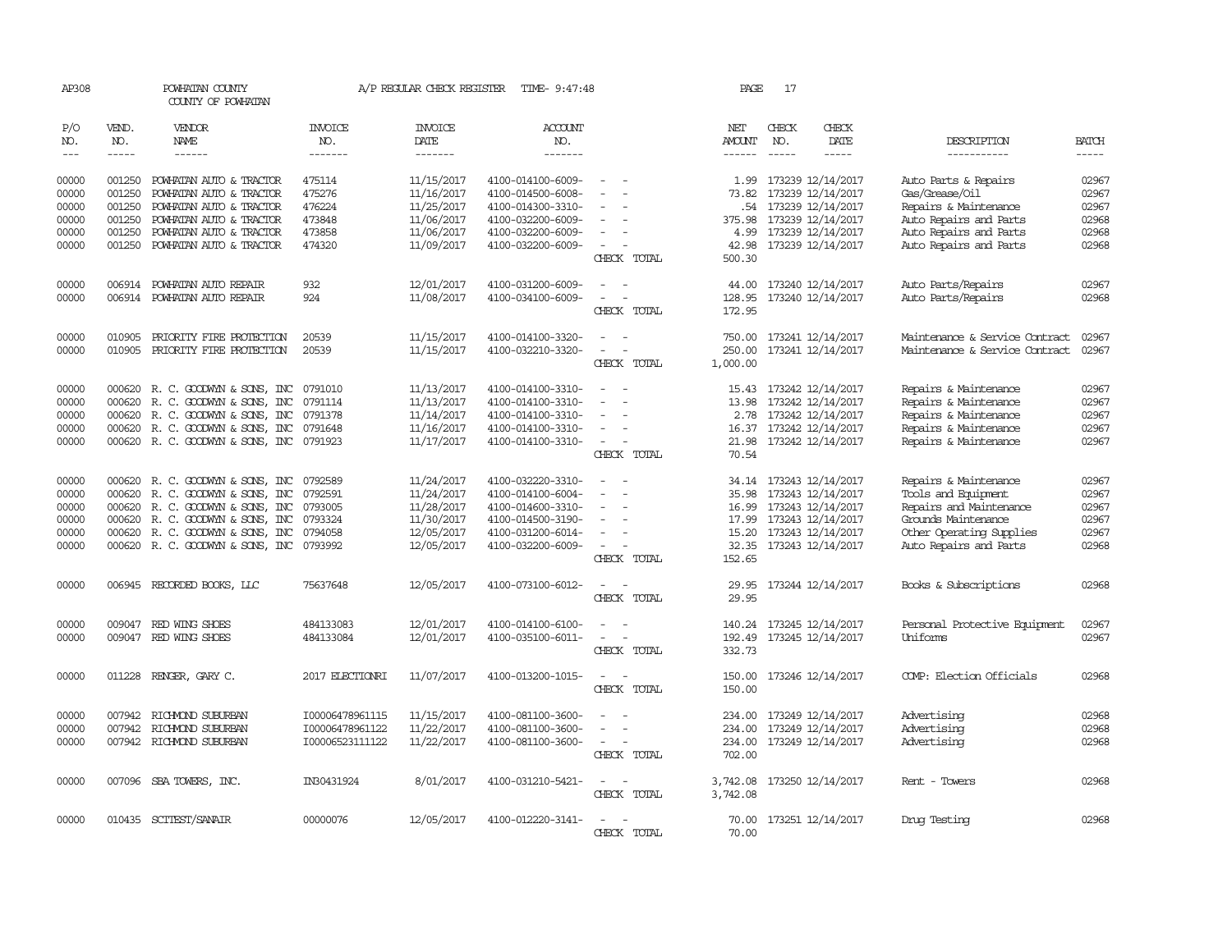| AP308          |                  | POWHATAN COUNTY<br>COUNTY OF POWHATAN                                        |                       | A/P REGULAR CHECK REGISTER    | TIME- 9:47:48                          |                                                                                                                             | PAGE                 | 17           |                                              |                                                |                |
|----------------|------------------|------------------------------------------------------------------------------|-----------------------|-------------------------------|----------------------------------------|-----------------------------------------------------------------------------------------------------------------------------|----------------------|--------------|----------------------------------------------|------------------------------------------------|----------------|
| P/O<br>NO.     | VEND.<br>NO.     | VENDOR<br><b>NAME</b>                                                        | <b>INVOICE</b><br>NO. | <b>INVOICE</b><br><b>DATE</b> | <b>ACCOUNT</b><br>NO.                  |                                                                                                                             | NET<br><b>AMOUNT</b> | CHECK<br>NO. | CHECK<br><b>DATE</b>                         | DESCRIPTION                                    | <b>BATCH</b>   |
| $\frac{1}{2}$  | $- - - - -$      | ------                                                                       | -------               | -------                       | -------                                |                                                                                                                             | $- - - - - -$        | $- - - - -$  | -----                                        | -----------                                    | $- - - - -$    |
| 00000<br>00000 | 001250<br>001250 | POWHATAN AUTO & TRACTOR<br>POWHATAN AUTO & TRACTOR                           | 475114<br>475276      | 11/15/2017<br>11/16/2017      | 4100-014100-6009-<br>4100-014500-6008- | $\sim$<br>$\overline{\phantom{a}}$                                                                                          | 73.82                |              | 1.99 173239 12/14/2017<br>173239 12/14/2017  | Auto Parts & Repairs<br>Gas/Grease/Oil         | 02967<br>02967 |
| 00000          | 001250           | POWHATAN AUTO & TRACTOR                                                      | 476224                | 11/25/2017                    | 4100-014300-3310-                      |                                                                                                                             |                      |              | .54 173239 12/14/2017                        | Repairs & Maintenance                          | 02967          |
| 00000          | 001250           | POWHATAN AUTO & TRACTOR                                                      | 473848                | 11/06/2017                    | 4100-032200-6009-                      | $\equiv$                                                                                                                    | 375.98               |              | 173239 12/14/2017                            | Auto Repairs and Parts                         | 02968          |
| 00000          | 001250           | POWHATAN AUTO & TRACTOR                                                      | 473858                | 11/06/2017                    | 4100-032200-6009-                      | $\overline{\phantom{a}}$                                                                                                    | 4.99                 |              | 173239 12/14/2017                            | Auto Repairs and Parts                         | 02968          |
| 00000          | 001250           | POWHATAN AUTO & TRACTOR                                                      | 474320                | 11/09/2017                    | 4100-032200-6009-                      | CHECK TOTAL                                                                                                                 | 42.98<br>500.30      |              | 173239 12/14/2017                            | Auto Repairs and Parts                         | 02968          |
| 00000          | 006914           | POWHATAN AUTO REPAIR                                                         | 932                   | 12/01/2017                    | 4100-031200-6009-                      | $\overline{\phantom{a}}$<br>$\sim$                                                                                          | 44.00                |              | 173240 12/14/2017                            | Auto Parts/Repairs                             | 02967          |
| 00000          |                  | 006914 POWHATAN AUTO REPAIR                                                  | 924                   | 11/08/2017                    | 4100-034100-6009-                      | $\overline{\phantom{a}}$<br>CHECK TOTAL                                                                                     | 172.95               |              | 128.95 173240 12/14/2017                     | Auto Parts/Repairs                             | 02968          |
| 00000          | 010905           | PRIORITY FIRE PROTECTION                                                     | 20539                 | 11/15/2017                    | 4100-014100-3320-                      |                                                                                                                             | 750.00               |              | 173241 12/14/2017                            | Maintenance & Service Contract                 | 02967          |
| 00000          | 010905           | PRIORITY FIRE PROTECTION                                                     | 20539                 | 11/15/2017                    | 4100-032210-3320-                      |                                                                                                                             | 250.00               |              | 173241 12/14/2017                            | Maintenance & Service Contract                 | 02967          |
|                |                  |                                                                              |                       |                               |                                        | CHECK TOTAL                                                                                                                 | 1,000.00             |              |                                              |                                                |                |
| 00000          |                  | 000620 R. C. GOODWYN & SONS, INC                                             | 0791010               | 11/13/2017                    | 4100-014100-3310-                      |                                                                                                                             |                      |              | 15.43 173242 12/14/2017                      | Repairs & Maintenance                          | 02967          |
| 00000          | 000620           | R. C. GOODWYN & SONS, INC                                                    | 0791114               | 11/13/2017                    | 4100-014100-3310-                      |                                                                                                                             | 13.98                |              | 173242 12/14/2017                            | Repairs & Maintenance                          | 02967          |
| 00000          | 000620           | R. C. GOODWYN & SONS, INC                                                    | 0791378               | 11/14/2017                    | 4100-014100-3310-                      | $\equiv$<br>$\equiv$                                                                                                        | 2.78                 |              | 173242 12/14/2017                            | Repairs & Maintenance                          | 02967<br>02967 |
| 00000<br>00000 |                  | 000620 R. C. GOODWYN & SONS, INC<br>000620 R. C. GOODWYN & SONS, INC 0791923 | 0791648               | 11/16/2017<br>11/17/2017      | 4100-014100-3310-<br>4100-014100-3310- |                                                                                                                             | 16.37                |              | 173242 12/14/2017<br>21.98 173242 12/14/2017 | Repairs & Maintenance<br>Repairs & Maintenance | 02967          |
|                |                  |                                                                              |                       |                               |                                        | CHECK TOTAL                                                                                                                 | 70.54                |              |                                              |                                                |                |
| 00000          |                  | 000620 R. C. GOODWYN & SONS, INC                                             | 0792589               | 11/24/2017                    | 4100-032220-3310-                      | $\sim$                                                                                                                      |                      |              | 34.14 173243 12/14/2017                      | Repairs & Maintenance                          | 02967          |
| 00000          | 000620           | R. C. GOODWYN & SONS, INC                                                    | 0792591               | 11/24/2017                    | 4100-014100-6004-                      |                                                                                                                             | 35.98                |              | 173243 12/14/2017                            | Tools and Equipment                            | 02967          |
| 00000          | 000620           | R. C. GOODWYN & SONS, INC                                                    | 0793005               | 11/28/2017                    | 4100-014600-3310-                      | $\overline{\phantom{a}}$                                                                                                    | 16.99                |              | 173243 12/14/2017                            | Repairs and Maintenance                        | 02967          |
| 00000          | 000620           | R. C. GOODWYN & SONS, INC                                                    | 0793324               | 11/30/2017                    | 4100-014500-3190-                      |                                                                                                                             | 17.99                |              | 173243 12/14/2017                            | Grounds Maintenance                            | 02967          |
| 00000<br>00000 |                  | 000620 R. C. GOODWYN & SONS, INC                                             | 0794058               | 12/05/2017                    | 4100-031200-6014-                      | $\overline{\phantom{a}}$                                                                                                    |                      |              | 15.20 173243 12/14/2017                      | Other Operating Supplies                       | 02967<br>02968 |
|                |                  | 000620 R. C. GOODWYN & SONS, INC 0793992                                     |                       | 12/05/2017                    | 4100-032200-6009-                      | CHECK TOTAL                                                                                                                 | 152.65               |              | 32.35 173243 12/14/2017                      | Auto Repairs and Parts                         |                |
| 00000          |                  | 006945 RECORDED BOOKS, LLC                                                   | 75637648              | 12/05/2017                    | 4100-073100-6012-                      | $\sim$ $\sim$<br>CHECK TOTAL                                                                                                | 29.95<br>29.95       |              | 173244 12/14/2017                            | Books & Subscriptions                          | 02968          |
|                |                  |                                                                              |                       |                               |                                        |                                                                                                                             |                      |              |                                              |                                                |                |
| 00000          |                  | 009047 RED WING SHOES                                                        | 484133083             | 12/01/2017                    | 4100-014100-6100-                      |                                                                                                                             |                      |              | 140.24 173245 12/14/2017                     | Personal Protective Equipment                  | 02967          |
| 00000          |                  | 009047 RED WING SHOES                                                        | 484133084             | 12/01/2017                    | 4100-035100-6011-                      | $\equiv$<br>CHECK TOTAL                                                                                                     | 192.49<br>332.73     |              | 173245 12/14/2017                            | Uniforms                                       | 02967          |
| 00000          |                  | 011228 RENGER, GARY C.                                                       | 2017 ELECTIONRI       | 11/07/2017                    | 4100-013200-1015-                      | $\frac{1}{2} \left( \frac{1}{2} \right) \left( \frac{1}{2} \right) = \frac{1}{2} \left( \frac{1}{2} \right)$<br>CHECK TOTAL | 150.00<br>150.00     |              | 173246 12/14/2017                            | COMP: Election Officials                       | 02968          |
| 00000          |                  | 007942 RICHMOND SUBURBAN                                                     | I00006478961115       | 11/15/2017                    | 4100-081100-3600-                      |                                                                                                                             | 234.00               |              | 173249 12/14/2017                            | Advertising                                    | 02968          |
| 00000          | 007942           | RICHMOND SUBURBAN                                                            | I00006478961122       | 11/22/2017                    | 4100-081100-3600-                      | $\sim$                                                                                                                      | 234.00               |              | 173249 12/14/2017                            | Advertising                                    | 02968          |
| 00000          |                  | 007942 RICHMOND SUBURBAN                                                     | 100006523111122       | 11/22/2017                    | 4100-081100-3600-                      | $\overline{\phantom{a}}$<br>CHECK TOTAL                                                                                     | 234.00<br>702.00     |              | 173249 12/14/2017                            | Advertising                                    | 02968          |
| 00000          |                  | 007096 SBA TOWERS, INC.                                                      | IN30431924            | 8/01/2017                     | 4100-031210-5421-                      | $\overline{\phantom{a}}$<br>$\sim$<br>CHECK TOTAL                                                                           | 3,742.08<br>3,742.08 |              | 173250 12/14/2017                            | Rent - Towers                                  | 02968          |
| 00000          |                  | 010435 SCITEST/SANAIR                                                        | 00000076              | 12/05/2017                    | 4100-012220-3141-                      | $\sim$<br>CHECK TOTAL                                                                                                       | 70.00<br>70.00       |              | 173251 12/14/2017                            | Dnuq Testinq                                   | 02968          |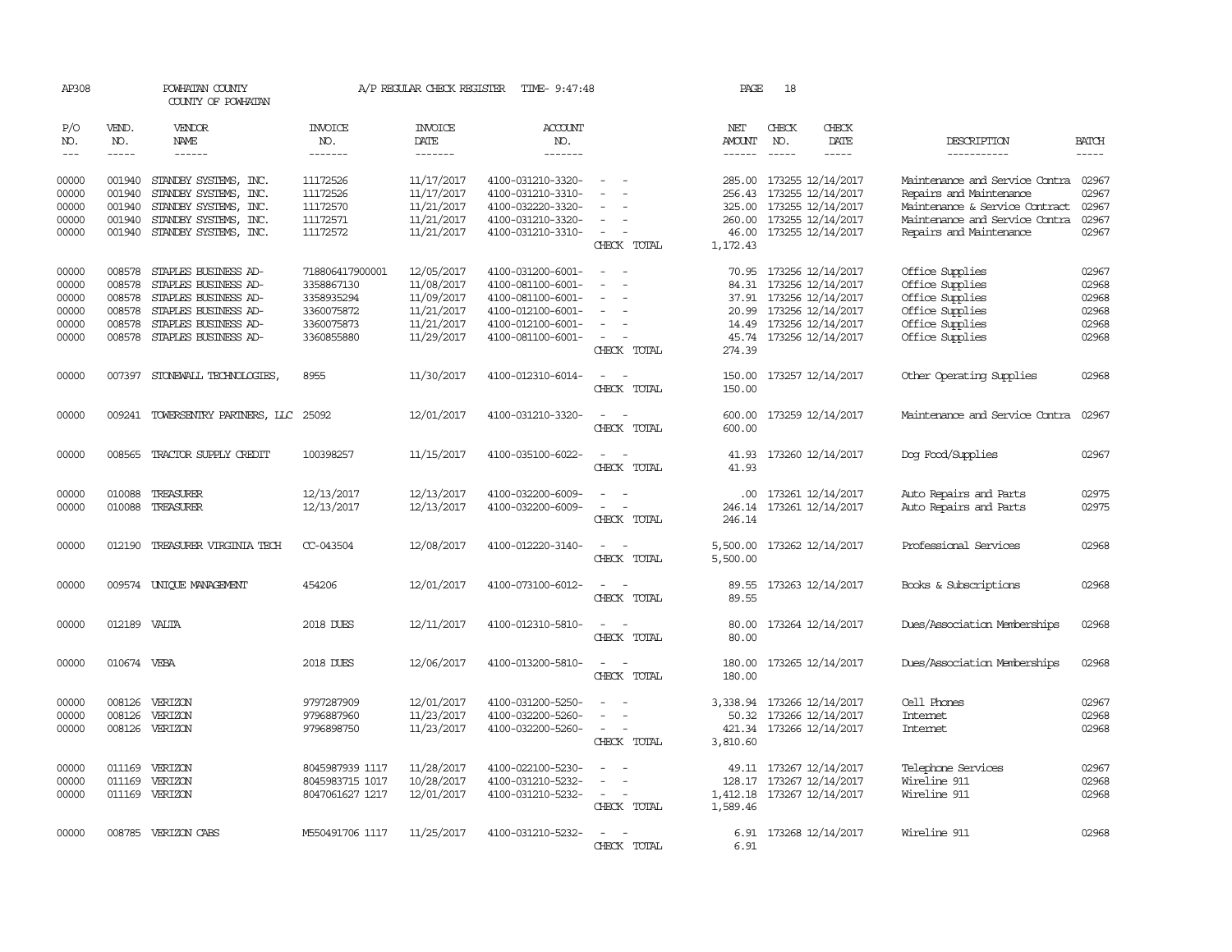| AP308          |                  | POWHATAN COUNTY<br>COUNTY OF POWHATAN                 |                               | A/P REGULAR CHECK REGISTER | TIME- 9:47:48                          |                                                      | PAGE                                   | 18           |                                                     |                                                           |                |
|----------------|------------------|-------------------------------------------------------|-------------------------------|----------------------------|----------------------------------------|------------------------------------------------------|----------------------------------------|--------------|-----------------------------------------------------|-----------------------------------------------------------|----------------|
| P/O<br>NO.     | VEND.<br>NO.     | VENDOR<br><b>NAME</b>                                 | INVOICE<br>NO.                | <b>INVOICE</b><br>DATE     | ACCOUNT<br>NO.                         |                                                      | NET<br>AMOUNT                          | CHECK<br>NO. | CHECK<br>DATE                                       | DESCRIPTION                                               | <b>BATCH</b>   |
| $---$          | $- - - - -$      | $- - - - - -$                                         | -------                       | -------                    | -------                                |                                                      | ------                                 | $- - - - -$  | $- - - - -$                                         | -----------                                               | -----          |
| 00000<br>00000 | 001940           | 001940 STANDBY SYSTEMS, INC.<br>STANDBY SYSTEMS, INC. | 11172526<br>11172526          | 11/17/2017<br>11/17/2017   | 4100-031210-3320-<br>4100-031210-3310- | $\sim$                                               | 256.43                                 |              | 285.00 173255 12/14/2017<br>173255 12/14/2017       | Maintenance and Service Contra<br>Repairs and Maintenance | 02967<br>02967 |
| 00000          | 001940           | STANDBY SYSTEMS, INC.                                 | 11172570                      | 11/21/2017                 | 4100-032220-3320-                      |                                                      |                                        |              | 325.00 173255 12/14/2017                            | Maintenance & Service Contract                            | 02967          |
| 00000<br>00000 | 001940<br>001940 | STANDBY SYSTEMS, INC.<br>STANDBY SYSTEMS, INC.        | 11172571<br>11172572          | 11/21/2017<br>11/21/2017   | 4100-031210-3320-<br>4100-031210-3310- | $\overline{\phantom{a}}$                             |                                        |              | 260.00 173255 12/14/2017<br>46.00 173255 12/14/2017 | Maintenance and Service Contra<br>Repairs and Maintenance | 02967<br>02967 |
|                |                  |                                                       |                               |                            |                                        | CHECK TOTAL                                          | 1,172.43                               |              |                                                     |                                                           |                |
| 00000<br>00000 | 008578<br>008578 | STAPLES BUSINESS AD-<br>STAPLES BUSINESS AD-          | 718806417900001<br>3358867130 | 12/05/2017<br>11/08/2017   | 4100-031200-6001-<br>4100-081100-6001- | $\overline{\phantom{a}}$<br>$\overline{\phantom{a}}$ | 84.31                                  |              | 70.95 173256 12/14/2017<br>173256 12/14/2017        | Office Supplies<br>Office Supplies                        | 02967<br>02968 |
| 00000          |                  | 008578 STAPLES BUSINESS AD-                           | 3358935294                    | 11/09/2017                 | 4100-081100-6001-                      |                                                      |                                        |              | 37.91 173256 12/14/2017                             | Office Supplies                                           | 02968          |
| 00000<br>00000 | 008578<br>008578 | STAPLES BUSINESS AD-<br>STAPLES BUSINESS AD-          | 3360075872<br>3360075873      | 11/21/2017<br>11/21/2017   | 4100-012100-6001-<br>4100-012100-6001- | $\overline{\phantom{a}}$                             |                                        |              | 20.99 173256 12/14/2017<br>14.49 173256 12/14/2017  | Office Supplies<br>Office Supplies                        | 02968<br>02968 |
| 00000          | 008578           | STAPLES BUSINESS AD-                                  | 3360855880                    | 11/29/2017                 | 4100-081100-6001-                      | $\overline{\phantom{a}}$                             |                                        |              | 45.74 173256 12/14/2017                             | Office Supplies                                           | 02968          |
|                |                  |                                                       |                               |                            |                                        | CHECK TOTAL                                          | 274.39                                 |              |                                                     |                                                           |                |
| 00000          |                  | 007397 STONEWALL TECHNOLOGIES,                        | 8955                          | 11/30/2017                 | 4100-012310-6014-                      | $\equiv$<br>CHECK TOTAL                              | 150.00<br>150.00                       |              | 173257 12/14/2017                                   | Other Operating Supplies                                  | 02968          |
| 00000          |                  | 009241 TOWERSENTRY PARTNERS, LLC 25092                |                               | 12/01/2017                 | 4100-031210-3320-                      | CHECK TOTAL                                          | 600.00                                 |              | 600.00 173259 12/14/2017                            | Maintenance and Service Contra                            | 02967          |
| 00000          | 008565           | TRACTOR SUPPLY CREDIT                                 | 100398257                     | 11/15/2017                 | 4100-035100-6022-                      | CHECK TOTAL                                          | 41.93<br>41.93                         |              | 173260 12/14/2017                                   | Dog Food/Supplies                                         | 02967          |
| 00000          | 010088           | TREASURER                                             | 12/13/2017                    | 12/13/2017                 | 4100-032200-6009-                      |                                                      |                                        |              | .00 173261 12/14/2017                               | Auto Repairs and Parts                                    | 02975          |
| 00000          | 010088           | TREASURER                                             | 12/13/2017                    | 12/13/2017                 | 4100-032200-6009-                      | $\overline{\phantom{a}}$<br>CHECK TOTAL              | 246.14                                 |              | 246.14 173261 12/14/2017                            | Auto Repairs and Parts                                    | 02975          |
| 00000          |                  | 012190 TREASURER VIRGINIA TECH                        | CC-043504                     | 12/08/2017                 | 4100-012220-3140-                      | $\sim$ $\sim$<br>CHECK TOTAL                         | 5,500.00 173262 12/14/2017<br>5,500.00 |              |                                                     | Professional Services                                     | 02968          |
| 00000          |                  | 009574 UNIQUE MANAGEMENT                              | 454206                        | 12/01/2017                 | 4100-073100-6012-                      | $\sim$ $\sim$<br>CHECK TOTAL                         | 89.55                                  |              | 89.55 173263 12/14/2017                             | Books & Subscriptions                                     | 02968          |
| 00000          | 012189 VALTA     |                                                       | 2018 DUES                     | 12/11/2017                 | 4100-012310-5810-                      | $\overline{\phantom{a}}$<br>CHECK TOTAL              | 80.00<br>80.00                         |              | 173264 12/14/2017                                   | Dues/Association Memberships                              | 02968          |
| 00000          | 010674 VEBA      |                                                       | 2018 DUES                     | 12/06/2017                 | 4100-013200-5810-                      | $\sim$<br>CHECK TOTAL                                | 180.00<br>180.00                       |              | 173265 12/14/2017                                   | Dues/Association Memberships                              | 02968          |
| 00000          |                  | 008126 VERIZON                                        | 9797287909                    | 12/01/2017                 | 4100-031200-5250-                      | $\equiv$                                             | 3,338.94 173266 12/14/2017             |              |                                                     | Cell Phones                                               | 02967          |
| 00000<br>00000 | 008126           | VERIZON<br>008126 VERIZON                             | 9796887960<br>9796898750      | 11/23/2017<br>11/23/2017   | 4100-032200-5260-<br>4100-032200-5260- | $\equiv$<br>$\sim 100$<br>$\overline{\phantom{a}}$   | 50.32                                  |              | 173266 12/14/2017<br>421.34 173266 12/14/2017       | Internet<br>Internet                                      | 02968<br>02968 |
|                |                  |                                                       |                               |                            |                                        | CHECK TOTAL                                          | 3,810.60                               |              |                                                     |                                                           |                |
| 00000          | 011169           | VERIZON                                               | 8045987939 1117               | 11/28/2017                 | 4100-022100-5230-                      |                                                      |                                        |              | 49.11 173267 12/14/2017                             | Telephone Services                                        | 02967          |
| 00000          | 011169           | VERIZON<br>011169 VERIZON                             | 8045983715 1017               | 10/28/2017                 | 4100-031210-5232-                      | $\sim$                                               |                                        |              | 128.17 173267 12/14/2017                            | Wireline 911<br>Wireline 911                              | 02968<br>02968 |
| 00000          |                  |                                                       | 8047061627 1217               | 12/01/2017                 | 4100-031210-5232-                      | CHECK TOTAL                                          | 1,412.18 173267 12/14/2017<br>1,589.46 |              |                                                     |                                                           |                |
| 00000          |                  | 008785 VERIZON CABS                                   | M550491706 1117               | 11/25/2017                 | 4100-031210-5232-                      | $\sim$<br>CHRCK TOTAL                                | 6.91                                   |              | 6.91 173268 12/14/2017                              | Wireline 911                                              | 02968          |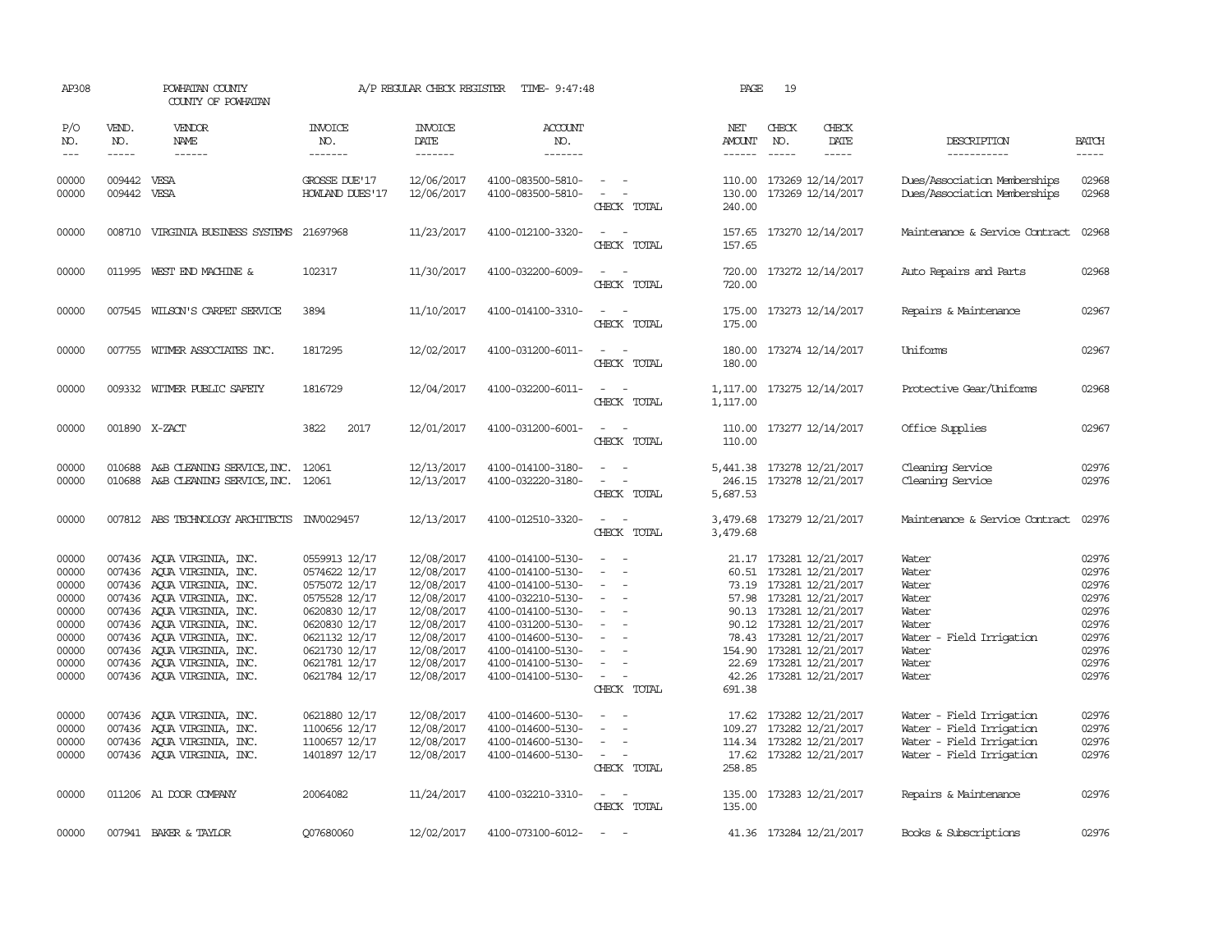| AP308                                                                                  |                                                                                                                                                                                                                                                                                                                                                                                                                                                                         | POWHATAN COUNTY<br>COUNTY OF POWHATAN                                                                                                                                                                                                                                                                    |                                                                                                                                                                        | A/P REGULAR CHECK REGISTER                                                                                                               | TIME- 9:47:48                                                                                                                                                                                                  |                                                                                                                                                                               | PAGE                                   | 19           |                                                                                                                                                                                                                                                                             |                                                                                                              |                                                                                        |
|----------------------------------------------------------------------------------------|-------------------------------------------------------------------------------------------------------------------------------------------------------------------------------------------------------------------------------------------------------------------------------------------------------------------------------------------------------------------------------------------------------------------------------------------------------------------------|----------------------------------------------------------------------------------------------------------------------------------------------------------------------------------------------------------------------------------------------------------------------------------------------------------|------------------------------------------------------------------------------------------------------------------------------------------------------------------------|------------------------------------------------------------------------------------------------------------------------------------------|----------------------------------------------------------------------------------------------------------------------------------------------------------------------------------------------------------------|-------------------------------------------------------------------------------------------------------------------------------------------------------------------------------|----------------------------------------|--------------|-----------------------------------------------------------------------------------------------------------------------------------------------------------------------------------------------------------------------------------------------------------------------------|--------------------------------------------------------------------------------------------------------------|----------------------------------------------------------------------------------------|
| P/O<br>NO.<br>$---$                                                                    | VEND.<br>NO.<br>$\begin{tabular}{ccccc} \multicolumn{2}{c }{\multicolumn{2}{c }{\multicolumn{2}{c }{\multicolumn{2}{c}}{\hspace{-2.2cm}}}} \multicolumn{2}{c }{\multicolumn{2}{c }{\hspace{-2.2cm}}\hline} \multicolumn{2}{c }{\hspace{-2.2cm}}\hline \multicolumn{2}{c }{\hspace{-2.2cm}}\hline \multicolumn{2}{c }{\hspace{-2.2cm}}\hline \multicolumn{2}{c }{\hspace{-2.2cm}}\hline \multicolumn{2}{c }{\hspace{-2.2cm}}\hline \multicolumn{2}{c }{\hspace{-2.2cm}}$ | VENDOR<br>NAME                                                                                                                                                                                                                                                                                           | <b>INVOICE</b><br>NO.<br>-------                                                                                                                                       | <b>INVOICE</b><br>DATE<br>-------                                                                                                        | <b>ACCOUNT</b><br>NO.<br>-------                                                                                                                                                                               |                                                                                                                                                                               | NET<br>AMOUNT<br>$- - - - - -$         | CHECK<br>NO. | CHECK<br>DATE<br>$- - - - -$                                                                                                                                                                                                                                                | DESCRIPTION<br>-----------                                                                                   | <b>BATCH</b><br>$- - - - -$                                                            |
| 00000<br>00000                                                                         | 009442 VESA<br>009442 VESA                                                                                                                                                                                                                                                                                                                                                                                                                                              |                                                                                                                                                                                                                                                                                                          | GROSSE DUE'17<br>HOWLAND DUES'17                                                                                                                                       | 12/06/2017<br>12/06/2017                                                                                                                 | 4100-083500-5810-<br>4100-083500-5810-                                                                                                                                                                         | $\sim$ 100 $\mu$<br>$\sim$<br>CHECK TOTAL                                                                                                                                     | 240.00                                 |              | 110.00 173269 12/14/2017<br>130.00 173269 12/14/2017                                                                                                                                                                                                                        | Dues/Association Memberships<br>Dues/Association Memberships                                                 | 02968<br>02968                                                                         |
| 00000                                                                                  |                                                                                                                                                                                                                                                                                                                                                                                                                                                                         | 008710 VIRGINIA BUSINESS SYSTEMS                                                                                                                                                                                                                                                                         | 21697968                                                                                                                                                               | 11/23/2017                                                                                                                               | 4100-012100-3320-                                                                                                                                                                                              | $\overline{\phantom{a}}$<br>CHECK TOTAL                                                                                                                                       | 157.65<br>157.65                       |              | 173270 12/14/2017                                                                                                                                                                                                                                                           | Maintenance & Service Contract                                                                               | 02968                                                                                  |
| 00000                                                                                  |                                                                                                                                                                                                                                                                                                                                                                                                                                                                         | 011995 WEST END MACHINE &                                                                                                                                                                                                                                                                                | 102317                                                                                                                                                                 | 11/30/2017                                                                                                                               | 4100-032200-6009-                                                                                                                                                                                              | $\sim$<br>CHECK TOTAL                                                                                                                                                         | 720.00<br>720.00                       |              | 173272 12/14/2017                                                                                                                                                                                                                                                           | Auto Repairs and Parts                                                                                       | 02968                                                                                  |
| 00000                                                                                  |                                                                                                                                                                                                                                                                                                                                                                                                                                                                         | 007545 WILSON'S CARPET SERVICE                                                                                                                                                                                                                                                                           | 3894                                                                                                                                                                   | 11/10/2017                                                                                                                               | 4100-014100-3310-                                                                                                                                                                                              | $\sim$<br>CHECK TOTAL                                                                                                                                                         | 175.00<br>175.00                       |              | 173273 12/14/2017                                                                                                                                                                                                                                                           | Repairs & Maintenance                                                                                        | 02967                                                                                  |
| 00000                                                                                  |                                                                                                                                                                                                                                                                                                                                                                                                                                                                         | 007755 WITMER ASSOCIATES INC.                                                                                                                                                                                                                                                                            | 1817295                                                                                                                                                                | 12/02/2017                                                                                                                               | 4100-031200-6011-                                                                                                                                                                                              | $\sim$<br>CHECK TOTAL                                                                                                                                                         | 180.00                                 |              | 180.00 173274 12/14/2017                                                                                                                                                                                                                                                    | Uniforms                                                                                                     | 02967                                                                                  |
| 00000                                                                                  |                                                                                                                                                                                                                                                                                                                                                                                                                                                                         | 009332 WITMER PUBLIC SAFETY                                                                                                                                                                                                                                                                              | 1816729                                                                                                                                                                | 12/04/2017                                                                                                                               | 4100-032200-6011-                                                                                                                                                                                              | $\sim$ $ \sim$<br>CHECK TOTAL                                                                                                                                                 | 1,117.00 173275 12/14/2017<br>1,117.00 |              |                                                                                                                                                                                                                                                                             | Protective Gear/Uniforms                                                                                     | 02968                                                                                  |
| 00000                                                                                  |                                                                                                                                                                                                                                                                                                                                                                                                                                                                         | 001890 X-ZACT                                                                                                                                                                                                                                                                                            | 3822<br>2017                                                                                                                                                           | 12/01/2017                                                                                                                               | 4100-031200-6001-                                                                                                                                                                                              | $\sim$ $  -$<br>CHECK TOTAL                                                                                                                                                   | 110.00                                 |              | 110.00 173277 12/14/2017                                                                                                                                                                                                                                                    | Office Supplies                                                                                              | 02967                                                                                  |
| 00000<br>00000                                                                         |                                                                                                                                                                                                                                                                                                                                                                                                                                                                         | 010688 A&B CLEANING SERVICE, INC. 12061<br>010688 A&B CLEANING SERVICE, INC. 12061                                                                                                                                                                                                                       |                                                                                                                                                                        | 12/13/2017<br>12/13/2017                                                                                                                 | 4100-014100-3180-<br>4100-032220-3180-                                                                                                                                                                         | $\overline{\phantom{a}}$<br>$\sim$<br>CHECK TOTAL                                                                                                                             | 5,441.38 173278 12/21/2017<br>5,687.53 |              | 246.15 173278 12/21/2017                                                                                                                                                                                                                                                    | Cleaning Service<br>Cleaning Service                                                                         | 02976<br>02976                                                                         |
| 00000                                                                                  |                                                                                                                                                                                                                                                                                                                                                                                                                                                                         | 007812 ABS TECHNOLOGY ARCHITECTS INV0029457                                                                                                                                                                                                                                                              |                                                                                                                                                                        | 12/13/2017                                                                                                                               | 4100-012510-3320-                                                                                                                                                                                              | $\omega_{\rm{max}}$ and $\omega_{\rm{max}}$<br>CHECK TOTAL                                                                                                                    | 3,479.68 173279 12/21/2017<br>3,479.68 |              |                                                                                                                                                                                                                                                                             | Maintenance & Service Contract                                                                               | 02976                                                                                  |
| 00000<br>00000<br>00000<br>00000<br>00000<br>00000<br>00000<br>00000<br>00000<br>00000 |                                                                                                                                                                                                                                                                                                                                                                                                                                                                         | 007436 AQUA VIRGINIA, INC.<br>007436 AQUA VIRGINIA, INC.<br>007436 AQUA VIRGINIA, INC.<br>007436 AQUA VIRGINIA, INC.<br>007436 AQUA VIRGINIA, INC.<br>007436 AQUA VIRGINIA, INC.<br>007436 AQUA VIRGINIA, INC.<br>007436 AQUA VIRGINIA, INC.<br>007436 AQUA VIRGINIA, INC.<br>007436 AQUA VIRGINIA, INC. | 0559913 12/17<br>0574622 12/17<br>0575072 12/17<br>0575528 12/17<br>0620830 12/17<br>0620830 12/17<br>0621132 12/17<br>0621730 12/17<br>0621781 12/17<br>0621784 12/17 | 12/08/2017<br>12/08/2017<br>12/08/2017<br>12/08/2017<br>12/08/2017<br>12/08/2017<br>12/08/2017<br>12/08/2017<br>12/08/2017<br>12/08/2017 | 4100-014100-5130-<br>4100-014100-5130-<br>4100-014100-5130-<br>4100-032210-5130-<br>4100-014100-5130-<br>4100-031200-5130-<br>4100-014600-5130-<br>4100-014100-5130-<br>4100-014100-5130-<br>4100-014100-5130- | $\sim$<br>$\overline{\phantom{a}}$<br>$\sim$<br>$\overline{\phantom{a}}$<br>$\overline{\phantom{a}}$<br>$\sim$<br>$\sim$<br>$\overline{\phantom{a}}$<br>$\sim$<br>CHECK TOTAL | 691.38                                 |              | 21.17 173281 12/21/2017<br>60.51 173281 12/21/2017<br>73.19 173281 12/21/2017<br>57.98 173281 12/21/2017<br>90.13 173281 12/21/2017<br>90.12 173281 12/21/2017<br>78.43 173281 12/21/2017<br>154.90 173281 12/21/2017<br>22.69 173281 12/21/2017<br>42.26 173281 12/21/2017 | Water<br>Water<br>Water<br>Water<br>Water<br>Water<br>- Field Irrigation<br>Water<br>Water<br>Water<br>Water | 02976<br>02976<br>02976<br>02976<br>02976<br>02976<br>02976<br>02976<br>02976<br>02976 |
| 00000<br>00000<br>00000<br>00000                                                       |                                                                                                                                                                                                                                                                                                                                                                                                                                                                         | 007436 AQUA VIRGINIA, INC.<br>007436 AQUA VIRGINIA, INC.<br>007436 AQUA VIRGINIA, INC.<br>007436 AQUA VIRGINIA, INC.                                                                                                                                                                                     | 0621880 12/17<br>1100656 12/17<br>1100657 12/17<br>1401897 12/17                                                                                                       | 12/08/2017<br>12/08/2017<br>12/08/2017<br>12/08/2017                                                                                     | 4100-014600-5130-<br>4100-014600-5130-<br>4100-014600-5130-<br>4100-014600-5130-                                                                                                                               | $\sim$<br>$\equiv$<br>$\sim$<br>CHECK TOTAL                                                                                                                                   | 109.27<br>258.85                       |              | 17.62 173282 12/21/2017<br>173282 12/21/2017<br>114.34 173282 12/21/2017<br>17.62 173282 12/21/2017                                                                                                                                                                         | Water - Field Irrigation<br>Water - Field Irrigation<br>Water - Field Irrigation<br>Water - Field Irrigation | 02976<br>02976<br>02976<br>02976                                                       |
| 00000                                                                                  |                                                                                                                                                                                                                                                                                                                                                                                                                                                                         | 011206 A1 DOOR COMPANY                                                                                                                                                                                                                                                                                   | 20064082                                                                                                                                                               | 11/24/2017                                                                                                                               | 4100-032210-3310-                                                                                                                                                                                              | $\sim$ $\sim$<br>CHECK TOTAL                                                                                                                                                  | 135.00                                 |              | 135.00 173283 12/21/2017                                                                                                                                                                                                                                                    | Repairs & Maintenance                                                                                        | 02976                                                                                  |
| 00000                                                                                  |                                                                                                                                                                                                                                                                                                                                                                                                                                                                         | 007941 BAKER & TAYLOR                                                                                                                                                                                                                                                                                    | 007680060                                                                                                                                                              | 12/02/2017                                                                                                                               | 4100-073100-6012-                                                                                                                                                                                              | $\sim$                                                                                                                                                                        |                                        |              | 41.36 173284 12/21/2017                                                                                                                                                                                                                                                     | Books & Subscriptions                                                                                        | 02976                                                                                  |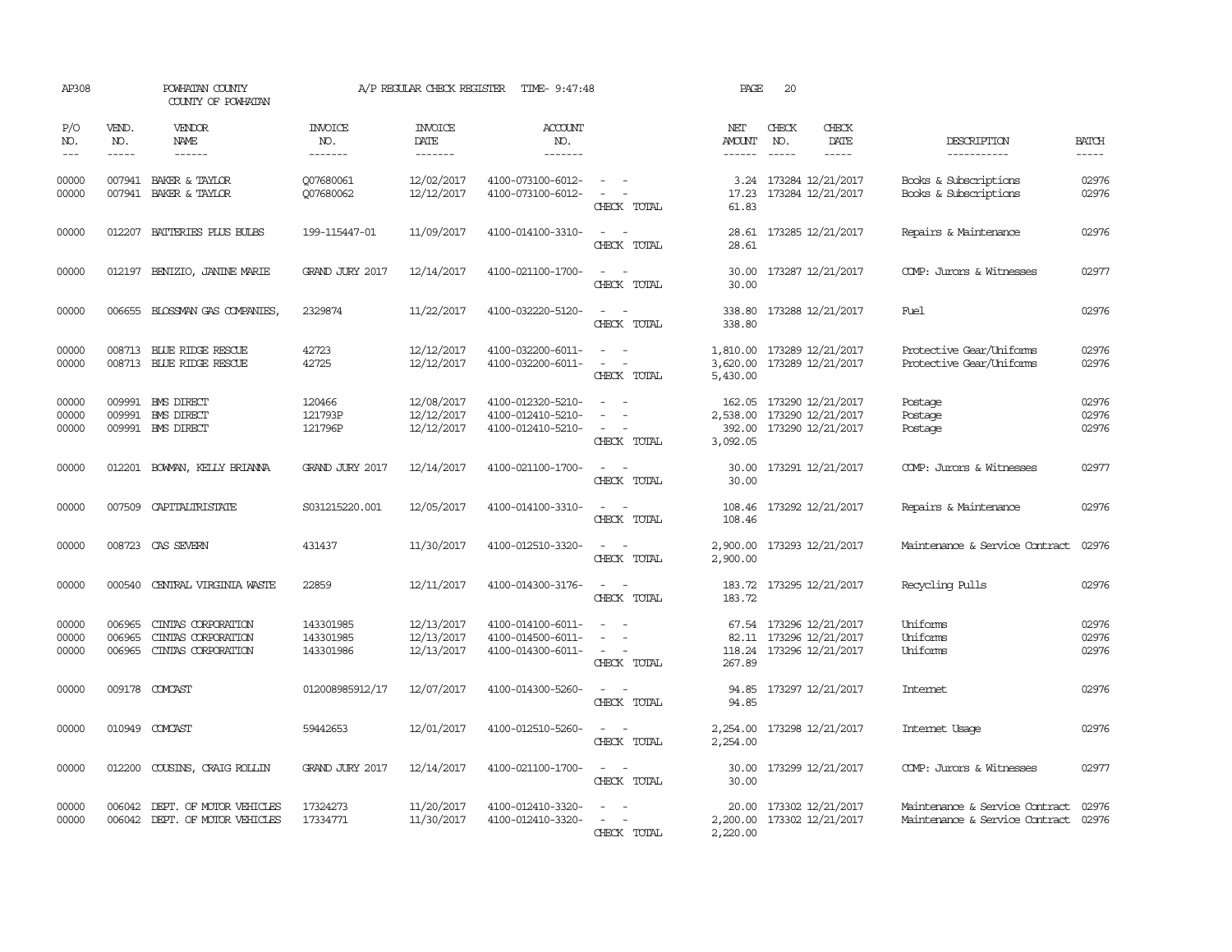| AP308                   |                             | POWHATAN COUNTY<br>COUNTY OF POWHATAN                          |                                     | A/P REGULAR CHECK REGISTER             | TIME- 9:47:48                                               |                                                                      | PAGE                    | 20                                                                                 |                                                                        |                         |
|-------------------------|-----------------------------|----------------------------------------------------------------|-------------------------------------|----------------------------------------|-------------------------------------------------------------|----------------------------------------------------------------------|-------------------------|------------------------------------------------------------------------------------|------------------------------------------------------------------------|-------------------------|
| P/O<br>NO.<br>$---$     | VEND.<br>NO.<br>$- - - - -$ | VENDOR<br>NAME<br>$- - - - - -$                                | <b>INVOICE</b><br>NO.<br>-------    | <b>INVOICE</b><br>DATE<br>-------      | <b>ACCOUNT</b><br>NO.<br>-------                            |                                                                      | NET<br>AMOUNT<br>------ | CHECK<br>CHECK<br>DATE<br>NO.<br>$- - - - -$<br>$- - - - -$                        | DESCRIPTION<br>-----------                                             | <b>BATCH</b>            |
| 00000<br>00000          |                             | 007941 BAKER & TAYLOR<br>007941 BAKER & TAYLOR                 | 007680061<br>Q07680062              | 12/02/2017<br>12/12/2017               | 4100-073100-6012-<br>4100-073100-6012-                      | $\omega_{\rm{max}}$ and $\omega_{\rm{max}}$<br>$\sim$<br>CHECK TOTAL | 61.83                   | 3.24 173284 12/21/2017<br>17.23 173284 12/21/2017                                  | Books & Subscriptions<br>Books & Subscriptions                         | 02976<br>02976          |
| 00000                   | 012207                      | BATTERIES PLUS BULBS                                           | 199-115447-01                       | 11/09/2017                             | 4100-014100-3310-                                           | $\overline{\phantom{a}}$<br>$\sim$<br>CHECK TOTAL                    | 28.61<br>28.61          | 173285 12/21/2017                                                                  | Repairs & Maintenance                                                  | 02976                   |
| 00000                   | 012197                      | BENIZIO, JANINE MARIE                                          | <b>GRAND JURY 2017</b>              | 12/14/2017                             | 4100-021100-1700-                                           | $\sim$<br>$\sim$<br>CHECK TOTAL                                      | 30.00<br>30.00          | 173287 12/21/2017                                                                  | COMP: Jurors & Witnesses                                               | 02977                   |
| 00000                   |                             | 006655 BLOSSMAN GAS COMPANIES                                  | 2329874                             | 11/22/2017                             | 4100-032220-5120-                                           | $\overline{\phantom{a}}$<br>CHECK TOTAL                              | 338.80<br>338.80        | 173288 12/21/2017                                                                  | Fuel                                                                   | 02976                   |
| 00000<br>00000          |                             | 008713 BLUE RIDGE RESCUE<br>008713 BLUE RIDGE RESCUE           | 42723<br>42725                      | 12/12/2017<br>12/12/2017               | 4100-032200-6011-<br>4100-032200-6011-                      | $\sim$ $\sim$<br>$\sim$<br>$\overline{\phantom{a}}$<br>CHECK TOTAL   | 3,620.00<br>5,430.00    | 1,810.00 173289 12/21/2017<br>173289 12/21/2017                                    | Protective Gear/Uniforms<br>Protective Gear/Uniforms                   | 02976<br>02976          |
| 00000<br>00000<br>00000 |                             | 009991 BMS DIRECT<br>009991 BMS DIRECT<br>009991 BMS DIRECT    | 120466<br>121793P<br>121796P        | 12/08/2017<br>12/12/2017<br>12/12/2017 | 4100-012320-5210-<br>4100-012410-5210-<br>4100-012410-5210- | CHECK TOTAL                                                          | 3,092.05                | 162.05 173290 12/21/2017<br>2,538.00 173290 12/21/2017<br>392.00 173290 12/21/2017 | Postage<br>Postage<br>Postage                                          | 02976<br>02976<br>02976 |
| 00000                   |                             | 012201 BOWAN, KELLY BRIANNA                                    | <b>GRAND JURY 2017</b>              | 12/14/2017                             | 4100-021100-1700-                                           | CHECK TOTAL                                                          | 30.00<br>30.00          | 173291 12/21/2017                                                                  | COMP: Jurors & Witnesses                                               | 02977                   |
| 00000                   | 007509                      | CAPITALIRISTATE                                                | S031215220.001                      | 12/05/2017                             | 4100-014100-3310-                                           | $ -$<br>CHECK TOTAL                                                  | 108.46                  | 108.46 173292 12/21/2017                                                           | Repairs & Maintenance                                                  | 02976                   |
| 00000                   | 008723                      | CAS SEVERN                                                     | 431437                              | 11/30/2017                             | 4100-012510-3320-                                           | CHECK TOTAL                                                          | 2,900.00<br>2,900.00    | 173293 12/21/2017                                                                  | Maintenance & Service Contract                                         | 02976                   |
| 00000                   | 000540                      | CENTRAL VIRGINIA WASTE                                         | 22859                               | 12/11/2017                             | 4100-014300-3176-                                           | $\sim$<br>$\sim$<br>CHECK TOTAL                                      | 183.72<br>183.72        | 173295 12/21/2017                                                                  | Recycling Pulls                                                        | 02976                   |
| 00000<br>00000<br>00000 | 006965<br>006965<br>006965  | CINIAS CORPORATION<br>CINIAS CORPORATION<br>CINIAS CORPORATION | 143301985<br>143301985<br>143301986 | 12/13/2017<br>12/13/2017<br>12/13/2017 | 4100-014100-6011-<br>4100-014500-6011-<br>4100-014300-6011- | CHECK TOTAL                                                          | 267.89                  | 67.54 173296 12/21/2017<br>82.11 173296 12/21/2017<br>118.24 173296 12/21/2017     | Uniforms<br>Uniforms<br>Uniforms                                       | 02976<br>02976<br>02976 |
| 00000                   |                             | 009178 COMCAST                                                 | 012008985912/17                     | 12/07/2017                             | 4100-014300-5260-                                           | CHECK TOTAL                                                          | 94.85<br>94.85          | 173297 12/21/2017                                                                  | Internet                                                               | 02976                   |
| 00000                   |                             | 010949 COMCAST                                                 | 59442653                            | 12/01/2017                             | 4100-012510-5260-                                           | CHECK TOTAL                                                          | 2,254.00<br>2,254.00    | 173298 12/21/2017                                                                  | Internet Usage                                                         | 02976                   |
| 00000                   | 012200                      | COUSINS, CRAIG ROLLIN                                          | <b>GRAND JURY 2017</b>              | 12/14/2017                             | 4100-021100-1700-                                           | CHECK TOTAL                                                          | 30.00<br>30.00          | 173299 12/21/2017                                                                  | COMP: Jurors & Witnesses                                               | 02977                   |
| 00000<br>00000          | 006042                      | DEPT. OF MOTOR VEHICLES<br>006042 DEPT. OF MOTOR VEHICLES      | 17324273<br>17334771                | 11/20/2017<br>11/30/2017               | 4100-012410-3320-<br>4100-012410-3320-                      | $\overline{a}$<br>$\overline{\phantom{a}}$<br>CHECK TOTAL            | 20.00<br>2,220.00       | 173302 12/21/2017<br>2,200.00 173302 12/21/2017                                    | Maintenance & Service Contract<br>Maintenance & Service Contract 02976 | 02976                   |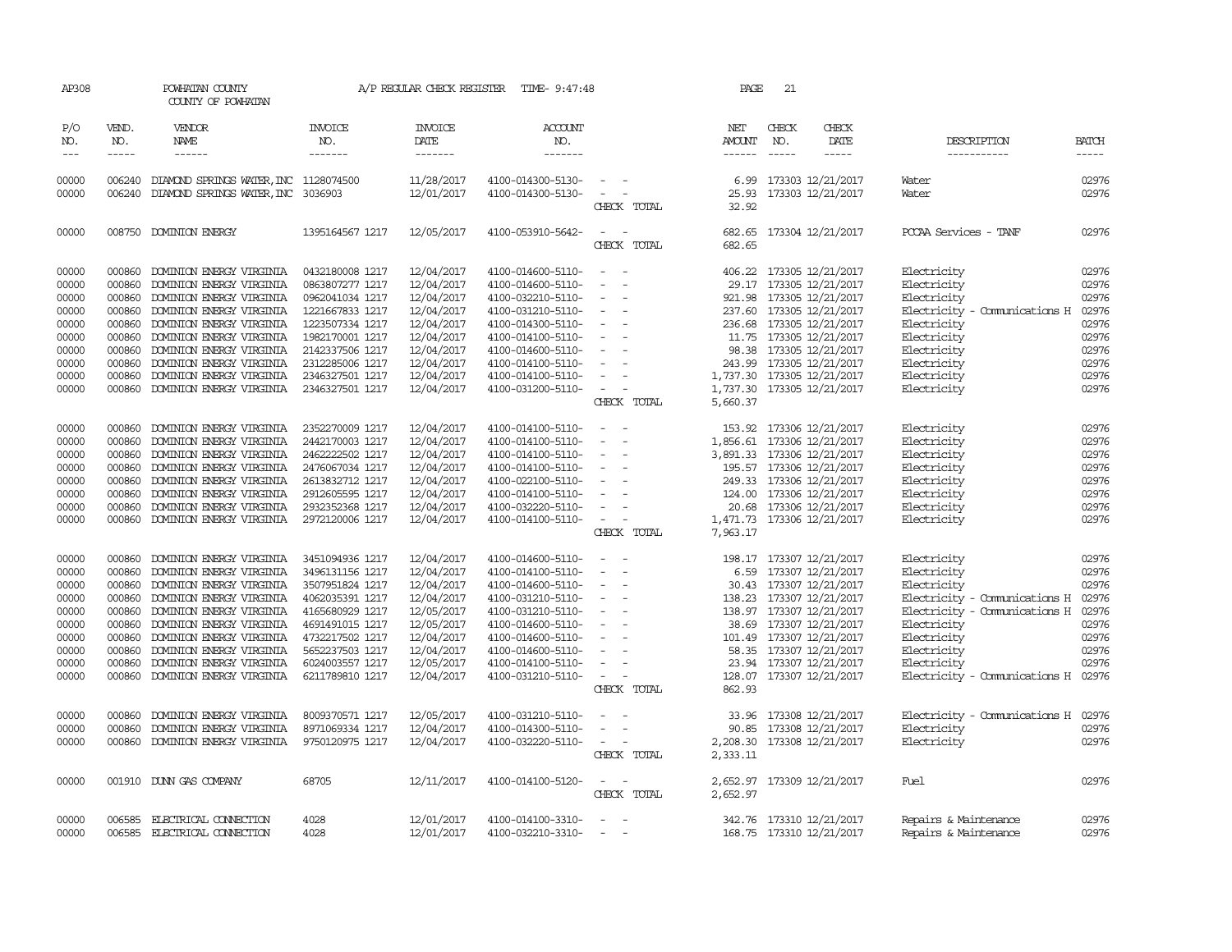| AP308                                                                                  |                                                                                                  | POWHATAN COUNTY<br>COUNTY OF POWHATAN                                                                                                                                                                                                                                                |                                                                                                                                                                                            | A/P REGULAR CHECK REGISTER                                                                                                               | TIME- 9:47:48                                                                                                                                                                                                  |                                                                                                                           |             | PAGE                    | 21                            |                                                                                                                                                                                                                                                                                       |                                                                                                                                                                                                          |                                                                                        |
|----------------------------------------------------------------------------------------|--------------------------------------------------------------------------------------------------|--------------------------------------------------------------------------------------------------------------------------------------------------------------------------------------------------------------------------------------------------------------------------------------|--------------------------------------------------------------------------------------------------------------------------------------------------------------------------------------------|------------------------------------------------------------------------------------------------------------------------------------------|----------------------------------------------------------------------------------------------------------------------------------------------------------------------------------------------------------------|---------------------------------------------------------------------------------------------------------------------------|-------------|-------------------------|-------------------------------|---------------------------------------------------------------------------------------------------------------------------------------------------------------------------------------------------------------------------------------------------------------------------------------|----------------------------------------------------------------------------------------------------------------------------------------------------------------------------------------------------------|----------------------------------------------------------------------------------------|
| P/O<br>NO.<br>$\frac{1}{2}$                                                            | VEND.<br>NO.<br>$- - - - -$                                                                      | VENDOR<br>NAME<br>$- - - - - -$                                                                                                                                                                                                                                                      | INVOICE<br>NO.<br>-------                                                                                                                                                                  | <b>INVOICE</b><br>DATE<br>--------                                                                                                       | <b>ACCOUNT</b><br>NO.<br>-------                                                                                                                                                                               |                                                                                                                           |             | NET<br>AMOUNT<br>------ | CHECK<br>NO.<br>$\frac{1}{2}$ | CHECK<br>DATE<br>$\frac{1}{2}$                                                                                                                                                                                                                                                        | DESCRIPTION<br>-----------                                                                                                                                                                               | <b>BATCH</b><br>-----                                                                  |
| 00000<br>00000                                                                         | 006240<br>006240                                                                                 | DIAMOND SPRINGS WATER, INC 1128074500<br>DIAMOND SPRINGS WATER, INC 3036903                                                                                                                                                                                                          |                                                                                                                                                                                            | 11/28/2017<br>12/01/2017                                                                                                                 | 4100-014300-5130-<br>4100-014300-5130-                                                                                                                                                                         | $\sim$<br>$\sim$ $ -$                                                                                                     | CHECK TOTAL | 6.99<br>25.93<br>32.92  |                               | 173303 12/21/2017<br>173303 12/21/2017                                                                                                                                                                                                                                                | Water<br>Water                                                                                                                                                                                           | 02976<br>02976                                                                         |
| 00000                                                                                  |                                                                                                  | 008750 DOMINION ENERGY                                                                                                                                                                                                                                                               | 1395164567 1217                                                                                                                                                                            | 12/05/2017                                                                                                                               | 4100-053910-5642-                                                                                                                                                                                              | $\sim$ $-$                                                                                                                | CHECK TOTAL | 682.65                  |                               | 682.65 173304 12/21/2017                                                                                                                                                                                                                                                              | PCCAA Services - TANF                                                                                                                                                                                    | 02976                                                                                  |
| 00000<br>00000<br>00000<br>00000<br>00000<br>00000<br>00000<br>00000<br>00000<br>00000 | 000860<br>000860<br>000860<br>000860<br>000860<br>000860<br>000860<br>000860<br>000860<br>000860 | DOMINION ENERGY VIRGINIA<br>DOMINION ENERGY VIRGINIA<br>DOMINION ENERGY VIRGINIA<br>DOMINION ENERGY VIRGINIA<br>DOMINION ENERGY VIRGINIA<br>DOMINION ENERGY VIRGINIA<br>DOMINION ENERGY VIRGINIA<br>DOMINION ENERGY VIRGINIA<br>DOMINION ENERGY VIRGINIA<br>DOMINION ENERGY VIRGINIA | 0432180008 1217<br>0863807277 1217<br>0962041034 1217<br>1221667833 1217<br>1223507334 1217<br>1982170001 1217<br>2142337506 1217<br>2312285006 1217<br>2346327501 1217<br>2346327501 1217 | 12/04/2017<br>12/04/2017<br>12/04/2017<br>12/04/2017<br>12/04/2017<br>12/04/2017<br>12/04/2017<br>12/04/2017<br>12/04/2017<br>12/04/2017 | 4100-014600-5110-<br>4100-014600-5110-<br>4100-032210-5110-<br>4100-031210-5110-<br>4100-014300-5110-<br>4100-014100-5110-<br>4100-014600-5110-<br>4100-014100-5110-<br>4100-014100-5110-<br>4100-031200-5110- | $\equiv$<br>$\overline{\phantom{a}}$<br>$\sim$<br>$\sim$<br>$\sim$<br>$\sim$<br>$\sim$ $-$<br>$\sim$<br>$\sim$<br>$\sim$  | CHECK TOTAL | 5,660.37                |                               | 406.22 173305 12/21/2017<br>29.17 173305 12/21/2017<br>921.98 173305 12/21/2017<br>237.60 173305 12/21/2017<br>236.68 173305 12/21/2017<br>11.75 173305 12/21/2017<br>98.38 173305 12/21/2017<br>243.99 173305 12/21/2017<br>1,737.30 173305 12/21/2017<br>1,737.30 173305 12/21/2017 | Electricity<br>Electricity<br>Electricity<br>Electricity - Comunications H<br>Electricity<br>Electricity<br>Electricity<br>Electricity<br>Electricity<br>Electricity                                     | 02976<br>02976<br>02976<br>02976<br>02976<br>02976<br>02976<br>02976<br>02976<br>02976 |
| 00000<br>00000<br>00000<br>00000<br>00000<br>00000<br>00000<br>00000                   | 000860<br>000860<br>000860<br>000860<br>000860<br>000860<br>000860<br>000860                     | DOMINION ENERGY VIRGINIA<br>DOMINION ENERGY VIRGINIA<br>DOMINION ENERGY VIRGINIA<br>DOMINION ENERGY VIRGINIA<br>DOMINION ENERGY VIRGINIA<br>DOMINION ENERGY VIRGINIA<br>DOMINION ENERGY VIRGINIA<br>DOMINION ENERGY VIRGINIA                                                         | 2352270009 1217<br>2442170003 1217<br>2462222502 1217<br>2476067034 1217<br>2613832712 1217<br>2912605595 1217<br>2932352368 1217<br>2972120006 1217                                       | 12/04/2017<br>12/04/2017<br>12/04/2017<br>12/04/2017<br>12/04/2017<br>12/04/2017<br>12/04/2017<br>12/04/2017                             | 4100-014100-5110-<br>4100-014100-5110-<br>4100-014100-5110-<br>4100-014100-5110-<br>4100-022100-5110-<br>4100-014100-5110-<br>4100-032220-5110-<br>4100-014100-5110-                                           | $\sim$<br>$\sim$<br>$\sim$ $-$<br>$\sim 100$<br>$\sim$<br>$\overline{\phantom{a}}$<br>$\sim$                              | CHECK TOTAL | 7,963.17                |                               | 153.92 173306 12/21/2017<br>1,856.61 173306 12/21/2017<br>3,891.33 173306 12/21/2017<br>195.57 173306 12/21/2017<br>249.33 173306 12/21/2017<br>124.00 173306 12/21/2017<br>20.68 173306 12/21/2017<br>1,471.73 173306 12/21/2017                                                     | Electricity<br>Electricity<br>Electricity<br>Electricity<br>Electricity<br>Electricity<br>Electricity<br>Electricity                                                                                     | 02976<br>02976<br>02976<br>02976<br>02976<br>02976<br>02976<br>02976                   |
| 00000<br>00000<br>00000<br>00000<br>00000<br>00000<br>00000<br>00000<br>00000<br>00000 | 000860<br>000860<br>000860<br>000860<br>000860<br>000860<br>000860<br>000860<br>000860<br>000860 | DOMINION ENERGY VIRGINIA<br>DOMINION ENERGY VIRGINIA<br>DOMINION ENERGY VIRGINIA<br>DOMINION ENERGY VIRGINIA<br>DOMINION ENERGY VIRGINIA<br>DOMINION ENERGY VIRGINIA<br>DOMINION ENERGY VIRGINIA<br>DOMINION ENERGY VIRGINIA<br>DOMINION ENERGY VIRGINIA<br>DOMINION ENERGY VIRGINIA | 3451094936 1217<br>3496131156 1217<br>3507951824 1217<br>4062035391 1217<br>4165680929 1217<br>4691491015 1217<br>4732217502 1217<br>5652237503 1217<br>6024003557 1217<br>6211789810 1217 | 12/04/2017<br>12/04/2017<br>12/04/2017<br>12/04/2017<br>12/05/2017<br>12/05/2017<br>12/04/2017<br>12/04/2017<br>12/05/2017<br>12/04/2017 | 4100-014600-5110-<br>4100-014100-5110-<br>4100-014600-5110-<br>4100-031210-5110-<br>4100-031210-5110-<br>4100-014600-5110-<br>4100-014600-5110-<br>4100-014600-5110-<br>4100-014100-5110-<br>4100-031210-5110- | $\sim$ $-$<br>$\sim$<br>$\sim$<br>$\sim$<br>$\sim$<br>$\sim$<br>$\sim$ $-$<br>$\sim$<br>$\sim$<br>$\sim$<br>$\sim$        | CHECK TOTAL | 128.07<br>862.93        |                               | 198.17 173307 12/21/2017<br>6.59 173307 12/21/2017<br>30.43 173307 12/21/2017<br>138.23 173307 12/21/2017<br>138.97 173307 12/21/2017<br>38.69 173307 12/21/2017<br>101.49 173307 12/21/2017<br>58.35 173307 12/21/2017<br>23.94 173307 12/21/2017<br>173307 12/21/2017               | Electricity<br>Electricity<br>Electricity<br>Electricity - Comunications H<br>Electricity - Comunications H<br>Electricity<br>Electricity<br>Electricity<br>Electricity<br>Electricity - Comunications H | 02976<br>02976<br>02976<br>02976<br>02976<br>02976<br>02976<br>02976<br>02976<br>02976 |
| 00000<br>00000<br>00000                                                                | 000860<br>000860<br>000860                                                                       | DOMINION ENERGY VIRGINIA<br>DOMINION ENERGY VIRGINIA<br>DOMINION ENERGY VIRGINIA                                                                                                                                                                                                     | 8009370571 1217<br>8971069334 1217<br>9750120975 1217                                                                                                                                      | 12/05/2017<br>12/04/2017<br>12/04/2017                                                                                                   | 4100-031210-5110-<br>4100-014300-5110-<br>4100-032220-5110-                                                                                                                                                    | $\overline{\phantom{a}}$<br>$\sim$<br>$\sim$ 100 $\mu$                                                                    | CHECK TOTAL | 33.96<br>2,333.11       |                               | 173308 12/21/2017<br>90.85 173308 12/21/2017<br>2,208.30 173308 12/21/2017                                                                                                                                                                                                            | Electricity - Comunications H<br>Electricity<br>Electricity                                                                                                                                              | 02976<br>02976<br>02976                                                                |
| 00000                                                                                  |                                                                                                  | 001910 DUNN GAS COMPANY                                                                                                                                                                                                                                                              | 68705                                                                                                                                                                                      | 12/11/2017                                                                                                                               | 4100-014100-5120-                                                                                                                                                                                              | $\frac{1}{2} \left( \frac{1}{2} \right) \left( \frac{1}{2} \right) \left( \frac{1}{2} \right) \left( \frac{1}{2} \right)$ | CHECK TOTAL | 2,652.97                |                               | 2,652.97 173309 12/21/2017                                                                                                                                                                                                                                                            | Fuel                                                                                                                                                                                                     | 02976                                                                                  |
| 00000<br>00000                                                                         | 006585<br>006585                                                                                 | ELECTRICAL CONNECTION<br>ELECTRICAL CONECTION                                                                                                                                                                                                                                        | 4028<br>4028                                                                                                                                                                               | 12/01/2017<br>12/01/2017                                                                                                                 | 4100-014100-3310-<br>4100-032210-3310-                                                                                                                                                                         | $\sim$<br>$\sim$                                                                                                          |             |                         |                               | 342.76 173310 12/21/2017<br>168.75 173310 12/21/2017                                                                                                                                                                                                                                  | Repairs & Maintenance<br>Repairs & Maintenance                                                                                                                                                           | 02976<br>02976                                                                         |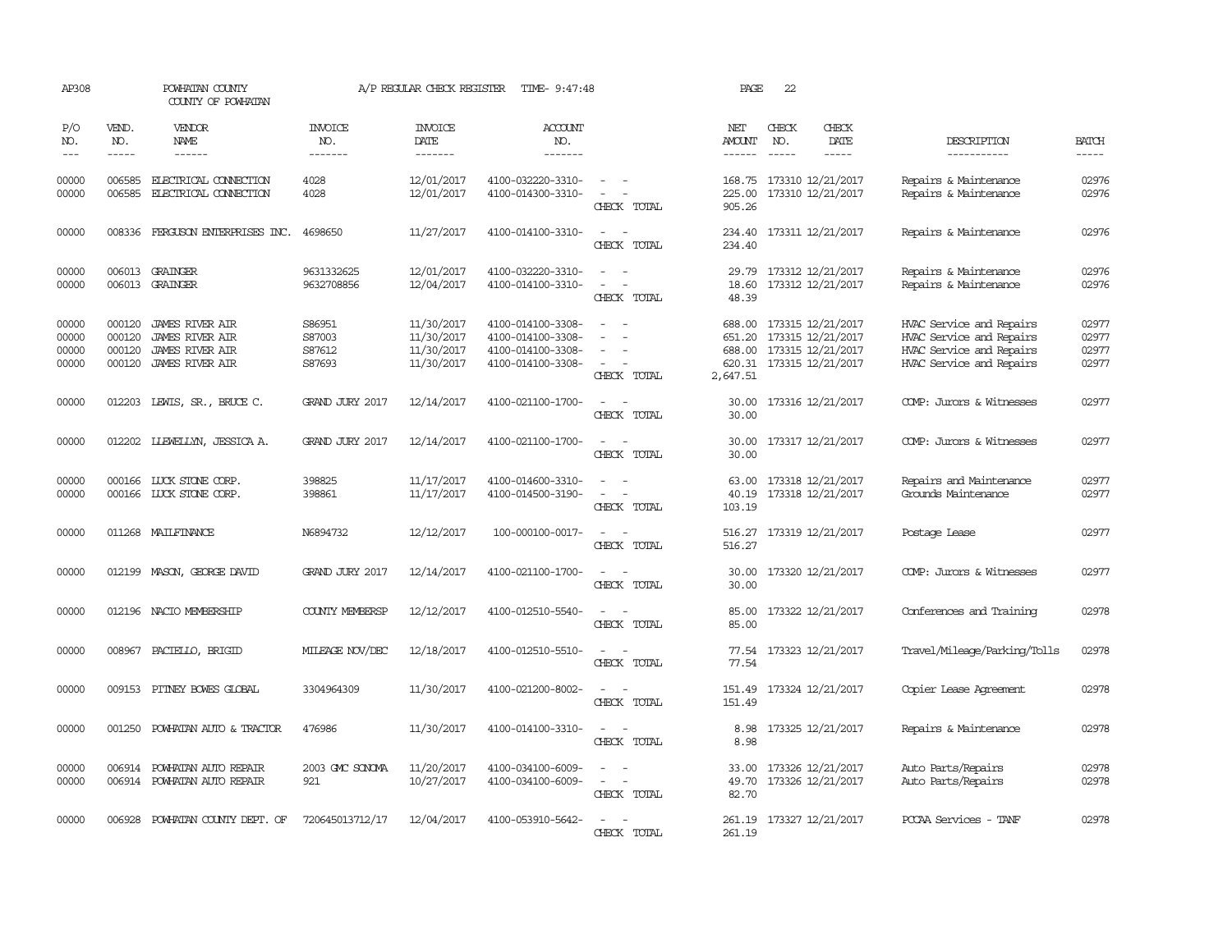| AP308                            |                                      | POWHATAN COUNTY<br>COUNTY OF POWHATAN                                                  |                                      | A/P REGULAR CHECK REGISTER                           | TIME- 9:47:48                                                                    |                                                   | PAGE                                   | 22                          |                                                                                         |                                                                                                              |                                  |
|----------------------------------|--------------------------------------|----------------------------------------------------------------------------------------|--------------------------------------|------------------------------------------------------|----------------------------------------------------------------------------------|---------------------------------------------------|----------------------------------------|-----------------------------|-----------------------------------------------------------------------------------------|--------------------------------------------------------------------------------------------------------------|----------------------------------|
| P/O<br>NO.<br>$\frac{1}{2}$      | VEND.<br>NO.<br>$- - - - -$          | <b>VENDOR</b><br>NAME<br>$- - - - - -$                                                 | <b>INVOICE</b><br>NO.<br>-------     | <b>INVOICE</b><br><b>DATE</b><br>-------             | <b>ACCOUNT</b><br>NO.<br>-------                                                 |                                                   | NET<br>AMOUNT                          | CHECK<br>NO.<br>$- - - - -$ | CHECK<br>DATE<br>-----                                                                  | DESCRIPTION<br>-----------                                                                                   | <b>BATCH</b><br>$- - - - -$      |
| 00000<br>00000                   | 006585<br>006585                     | ELECTRICAL CONNECTION<br>ELECTRICAL CONNECTION                                         | 4028<br>4028                         | 12/01/2017<br>12/01/2017                             | 4100-032220-3310-<br>4100-014300-3310-                                           | $\overline{\phantom{a}}$<br>$\sim$<br>CHECK TOTAL | 168.75<br>225.00<br>905.26             |                             | 173310 12/21/2017<br>173310 12/21/2017                                                  | Repairs & Maintenance<br>Repairs & Maintenance                                                               | 02976<br>02976                   |
| 00000                            | 008336                               | FERGUSON ENTERPRISES INC.                                                              | 4698650                              | 11/27/2017                                           | 4100-014100-3310-                                                                | $\sim$<br>$\sim$<br>CHECK TOTAL                   | 234.40<br>234.40                       |                             | 173311 12/21/2017                                                                       | Repairs & Maintenance                                                                                        | 02976                            |
| 00000<br>00000                   |                                      | 006013 GRAINGER<br>006013 GRAINGER                                                     | 9631332625<br>9632708856             | 12/01/2017<br>12/04/2017                             | 4100-032220-3310-<br>4100-014100-3310-                                           | $\equiv$<br>$\sim$<br>$\sim$<br>CHECK TOTAL       | 29.79<br>18.60<br>48.39                |                             | 173312 12/21/2017<br>173312 12/21/2017                                                  | Repairs & Maintenance<br>Repairs & Maintenance                                                               | 02976<br>02976                   |
| 00000<br>00000<br>00000<br>00000 | 000120<br>000120<br>000120<br>000120 | JAMES RIVER AIR<br><b>JAMES RIVER AIR</b><br><b>JAMES RIVER AIR</b><br>JAMES RIVER AIR | S86951<br>S87003<br>S87612<br>S87693 | 11/30/2017<br>11/30/2017<br>11/30/2017<br>11/30/2017 | 4100-014100-3308-<br>4100-014100-3308-<br>4100-014100-3308-<br>4100-014100-3308- | $\sim$<br>$\sim$<br>CHECK TOTAL                   | 688.00<br>651.20<br>688.00<br>2,647.51 |                             | 173315 12/21/2017<br>173315 12/21/2017<br>173315 12/21/2017<br>620.31 173315 12/21/2017 | HVAC Service and Repairs<br>HVAC Service and Repairs<br>HVAC Service and Repairs<br>HVAC Service and Repairs | 02977<br>02977<br>02977<br>02977 |
| 00000                            |                                      | 012203 LEWIS, SR., BRUCE C.                                                            | GRAND JURY 2017                      | 12/14/2017                                           | 4100-021100-1700-                                                                | CHECK TOTAL                                       | 30.00<br>30.00                         |                             | 173316 12/21/2017                                                                       | COMP: Jurors & Witnesses                                                                                     | 02977                            |
| 00000                            |                                      | 012202 LLEWELLYN, JESSICA A.                                                           | GRAND JURY 2017                      | 12/14/2017                                           | 4100-021100-1700-                                                                | $\sim$<br>$\equiv$<br>CHECK TOTAL                 | 30.00<br>30.00                         |                             | 173317 12/21/2017                                                                       | COMP: Jurors & Witnesses                                                                                     | 02977                            |
| 00000<br>00000                   | 000166                               | LUCK STONE CORP.<br>000166 LUCK STONE CORP.                                            | 398825<br>398861                     | 11/17/2017<br>11/17/2017                             | 4100-014600-3310-<br>4100-014500-3190-                                           | $\equiv$<br>CHECK TOTAL                           | 63.00<br>40.19<br>103.19               |                             | 173318 12/21/2017<br>173318 12/21/2017                                                  | Repairs and Maintenance<br>Grounds Maintenance                                                               | 02977<br>02977                   |
| 00000                            | 011268                               | MAILFINANCE                                                                            | N6894732                             | 12/12/2017                                           | 100-000100-0017-                                                                 | CHECK TOTAL                                       | 516.27<br>516.27                       |                             | 173319 12/21/2017                                                                       | Postage Lease                                                                                                | 02977                            |
| 00000                            | 012199                               | MASON, GEORGE DAVID                                                                    | GRAND JURY 2017                      | 12/14/2017                                           | 4100-021100-1700-                                                                | CHECK TOTAL                                       | 30.00<br>30.00                         |                             | 173320 12/21/2017                                                                       | COMP: Jurors & Witnesses                                                                                     | 02977                            |
| 00000                            | 012196                               | NACIO MEMBERSHIP                                                                       | <b>COUNTY MEMBERSP</b>               | 12/12/2017                                           | 4100-012510-5540-                                                                | CHECK TOTAL                                       | 85.00<br>85.00                         |                             | 173322 12/21/2017                                                                       | Conferences and Training                                                                                     | 02978                            |
| 00000                            | 008967                               | PACIELLO, BRIGID                                                                       | MILEAGE NOV/DEC                      | 12/18/2017                                           | 4100-012510-5510-                                                                | CHECK TOTAL                                       | 77.54<br>77.54                         |                             | 173323 12/21/2017                                                                       | Travel/Mileage/Parking/Tolls                                                                                 | 02978                            |
| 00000                            |                                      | 009153 PITNEY BOWES GLOBAL                                                             | 3304964309                           | 11/30/2017                                           | 4100-021200-8002-                                                                | $\equiv$<br>CHECK TOTAL                           | 151.49<br>151.49                       |                             | 173324 12/21/2017                                                                       | Copier Lease Agreement                                                                                       | 02978                            |
| 00000                            |                                      | 001250 POWHATAN AUTO & TRACTOR                                                         | 476986                               | 11/30/2017                                           | 4100-014100-3310-                                                                | CHECK TOTAL                                       | 8.98<br>8.98                           |                             | 173325 12/21/2017                                                                       | Repairs & Maintenance                                                                                        | 02978                            |
| 00000<br>00000                   | 006914                               | POWHATAN AUTO REPAIR<br>006914 POWHATAN AUTO REPAIR                                    | 2003 GMC SONOMA<br>921               | 11/20/2017<br>10/27/2017                             | 4100-034100-6009-<br>4100-034100-6009-                                           | $\equiv$<br>CHECK TOTAL                           | 33.00<br>49.70<br>82.70                |                             | 173326 12/21/2017<br>173326 12/21/2017                                                  | Auto Parts/Repairs<br>Auto Parts/Repairs                                                                     | 02978<br>02978                   |
| 00000                            | 006928                               | POWHATAN COUNTY DEPT. OF                                                               | 720645013712/17                      | 12/04/2017                                           | 4100-053910-5642-                                                                | $\overline{\phantom{a}}$<br>CHECK TOTAL           | 261.19<br>261.19                       |                             | 173327 12/21/2017                                                                       | PCCAA Services - TANF                                                                                        | 02978                            |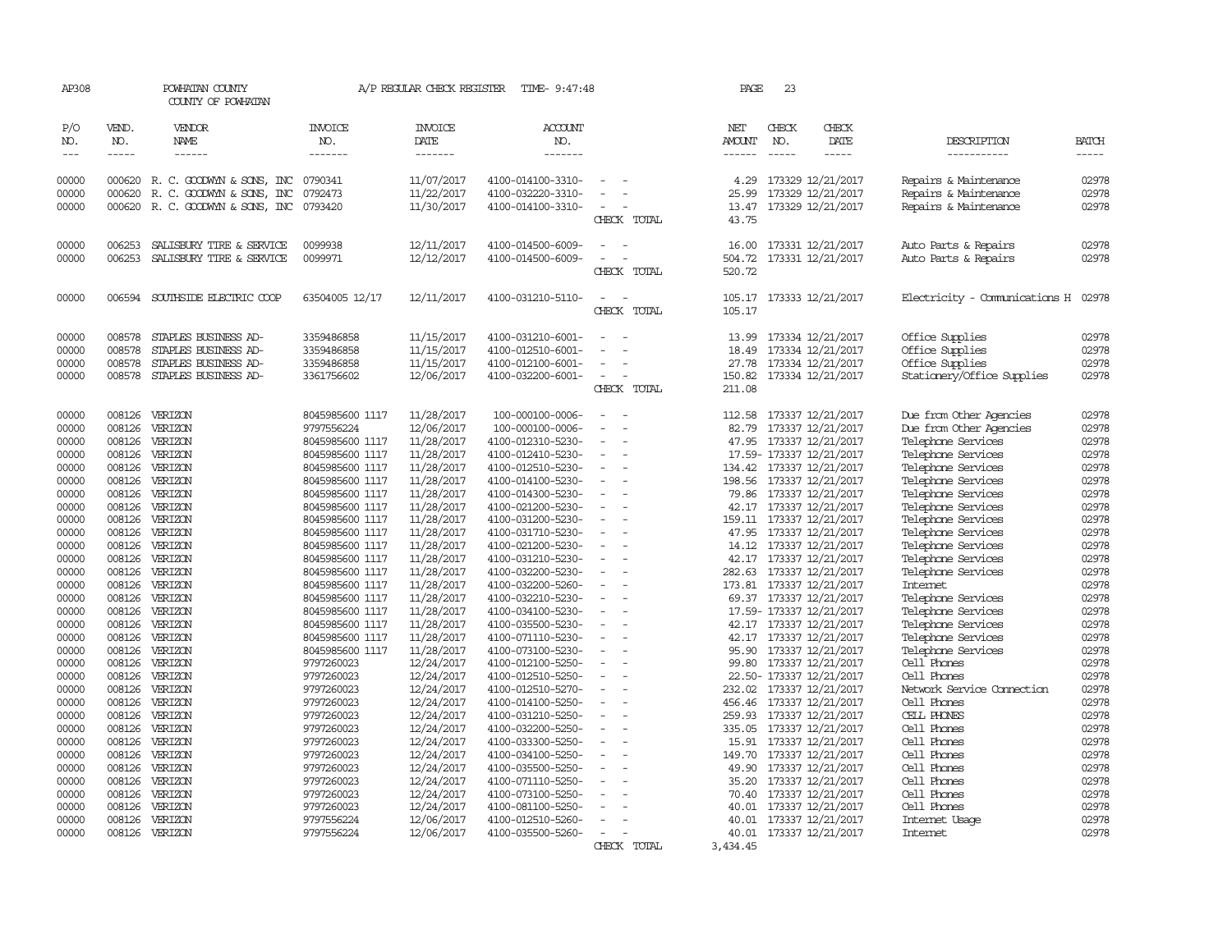| AP308                |                                                                                                                                                                                                                                                                                                                                                                                                                                                                         | POWHATAN COUNTY<br>COUNTY OF POWHATAN                         |                                    | A/P REGULAR CHECK REGISTER        | TIME- 9:47:48                          |                          | PAGE                    | 23                          |                                                     |                                                |                                                                                                                                                                                                                                                                                                                                                                                                                                                                                                     |
|----------------------|-------------------------------------------------------------------------------------------------------------------------------------------------------------------------------------------------------------------------------------------------------------------------------------------------------------------------------------------------------------------------------------------------------------------------------------------------------------------------|---------------------------------------------------------------|------------------------------------|-----------------------------------|----------------------------------------|--------------------------|-------------------------|-----------------------------|-----------------------------------------------------|------------------------------------------------|-----------------------------------------------------------------------------------------------------------------------------------------------------------------------------------------------------------------------------------------------------------------------------------------------------------------------------------------------------------------------------------------------------------------------------------------------------------------------------------------------------|
| P/O<br>NO.<br>$--\,$ | VEND.<br>NO.<br>$\begin{tabular}{ccccc} \multicolumn{2}{c }{\multicolumn{2}{c }{\multicolumn{2}{c }{\multicolumn{2}{c}}{\hspace{-2.2cm}}}} \multicolumn{2}{c }{\multicolumn{2}{c }{\hspace{-2.2cm}}\hline} \multicolumn{2}{c }{\hspace{-2.2cm}}\hline \multicolumn{2}{c }{\hspace{-2.2cm}}\hline \multicolumn{2}{c }{\hspace{-2.2cm}}\hline \multicolumn{2}{c }{\hspace{-2.2cm}}\hline \multicolumn{2}{c }{\hspace{-2.2cm}}\hline \multicolumn{2}{c }{\hspace{-2.2cm}}$ | <b>VENDOR</b><br>NAME<br>$- - - - - -$                        | INVOICE<br>NO.<br>-------          | <b>INVOICE</b><br>DATE<br>------- | <b>ACCOUNT</b><br>NO.<br>-------       |                          | NET<br>AMOUNT<br>------ | CHECK<br>NO.<br>$- - - - -$ | CHECK<br>DATE                                       | DESCRIPTION<br>-----------                     | <b>BATCH</b><br>$\begin{tabular}{ccccc} \multicolumn{2}{c}{} & \multicolumn{2}{c}{} & \multicolumn{2}{c}{} & \multicolumn{2}{c}{} & \multicolumn{2}{c}{} & \multicolumn{2}{c}{} & \multicolumn{2}{c}{} & \multicolumn{2}{c}{} & \multicolumn{2}{c}{} & \multicolumn{2}{c}{} & \multicolumn{2}{c}{} & \multicolumn{2}{c}{} & \multicolumn{2}{c}{} & \multicolumn{2}{c}{} & \multicolumn{2}{c}{} & \multicolumn{2}{c}{} & \multicolumn{2}{c}{} & \multicolumn{2}{c}{} & \multicolumn{2}{c}{} & \mult$ |
|                      |                                                                                                                                                                                                                                                                                                                                                                                                                                                                         |                                                               |                                    |                                   |                                        |                          |                         |                             |                                                     |                                                |                                                                                                                                                                                                                                                                                                                                                                                                                                                                                                     |
| 00000<br>00000       |                                                                                                                                                                                                                                                                                                                                                                                                                                                                         | 000620 R. C. GOODWYN & SONS, INC                              | 0790341                            | 11/07/2017                        | 4100-014100-3310-                      |                          | 4.29                    |                             | 173329 12/21/2017                                   | Repairs & Maintenance                          | 02978<br>02978                                                                                                                                                                                                                                                                                                                                                                                                                                                                                      |
| 00000                | 000620                                                                                                                                                                                                                                                                                                                                                                                                                                                                  | R. C. GOODWYN & SONS, INC<br>000620 R. C. GOODWYN & SONS, INC | 0792473<br>0793420                 | 11/22/2017<br>11/30/2017          | 4100-032220-3310-<br>4100-014100-3310- |                          | 25.99<br>13.47          |                             | 173329 12/21/2017<br>173329 12/21/2017              | Repairs & Maintenance<br>Repairs & Maintenance | 02978                                                                                                                                                                                                                                                                                                                                                                                                                                                                                               |
|                      |                                                                                                                                                                                                                                                                                                                                                                                                                                                                         |                                                               |                                    |                                   |                                        | CHECK TOTAL              | 43.75                   |                             |                                                     |                                                |                                                                                                                                                                                                                                                                                                                                                                                                                                                                                                     |
| 00000                | 006253                                                                                                                                                                                                                                                                                                                                                                                                                                                                  | SALISBURY TIRE & SERVICE                                      | 0099938                            | 12/11/2017                        | 4100-014500-6009-                      |                          | 16.00                   |                             | 173331 12/21/2017                                   | Auto Parts & Repairs                           | 02978                                                                                                                                                                                                                                                                                                                                                                                                                                                                                               |
| 00000                | 006253                                                                                                                                                                                                                                                                                                                                                                                                                                                                  | SALISBURY TIRE & SERVICE                                      | 0099971                            | 12/12/2017                        | 4100-014500-6009-                      |                          | 504.72                  |                             | 173331 12/21/2017                                   | Auto Parts & Repairs                           | 02978                                                                                                                                                                                                                                                                                                                                                                                                                                                                                               |
|                      |                                                                                                                                                                                                                                                                                                                                                                                                                                                                         |                                                               |                                    |                                   |                                        | CHECK TOTAL              | 520.72                  |                             |                                                     |                                                |                                                                                                                                                                                                                                                                                                                                                                                                                                                                                                     |
| 00000                |                                                                                                                                                                                                                                                                                                                                                                                                                                                                         | 006594 SOUTHSIDE ELECTRIC COOP                                | 63504005 12/17                     | 12/11/2017                        | 4100-031210-5110-                      |                          | 105.17                  |                             | 173333 12/21/2017                                   | Electricity - Comunications H                  | 02978                                                                                                                                                                                                                                                                                                                                                                                                                                                                                               |
|                      |                                                                                                                                                                                                                                                                                                                                                                                                                                                                         |                                                               |                                    |                                   |                                        | CHECK TOTAL              | 105.17                  |                             |                                                     |                                                |                                                                                                                                                                                                                                                                                                                                                                                                                                                                                                     |
| 00000                | 008578                                                                                                                                                                                                                                                                                                                                                                                                                                                                  | STAPLES BUSINESS AD-                                          | 3359486858                         | 11/15/2017                        | 4100-031210-6001-                      |                          | 13.99                   |                             | 173334 12/21/2017                                   | Office Supplies                                | 02978                                                                                                                                                                                                                                                                                                                                                                                                                                                                                               |
| 00000                | 008578                                                                                                                                                                                                                                                                                                                                                                                                                                                                  | STAPLES BUSINESS AD-                                          | 3359486858                         | 11/15/2017                        | 4100-012510-6001-                      |                          | 18.49                   |                             | 173334 12/21/2017                                   | Office Supplies                                | 02978                                                                                                                                                                                                                                                                                                                                                                                                                                                                                               |
| 00000                | 008578                                                                                                                                                                                                                                                                                                                                                                                                                                                                  | STAPLES BUSINESS AD-                                          | 3359486858                         | 11/15/2017                        | 4100-012100-6001-                      |                          | 27.78                   |                             | 173334 12/21/2017                                   | Office Supplies                                | 02978                                                                                                                                                                                                                                                                                                                                                                                                                                                                                               |
| 00000                |                                                                                                                                                                                                                                                                                                                                                                                                                                                                         | 008578 STAPLES BUSINESS AD-                                   | 3361756602                         | 12/06/2017                        | 4100-032200-6001-                      | $\equiv$                 | 150.82                  |                             | 173334 12/21/2017                                   | Stationery/Office Supplies                     | 02978                                                                                                                                                                                                                                                                                                                                                                                                                                                                                               |
|                      |                                                                                                                                                                                                                                                                                                                                                                                                                                                                         |                                                               |                                    |                                   |                                        | CHECK TOTAL              | 211.08                  |                             |                                                     |                                                |                                                                                                                                                                                                                                                                                                                                                                                                                                                                                                     |
| 00000                | 008126                                                                                                                                                                                                                                                                                                                                                                                                                                                                  | VERIZON                                                       | 8045985600 1117                    | 11/28/2017                        | 100-000100-0006-                       |                          | 112.58                  |                             | 173337 12/21/2017                                   | Due from Other Agencies                        | 02978                                                                                                                                                                                                                                                                                                                                                                                                                                                                                               |
| 00000                | 008126                                                                                                                                                                                                                                                                                                                                                                                                                                                                  | VERIZON                                                       | 9797556224                         | 12/06/2017                        | 100-000100-0006-                       | $\sim$<br>÷.             | 82.79                   |                             | 173337 12/21/2017                                   | Due from Other Agencies                        | 02978                                                                                                                                                                                                                                                                                                                                                                                                                                                                                               |
| 00000                | 008126                                                                                                                                                                                                                                                                                                                                                                                                                                                                  | VERIZON                                                       | 8045985600 1117                    | 11/28/2017                        | 4100-012310-5230-                      | $\overline{\phantom{a}}$ | 47.95                   |                             | 173337 12/21/2017                                   | Telephone Services                             | 02978                                                                                                                                                                                                                                                                                                                                                                                                                                                                                               |
| 00000                | 008126                                                                                                                                                                                                                                                                                                                                                                                                                                                                  | VERIZON                                                       | 8045985600 1117                    | 11/28/2017                        | 4100-012410-5230-                      |                          |                         |                             | 17.59- 173337 12/21/2017                            | Telephone Services                             | 02978                                                                                                                                                                                                                                                                                                                                                                                                                                                                                               |
| 00000                |                                                                                                                                                                                                                                                                                                                                                                                                                                                                         | 008126 VERIZON                                                | 8045985600 1117                    | 11/28/2017                        | 4100-012510-5230-                      | $\overline{\phantom{a}}$ |                         |                             | 134.42 173337 12/21/2017                            | Telephone Services                             | 02978                                                                                                                                                                                                                                                                                                                                                                                                                                                                                               |
| 00000                | 008126                                                                                                                                                                                                                                                                                                                                                                                                                                                                  | VERIZON                                                       | 8045985600 1117                    | 11/28/2017                        | 4100-014100-5230-                      |                          | 198.56                  |                             | 173337 12/21/2017                                   | Telephone Services                             | 02978                                                                                                                                                                                                                                                                                                                                                                                                                                                                                               |
| 00000                | 008126                                                                                                                                                                                                                                                                                                                                                                                                                                                                  | VERIZON                                                       | 8045985600 1117                    | 11/28/2017                        | 4100-014300-5230-                      | $\sim$                   | 79.86                   |                             | 173337 12/21/2017                                   | Telephone Services                             | 02978                                                                                                                                                                                                                                                                                                                                                                                                                                                                                               |
| 00000                | 008126                                                                                                                                                                                                                                                                                                                                                                                                                                                                  | VERIZON                                                       | 8045985600 1117                    | 11/28/2017                        | 4100-021200-5230-                      |                          |                         |                             | 42.17 173337 12/21/2017                             | Telephone Services                             | 02978                                                                                                                                                                                                                                                                                                                                                                                                                                                                                               |
| 00000                |                                                                                                                                                                                                                                                                                                                                                                                                                                                                         | 008126 VERIZON                                                | 8045985600 1117                    | 11/28/2017                        | 4100-031200-5230-                      | $\sim$                   |                         |                             | 159.11 173337 12/21/2017                            | Telephone Services                             | 02978                                                                                                                                                                                                                                                                                                                                                                                                                                                                                               |
| 00000                |                                                                                                                                                                                                                                                                                                                                                                                                                                                                         | 008126 VERIZON                                                | 8045985600 1117                    | 11/28/2017                        | 4100-031710-5230-                      |                          | 47.95                   |                             | 173337 12/21/2017                                   | Telephone Services                             | 02978                                                                                                                                                                                                                                                                                                                                                                                                                                                                                               |
| 00000                | 008126                                                                                                                                                                                                                                                                                                                                                                                                                                                                  | VERIZON                                                       | 8045985600 1117                    | 11/28/2017                        | 4100-021200-5230-                      |                          | 14.12                   |                             | 173337 12/21/2017                                   | Telephone Services                             | 02978                                                                                                                                                                                                                                                                                                                                                                                                                                                                                               |
| 00000                | 008126                                                                                                                                                                                                                                                                                                                                                                                                                                                                  | VERIZON                                                       | 8045985600 1117                    | 11/28/2017                        | 4100-031210-5230-                      |                          |                         |                             | 42.17 173337 12/21/2017                             | Telephone Services                             | 02978                                                                                                                                                                                                                                                                                                                                                                                                                                                                                               |
| 00000                | 008126<br>008126                                                                                                                                                                                                                                                                                                                                                                                                                                                        | VERIZON<br>VERIZON                                            | 8045985600 1117                    | 11/28/2017                        | 4100-032200-5230-                      |                          | 282.63                  |                             | 173337 12/21/2017                                   | Telephone Services<br>Internet                 | 02978<br>02978                                                                                                                                                                                                                                                                                                                                                                                                                                                                                      |
| 00000                |                                                                                                                                                                                                                                                                                                                                                                                                                                                                         |                                                               | 8045985600 1117                    | 11/28/2017                        | 4100-032200-5260-                      |                          | 173.81                  |                             | 173337 12/21/2017                                   |                                                |                                                                                                                                                                                                                                                                                                                                                                                                                                                                                                     |
| 00000<br>00000       | 008126<br>008126                                                                                                                                                                                                                                                                                                                                                                                                                                                        | VERIZON<br>VERIZON                                            | 8045985600 1117<br>8045985600 1117 | 11/28/2017<br>11/28/2017          | 4100-032210-5230-<br>4100-034100-5230- | $\overline{\phantom{a}}$ |                         |                             | 69.37 173337 12/21/2017<br>17.59- 173337 12/21/2017 | Telephone Services<br>Telephone Services       | 02978<br>02978                                                                                                                                                                                                                                                                                                                                                                                                                                                                                      |
| 00000                | 008126                                                                                                                                                                                                                                                                                                                                                                                                                                                                  | VERIZON                                                       | 8045985600 1117                    | 11/28/2017                        | 4100-035500-5230-                      |                          |                         |                             | 42.17 173337 12/21/2017                             | Telephone Services                             | 02978                                                                                                                                                                                                                                                                                                                                                                                                                                                                                               |
| 00000                | 008126                                                                                                                                                                                                                                                                                                                                                                                                                                                                  | VERIZON                                                       | 8045985600 1117                    | 11/28/2017                        | 4100-071110-5230-                      | $\equiv$                 |                         |                             | 42.17 173337 12/21/2017                             | Telephone Services                             | 02978                                                                                                                                                                                                                                                                                                                                                                                                                                                                                               |
| 00000                | 008126                                                                                                                                                                                                                                                                                                                                                                                                                                                                  | VERIZON                                                       | 8045985600 1117                    | 11/28/2017                        | 4100-073100-5230-                      |                          | 95.90                   |                             | 173337 12/21/2017                                   | Telephone Services                             | 02978                                                                                                                                                                                                                                                                                                                                                                                                                                                                                               |
| 00000                |                                                                                                                                                                                                                                                                                                                                                                                                                                                                         | 008126 VERIZON                                                | 9797260023                         | 12/24/2017                        | 4100-012100-5250-                      | $\equiv$                 |                         |                             | 99.80 173337 12/21/2017                             | Cell Phones                                    | 02978                                                                                                                                                                                                                                                                                                                                                                                                                                                                                               |
| 00000                |                                                                                                                                                                                                                                                                                                                                                                                                                                                                         | 008126 VERIZON                                                | 9797260023                         | 12/24/2017                        | 4100-012510-5250-                      |                          |                         |                             | 22.50- 173337 12/21/2017                            | Cell Phones                                    | 02978                                                                                                                                                                                                                                                                                                                                                                                                                                                                                               |
| 00000                |                                                                                                                                                                                                                                                                                                                                                                                                                                                                         | 008126 VERIZON                                                | 9797260023                         | 12/24/2017                        | 4100-012510-5270-                      |                          |                         |                             | 232.02 173337 12/21/2017                            | Network Service Connection                     | 02978                                                                                                                                                                                                                                                                                                                                                                                                                                                                                               |
| 00000                |                                                                                                                                                                                                                                                                                                                                                                                                                                                                         | 008126 VERIZON                                                | 9797260023                         | 12/24/2017                        | 4100-014100-5250-                      |                          |                         |                             | 456.46 173337 12/21/2017                            | Cell Phones                                    | 02978                                                                                                                                                                                                                                                                                                                                                                                                                                                                                               |
| 00000                | 008126                                                                                                                                                                                                                                                                                                                                                                                                                                                                  | VERIZON                                                       | 9797260023                         | 12/24/2017                        | 4100-031210-5250-                      |                          | 259.93                  |                             | 173337 12/21/2017                                   | CELL PHONES                                    | 02978                                                                                                                                                                                                                                                                                                                                                                                                                                                                                               |
| 00000                | 008126                                                                                                                                                                                                                                                                                                                                                                                                                                                                  | VERIZON                                                       | 9797260023                         | 12/24/2017                        | 4100-032200-5250-                      |                          | 335.05                  |                             | 173337 12/21/2017                                   | Cell Phones                                    | 02978                                                                                                                                                                                                                                                                                                                                                                                                                                                                                               |
| 00000                | 008126                                                                                                                                                                                                                                                                                                                                                                                                                                                                  | VERIZON                                                       | 9797260023                         | 12/24/2017                        | 4100-033300-5250-                      |                          | 15.91                   |                             | 173337 12/21/2017                                   | Cell Phones                                    | 02978                                                                                                                                                                                                                                                                                                                                                                                                                                                                                               |
| 00000                |                                                                                                                                                                                                                                                                                                                                                                                                                                                                         | 008126 VERIZON                                                | 9797260023                         | 12/24/2017                        | 4100-034100-5250-                      |                          |                         |                             | 149.70 173337 12/21/2017                            | Cell Phones                                    | 02978                                                                                                                                                                                                                                                                                                                                                                                                                                                                                               |
| 00000                |                                                                                                                                                                                                                                                                                                                                                                                                                                                                         | 008126 VERIZON                                                | 9797260023                         | 12/24/2017                        | 4100-035500-5250-                      |                          | 49.90                   |                             | 173337 12/21/2017                                   | Cell Phones                                    | 02978                                                                                                                                                                                                                                                                                                                                                                                                                                                                                               |
| 00000                |                                                                                                                                                                                                                                                                                                                                                                                                                                                                         | 008126 VERIZON                                                | 9797260023                         | 12/24/2017                        | 4100-071110-5250-                      |                          | 35.20                   |                             | 173337 12/21/2017                                   | Cell Phones                                    | 02978                                                                                                                                                                                                                                                                                                                                                                                                                                                                                               |
| 00000                |                                                                                                                                                                                                                                                                                                                                                                                                                                                                         | 008126 VERIZON                                                | 9797260023                         | 12/24/2017                        | 4100-073100-5250-                      |                          | 70.40                   |                             | 173337 12/21/2017                                   | Cell Phones                                    | 02978                                                                                                                                                                                                                                                                                                                                                                                                                                                                                               |
| 00000                |                                                                                                                                                                                                                                                                                                                                                                                                                                                                         | 008126 VERIZON                                                | 9797260023                         | 12/24/2017                        | 4100-081100-5250-                      |                          | 40.01                   |                             | 173337 12/21/2017                                   | Cell Phones                                    | 02978                                                                                                                                                                                                                                                                                                                                                                                                                                                                                               |
| 00000                |                                                                                                                                                                                                                                                                                                                                                                                                                                                                         | 008126 VERIZON                                                | 9797556224                         | 12/06/2017                        | 4100-012510-5260-                      |                          | 40.01                   |                             | 173337 12/21/2017                                   | Internet Usage                                 | 02978                                                                                                                                                                                                                                                                                                                                                                                                                                                                                               |
| 00000                |                                                                                                                                                                                                                                                                                                                                                                                                                                                                         | 008126 VERIZON                                                | 9797556224                         | 12/06/2017                        | 4100-035500-5260-                      |                          |                         |                             | 40.01 173337 12/21/2017                             | <b>Internet</b>                                | 02978                                                                                                                                                                                                                                                                                                                                                                                                                                                                                               |
|                      |                                                                                                                                                                                                                                                                                                                                                                                                                                                                         |                                                               |                                    |                                   |                                        | CHECK TOTAL              | 3,434.45                |                             |                                                     |                                                |                                                                                                                                                                                                                                                                                                                                                                                                                                                                                                     |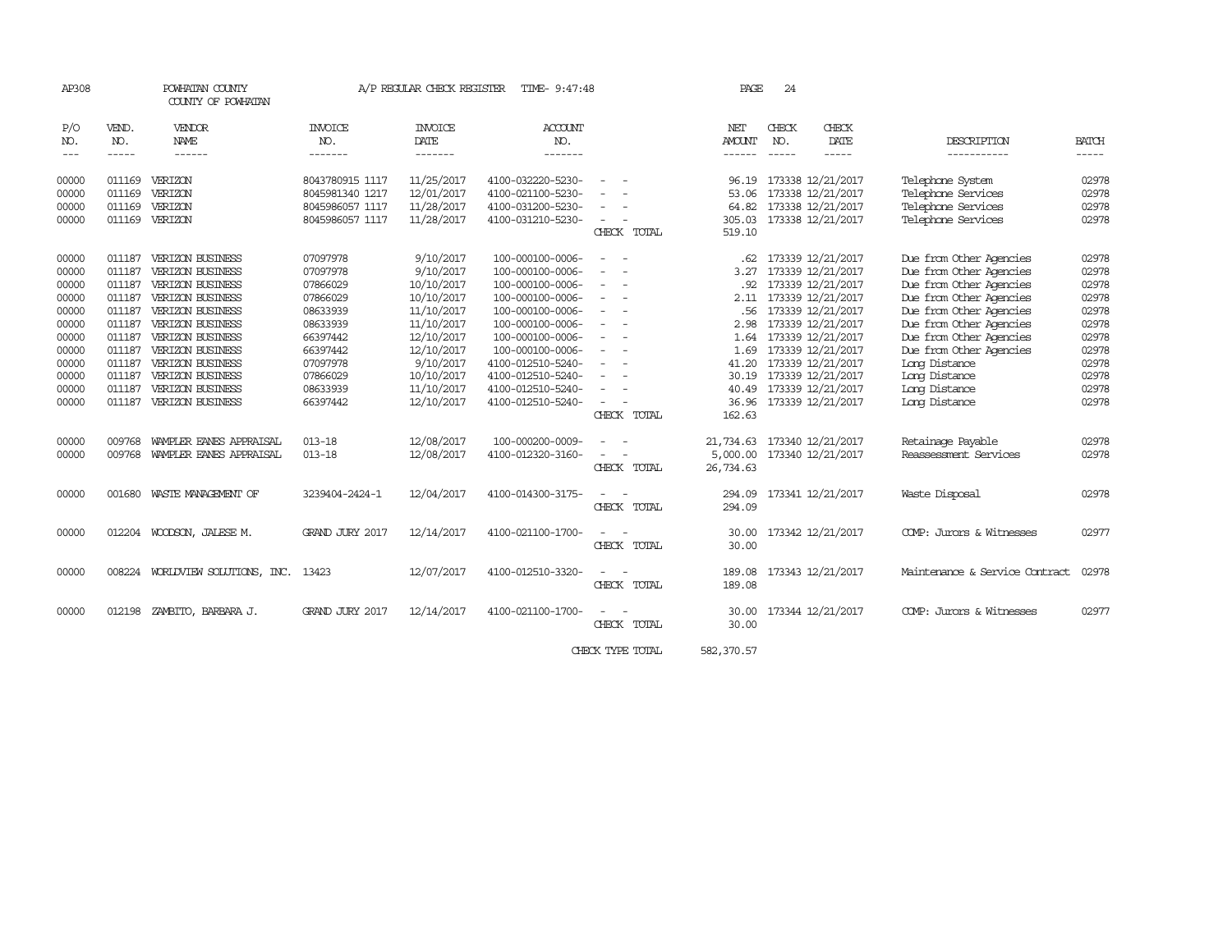| AP308                                                                                                    |                                                                                                                      | POWHATAN COUNTY<br>COUNTY OF POWHATAN                                                                                                                                                                                                                                                                |                                                                                                                                              | A/P REGULAR CHECK REGISTER                                                                                                                                        | TIME- 9:47:48                                                                                                                                                                                                                                    |                                                                                                                    |                            | PAGE                                                                   | 24                       |                                                                                                                                                                                                                                                                        |                                                                                                                                                                                                                                                                                          |                                                                                                          |
|----------------------------------------------------------------------------------------------------------|----------------------------------------------------------------------------------------------------------------------|------------------------------------------------------------------------------------------------------------------------------------------------------------------------------------------------------------------------------------------------------------------------------------------------------|----------------------------------------------------------------------------------------------------------------------------------------------|-------------------------------------------------------------------------------------------------------------------------------------------------------------------|--------------------------------------------------------------------------------------------------------------------------------------------------------------------------------------------------------------------------------------------------|--------------------------------------------------------------------------------------------------------------------|----------------------------|------------------------------------------------------------------------|--------------------------|------------------------------------------------------------------------------------------------------------------------------------------------------------------------------------------------------------------------------------------------------------------------|------------------------------------------------------------------------------------------------------------------------------------------------------------------------------------------------------------------------------------------------------------------------------------------|----------------------------------------------------------------------------------------------------------|
| P/O<br>NO.<br>$---$                                                                                      | VEND.<br>NO.<br>$- - - - -$                                                                                          | VENDOR<br><b>NAME</b><br>$- - - - - -$                                                                                                                                                                                                                                                               | INVOICE<br>NO.<br>-------                                                                                                                    | <b>INVOICE</b><br>DATE<br>-------                                                                                                                                 | <b>ACCOUNT</b><br>NO.<br>-------                                                                                                                                                                                                                 |                                                                                                                    |                            | NET<br><b>AMOUNT</b><br>------                                         | CHECK<br>NO.<br>$\cdots$ | CHECK<br>DATE<br>-----                                                                                                                                                                                                                                                 | DESCRIPTION<br>-----------                                                                                                                                                                                                                                                               | <b>BATCH</b>                                                                                             |
| 00000<br>00000<br>00000<br>00000                                                                         | 011169<br>011169<br>011169<br>011169                                                                                 | VERIZON<br>VERIZON<br>VERIZON<br>VERIZON                                                                                                                                                                                                                                                             | 8043780915 1117<br>8045981340 1217<br>8045986057 1117<br>8045986057 1117                                                                     | 11/25/2017<br>12/01/2017<br>11/28/2017<br>11/28/2017                                                                                                              | 4100-032220-5230-<br>4100-021100-5230-<br>4100-031200-5230-<br>4100-031210-5230-                                                                                                                                                                 |                                                                                                                    | CHECK TOTAL                | 96.19<br>53.06<br>64.82<br>305.03<br>519.10                            |                          | 173338 12/21/2017<br>173338 12/21/2017<br>173338 12/21/2017<br>173338 12/21/2017                                                                                                                                                                                       | Telephone System<br>Telephone Services<br>Telephone Services<br>Telephone Services                                                                                                                                                                                                       | 02978<br>02978<br>02978<br>02978                                                                         |
| 00000<br>00000<br>00000<br>00000<br>00000<br>00000<br>00000<br>00000<br>00000<br>00000<br>00000<br>00000 | 011187<br>011187<br>011187<br>011187<br>011187<br>011187<br>011187<br>011187<br>011187<br>011187<br>011187<br>011187 | VERIZON BUSINESS<br><b>VERIZON BUSINESS</b><br><b>VERIZON BUSINESS</b><br><b>VERIZON BUSINESS</b><br><b>VERIZON BUSINESS</b><br>VERIZON BUSINESS<br>VERIZON BUSINESS<br><b>VERIZON BUSINESS</b><br><b>VERIZON BUSINESS</b><br>VERIZON BUSINESS<br><b>VERIZON BUSINESS</b><br><b>VERIZON BUSINESS</b> | 07097978<br>07097978<br>07866029<br>07866029<br>08633939<br>08633939<br>66397442<br>66397442<br>07097978<br>07866029<br>08633939<br>66397442 | 9/10/2017<br>9/10/2017<br>10/10/2017<br>10/10/2017<br>11/10/2017<br>11/10/2017<br>12/10/2017<br>12/10/2017<br>9/10/2017<br>10/10/2017<br>11/10/2017<br>12/10/2017 | 100-000100-0006-<br>100-000100-0006-<br>100-000100-0006-<br>100-000100-0006-<br>100-000100-0006-<br>100-000100-0006-<br>100-000100-0006-<br>100-000100-0006-<br>4100-012510-5240-<br>4100-012510-5240-<br>4100-012510-5240-<br>4100-012510-5240- | $\sim$<br>$\sim$<br>$\sim$<br>$\overline{\phantom{a}}$<br>$\sim$<br>$\overline{\phantom{a}}$<br>$\equiv$<br>$\sim$ |                            | 3.27<br>.92<br>2.11<br>2.98<br>1.64<br>1.69<br>41.20<br>30.19<br>40.49 |                          | .62 173339 12/21/2017<br>173339 12/21/2017<br>173339 12/21/2017<br>173339 12/21/2017<br>.56 173339 12/21/2017<br>173339 12/21/2017<br>173339 12/21/2017<br>173339 12/21/2017<br>173339 12/21/2017<br>173339 12/21/2017<br>173339 12/21/2017<br>36.96 173339 12/21/2017 | Due from Other Agencies<br>Due from Other Agencies<br>Due from Other Agencies<br>Due from Other Agencies<br>Due from Other Agencies<br>Due from Other Agencies<br>Due from Other Agencies<br>Due from Other Agencies<br>Long Distance<br>Long Distance<br>Long Distance<br>Long Distance | 02978<br>02978<br>02978<br>02978<br>02978<br>02978<br>02978<br>02978<br>02978<br>02978<br>02978<br>02978 |
| 00000<br>00000<br>00000                                                                                  | 009768<br>009768<br>001680                                                                                           | WAMPLER EANES APPRAISAL<br>WAMPLER EANES APPRAISAL<br>WASTE MANAGEMENT OF                                                                                                                                                                                                                            | $013 - 18$<br>$013 - 18$<br>3239404-2424-1                                                                                                   | 12/08/2017<br>12/08/2017<br>12/04/2017                                                                                                                            | 100-000200-0009-<br>4100-012320-3160-<br>4100-014300-3175-                                                                                                                                                                                       |                                                                                                                    | CHECK TOTAL<br>CHECK TOTAL | 162.63<br>21,734.63<br>5,000.00<br>26,734.63<br>294.09                 |                          | 173340 12/21/2017<br>173340 12/21/2017<br>173341 12/21/2017                                                                                                                                                                                                            | Retainage Payable<br>Reassessment, Services<br>Waste Disposal                                                                                                                                                                                                                            | 02978<br>02978<br>02978                                                                                  |
| 00000<br>00000                                                                                           |                                                                                                                      | 012204 WOODSON, JALESE M.<br>008224 WORLDVIEW SOLUTIONS, INC.                                                                                                                                                                                                                                        | GRAND JURY 2017<br>13423                                                                                                                     | 12/14/2017<br>12/07/2017                                                                                                                                          | 4100-021100-1700-<br>4100-012510-3320-                                                                                                                                                                                                           |                                                                                                                    | CHECK TOTAL<br>CHECK TOTAL | 294.09<br>30.00<br>30.00<br>189.08                                     |                          | 173342 12/21/2017<br>173343 12/21/2017                                                                                                                                                                                                                                 | COMP: Jurors & Witnesses<br>Maintenance & Service Contract                                                                                                                                                                                                                               | 02977<br>02978                                                                                           |
| 00000                                                                                                    | 012198                                                                                                               | ZAMBITO, BARBARA J.                                                                                                                                                                                                                                                                                  | GRAND JURY 2017                                                                                                                              | 12/14/2017                                                                                                                                                        | 4100-021100-1700-                                                                                                                                                                                                                                |                                                                                                                    | CHECK TOTAL<br>CHECK TOTAL | 189.08<br>30.00<br>30.00                                               |                          | 173344 12/21/2017                                                                                                                                                                                                                                                      | COMP: Jurors & Witnesses                                                                                                                                                                                                                                                                 | 02977                                                                                                    |

CHECK TYPE TOTAL 582,370.57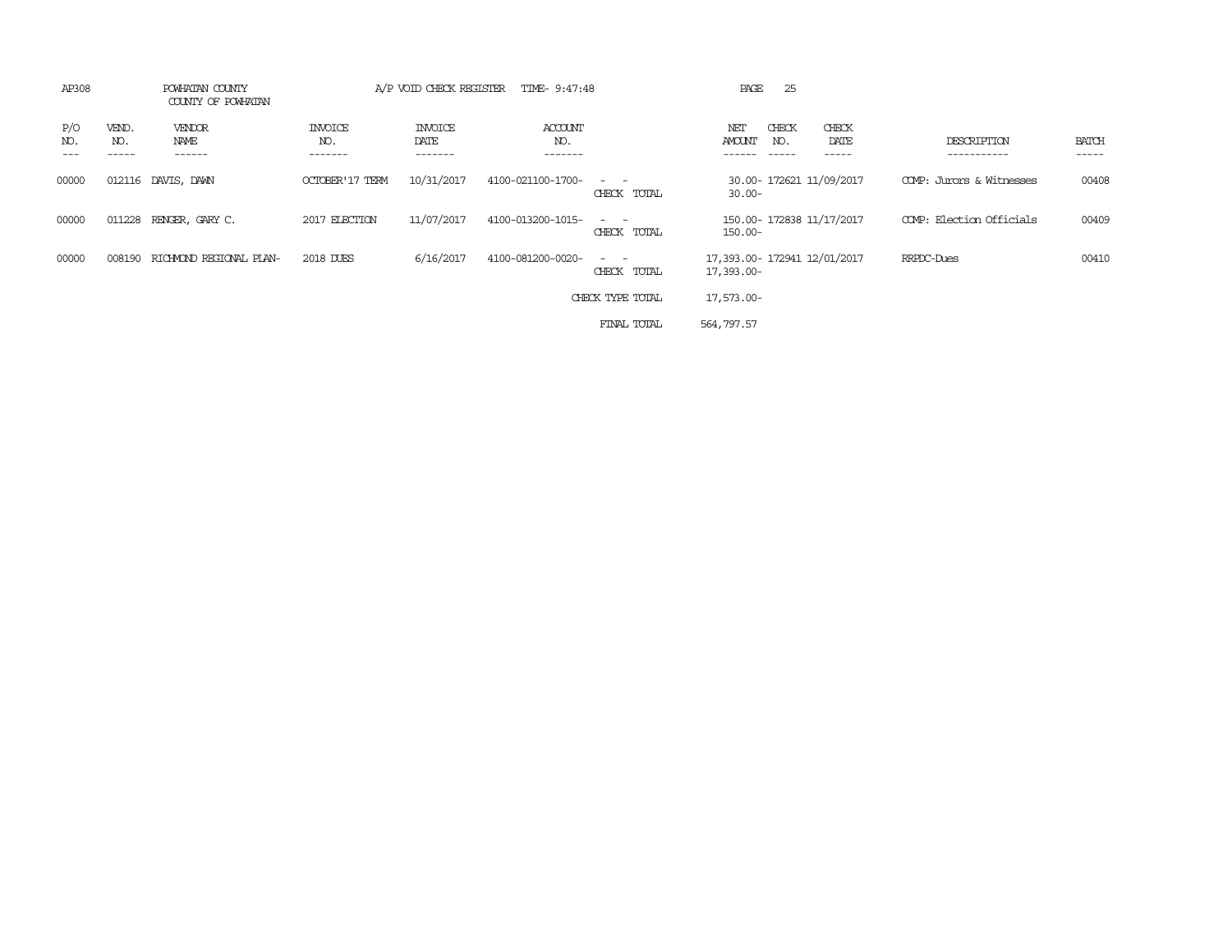| AP308      |                       | POWHATAN COUNTY<br>COUNTY OF POWHATAN |                           | A/P VOID CHECK REGISTER           | TIME- 9:47:48             |                                                                                                                                          | PAGE          | 25           |                              |                            |                       |
|------------|-----------------------|---------------------------------------|---------------------------|-----------------------------------|---------------------------|------------------------------------------------------------------------------------------------------------------------------------------|---------------|--------------|------------------------------|----------------------------|-----------------------|
| P/O<br>NO. | VEND.<br>NO.<br>----- | VENDOR<br>NAME<br>------              | INVOICE<br>NO.<br>------- | <b>INVOICE</b><br>DATE<br>------- | ACCOUNT<br>NO.<br>------- |                                                                                                                                          | NET<br>AMOUNT | CHECK<br>NO. | CHECK<br>DATE<br>------      | DESCRIPTION<br>----------- | <b>BATCH</b><br>----- |
| 00000      |                       | 012116 DAVIS, DAWN                    | <b>OCTOBER'17 TERM</b>    | 10/31/2017                        | 4100-021100-1700-         | $\frac{1}{2} \left( \frac{1}{2} \right) \left( \frac{1}{2} \right) \left( \frac{1}{2} \right) \left( \frac{1}{2} \right)$<br>CHECK TOTAL | $30.00 -$     |              | 30.00- 172621 11/09/2017     | COMP: Jurors & Witnesses   | 00408                 |
| 00000      |                       | 011228 RENGER, GARY C.                | 2017 ELECTION             | 11/07/2017                        | 4100-013200-1015-         | $ -$<br>CHECK TOTAL                                                                                                                      | $150.00 -$    |              | 150.00- 172838 11/17/2017    | COMP: Election Officials   | 00409                 |
| 00000      | 008190                | RICHMOND REGIONAL PLAN-               | 2018 DUES                 | 6/16/2017                         | 4100-081200-0020-         | $\sim$ $ \sim$<br>CHECK TOTAL                                                                                                            | 17,393.00-    |              | 17,393.00- 172941 12/01/2017 | RRPDC-Dues                 | 00410                 |
|            |                       |                                       |                           |                                   |                           | CHECK TYPE TOTAL                                                                                                                         | 17,573.00-    |              |                              |                            |                       |
|            |                       |                                       |                           |                                   |                           | FINAL TOTAL                                                                                                                              | 564,797.57    |              |                              |                            |                       |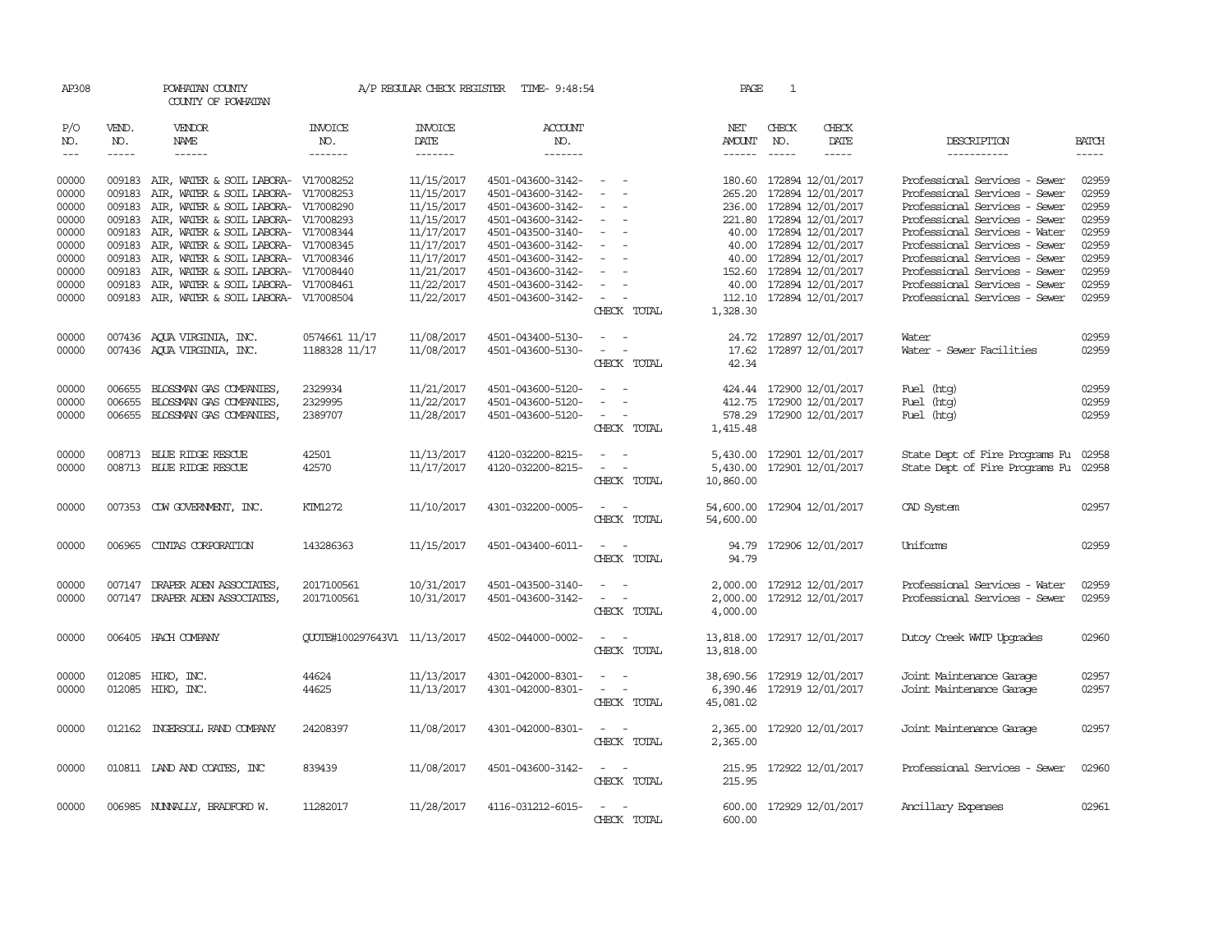| AP308         |              | POWHATAN COUNTY<br>COUNTY OF POWHATAN      |                              |                        | A/P REGULAR CHECK REGISTER TIME- 9:48:54 |                                             | PAGE                   | 1            |                            |                                |               |
|---------------|--------------|--------------------------------------------|------------------------------|------------------------|------------------------------------------|---------------------------------------------|------------------------|--------------|----------------------------|--------------------------------|---------------|
| P/O<br>NO.    | VEND.<br>NO. | <b>VENDOR</b><br>NAME                      | <b>INVOICE</b><br>NO.        | <b>INVOICE</b><br>DATE | <b>ACCOUNT</b><br>NO.                    |                                             | NET<br>AMOUNT          | CHECK<br>NO. | CHECK<br>DATE              | DESCRIPTION                    | <b>BATCH</b>  |
| $\frac{1}{2}$ |              |                                            | -------                      | --------               | $- - - - - - -$                          |                                             |                        | $- - - - -$  | $\frac{1}{2}$              | ------------                   | $\frac{1}{2}$ |
| 00000         |              | 009183 AIR, WATER & SOIL LABORA- V17008252 |                              | 11/15/2017             | 4501-043600-3142-                        | $\sim$ 100 $\sim$                           |                        |              | 180.60 172894 12/01/2017   | Professional Services - Sewer  | 02959         |
| 00000         | 009183       | AIR, WATER & SOIL LABORA- V17008253        |                              | 11/15/2017             | 4501-043600-3142-                        | $\sim$                                      |                        |              | 265.20 172894 12/01/2017   | Professional Services - Sewer  | 02959         |
| 00000         | 009183       | AIR, WATER & SOIL LABORA- V17008290        |                              | 11/15/2017             | 4501-043600-3142-                        | $\overline{\phantom{a}}$                    |                        |              | 236.00 172894 12/01/2017   | Professional Services - Sewer  | 02959         |
| 00000         |              | 009183 AIR, WATER & SOIL LABORA- V17008293 |                              | 11/15/2017             | 4501-043600-3142-                        | $\sim$                                      |                        |              | 221.80 172894 12/01/2017   | Professional Services - Sewer  | 02959         |
| 00000         |              | 009183 AIR, WATER & SOIL LABORA- V17008344 |                              | 11/17/2017             | 4501-043500-3140-                        | $\sim$                                      |                        |              | 40.00 172894 12/01/2017    | Professional Services - Water  | 02959         |
| 00000         | 009183       | AIR, WATER & SOIL LABORA- V17008345        |                              | 11/17/2017             | 4501-043600-3142-                        | $\sim$<br>$\sim$                            |                        |              | 40.00 172894 12/01/2017    | Professional Services - Sewer  | 02959         |
| 00000         |              | 009183 AIR, WATER & SOIL LABORA- V17008346 |                              | 11/17/2017             | 4501-043600-3142-                        | $\overline{\phantom{a}}$<br>$\sim$          |                        |              | 40.00 172894 12/01/2017    | Professional Services - Sewer  | 02959         |
| 00000         |              | 009183 AIR, WATER & SOIL LABORA- V17008440 |                              | 11/21/2017             | 4501-043600-3142-                        | $\sim$                                      |                        |              | 152.60 172894 12/01/2017   | Professional Services - Sewer  | 02959         |
| 00000         | 009183       | AIR, WATER & SOIL LABORA- V17008461        |                              | 11/22/2017             | 4501-043600-3142-                        | $\sim$                                      |                        |              | 40.00 172894 12/01/2017    | Professional Services - Sewer  | 02959         |
| 00000         |              | 009183 AIR, WATER & SOIL LABORA- V17008504 |                              | 11/22/2017             | 4501-043600-3142-                        | $\sim$<br>$\overline{\phantom{a}}$          |                        |              | 112.10 172894 12/01/2017   | Professional Services - Sewer  | 02959         |
|               |              |                                            |                              |                        |                                          | CHECK TOTAL                                 | 1,328.30               |              |                            |                                |               |
|               |              |                                            |                              |                        |                                          |                                             |                        |              |                            |                                |               |
| 00000         |              | 007436 AQUA VIRGINIA, INC.                 | 0574661 11/17                | 11/08/2017             | 4501-043400-5130-                        | $\omega_{\rm{max}}$ and $\omega_{\rm{max}}$ |                        |              | 24.72 172897 12/01/2017    | Water                          | 02959         |
| 00000         |              | 007436 AQUA VIRGINIA, INC.                 | 1188328 11/17                | 11/08/2017             | 4501-043600-5130-                        | $\omega_{\rm{max}}$ and $\omega_{\rm{max}}$ | 17.62                  |              | 172897 12/01/2017          | Water - Sewer Facilities       | 02959         |
|               |              |                                            |                              |                        |                                          | CHECK TOTAL                                 | 42.34                  |              |                            |                                |               |
|               |              |                                            |                              |                        |                                          | $\sim$                                      |                        |              |                            |                                |               |
| 00000         | 006655       | BLOSSMAN GAS COMPANIES,                    | 2329934                      | 11/21/2017             | 4501-043600-5120-                        |                                             | 424.44                 |              | 172900 12/01/2017          | Fuel (htg)                     | 02959         |
| 00000         | 006655       | BLOSSMAN GAS COMPANIES,                    | 2329995                      | 11/22/2017             | 4501-043600-5120-                        | $\sim$                                      |                        |              | 412.75 172900 12/01/2017   | Fuel (htg)                     | 02959         |
| 00000         |              | 006655 BLOSSMAN GAS COMPANIES,             | 2389707                      | 11/28/2017             | 4501-043600-5120-                        | $\sim$<br>CHECK TOTAL                       | 1,415.48               |              | 578.29 172900 12/01/2017   | Fuel (htg)                     | 02959         |
|               |              |                                            |                              |                        |                                          |                                             |                        |              |                            |                                |               |
| 00000         |              | 008713 BLUE RIDGE RESCUE                   | 42501                        | 11/13/2017             | 4120-032200-8215-                        | $\sim$ $ -$                                 | 5,430.00               |              | 172901 12/01/2017          | State Dept of Fire Programs Fu | 02958         |
| 00000         |              | 008713 BLUE RIDGE RESCUE                   | 42570                        | 11/17/2017             | 4120-032200-8215-                        | $\sim$ $ -$                                 | 5,430.00               |              | 172901 12/01/2017          | State Dept of Fire Programs Fu | 02958         |
|               |              |                                            |                              |                        |                                          | CHECK TOTAL                                 | 10,860.00              |              |                            |                                |               |
|               |              |                                            |                              |                        |                                          |                                             |                        |              |                            |                                |               |
| 00000         |              | 007353 CDW GOVERNMENT, INC.                | KIM1272                      | 11/10/2017             | 4301-032200-0005-                        | $\sim$ $ -$                                 | 54,600.00              |              | 172904 12/01/2017          | CAD System                     | 02957         |
|               |              |                                            |                              |                        |                                          | CHECK TOTAL                                 | 54,600.00              |              |                            |                                |               |
| 00000         |              | 006965 CINTAS CORPORATION                  | 143286363                    | 11/15/2017             | 4501-043400-6011-                        | $\sim$ $ \sim$                              |                        |              | 94.79 172906 12/01/2017    | Uniforms                       | 02959         |
|               |              |                                            |                              |                        |                                          | CHECK TOTAL                                 | 94.79                  |              |                            |                                |               |
|               |              |                                            |                              |                        |                                          |                                             |                        |              |                            |                                |               |
| 00000         |              | 007147 DRAPER ADEN ASSOCIATES,             | 2017100561                   | 10/31/2017             | 4501-043500-3140-                        | $\equiv$                                    |                        |              | 2,000.00 172912 12/01/2017 | Professional Services - Water  | 02959         |
| 00000         |              | 007147 DRAPER ADEN ASSOCIATES,             | 2017100561                   | 10/31/2017             | 4501-043600-3142-                        | $\omega_{\rm{max}}$ and $\omega_{\rm{max}}$ |                        |              | 2,000.00 172912 12/01/2017 | Professional Services - Sewer  | 02959         |
|               |              |                                            |                              |                        |                                          | CHECK TOTAL                                 | 4,000.00               |              |                            |                                |               |
| 00000         |              | 006405 HACH COMPANY                        | QUOTE#100297643V1 11/13/2017 |                        | 4502-044000-0002-                        | $\sim$ $ -$                                 |                        |              |                            |                                | 02960         |
|               |              |                                            |                              |                        |                                          | CHECK TOTAL                                 | 13,818.00<br>13,818.00 |              | 172917 12/01/2017          | Dutoy Creek WITP Upgrades      |               |
|               |              |                                            |                              |                        |                                          |                                             |                        |              |                            |                                |               |
| 00000         |              | 012085 HIKO, INC.                          | 44624                        | 11/13/2017             | 4301-042000-8301-                        |                                             | 38,690.56              |              | 172919 12/01/2017          | Joint Maintenance Garage       | 02957         |
| 00000         |              | 012085 HIKO, INC.                          | 44625                        | 11/13/2017             | 4301-042000-8301-                        | $\sim$ $ -$                                 |                        |              | 6,390.46 172919 12/01/2017 | Joint Maintenance Garage       | 02957         |
|               |              |                                            |                              |                        |                                          | CHECK TOTAL                                 | 45,081.02              |              |                            |                                |               |
|               |              |                                            |                              |                        |                                          |                                             |                        |              |                            |                                |               |
| 00000         |              | 012162 INGERSOLL RAND COMPANY              | 24208397                     | 11/08/2017             | 4301-042000-8301-                        | $\omega_{\rm{max}}$ and $\omega_{\rm{max}}$ |                        |              | 2,365.00 172920 12/01/2017 | Joint Maintenance Garage       | 02957         |
|               |              |                                            |                              |                        |                                          | CHECK TOTAL                                 | 2,365.00               |              |                            |                                |               |
|               |              |                                            |                              |                        |                                          |                                             |                        |              |                            |                                |               |
| 00000         |              | 010811 IAND AND COATES, INC                | 839439                       | 11/08/2017             | 4501-043600-3142-                        | $\sim$ $ -$                                 |                        |              | 215.95 172922 12/01/2017   | Professional Services - Sewer  | 02960         |
|               |              |                                            |                              |                        |                                          | CHECK TOTAL                                 | 215.95                 |              |                            |                                |               |
| 00000         |              | 006985 NUNNALLY, BRADFORD W.               | 11282017                     | 11/28/2017             | 4116-031212-6015-                        | $\sim$ $-$                                  |                        |              | 600.00 172929 12/01/2017   | Ancillary Expenses             | 02961         |
|               |              |                                            |                              |                        |                                          | CHECK TOTAL                                 | 600.00                 |              |                            |                                |               |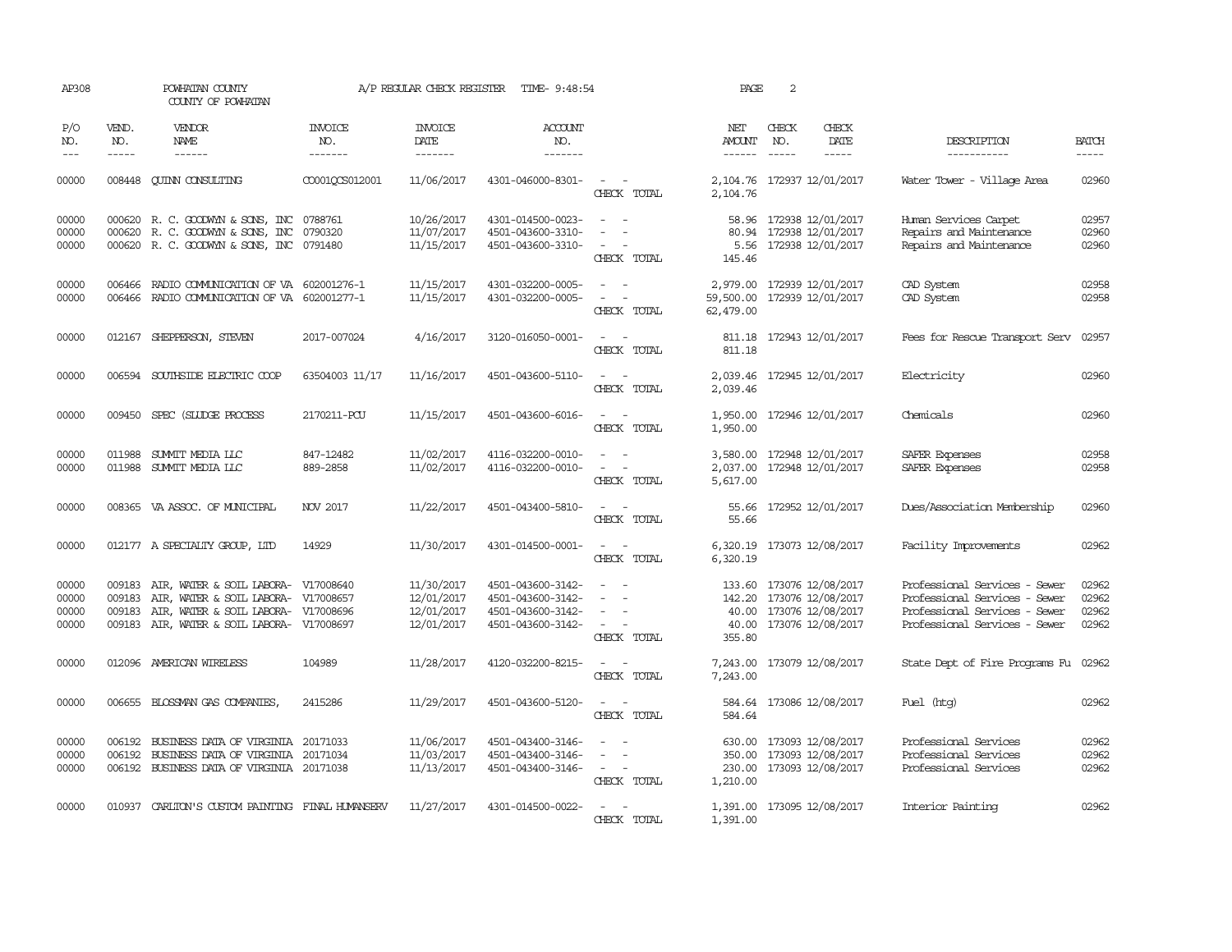| AP308                            |                             | POWHATAN COUNTY<br>COUNTY OF POWHATAN                                                                                                                 |                                  | A/P REGULAR CHECK REGISTER                           | TIME- 9:48:54                                                                    |                                                                 | PAGE                                   | 2            |                                                                                        |                                                                                                                                  |                                  |
|----------------------------------|-----------------------------|-------------------------------------------------------------------------------------------------------------------------------------------------------|----------------------------------|------------------------------------------------------|----------------------------------------------------------------------------------|-----------------------------------------------------------------|----------------------------------------|--------------|----------------------------------------------------------------------------------------|----------------------------------------------------------------------------------------------------------------------------------|----------------------------------|
| P/O<br>NO.<br>$---$              | VEND.<br>NO.<br>$- - - - -$ | VENDOR<br><b>NAME</b><br>$- - - - - -$                                                                                                                | <b>INVOICE</b><br>NO.<br>------- | <b>INVOICE</b><br><b>DATE</b><br>-------             | <b>ACCOUNT</b><br>NO.<br>-------                                                 |                                                                 | NET<br><b>AMOUNT</b>                   | CHECK<br>NO. | CHECK<br>DATE<br>-----                                                                 | DESCRIPTION<br>-----------                                                                                                       | <b>BATCH</b><br>$- - - - -$      |
| 00000                            | 008448                      | <b>CUINN CONSULTING</b>                                                                                                                               | CO001OCS012001                   | 11/06/2017                                           | 4301-046000-8301-                                                                | $\overline{\phantom{a}}$<br>$\sim$<br>CHECK TOTAL               | 2,104.76                               |              | 2, 104.76 172937 12/01/2017                                                            | Water Tower - Village Area                                                                                                       | 02960                            |
| 00000<br>00000<br>00000          |                             | 000620 R. C. GOODWYN & SONS, INC<br>000620 R. C. GOODWYN & SONS, INC<br>000620 R. C. GOODWYN & SONS, INC                                              | 0788761<br>0790320<br>0791480    | 10/26/2017<br>11/07/2017<br>11/15/2017               | 4301-014500-0023-<br>4501-043600-3310-<br>4501-043600-3310-                      | $\overline{\phantom{a}}$<br>CHECK TOTAL                         | 58.96<br>80.94<br>145.46               |              | 172938 12/01/2017<br>172938 12/01/2017<br>5.56 172938 12/01/2017                       | Human Services Carpet<br>Repairs and Maintenance<br>Repairs and Maintenance                                                      | 02957<br>02960<br>02960          |
| 00000<br>00000                   | 006466                      | RADIO COMMUNICATION OF VA 602001276-1<br>006466 RADIO COMMUNICATION OF VA 602001277-1                                                                 |                                  | 11/15/2017<br>11/15/2017                             | 4301-032200-0005-<br>4301-032200-0005-                                           | $\sim$<br>$\overline{\phantom{a}}$<br>CHECK TOTAL               | 2,979.00<br>59,500.00<br>62,479.00     |              | 172939 12/01/2017<br>172939 12/01/2017                                                 | CAD System<br>CAD System                                                                                                         | 02958<br>02958                   |
| 00000                            |                             | 012167 SHEPPERSON, STEVEN                                                                                                                             | 2017-007024                      | 4/16/2017                                            | 3120-016050-0001-                                                                | CHECK TOTAL                                                     | 811.18                                 |              | 811.18 172943 12/01/2017                                                               | Fees for Rescue Transport Serv                                                                                                   | 02957                            |
| 00000                            |                             | 006594 SOUTHSIDE ELECTRIC COOP                                                                                                                        | 63504003 11/17                   | 11/16/2017                                           | 4501-043600-5110-                                                                | $\sim$ $\sim$<br>CHECK TOTAL                                    | 2,039.46                               |              | 2,039.46 172945 12/01/2017                                                             | Electricity                                                                                                                      | 02960                            |
| 00000                            |                             | 009450 SPEC (SLUDGE PROCESS                                                                                                                           | 2170211-PCU                      | 11/15/2017                                           | 4501-043600-6016-                                                                | $\sim$ $ \sim$<br>CHECK TOTAL                                   | 1,950.00                               |              | 1,950.00 172946 12/01/2017                                                             | Chemicals                                                                                                                        | 02960                            |
| 00000<br>00000                   |                             | 011988 SUMMIT MEDIA LLC<br>011988 SUMMIT MEDIA LLC                                                                                                    | 847-12482<br>889-2858            | 11/02/2017<br>11/02/2017                             | 4116-032200-0010-<br>4116-032200-0010-                                           | CHECK TOTAL                                                     | 3,580.00<br>2,037.00<br>5,617.00       |              | 172948 12/01/2017<br>172948 12/01/2017                                                 | SAFER Expenses<br>SAFER Expenses                                                                                                 | 02958<br>02958                   |
| 00000                            |                             | 008365 VA ASSOC. OF MUNICIPAL                                                                                                                         | NOV 2017                         | 11/22/2017                                           | 4501-043400-5810-                                                                | $\sim$ $\sim$<br>CHECK TOTAL                                    | 55.66<br>55.66                         |              | 172952 12/01/2017                                                                      | Dues/Association Membership                                                                                                      | 02960                            |
| 00000                            |                             | 012177 A SPECIALITY GROUP, LID                                                                                                                        | 14929                            | 11/30/2017                                           | 4301-014500-0001-                                                                | CHECK TOTAL                                                     | 6,320.19<br>6,320.19                   |              | 173073 12/08/2017                                                                      | Facility Improvements                                                                                                            | 02962                            |
| 00000<br>00000<br>00000<br>00000 | 009183<br>009183<br>009183  | AIR, WATER & SOIL LABORA-<br>AIR, WATER & SOIL LABORA- V17008657<br>AIR, WATER & SOIL LABORA- V17008696<br>009183 AIR, WATER & SOIL LABORA- V17008697 | V17008640                        | 11/30/2017<br>12/01/2017<br>12/01/2017<br>12/01/2017 | 4501-043600-3142-<br>4501-043600-3142-<br>4501-043600-3142-<br>4501-043600-3142- | $\equiv$<br>$\equiv$<br>$\overline{\phantom{a}}$<br>CHECK TOTAL | 133.60<br>142.20<br>40.00<br>355.80    |              | 173076 12/08/2017<br>173076 12/08/2017<br>173076 12/08/2017<br>40.00 173076 12/08/2017 | Professional Services - Sewer<br>Professional Services - Sewer<br>Professional Services - Sewer<br>Professional Services - Sewer | 02962<br>02962<br>02962<br>02962 |
| 00000                            | 012096                      | AMERICAN WIRELESS                                                                                                                                     | 104989                           | 11/28/2017                                           | 4120-032200-8215-                                                                | CHECK TOTAL                                                     | 7,243.00<br>7,243.00                   |              | 173079 12/08/2017                                                                      | State Dept of Fire Programs Fu                                                                                                   | 02962                            |
| 00000                            |                             | 006655 BLOSSMAN GAS COMPANIES,                                                                                                                        | 2415286                          | 11/29/2017                                           | 4501-043600-5120-                                                                | CHECK TOTAL                                                     | 584.64<br>584.64                       |              | 173086 12/08/2017                                                                      | Fuel (htg)                                                                                                                       | 02962                            |
| 00000<br>00000<br>00000          | 006192<br>006192            | BUSINESS DATA OF VIRGINIA 20171033<br>BUSINESS DATA OF VIRGINIA<br>006192 BUSINESS DATA OF VIRGINIA 20171038                                          | 20171034                         | 11/06/2017<br>11/03/2017<br>11/13/2017               | 4501-043400-3146-<br>4501-043400-3146-<br>4501-043400-3146-                      | $\sim$ 100 $\mu$<br>$\sim$<br>CHECK TOTAL                       | 630.00<br>350.00<br>230.00<br>1,210.00 |              | 173093 12/08/2017<br>173093 12/08/2017<br>173093 12/08/2017                            | Professional Services<br>Professional Services<br>Professional Services                                                          | 02962<br>02962<br>02962          |
| 00000                            | 010937                      | CARLITON'S CUSTOM PAINTING FINAL HUMANSERV                                                                                                            |                                  | 11/27/2017                                           | 4301-014500-0022-                                                                | CHECK TOTAL                                                     | 1,391.00                               |              | 1,391.00 173095 12/08/2017                                                             | Interior Painting                                                                                                                | 02962                            |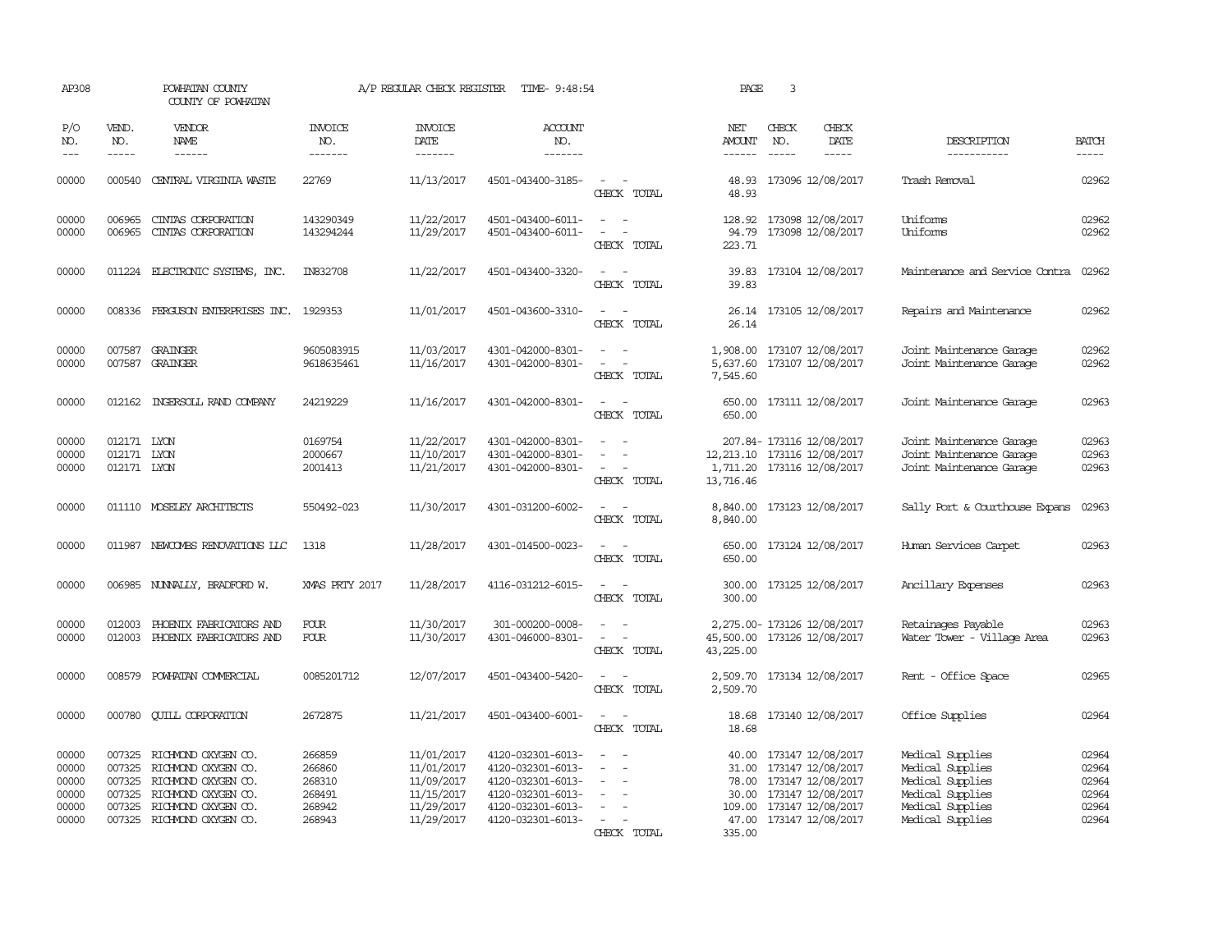| AP308                                              |                                           | POWHATAN COUNTY<br>COUNTY OF POWHATAN                                                                                                                       |                                                          | A/P REGULAR CHECK REGISTER                                                       | TIME- 9:48:54                                                                                                              |                                                                                                                             | PAGE                                      | 3                           |                                                                                                                                                                 |                                                                                                                      |                                                    |
|----------------------------------------------------|-------------------------------------------|-------------------------------------------------------------------------------------------------------------------------------------------------------------|----------------------------------------------------------|----------------------------------------------------------------------------------|----------------------------------------------------------------------------------------------------------------------------|-----------------------------------------------------------------------------------------------------------------------------|-------------------------------------------|-----------------------------|-----------------------------------------------------------------------------------------------------------------------------------------------------------------|----------------------------------------------------------------------------------------------------------------------|----------------------------------------------------|
| P/O<br>NO.<br>$- - -$                              | VEND.<br>NO.<br>$- - - - -$               | VENDOR<br>NAME<br>$- - - - - -$                                                                                                                             | <b>INVOICE</b><br>NO.<br>-------                         | <b>INVOICE</b><br>DATE<br>-------                                                | <b>ACCOUNT</b><br>NO.<br>-------                                                                                           |                                                                                                                             | NET<br>AMOUNT<br>$- - - - - -$            | CHECK<br>NO.<br>$- - - - -$ | CHECK<br>DATE<br>-----                                                                                                                                          | DESCRIPTION<br>-----------                                                                                           | <b>BATCH</b><br>$- - - - -$                        |
| 00000                                              | 000540                                    | CENTRAL VIRGINIA WASTE                                                                                                                                      | 22769                                                    | 11/13/2017                                                                       | 4501-043400-3185-                                                                                                          | $\sim$<br>$\sim$<br>CHECK TOTAL                                                                                             | 48.93                                     |                             | 48.93 173096 12/08/2017                                                                                                                                         | Trash Removal                                                                                                        | 02962                                              |
| 00000<br>00000                                     | 006965<br>006965                          | CINIAS CORPORATION<br>CINIAS CORPORATION                                                                                                                    | 143290349<br>143294244                                   | 11/22/2017<br>11/29/2017                                                         | 4501-043400-6011-<br>4501-043400-6011-                                                                                     | $\sim$ $ -$<br>$\overline{\phantom{a}}$<br>$\overline{\phantom{a}}$<br>CHECK TOTAL                                          | 94.79<br>223.71                           |                             | 128.92 173098 12/08/2017<br>173098 12/08/2017                                                                                                                   | Uniforms<br>Uniforms                                                                                                 | 02962<br>02962                                     |
| 00000                                              | 011224                                    | ELECTRONIC SYSTEMS, INC.                                                                                                                                    | IN832708                                                 | 11/22/2017                                                                       | 4501-043400-3320-                                                                                                          | $\sim$<br>$\sim$<br>CHECK TOTAL                                                                                             | 39.83<br>39.83                            |                             | 173104 12/08/2017                                                                                                                                               | Maintenance and Service Contra                                                                                       | 02962                                              |
| 00000                                              |                                           | 008336 FERGUSON ENTERPRISES INC. 1929353                                                                                                                    |                                                          | 11/01/2017                                                                       | 4501-043600-3310-                                                                                                          | $\overline{\phantom{a}}$<br>CHECK TOTAL                                                                                     | 26.14                                     |                             | 26.14 173105 12/08/2017                                                                                                                                         | Repairs and Maintenance                                                                                              | 02962                                              |
| 00000<br>00000                                     |                                           | 007587 GRAINGER<br>007587 GRAINGER                                                                                                                          | 9605083915<br>9618635461                                 | 11/03/2017<br>11/16/2017                                                         | 4301-042000-8301-<br>4301-042000-8301-                                                                                     | $\overline{\phantom{a}}$<br>- -<br>$\overline{\phantom{a}}$<br>$\sim$<br>CHECK TOTAL                                        | 5,637.60<br>7,545.60                      |                             | 1,908.00 173107 12/08/2017<br>173107 12/08/2017                                                                                                                 | Joint Maintenance Garage<br>Joint Maintenance Garage                                                                 | 02962<br>02962                                     |
| 00000                                              | 012162                                    | INGERSOLL RAND COMPANY                                                                                                                                      | 24219229                                                 | 11/16/2017                                                                       | 4301-042000-8301-                                                                                                          | $\sim$<br>$\sim$ $-$<br>CHECK TOTAL                                                                                         | 650.00<br>650.00                          |                             | 173111 12/08/2017                                                                                                                                               | Joint Maintenance Garage                                                                                             | 02963                                              |
| 00000<br>00000<br>00000                            | 012171 LYON<br>012171 LYON<br>012171 LYON |                                                                                                                                                             | 0169754<br>2000667<br>2001413                            | 11/22/2017<br>11/10/2017<br>11/21/2017                                           | 4301-042000-8301-<br>4301-042000-8301-<br>4301-042000-8301-                                                                | $\sim$<br>$\sim$<br>$\sim$ $ \sim$<br>CHECK TOTAL                                                                           | 12, 213.10 173116 12/08/2017<br>13,716.46 |                             | 207.84- 173116 12/08/2017<br>1,711.20 173116 12/08/2017                                                                                                         | Joint Maintenance Garage<br>Joint Maintenance Garage<br>Joint Maintenance Garage                                     | 02963<br>02963<br>02963                            |
| 00000                                              |                                           | 011110 MOSELEY ARCHITECTS                                                                                                                                   | 550492-023                                               | 11/30/2017                                                                       | 4301-031200-6002-                                                                                                          | $\sim$ $ \sim$<br>CHECK TOTAL                                                                                               | 8,840.00                                  |                             | 8,840.00 173123 12/08/2017                                                                                                                                      | Sally Port & Courthouse Expans                                                                                       | 02963                                              |
| 00000                                              |                                           | 011987 NEWCOMBS RENOVATIONS LLC                                                                                                                             | 1318                                                     | 11/28/2017                                                                       | 4301-014500-0023-                                                                                                          | $\sim$<br>CHECK TOTAL                                                                                                       | 650.00                                    |                             | 650.00 173124 12/08/2017                                                                                                                                        | Human Services Carpet                                                                                                | 02963                                              |
| 00000                                              |                                           | 006985 NUNNALLY, BRADFORD W.                                                                                                                                | XMAS PRTY 2017                                           | 11/28/2017                                                                       | 4116-031212-6015-                                                                                                          | $\sim$<br>$\sim$<br>CHECK TOTAL                                                                                             | 300.00<br>300.00                          |                             | 173125 12/08/2017                                                                                                                                               | Ancillary Expenses                                                                                                   | 02963                                              |
| 00000<br>00000                                     | 012003                                    | PHOENIX FABRICATORS AND<br>012003 PHOENIX FABRICATORS AND                                                                                                   | <b>FOUR</b><br><b>FOUR</b>                               | 11/30/2017<br>11/30/2017                                                         | 301-000200-0008-<br>4301-046000-8301-                                                                                      | $\omega_{\rm{max}}$ and $\omega_{\rm{max}}$<br>$\sim$ 100 $\sim$<br>CHECK TOTAL                                             | 45,500.00 173126 12/08/2017<br>43,225.00  |                             | 2,275.00- 173126 12/08/2017                                                                                                                                     | Retainages Payable<br>Water Tower - Village Area                                                                     | 02963<br>02963                                     |
| 00000                                              | 008579                                    | POWHATAN COMMERCIAL                                                                                                                                         | 0085201712                                               | 12/07/2017                                                                       | 4501-043400-5420-                                                                                                          | CHECK TOTAL                                                                                                                 | 2,509.70                                  |                             | 2,509.70 173134 12/08/2017                                                                                                                                      | Rent - Office Space                                                                                                  | 02965                                              |
| 00000                                              |                                           | 000780 CUILL CORPORATION                                                                                                                                    | 2672875                                                  | 11/21/2017                                                                       | 4501-043400-6001-                                                                                                          | $\sim$ 100 $\sim$<br>CHECK TOTAL                                                                                            | 18.68<br>18.68                            |                             | 173140 12/08/2017                                                                                                                                               | Office Supplies                                                                                                      | 02964                                              |
| 00000<br>00000<br>00000<br>00000<br>00000<br>00000 | 007325<br>007325<br>007325                | RICHMOND OXYGEN CO.<br>RICHMOND OXYGEN CO.<br>007325 RICHMOND OXYGEN CO.<br>007325 RICHMOND OXYGEN CO.<br>RICHMOND OXYGEN CO.<br>007325 RICHMOND OXYGEN CO. | 266859<br>266860<br>268310<br>268491<br>268942<br>268943 | 11/01/2017<br>11/01/2017<br>11/09/2017<br>11/15/2017<br>11/29/2017<br>11/29/2017 | 4120-032301-6013-<br>4120-032301-6013-<br>4120-032301-6013-<br>4120-032301-6013-<br>4120-032301-6013-<br>4120-032301-6013- | $\overline{\phantom{a}}$<br>$\overline{\phantom{a}}$<br>$\overline{\phantom{a}}$<br>$\overline{\phantom{a}}$<br>CHECK TOTAL | 335.00                                    |                             | 40.00 173147 12/08/2017<br>31.00 173147 12/08/2017<br>78.00 173147 12/08/2017<br>30.00 173147 12/08/2017<br>109.00 173147 12/08/2017<br>47.00 173147 12/08/2017 | Medical Supplies<br>Medical Supplies<br>Medical Supplies<br>Medical Supplies<br>Medical Supplies<br>Medical Supplies | 02964<br>02964<br>02964<br>02964<br>02964<br>02964 |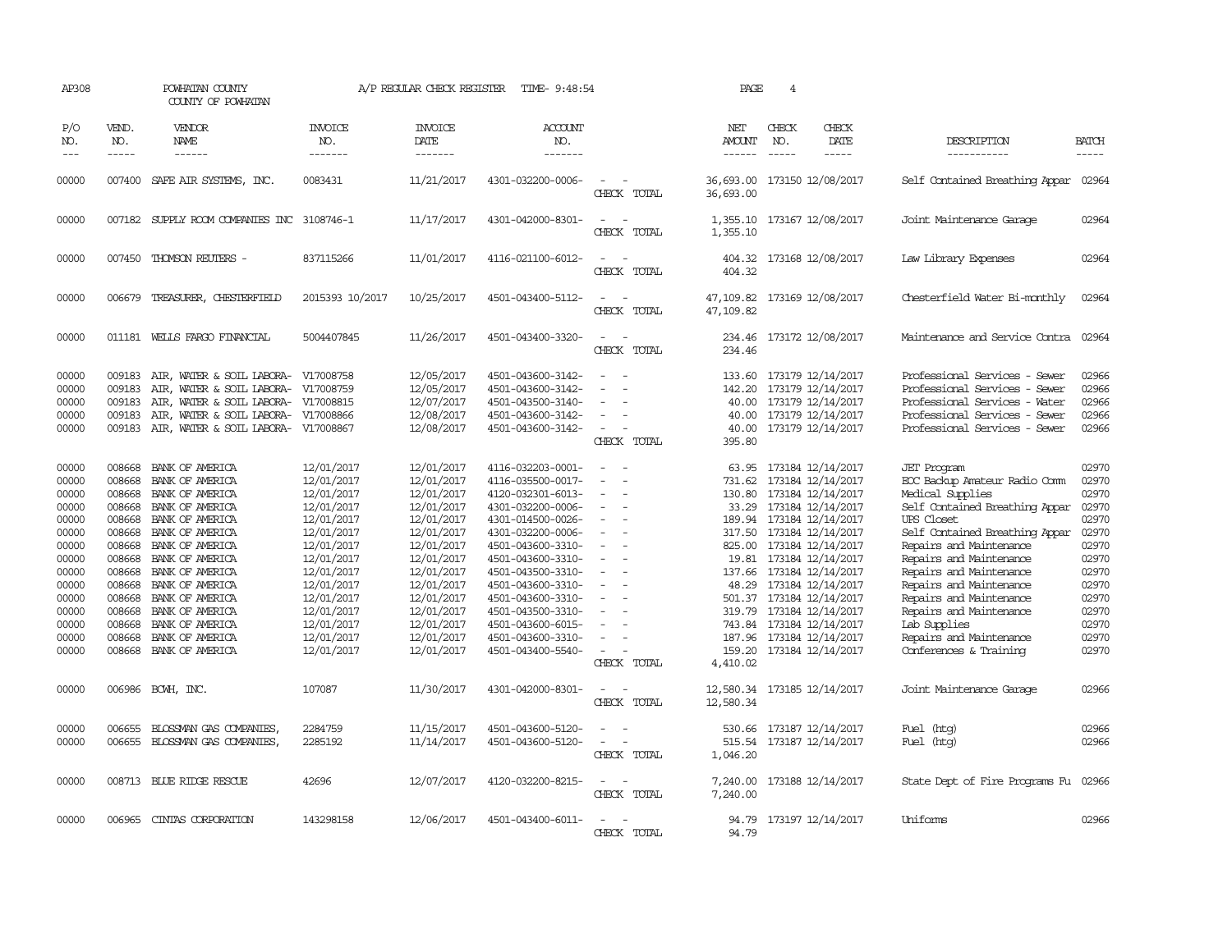| AP308                                                                                                                               |                                                                              | POWHATAN COUNTY<br>COUNTY OF POWHATAN                                                                                                                                                                                                                                                                                                      |                                                                                                                                                                                                                | A/P REGULAR CHECK REGISTER                                                                                                                                                                                     | TIME- 9:48:54                                                                                                                                                                                                                                                                                                           |                                                                                                                                                                                                                                                     | PAGE                                  | $\overline{4}$                |                                                                                                                                                                                                                                                                                                                                                                                                          |                                                                                                                                                                                                                                                                                                                                                                                                  |                                                                                                                                     |
|-------------------------------------------------------------------------------------------------------------------------------------|------------------------------------------------------------------------------|--------------------------------------------------------------------------------------------------------------------------------------------------------------------------------------------------------------------------------------------------------------------------------------------------------------------------------------------|----------------------------------------------------------------------------------------------------------------------------------------------------------------------------------------------------------------|----------------------------------------------------------------------------------------------------------------------------------------------------------------------------------------------------------------|-------------------------------------------------------------------------------------------------------------------------------------------------------------------------------------------------------------------------------------------------------------------------------------------------------------------------|-----------------------------------------------------------------------------------------------------------------------------------------------------------------------------------------------------------------------------------------------------|---------------------------------------|-------------------------------|----------------------------------------------------------------------------------------------------------------------------------------------------------------------------------------------------------------------------------------------------------------------------------------------------------------------------------------------------------------------------------------------------------|--------------------------------------------------------------------------------------------------------------------------------------------------------------------------------------------------------------------------------------------------------------------------------------------------------------------------------------------------------------------------------------------------|-------------------------------------------------------------------------------------------------------------------------------------|
| P/O<br>NO.<br>$---$                                                                                                                 | VEND.<br>NO.<br>$- - - - -$                                                  | VENDOR<br>NAME<br>------                                                                                                                                                                                                                                                                                                                   | <b>INVOICE</b><br>NO.<br>-------                                                                                                                                                                               | <b>INVOICE</b><br><b>DATE</b><br>-------                                                                                                                                                                       | ACCOUNT<br>NO.<br>-------                                                                                                                                                                                                                                                                                               |                                                                                                                                                                                                                                                     | NET<br>AMOUNT<br>$- - - - - -$        | CHECK<br>NO.<br>$\frac{1}{2}$ | CHECK<br>DATE<br>$- - - - -$                                                                                                                                                                                                                                                                                                                                                                             | DESCRIPTION<br>-----------                                                                                                                                                                                                                                                                                                                                                                       | <b>BATCH</b>                                                                                                                        |
| 00000                                                                                                                               |                                                                              | 007400 SAFE AIR SYSTEMS, INC.                                                                                                                                                                                                                                                                                                              | 0083431                                                                                                                                                                                                        | 11/21/2017                                                                                                                                                                                                     | 4301-032200-0006-                                                                                                                                                                                                                                                                                                       | $\sim$<br>CHECK TOTAL                                                                                                                                                                                                                               | 36,693.00                             |                               | 36,693.00 173150 12/08/2017                                                                                                                                                                                                                                                                                                                                                                              | Self Contained Breathing Appar 02964                                                                                                                                                                                                                                                                                                                                                             |                                                                                                                                     |
| 00000                                                                                                                               |                                                                              | 007182 SUPPLY ROOM COMPANIES INC 3108746-1                                                                                                                                                                                                                                                                                                 |                                                                                                                                                                                                                | 11/17/2017                                                                                                                                                                                                     | 4301-042000-8301-                                                                                                                                                                                                                                                                                                       | $\overline{\phantom{a}}$<br>CHECK TOTAL                                                                                                                                                                                                             | 1,355.10                              |                               | 1,355.10 173167 12/08/2017                                                                                                                                                                                                                                                                                                                                                                               | Joint Maintenance Garage                                                                                                                                                                                                                                                                                                                                                                         | 02964                                                                                                                               |
| 00000                                                                                                                               |                                                                              | 007450 THOMSON REUTERS -                                                                                                                                                                                                                                                                                                                   | 837115266                                                                                                                                                                                                      | 11/01/2017                                                                                                                                                                                                     | 4116-021100-6012-                                                                                                                                                                                                                                                                                                       | $\equiv$<br>CHECK TOTAL                                                                                                                                                                                                                             | 404.32                                |                               | 404.32 173168 12/08/2017                                                                                                                                                                                                                                                                                                                                                                                 | Law Library Expenses                                                                                                                                                                                                                                                                                                                                                                             | 02964                                                                                                                               |
| 00000                                                                                                                               |                                                                              | 006679 TREASURER, CHESTERFIELD                                                                                                                                                                                                                                                                                                             | 2015393 10/2017                                                                                                                                                                                                | 10/25/2017                                                                                                                                                                                                     | 4501-043400-5112-                                                                                                                                                                                                                                                                                                       | $\frac{1}{2} \left( \frac{1}{2} \right) \left( \frac{1}{2} \right) = \frac{1}{2} \left( \frac{1}{2} \right)$<br>CHECK TOTAL                                                                                                                         | 47,109.82                             |                               | 47,109.82 173169 12/08/2017                                                                                                                                                                                                                                                                                                                                                                              | Chesterfield Water Bi-monthly                                                                                                                                                                                                                                                                                                                                                                    | 02964                                                                                                                               |
| 00000                                                                                                                               |                                                                              | 011181 WELLS FARGO FINANCIAL                                                                                                                                                                                                                                                                                                               | 5004407845                                                                                                                                                                                                     | 11/26/2017                                                                                                                                                                                                     | 4501-043400-3320-                                                                                                                                                                                                                                                                                                       | $\sim$<br>CHECK TOTAL                                                                                                                                                                                                                               | 234.46                                |                               | 234.46 173172 12/08/2017                                                                                                                                                                                                                                                                                                                                                                                 | Maintenance and Service Contra                                                                                                                                                                                                                                                                                                                                                                   | 02964                                                                                                                               |
| 00000<br>00000<br>00000<br>00000<br>00000                                                                                           | 009183<br>009183<br>009183<br>009183<br>009183                               | AIR, WATER & SOIL LABORA- V17008758<br>AIR, WATER & SOIL LABORA- V17008759<br>AIR, WATER & SOIL LABORA- V17008815<br>AIR, WATER & SOIL LABORA- V17008866<br>AIR, WATER & SOIL LABORA- V17008867                                                                                                                                            |                                                                                                                                                                                                                | 12/05/2017<br>12/05/2017<br>12/07/2017<br>12/08/2017<br>12/08/2017                                                                                                                                             | 4501-043600-3142-<br>4501-043600-3142-<br>4501-043500-3140-<br>4501-043600-3142-<br>4501-043600-3142-                                                                                                                                                                                                                   | $\sim$<br>$\equiv$<br>$\sim$<br>CHECK TOTAL                                                                                                                                                                                                         | 142.20<br>395.80                      |                               | 133.60 173179 12/14/2017<br>173179 12/14/2017<br>40.00 173179 12/14/2017<br>40.00 173179 12/14/2017<br>40.00 173179 12/14/2017                                                                                                                                                                                                                                                                           | Professional Services - Sewer<br>Professional Services - Sewer<br>Professional Services - Water<br>Professional Services - Sewer<br>Professional Services - Sewer                                                                                                                                                                                                                                | 02966<br>02966<br>02966<br>02966<br>02966                                                                                           |
| 00000<br>00000<br>00000<br>00000<br>00000<br>00000<br>00000<br>00000<br>00000<br>00000<br>00000<br>00000<br>00000<br>00000<br>00000 | 008668<br>008668<br>008668<br>008668<br>008668<br>008668<br>008668<br>008668 | BANK OF AMERICA<br>BANK OF AMERICA<br>BANK OF AMERICA<br>BANK OF AMERICA<br>BANK OF AMERICA<br>008668 BANK OF AMERICA<br>008668 BANK OF AMERICA<br>008668 BANK OF AMERICA<br>BANK OF AMERICA<br>008668 BANK OF AMERICA<br>008668 BANK OF AMERICA<br>BANK OF AMERICA<br>008668 BANK OF AMERICA<br>BANK OF AMERICA<br>008668 BANK OF AMERICA | 12/01/2017<br>12/01/2017<br>12/01/2017<br>12/01/2017<br>12/01/2017<br>12/01/2017<br>12/01/2017<br>12/01/2017<br>12/01/2017<br>12/01/2017<br>12/01/2017<br>12/01/2017<br>12/01/2017<br>12/01/2017<br>12/01/2017 | 12/01/2017<br>12/01/2017<br>12/01/2017<br>12/01/2017<br>12/01/2017<br>12/01/2017<br>12/01/2017<br>12/01/2017<br>12/01/2017<br>12/01/2017<br>12/01/2017<br>12/01/2017<br>12/01/2017<br>12/01/2017<br>12/01/2017 | 4116-032203-0001-<br>4116-035500-0017-<br>4120-032301-6013-<br>4301-032200-0006-<br>4301-014500-0026-<br>4301-032200-0006-<br>4501-043600-3310-<br>4501-043600-3310-<br>4501-043500-3310-<br>4501-043600-3310-<br>4501-043600-3310-<br>4501-043500-3310-<br>4501-043600-6015-<br>4501-043600-3310-<br>4501-043400-5540- | $\overline{\phantom{a}}$<br>$\overline{\phantom{a}}$<br>$\equiv$<br>$\equiv$<br>$\sim$<br>$\overline{\phantom{a}}$<br>$\sim$<br>$\overline{\phantom{a}}$<br>$\overline{\phantom{a}}$<br>$\equiv$<br>$\equiv$<br>$\equiv$<br>$\equiv$<br>CHECK TOTAL | 63.95<br>731.62<br>825.00<br>4,410.02 |                               | 173184 12/14/2017<br>173184 12/14/2017<br>130.80 173184 12/14/2017<br>33.29 173184 12/14/2017<br>189.94 173184 12/14/2017<br>317.50 173184 12/14/2017<br>173184 12/14/2017<br>19.81 173184 12/14/2017<br>137.66 173184 12/14/2017<br>48.29 173184 12/14/2017<br>501.37 173184 12/14/2017<br>319.79 173184 12/14/2017<br>743.84 173184 12/14/2017<br>187.96 173184 12/14/2017<br>159.20 173184 12/14/2017 | <b>JET</b> Program<br>EOC Backup Amateur Radio Comm<br>Medical Supplies<br>Self Contained Breathing Appar<br>UPS Closet<br>Self Contained Breathing Appar<br>Repairs and Maintenance<br>Repairs and Maintenance<br>Repairs and Maintenance<br>Repairs and Maintenance<br>Repairs and Maintenance<br>Repairs and Maintenance<br>Lab Supplies<br>Repairs and Maintenance<br>Conferences & Training | 02970<br>02970<br>02970<br>02970<br>02970<br>02970<br>02970<br>02970<br>02970<br>02970<br>02970<br>02970<br>02970<br>02970<br>02970 |
| 00000                                                                                                                               |                                                                              | 006986 BCWH, INC.                                                                                                                                                                                                                                                                                                                          | 107087                                                                                                                                                                                                         | 11/30/2017                                                                                                                                                                                                     | 4301-042000-8301-                                                                                                                                                                                                                                                                                                       | $\sim$<br>CHECK TOTAL                                                                                                                                                                                                                               | 12,580.34                             |                               | 12,580.34 173185 12/14/2017                                                                                                                                                                                                                                                                                                                                                                              | Joint Maintenance Garage                                                                                                                                                                                                                                                                                                                                                                         | 02966                                                                                                                               |
| 00000<br>00000                                                                                                                      | 006655                                                                       | BLOSSMAN GAS COMPANIES,<br>006655 BLOSSMAN GAS COMPANIES,                                                                                                                                                                                                                                                                                  | 2284759<br>2285192                                                                                                                                                                                             | 11/15/2017<br>11/14/2017                                                                                                                                                                                       | 4501-043600-5120-<br>4501-043600-5120-                                                                                                                                                                                                                                                                                  | $\sim$<br>CHECK TOTAL                                                                                                                                                                                                                               | 530.66<br>1,046.20                    |                               | 173187 12/14/2017<br>515.54 173187 12/14/2017                                                                                                                                                                                                                                                                                                                                                            | Fuel (htg)<br>Fuel (htg)                                                                                                                                                                                                                                                                                                                                                                         | 02966<br>02966                                                                                                                      |
| 00000                                                                                                                               |                                                                              | 008713 BLUE RIDGE RESCUE                                                                                                                                                                                                                                                                                                                   | 42696                                                                                                                                                                                                          | 12/07/2017                                                                                                                                                                                                     | 4120-032200-8215-                                                                                                                                                                                                                                                                                                       | $\sim$ 10 $\,$<br>$\sim$<br>CHECK TOTAL                                                                                                                                                                                                             | 7,240.00                              |                               | 7,240.00 173188 12/14/2017                                                                                                                                                                                                                                                                                                                                                                               | State Dept of Fire Programs Fu 02966                                                                                                                                                                                                                                                                                                                                                             |                                                                                                                                     |
| 00000                                                                                                                               |                                                                              | 006965 CINTAS CORPORATION                                                                                                                                                                                                                                                                                                                  | 143298158                                                                                                                                                                                                      | 12/06/2017                                                                                                                                                                                                     | 4501-043400-6011-                                                                                                                                                                                                                                                                                                       | $\sim$<br>CHECK TOTAL                                                                                                                                                                                                                               | 94.79                                 |                               | 94.79 173197 12/14/2017                                                                                                                                                                                                                                                                                                                                                                                  | Uniforms                                                                                                                                                                                                                                                                                                                                                                                         | 02966                                                                                                                               |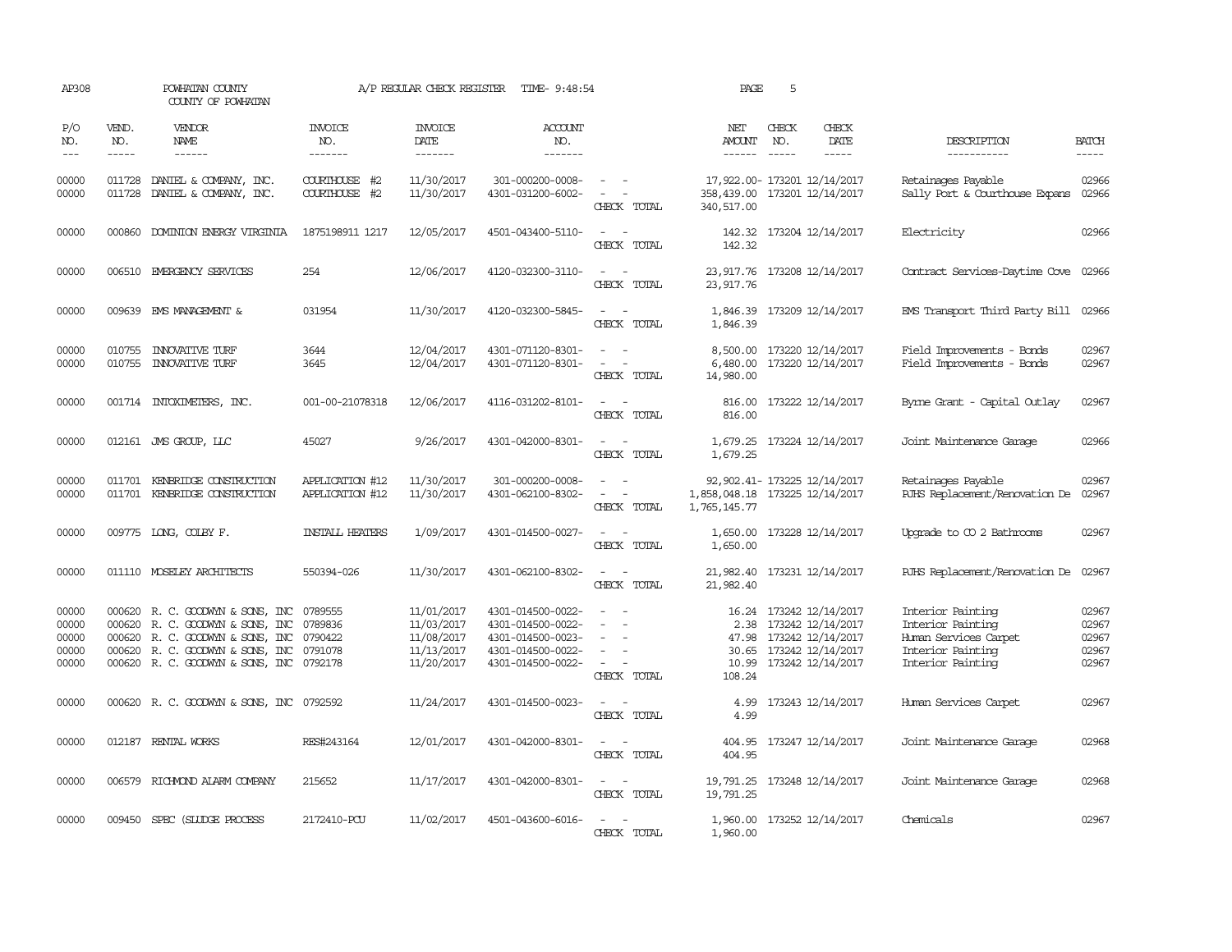| AP308                                     |                             | POWHATAN COUNTY<br>COUNTY OF POWHATAN                                                                                                                               |                                          | A/P REGULAR CHECK REGISTER                                         | TIME- 9:48:54                                                                                         |                                                                                                                             | PAGE                                           | 5                           |                                                                                                            |                                                                                                           |                                           |
|-------------------------------------------|-----------------------------|---------------------------------------------------------------------------------------------------------------------------------------------------------------------|------------------------------------------|--------------------------------------------------------------------|-------------------------------------------------------------------------------------------------------|-----------------------------------------------------------------------------------------------------------------------------|------------------------------------------------|-----------------------------|------------------------------------------------------------------------------------------------------------|-----------------------------------------------------------------------------------------------------------|-------------------------------------------|
| P/O<br>NO.<br>$---$                       | VEND.<br>NO.<br>$- - - - -$ | <b>VENDOR</b><br>NAME<br>$- - - - - -$                                                                                                                              | <b>INVOICE</b><br>NO.<br>-------         | <b>INVOICE</b><br><b>DATE</b><br>-------                           | <b>ACCOUNT</b><br>NO.<br>$- - - - - - -$                                                              |                                                                                                                             | NET<br><b>AMOUNT</b><br>$- - - - - -$          | CHECK<br>NO.<br>$- - - - -$ | CHECK<br>DATE<br>-----                                                                                     | DESCRIPTION<br>-----------                                                                                | <b>BATCH</b><br>$- - - - -$               |
| 00000<br>00000                            | 011728                      | 011728 DANIEL & COMPANY, INC.<br>DANIEL & COMPANY, INC.                                                                                                             | COURTHOUSE #2<br>COURTHOUSE #2           | 11/30/2017<br>11/30/2017                                           | 301-000200-0008-<br>4301-031200-6002-                                                                 | $\sim$ $ \sim$<br>$\sim$<br>CHECK TOTAL                                                                                     | 358,439.00<br>340,517.00                       |                             | 17,922.00- 173201 12/14/2017<br>173201 12/14/2017                                                          | Retainages Payable<br>Sally Port & Courthouse Expans                                                      | 02966<br>02966                            |
| 00000                                     | 000860                      | DOMINION ENERGY VIRGINIA                                                                                                                                            | 1875198911 1217                          | 12/05/2017                                                         | 4501-043400-5110-                                                                                     | $\sim$ $ \sim$<br>CHECK TOTAL                                                                                               | 142.32<br>142.32                               |                             | 173204 12/14/2017                                                                                          | Electricity                                                                                               | 02966                                     |
| 00000                                     |                             | 006510 EMERGENCY SERVICES                                                                                                                                           | 254                                      | 12/06/2017                                                         | 4120-032300-3110-                                                                                     | $\sim$ $ -$<br>CHECK TOTAL                                                                                                  | 23,917.76<br>23, 917.76                        |                             | 173208 12/14/2017                                                                                          | Contract Services-Daytime Cove                                                                            | 02966                                     |
| 00000                                     |                             | 009639 EMS MANAGEMENT &                                                                                                                                             | 031954                                   | 11/30/2017                                                         | 4120-032300-5845-                                                                                     | $\frac{1}{2} \left( \frac{1}{2} \right) \left( \frac{1}{2} \right) = \frac{1}{2} \left( \frac{1}{2} \right)$<br>CHECK TOTAL | 1,846.39<br>1,846.39                           |                             | 173209 12/14/2017                                                                                          | EMS Transport Third Party Bill                                                                            | 02966                                     |
| 00000<br>00000                            | 010755                      | <b>INVOVATIVE TURF</b><br>010755 INNOVATIVE TURF                                                                                                                    | 3644<br>3645                             | 12/04/2017<br>12/04/2017                                           | 4301-071120-8301-<br>4301-071120-8301-                                                                | $\sim$<br>$\overline{\phantom{a}}$<br>CHECK TOTAL                                                                           | 8,500.00<br>6,480.00<br>14,980.00              |                             | 173220 12/14/2017<br>173220 12/14/2017                                                                     | Field Improvements - Bonds<br>Field Improvements - Bonds                                                  | 02967<br>02967                            |
| 00000                                     |                             | 001714 INTOXIMETERS, INC.                                                                                                                                           | 001-00-21078318                          | 12/06/2017                                                         | 4116-031202-8101-                                                                                     | $\sim$<br>$\equiv$<br>CHECK TOTAL                                                                                           | 816.00<br>816.00                               |                             | 173222 12/14/2017                                                                                          | Byrne Grant - Capital Outlay                                                                              | 02967                                     |
| 00000                                     |                             | 012161 JMS GROUP, LLC                                                                                                                                               | 45027                                    | 9/26/2017                                                          | 4301-042000-8301-                                                                                     | $\frac{1}{2} \left( \frac{1}{2} \right) \left( \frac{1}{2} \right) = \frac{1}{2} \left( \frac{1}{2} \right)$<br>CHECK TOTAL | 1,679.25                                       |                             | 1,679.25 173224 12/14/2017                                                                                 | Joint Maintenance Garage                                                                                  | 02966                                     |
| 00000<br>00000                            |                             | 011701 KENBRIDGE CONSTRUCTION<br>011701 KENBRIDGE CONSTRUCTION                                                                                                      | APPLICATION #12<br>APPLICATION #12       | 11/30/2017<br>11/30/2017                                           | 301-000200-0008-<br>4301-062100-8302-                                                                 | $\sim$ 100 $\sim$<br>CHECK TOTAL                                                                                            | 1,858,048.18 173225 12/14/2017<br>1,765,145.77 |                             | 92, 902.41- 173225 12/14/2017                                                                              | Retainages Payable<br>RJHS Replacement/Renovation De                                                      | 02967<br>02967                            |
| 00000                                     |                             | 009775 LONG, COLBY F.                                                                                                                                               | <b>INSTALL HEATERS</b>                   | 1/09/2017                                                          | 4301-014500-0027-                                                                                     | $\sim$<br>CHECK TOTAL                                                                                                       | 1,650.00<br>1,650.00                           |                             | 173228 12/14/2017                                                                                          | Upqrade to CO 2 Bathrooms                                                                                 | 02967                                     |
| 00000                                     |                             | 011110 MOSELEY ARCHITECTS                                                                                                                                           | 550394-026                               | 11/30/2017                                                         | 4301-062100-8302-                                                                                     | $\sim$<br>$\overline{\phantom{a}}$<br>CHECK TOTAL                                                                           | 21,982.40<br>21,982.40                         |                             | 173231 12/14/2017                                                                                          | RJHS Replacement/Renovation De                                                                            | 02967                                     |
| 00000<br>00000<br>00000<br>00000<br>00000 | 000620<br>000620<br>000620  | 000620 R. C. GOODWYN & SONS, INC<br>R. C. GOODWYN & SONS, INC<br>R. C. GOODWYN & SONS, INC<br>R. C. GOODWYN & SONS, INC<br>000620 R. C. GOODWYN & SONS, INC 0792178 | 0789555<br>0789836<br>0790422<br>0791078 | 11/01/2017<br>11/03/2017<br>11/08/2017<br>11/13/2017<br>11/20/2017 | 4301-014500-0022-<br>4301-014500-0022-<br>4301-014500-0023-<br>4301-014500-0022-<br>4301-014500-0022- | CHECK TOTAL                                                                                                                 | 16.24<br>47.98<br>30.65<br>10.99<br>108.24     |                             | 173242 12/14/2017<br>2.38 173242 12/14/2017<br>173242 12/14/2017<br>173242 12/14/2017<br>173242 12/14/2017 | Interior Painting<br>Interior Painting<br>Human Services Carpet<br>Interior Painting<br>Interior Painting | 02967<br>02967<br>02967<br>02967<br>02967 |
| 00000                                     |                             | 000620 R. C. GOODWYN & SONS, INC 0792592                                                                                                                            |                                          | 11/24/2017                                                         | 4301-014500-0023-                                                                                     | $\sim$<br>$\sim$<br>CHECK TOTAL                                                                                             | 4.99<br>4.99                                   |                             | 173243 12/14/2017                                                                                          | Human Services Carpet                                                                                     | 02967                                     |
| 00000                                     |                             | 012187 RENTAL WORKS                                                                                                                                                 | RES#243164                               | 12/01/2017                                                         | 4301-042000-8301-                                                                                     | $\frac{1}{2} \left( \frac{1}{2} \right) \left( \frac{1}{2} \right) = \frac{1}{2} \left( \frac{1}{2} \right)$<br>CHECK TOTAL | 404.95<br>404.95                               |                             | 173247 12/14/2017                                                                                          | Joint Maintenance Garage                                                                                  | 02968                                     |
| 00000                                     |                             | 006579 RICHMOND ALARM COMPANY                                                                                                                                       | 215652                                   | 11/17/2017                                                         | 4301-042000-8301-                                                                                     | $\overline{\phantom{a}}$<br>$\sim$<br>CHECK TOTAL                                                                           | 19,791.25                                      |                             | 19,791.25 173248 12/14/2017                                                                                | Joint Maintenance Garage                                                                                  | 02968                                     |
| 00000                                     |                             | 009450 SPEC (SLUDGE PROCESS                                                                                                                                         | 2172410-PCU                              | 11/02/2017                                                         | 4501-043600-6016-                                                                                     | $\sim$ $ -$<br>CHECK TOTAL                                                                                                  | 1,960.00                                       |                             | 1,960.00 173252 12/14/2017                                                                                 | Chemicals                                                                                                 | 02967                                     |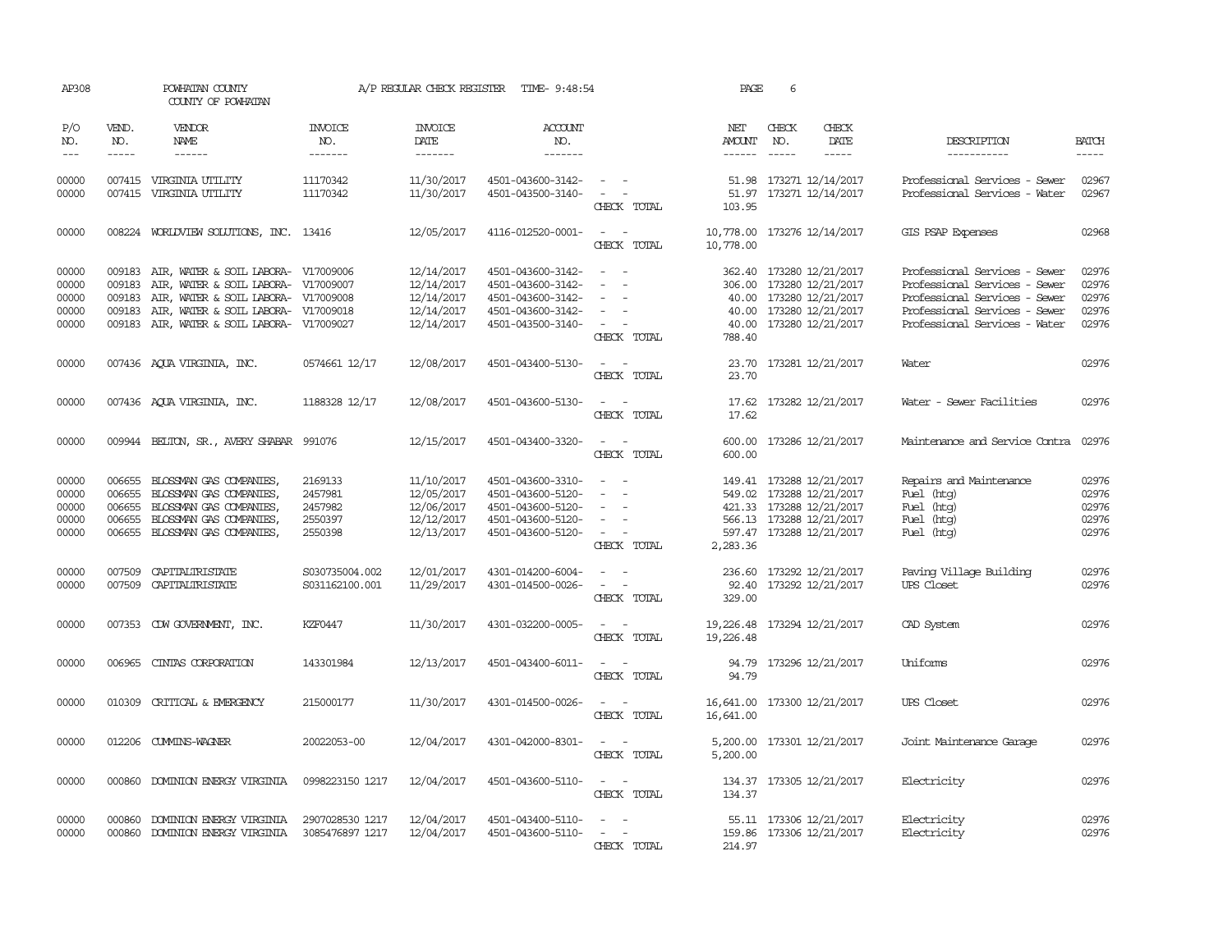| AP308               |                             | POWHATAN COUNTY<br>COUNTY OF POWHATAN                                      |                                  | A/P REGULAR CHECK REGISTER        | TIME- 9:48:54                          |                                                                                                              | PAGE                   | 6            |                                        |                                                                |                       |
|---------------------|-----------------------------|----------------------------------------------------------------------------|----------------------------------|-----------------------------------|----------------------------------------|--------------------------------------------------------------------------------------------------------------|------------------------|--------------|----------------------------------------|----------------------------------------------------------------|-----------------------|
| P/O<br>NO.<br>$---$ | VEND.<br>NO.<br>$- - - - -$ | <b>VENDOR</b><br>NAME<br>------                                            | <b>INVOICE</b><br>NO.<br>------- | <b>INVOICE</b><br>DATE<br>------- | ACCOUNT<br>NO.<br>-------              |                                                                                                              | NET<br>AMOUNT          | CHECK<br>NO. | CHECK<br>DATE<br>-----                 | DESCRIPTION<br>-----------                                     | <b>BATCH</b><br>----- |
| 00000               |                             | 007415 VIRGINIA UTILITY                                                    | 11170342                         | 11/30/2017                        | 4501-043600-3142-                      | $\frac{1}{2} \left( \frac{1}{2} \right) \left( \frac{1}{2} \right) = \frac{1}{2} \left( \frac{1}{2} \right)$ |                        |              | 51.98 173271 12/14/2017                | Professional Services - Sewer                                  | 02967                 |
| 00000               | 007415                      | VIRGINIA UTILITY                                                           | 11170342                         | 11/30/2017                        | 4501-043500-3140-                      | $\sim$ $ -$<br>CHECK TOTAL                                                                                   | 51.97<br>103.95        |              | 173271 12/14/2017                      | Professional Services - Water                                  | 02967                 |
| 00000               |                             | 008224 WORLDVIEW SOLUTIONS, INC. 13416                                     |                                  | 12/05/2017                        | 4116-012520-0001-                      | $\sim$ $ \sim$<br>CHECK TOTAL                                                                                | 10,778.00<br>10,778.00 |              | 173276 12/14/2017                      | GIS PSAP Expenses                                              | 02968                 |
| 00000<br>00000      | 009183<br>009183            | AIR, WATER & SOIL LABORA- V17009006<br>AIR, WATER & SOIL LABORA- V17009007 |                                  | 12/14/2017<br>12/14/2017          | 4501-043600-3142-<br>4501-043600-3142- | $\sim$<br>$\overline{\phantom{a}}$                                                                           | 362.40<br>306.00       |              | 173280 12/21/2017<br>173280 12/21/2017 | Professional Services - Sewer<br>Professional Services - Sewer | 02976<br>02976        |
| 00000               | 009183                      | AIR, WATER & SOIL LABORA- V17009008                                        |                                  | 12/14/2017                        | 4501-043600-3142-                      |                                                                                                              | 40.00                  |              | 173280 12/21/2017                      | Professional Services - Sewer                                  | 02976                 |
| 00000               | 009183                      | AIR, WATER & SOIL LABORA- V17009018                                        |                                  | 12/14/2017                        | 4501-043600-3142-                      |                                                                                                              | 40.00                  |              | 173280 12/21/2017                      | Professional Services - Sewer                                  | 02976                 |
| 00000               |                             | 009183 AIR, WATER & SOIL LABORA- V17009027                                 |                                  | 12/14/2017                        | 4501-043500-3140-                      | $\sim$                                                                                                       | 40.00                  |              | 173280 12/21/2017                      | Professional Services - Water                                  | 02976                 |
|                     |                             |                                                                            |                                  |                                   |                                        | CHECK TOTAL                                                                                                  | 788.40                 |              |                                        |                                                                |                       |
| 00000               |                             | 007436 AQUA VIRGINIA, INC.                                                 | 0574661 12/17                    | 12/08/2017                        | 4501-043400-5130-                      | $\sim$ $ -$<br>CHECK TOTAL                                                                                   | 23.70                  |              | 23.70 173281 12/21/2017                | Water                                                          | 02976                 |
| 00000               |                             | 007436 AQUA VIRGINIA, INC.                                                 | 1188328 12/17                    | 12/08/2017                        | 4501-043600-5130-                      | CHECK TOTAL                                                                                                  | 17.62                  |              | 17.62 173282 12/21/2017                | Water - Sewer Facilities                                       | 02976                 |
| 00000               |                             | 009944 BELTON, SR., AVERY SHABAR 991076                                    |                                  | 12/15/2017                        | 4501-043400-3320-                      | CHECK TOTAL                                                                                                  | 600.00<br>600.00       |              | 173286 12/21/2017                      | Maintenance and Service Contra                                 | 02976                 |
| 00000               | 006655                      | BLOSSMAN GAS COMPANIES,                                                    | 2169133                          | 11/10/2017                        | 4501-043600-3310-                      |                                                                                                              |                        |              | 149.41 173288 12/21/2017               | Repairs and Maintenance                                        | 02976                 |
| 00000               | 006655                      | BLOSSMAN GAS COMPANIES,                                                    | 2457981                          | 12/05/2017                        | 4501-043600-5120-                      | $\sim$                                                                                                       |                        |              | 549.02 173288 12/21/2017               | Fuel (htg)                                                     | 02976                 |
| 00000               | 006655                      | BLOSSMAN GAS COMPANIES,                                                    | 2457982                          | 12/06/2017                        | 4501-043600-5120-                      |                                                                                                              |                        |              | 421.33 173288 12/21/2017               | Fuel (htg)                                                     | 02976                 |
| 00000               | 006655                      | BLOSSMAN GAS COMPANIES,                                                    | 2550397                          | 12/12/2017                        | 4501-043600-5120-                      |                                                                                                              |                        |              | 566.13 173288 12/21/2017               | Fuel (htg)                                                     | 02976                 |
| 00000               |                             | 006655 BLOSSMAN GAS COMPANIES,                                             | 2550398                          | 12/13/2017                        | 4501-043600-5120-                      | $\sim$<br>CHECK TOTAL                                                                                        | 2,283.36               |              | 597.47 173288 12/21/2017               | Fuel (htg)                                                     | 02976                 |
| 00000               | 007509                      | CAPITALIRISTATE                                                            | S030735004.002                   | 12/01/2017                        | 4301-014200-6004-                      | $\sim$                                                                                                       | 236.60                 |              | 173292 12/21/2017                      | Paving Village Building                                        | 02976                 |
| 00000               |                             | 007509 CAPITALIRISTATE                                                     | S031162100.001                   | 11/29/2017                        | 4301-014500-0026-                      | $\sim$<br>$\overline{\phantom{a}}$                                                                           |                        |              | 92.40 173292 12/21/2017                | UPS Closet                                                     | 02976                 |
|                     |                             |                                                                            |                                  |                                   |                                        | CHECK TOTAL                                                                                                  | 329.00                 |              |                                        |                                                                |                       |
| 00000               |                             | 007353 CDW GOVERNMENT, INC.                                                | KZF0447                          | 11/30/2017                        | 4301-032200-0005-                      | $\sim$ 100 $\sim$                                                                                            | 19,226.48              |              | 173294 12/21/2017                      | CAD System                                                     | 02976                 |
|                     |                             |                                                                            |                                  |                                   |                                        | CHECK TOTAL                                                                                                  | 19,226.48              |              |                                        |                                                                |                       |
| 00000               | 006965                      | CINTAS CORPORATION                                                         | 143301984                        | 12/13/2017                        | 4501-043400-6011-                      | $\sim$                                                                                                       | 94.79                  |              | 173296 12/21/2017                      | Uniforms                                                       | 02976                 |
|                     |                             |                                                                            |                                  |                                   |                                        | CHECK TOTAL                                                                                                  | 94.79                  |              |                                        |                                                                |                       |
| 00000               | 010309                      | CRITICAL & EMERGENCY                                                       | 215000177                        | 11/30/2017                        | 4301-014500-0026-                      |                                                                                                              | 16,641.00              |              | 173300 12/21/2017                      | UPS Closet                                                     | 02976                 |
|                     |                             |                                                                            |                                  |                                   |                                        | CHECK TOTAL                                                                                                  | 16,641.00              |              |                                        |                                                                |                       |
| 00000               |                             | 012206 CUMMINS-WAGNER                                                      | 20022053-00                      | 12/04/2017                        | 4301-042000-8301-                      | $\overline{\phantom{a}}$<br>$\sim$<br>CHECK TOTAL                                                            | 5,200.00<br>5,200.00   |              | 173301 12/21/2017                      | Joint Maintenance Garage                                       | 02976                 |
| 00000               | 000860                      | DOMINION ENERGY VIRGINIA                                                   | 0998223150 1217                  | 12/04/2017                        | 4501-043600-5110-                      | $\sim$<br>$\sim$<br>CHECK TOTAL                                                                              | 134.37                 |              | 134.37 173305 12/21/2017               | Electricity                                                    | 02976                 |
| 00000               | 000860                      | DOMINION ENERGY VIRGINIA                                                   | 2907028530 1217                  | 12/04/2017                        | 4501-043400-5110-                      |                                                                                                              |                        |              | 55.11 173306 12/21/2017                | Electricity                                                    | 02976                 |
| 00000               |                             | 000860 DOMINION ENERGY VIRGINIA                                            | 3085476897 1217                  | 12/04/2017                        | 4501-043600-5110-                      | $\sim$<br>CHECK TOTAL                                                                                        | 214.97                 |              | 159.86 173306 12/21/2017               | Electricity                                                    | 02976                 |